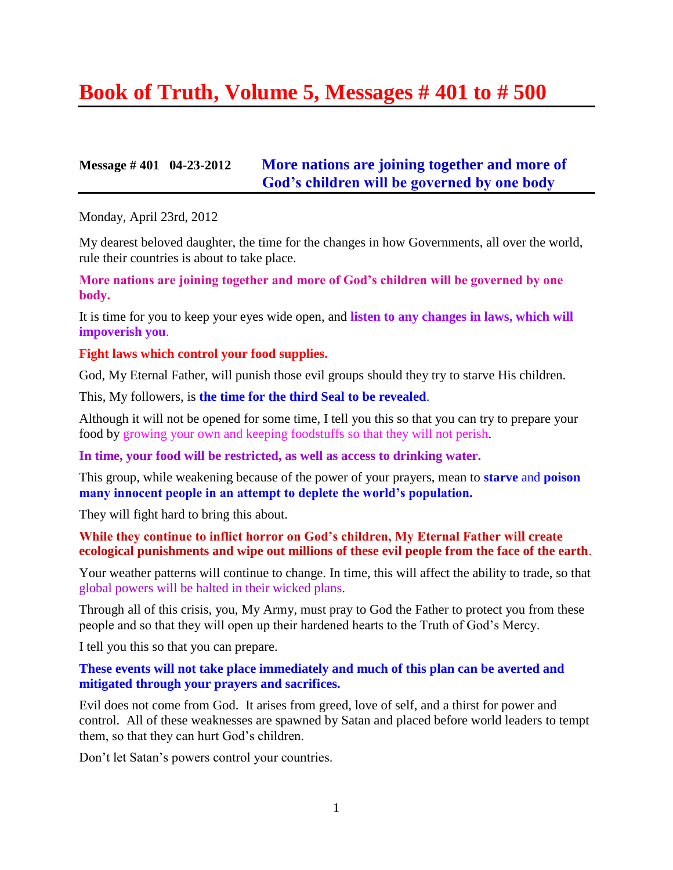# **Book of Truth, Volume 5, Messages # 401 to # 500**

## **Message # 401 04-23-2012 [More nations are joining together and more of](http://www.thewarningsecondcoming.com/more-nations-are-joining-together-and-more-of-gods-children-will-be-governed-by-one-body/)  [God's children will be governed by one body](http://www.thewarningsecondcoming.com/more-nations-are-joining-together-and-more-of-gods-children-will-be-governed-by-one-body/)**

Monday, April 23rd, 2012

My dearest beloved daughter, the time for the changes in how Governments, all over the world, rule their countries is about to take place.

**More nations are joining together and more of God's children will be governed by one body.**

It is time for you to keep your eyes wide open, and **listen to any changes in laws, which will impoverish you**.

#### **Fight laws which control your food supplies.**

God, My Eternal Father, will punish those evil groups should they try to starve His children.

This, My followers, is **the time for the third Seal to be revealed**.

Although it will not be opened for some time, I tell you this so that you can try to prepare your food by growing your own and keeping foodstuffs so that they will not perish.

**In time, your food will be restricted, as well as access to drinking water.**

This group, while weakening because of the power of your prayers, mean to **starve** and **poison many innocent people in an attempt to deplete the world's population.**

They will fight hard to bring this about.

#### **While they continue to inflict horror on God's children, My Eternal Father will create ecological punishments and wipe out millions of these evil people from the face of the earth**.

Your weather patterns will continue to change. In time, this will affect the ability to trade, so that global powers will be halted in their wicked plans.

Through all of this crisis, you, My Army, must pray to God the Father to protect you from these people and so that they will open up their hardened hearts to the Truth of God's Mercy.

I tell you this so that you can prepare.

### **These events will not take place immediately and much of this plan can be averted and mitigated through your prayers and sacrifices.**

Evil does not come from God. It arises from greed, love of self, and a thirst for power and control. All of these weaknesses are spawned by Satan and placed before world leaders to tempt them, so that they can hurt God's children.

Don't let Satan's powers control your countries.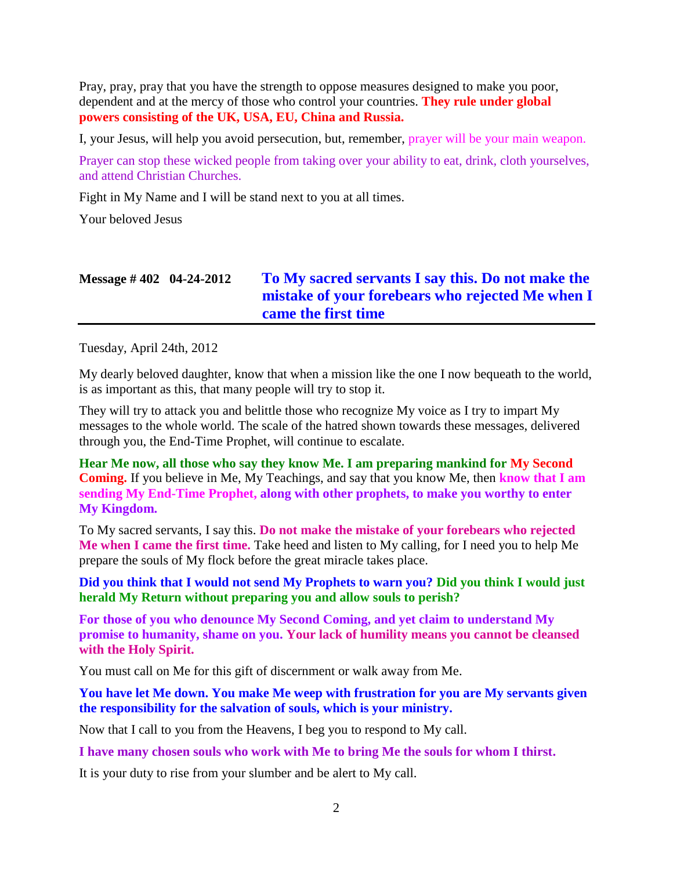Pray, pray, pray that you have the strength to oppose measures designed to make you poor, dependent and at the mercy of those who control your countries. **They rule under global powers consisting of the UK, USA, EU, China and Russia.**

I, your Jesus, will help you avoid persecution, but, remember, prayer will be your main weapon.

Prayer can stop these wicked people from taking over your ability to eat, drink, cloth yourselves, and attend Christian Churches.

Fight in My Name and I will be stand next to you at all times.

Your beloved Jesus

# **Message # 402 04-24-2012 To [My sacred servants I say this. Do not make the](http://www.thewarningsecondcoming.com/to-my-sacred-servants-i-say-this-do-not-make-the-mistake-of-your-forebears-who-rejected-me-when-i-came-the-first-time/)  [mistake of your forebears who rejected Me when I](http://www.thewarningsecondcoming.com/to-my-sacred-servants-i-say-this-do-not-make-the-mistake-of-your-forebears-who-rejected-me-when-i-came-the-first-time/)  [came the first time](http://www.thewarningsecondcoming.com/to-my-sacred-servants-i-say-this-do-not-make-the-mistake-of-your-forebears-who-rejected-me-when-i-came-the-first-time/)**

Tuesday, April 24th, 2012

My dearly beloved daughter, know that when a mission like the one I now bequeath to the world, is as important as this, that many people will try to stop it.

They will try to attack you and belittle those who recognize My voice as I try to impart My messages to the whole world. The scale of the hatred shown towards these messages, delivered through you, the End-Time Prophet, will continue to escalate.

**Hear Me now, all those who say they know Me. I am preparing mankind for My Second Coming.** If you believe in Me, My Teachings, and say that you know Me, then **know that I am sending My End-Time Prophet, along with other prophets, to make you worthy to enter My Kingdom.**

To My sacred servants, I say this. **Do not make the mistake of your forebears who rejected Me when I came the first time.** Take heed and listen to My calling, for I need you to help Me prepare the souls of My flock before the great miracle takes place.

**Did you think that I would not send My Prophets to warn you? Did you think I would just herald My Return without preparing you and allow souls to perish?**

**For those of you who denounce My Second Coming, and yet claim to understand My promise to humanity, shame on you. Your lack of humility means you cannot be cleansed with the Holy Spirit.**

You must call on Me for this gift of discernment or walk away from Me.

### **You have let Me down. You make Me weep with frustration for you are My servants given the responsibility for the salvation of souls, which is your ministry.**

Now that I call to you from the Heavens, I beg you to respond to My call.

**I have many chosen souls who work with Me to bring Me the souls for whom I thirst.**

It is your duty to rise from your slumber and be alert to My call.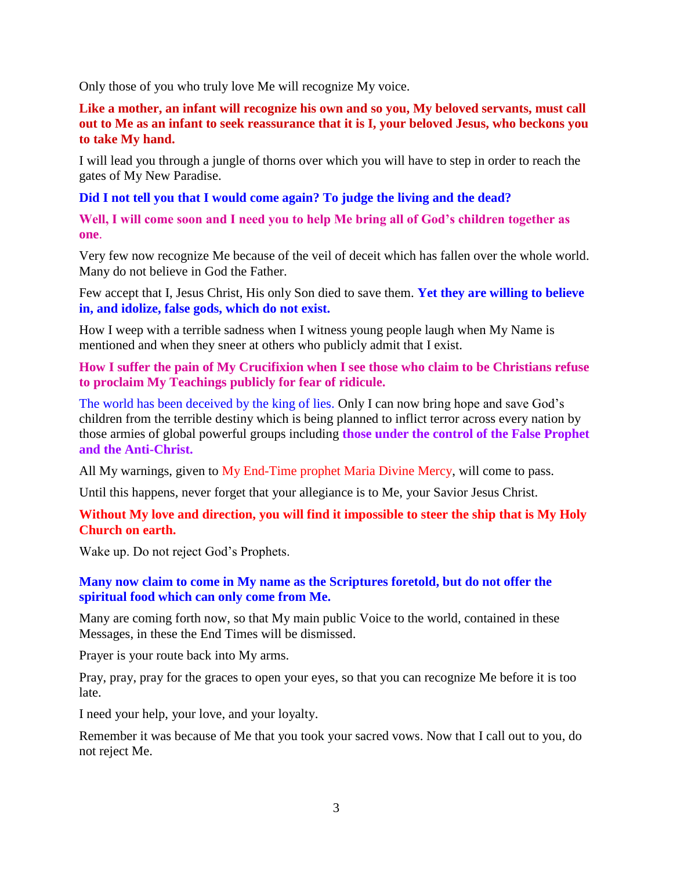Only those of you who truly love Me will recognize My voice.

**Like a mother, an infant will recognize his own and so you, My beloved servants, must call out to Me as an infant to seek reassurance that it is I, your beloved Jesus, who beckons you to take My hand.**

I will lead you through a jungle of thorns over which you will have to step in order to reach the gates of My New Paradise.

### **Did I not tell you that I would come again? To judge the living and the dead?**

**Well, I will come soon and I need you to help Me bring all of God's children together as one**.

Very few now recognize Me because of the veil of deceit which has fallen over the whole world. Many do not believe in God the Father.

Few accept that I, Jesus Christ, His only Son died to save them. **Yet they are willing to believe in, and idolize, false gods, which do not exist.**

How I weep with a terrible sadness when I witness young people laugh when My Name is mentioned and when they sneer at others who publicly admit that I exist.

### **How I suffer the pain of My Crucifixion when I see those who claim to be Christians refuse to proclaim My Teachings publicly for fear of ridicule.**

The world has been deceived by the king of lies. Only I can now bring hope and save God's children from the terrible destiny which is being planned to inflict terror across every nation by those armies of global powerful groups including **those under the control of the False Prophet and the Anti-Christ.**

All My warnings, given to My End-Time prophet Maria Divine Mercy, will come to pass.

Until this happens, never forget that your allegiance is to Me, your Savior Jesus Christ.

### **Without My love and direction, you will find it impossible to steer the ship that is My Holy Church on earth.**

Wake up. Do not reject God's Prophets.

### **Many now claim to come in My name as the Scriptures foretold, but do not offer the spiritual food which can only come from Me.**

Many are coming forth now, so that My main public Voice to the world, contained in these Messages, in these the End Times will be dismissed.

Prayer is your route back into My arms.

Pray, pray, pray for the graces to open your eyes, so that you can recognize Me before it is too late.

I need your help, your love, and your loyalty.

Remember it was because of Me that you took your sacred vows. Now that I call out to you, do not reject Me.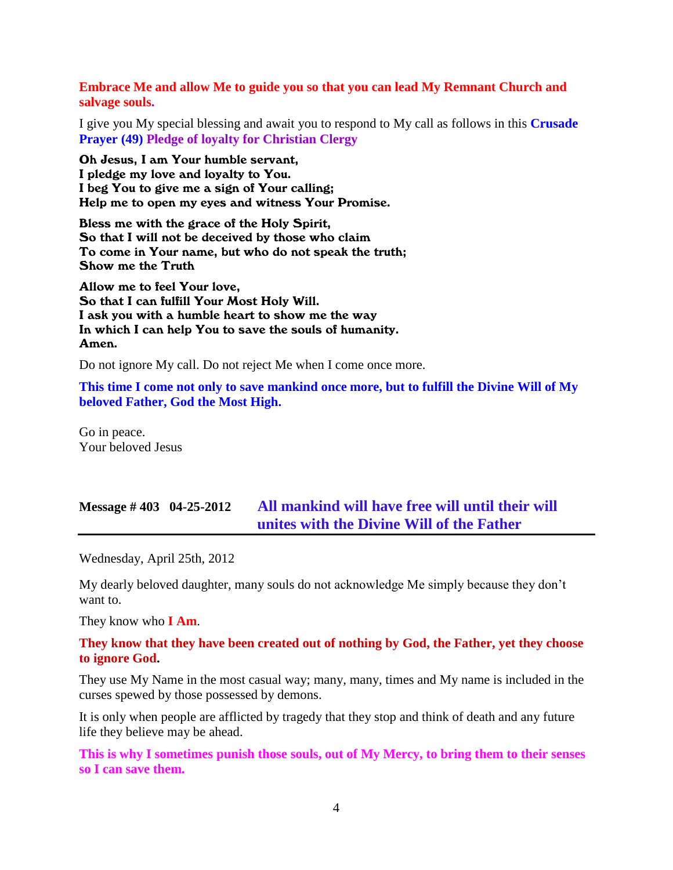**Embrace Me and allow Me to guide you so that you can lead My Remnant Church and salvage souls.**

I give you My special blessing and await you to respond to My call as follows in this **Crusade Prayer (49) Pledge of loyalty for Christian Clergy**

Oh Jesus, I am Your humble servant, I pledge my love and loyalty to You. I beg You to give me a sign of Your calling; Help me to open my eyes and witness Your Promise.

Bless me with the grace of the Holy Spirit, So that I will not be deceived by those who claim To come in Your name, but who do not speak the truth; Show me the Truth

Allow me to feel Your love, So that I can fulfill Your Most Holy Will. I ask you with a humble heart to show me the way In which I can help You to save the souls of humanity. Amen.

Do not ignore My call. Do not reject Me when I come once more.

**This time I come not only to save mankind once more, but to fulfill the Divine Will of My beloved Father, God the Most High.**

Go in peace. Your beloved Jesus

### **Message # 403 04-25-2012 [All mankind will have free will until their will](http://www.thewarningsecondcoming.com/all-mankind-will-have-free-will-until-their-will-unites-with-the-divine-will-of-the-father/)  [unites with the Divine Will of the Father](http://www.thewarningsecondcoming.com/all-mankind-will-have-free-will-until-their-will-unites-with-the-divine-will-of-the-father/)**

Wednesday, April 25th, 2012

My dearly beloved daughter, many souls do not acknowledge Me simply because they don't want to.

They know who **I Am**.

#### **They know that they have been created out of nothing by God, the Father, yet they choose to ignore God.**

They use My Name in the most casual way; many, many, times and My name is included in the curses spewed by those possessed by demons.

It is only when people are afflicted by tragedy that they stop and think of death and any future life they believe may be ahead.

**This is why I sometimes punish those souls, out of My Mercy, to bring them to their senses so I can save them.**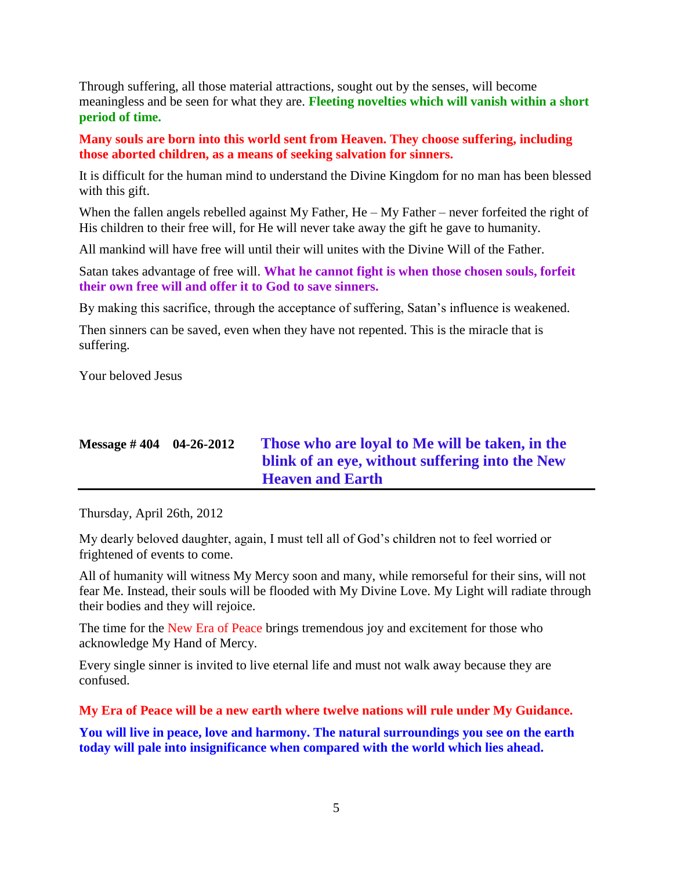Through suffering, all those material attractions, sought out by the senses, will become meaningless and be seen for what they are. **Fleeting novelties which will vanish within a short period of time.**

**Many souls are born into this world sent from Heaven. They choose suffering, including those aborted children, as a means of seeking salvation for sinners.**

It is difficult for the human mind to understand the Divine Kingdom for no man has been blessed with this gift.

When the fallen angels rebelled against My Father, He – My Father – never forfeited the right of His children to their free will, for He will never take away the gift he gave to humanity.

All mankind will have free will until their will unites with the Divine Will of the Father.

Satan takes advantage of free will. **What he cannot fight is when those chosen souls, forfeit their own free will and offer it to God to save sinners.**

By making this sacrifice, through the acceptance of suffering, Satan's influence is weakened.

Then sinners can be saved, even when they have not repented. This is the miracle that is suffering.

Your beloved Jesus

| Message $\#$ 404 04-26-2012 | Those who are loval to Me will be taken, in the |
|-----------------------------|-------------------------------------------------|
|                             | blink of an eye, without suffering into the New |
|                             | <b>Heaven and Earth</b>                         |

Thursday, April 26th, 2012

My dearly beloved daughter, again, I must tell all of God's children not to feel worried or frightened of events to come.

All of humanity will witness My Mercy soon and many, while remorseful for their sins, will not fear Me. Instead, their souls will be flooded with My Divine Love. My Light will radiate through their bodies and they will rejoice.

The time for the New Era of Peace brings tremendous joy and excitement for those who acknowledge My Hand of Mercy.

Every single sinner is invited to live eternal life and must not walk away because they are confused.

**My Era of Peace will be a new earth where twelve nations will rule under My Guidance.**

**You will live in peace, love and harmony. The natural surroundings you see on the earth today will pale into insignificance when compared with the world which lies ahead.**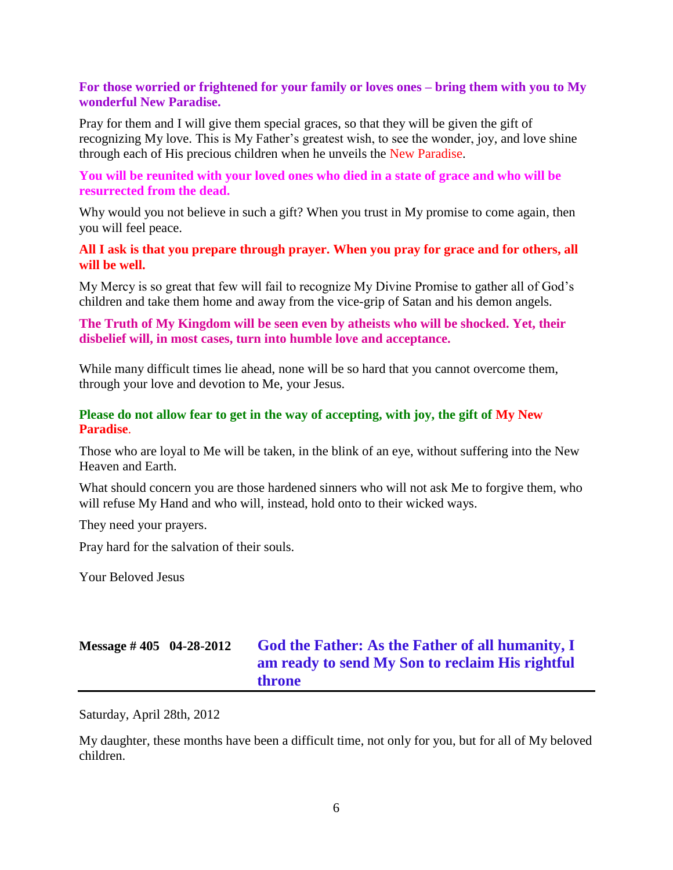### **For those worried or frightened for your family or loves ones – bring them with you to My wonderful New Paradise.**

Pray for them and I will give them special graces, so that they will be given the gift of recognizing My love. This is My Father's greatest wish, to see the wonder, joy, and love shine through each of His precious children when he unveils the New Paradise.

### **You will be reunited with your loved ones who died in a state of grace and who will be resurrected from the dead.**

Why would you not believe in such a gift? When you trust in My promise to come again, then you will feel peace.

### **All I ask is that you prepare through prayer. When you pray for grace and for others, all will be well.**

My Mercy is so great that few will fail to recognize My Divine Promise to gather all of God's children and take them home and away from the vice-grip of Satan and his demon angels.

### **The Truth of My Kingdom will be seen even by atheists who will be shocked. Yet, their disbelief will, in most cases, turn into humble love and acceptance.**

While many difficult times lie ahead, none will be so hard that you cannot overcome them, through your love and devotion to Me, your Jesus.

### **Please do not allow fear to get in the way of accepting, with joy, the gift of My New Paradise**.

Those who are loyal to Me will be taken, in the blink of an eye, without suffering into the New Heaven and Earth.

What should concern you are those hardened sinners who will not ask Me to forgive them, who will refuse My Hand and who will, instead, hold onto to their wicked ways.

They need your prayers.

Pray hard for the salvation of their souls.

Your Beloved Jesus

# **Message # 405 04-28-2012 [God the Father: As the Father of all humanity,](http://www.thewarningsecondcoming.com/god-the-father-as-the-father-of-all-humanity-i-am-ready-to-send-my-son-to-reclaim-his-rightful-throne/) I [am ready to send My Son to reclaim His rightful](http://www.thewarningsecondcoming.com/god-the-father-as-the-father-of-all-humanity-i-am-ready-to-send-my-son-to-reclaim-his-rightful-throne/)  [throne](http://www.thewarningsecondcoming.com/god-the-father-as-the-father-of-all-humanity-i-am-ready-to-send-my-son-to-reclaim-his-rightful-throne/)**

Saturday, April 28th, 2012

My daughter, these months have been a difficult time, not only for you, but for all of My beloved children.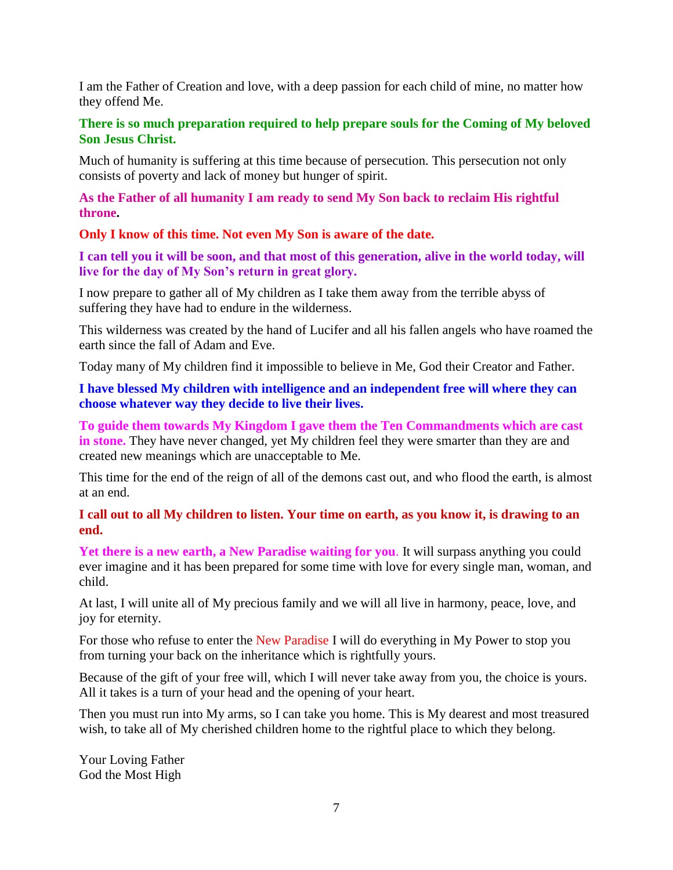I am the Father of Creation and love, with a deep passion for each child of mine, no matter how they offend Me.

### **There is so much preparation required to help prepare souls for the Coming of My beloved Son Jesus Christ.**

Much of humanity is suffering at this time because of persecution. This persecution not only consists of poverty and lack of money but hunger of spirit.

**As the Father of all humanity I am ready to send My Son back to reclaim His rightful throne.**

**Only I know of this time. Not even My Son is aware of the date.**

**I can tell you it will be soon, and that most of this generation, alive in the world today, will live for the day of My Son's return in great glory.**

I now prepare to gather all of My children as I take them away from the terrible abyss of suffering they have had to endure in the wilderness.

This wilderness was created by the hand of Lucifer and all his fallen angels who have roamed the earth since the fall of Adam and Eve.

Today many of My children find it impossible to believe in Me, God their Creator and Father.

**I have blessed My children with intelligence and an independent free will where they can choose whatever way they decide to live their lives.**

**To guide them towards My Kingdom I gave them the Ten Commandments which are cast in stone.** They have never changed, yet My children feel they were smarter than they are and created new meanings which are unacceptable to Me.

This time for the end of the reign of all of the demons cast out, and who flood the earth, is almost at an end.

**I call out to all My children to listen. Your time on earth, as you know it, is drawing to an end.**

**Yet there is a new earth, a New Paradise waiting for you**. It will surpass anything you could ever imagine and it has been prepared for some time with love for every single man, woman, and child.

At last, I will unite all of My precious family and we will all live in harmony, peace, love, and joy for eternity.

For those who refuse to enter the New Paradise I will do everything in My Power to stop you from turning your back on the inheritance which is rightfully yours.

Because of the gift of your free will, which I will never take away from you, the choice is yours. All it takes is a turn of your head and the opening of your heart.

Then you must run into My arms, so I can take you home. This is My dearest and most treasured wish, to take all of My cherished children home to the rightful place to which they belong.

Your Loving Father God the Most High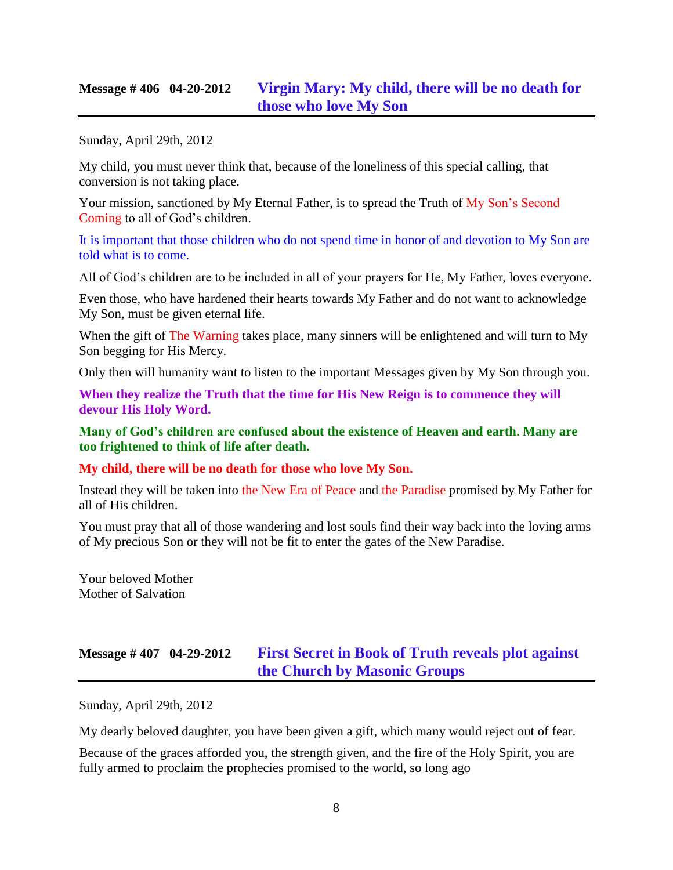## **Message # 406 04-20-2012 [Virgin Mary: My child, there will be no death for](http://www.thewarningsecondcoming.com/virgin-mary-my-child-there-will-be-no-death-for-those-who-love-my-son/)  [those who love My Son](http://www.thewarningsecondcoming.com/virgin-mary-my-child-there-will-be-no-death-for-those-who-love-my-son/)**

Sunday, April 29th, 2012

My child, you must never think that, because of the loneliness of this special calling, that conversion is not taking place.

Your mission, sanctioned by My Eternal Father, is to spread the Truth of My Son's Second Coming to all of God's children.

It is important that those children who do not spend time in honor of and devotion to My Son are told what is to come.

All of God's children are to be included in all of your prayers for He, My Father, loves everyone.

Even those, who have hardened their hearts towards My Father and do not want to acknowledge My Son, must be given eternal life.

When the gift of The Warning takes place, many sinners will be enlightened and will turn to My Son begging for His Mercy.

Only then will humanity want to listen to the important Messages given by My Son through you.

**When they realize the Truth that the time for His New Reign is to commence they will devour His Holy Word.**

**Many of God's children are confused about the existence of Heaven and earth. Many are too frightened to think of life after death.**

### **My child, there will be no death for those who love My Son.**

Instead they will be taken into the New Era of Peace and the Paradise promised by My Father for all of His children.

You must pray that all of those wandering and lost souls find their way back into the loving arms of My precious Son or they will not be fit to enter the gates of the New Paradise.

Your beloved Mother Mother of Salvation

# **Message # 407 04-29-2012 [First Secret in Book of Truth reveals plot against](http://www.thewarningsecondcoming.com/first-secret-in-book-of-truth-reveals-plot-against-the-church-by-masonic-groups/)  [the Church by Masonic Groups](http://www.thewarningsecondcoming.com/first-secret-in-book-of-truth-reveals-plot-against-the-church-by-masonic-groups/)**

Sunday, April 29th, 2012

My dearly beloved daughter, you have been given a gift, which many would reject out of fear.

Because of the graces afforded you, the strength given, and the fire of the Holy Spirit, you are fully armed to proclaim the prophecies promised to the world, so long ago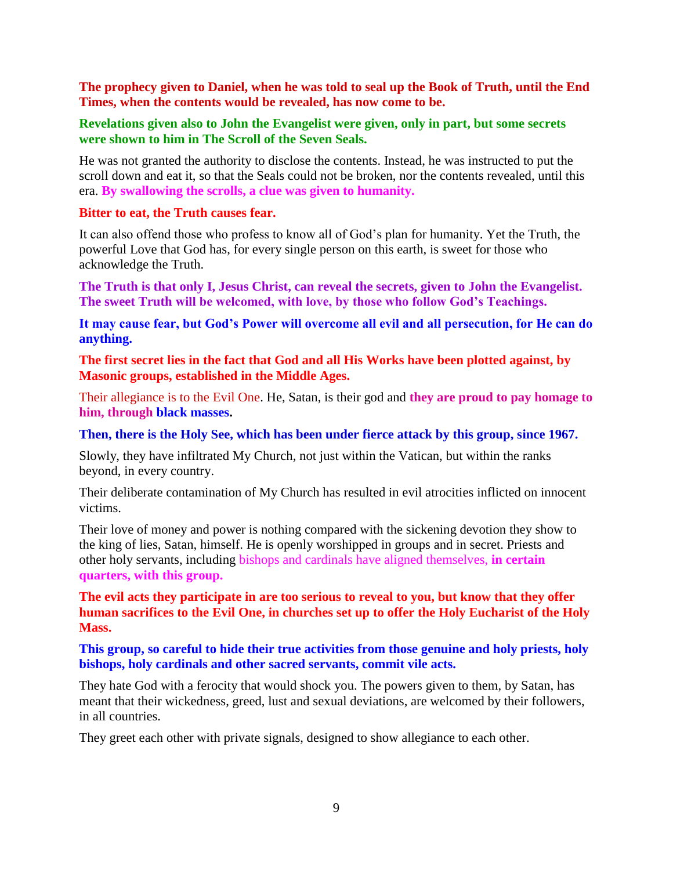**The prophecy given to Daniel, when he was told to seal up the Book of Truth, until the End Times, when the contents would be revealed, has now come to be.**

### **Revelations given also to John the Evangelist were given, only in part, but some secrets were shown to him in The Scroll of the Seven Seals.**

He was not granted the authority to disclose the contents. Instead, he was instructed to put the scroll down and eat it, so that the Seals could not be broken, nor the contents revealed, until this era. **By swallowing the scrolls, a clue was given to humanity.**

#### **Bitter to eat, the Truth causes fear.**

It can also offend those who profess to know all of God's plan for humanity. Yet the Truth, the powerful Love that God has, for every single person on this earth, is sweet for those who acknowledge the Truth.

**The Truth is that only I, Jesus Christ, can reveal the secrets, given to John the Evangelist. The sweet Truth will be welcomed, with love, by those who follow God's Teachings.**

**It may cause fear, but God's Power will overcome all evil and all persecution, for He can do anything.**

**The first secret lies in the fact that God and all His Works have been plotted against, by Masonic groups, established in the Middle Ages.**

Their allegiance is to the Evil One. He, Satan, is their god and **they are proud to pay homage to him, through black masses.**

#### **Then, there is the Holy See, which has been under fierce attack by this group, since 1967.**

Slowly, they have infiltrated My Church, not just within the Vatican, but within the ranks beyond, in every country.

Their deliberate contamination of My Church has resulted in evil atrocities inflicted on innocent victims.

Their love of money and power is nothing compared with the sickening devotion they show to the king of lies, Satan, himself. He is openly worshipped in groups and in secret. Priests and other holy servants, including bishops and cardinals have aligned themselves, **in certain quarters, with this group.**

**The evil acts they participate in are too serious to reveal to you, but know that they offer human sacrifices to the Evil One, in churches set up to offer the Holy Eucharist of the Holy Mass.**

**This group, so careful to hide their true activities from those genuine and holy priests, holy bishops, holy cardinals and other sacred servants, commit vile acts.**

They hate God with a ferocity that would shock you. The powers given to them, by Satan, has meant that their wickedness, greed, lust and sexual deviations, are welcomed by their followers, in all countries.

They greet each other with private signals, designed to show allegiance to each other.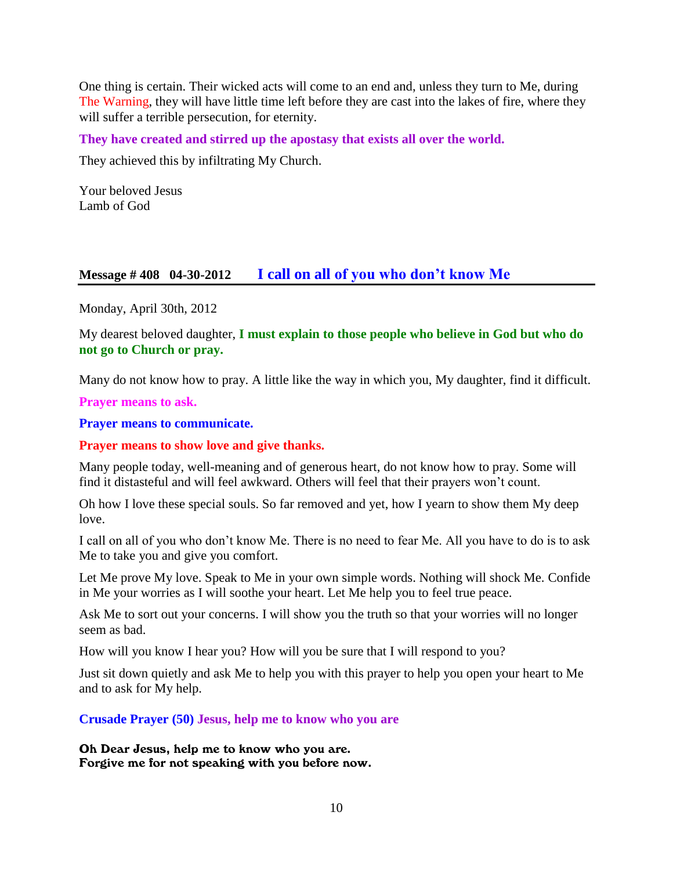One thing is certain. Their wicked acts will come to an end and, unless they turn to Me, during The Warning, they will have little time left before they are cast into the lakes of fire, where they will suffer a terrible persecution, for eternity.

**They have created and stirred up the apostasy that exists all over the world.**

They achieved this by infiltrating My Church.

Your beloved Jesus Lamb of God

### **Message # 408 04-30-2012 [I call on all of you who don't know Me](http://www.thewarningsecondcoming.com/i-call-on-all-of-you-who-dont-know-me/)**

Monday, April 30th, 2012

My dearest beloved daughter, **I must explain to those people who believe in God but who do not go to Church or pray.**

Many do not know how to pray. A little like the way in which you, My daughter, find it difficult.

**Prayer means to ask.**

**Prayer means to communicate.**

**Prayer means to show love and give thanks.**

Many people today, well-meaning and of generous heart, do not know how to pray. Some will find it distasteful and will feel awkward. Others will feel that their prayers won't count.

Oh how I love these special souls. So far removed and yet, how I yearn to show them My deep love.

I call on all of you who don't know Me. There is no need to fear Me. All you have to do is to ask Me to take you and give you comfort.

Let Me prove My love. Speak to Me in your own simple words. Nothing will shock Me. Confide in Me your worries as I will soothe your heart. Let Me help you to feel true peace.

Ask Me to sort out your concerns. I will show you the truth so that your worries will no longer seem as bad.

How will you know I hear you? How will you be sure that I will respond to you?

Just sit down quietly and ask Me to help you with this prayer to help you open your heart to Me and to ask for My help.

**Crusade Prayer (50) Jesus, help me to know who you are**

Oh Dear Jesus, help me to know who you are. Forgive me for not speaking with you before now.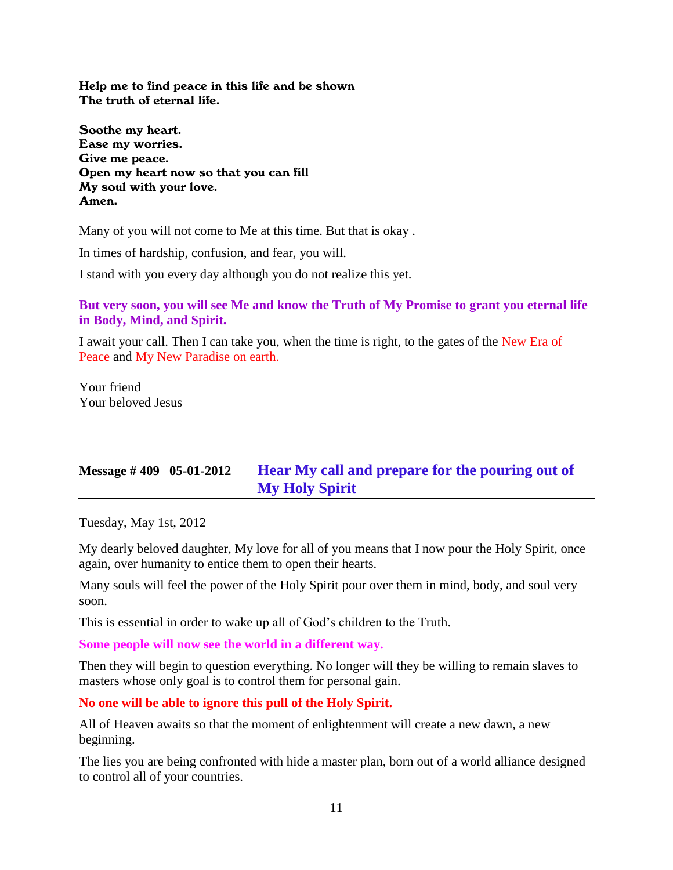Help me to find peace in this life and be shown The truth of eternal life.

Soothe my heart. Ease my worries. Give me peace. Open my heart now so that you can fill My soul with your love. Amen.

Many of you will not come to Me at this time. But that is okay .

In times of hardship, confusion, and fear, you will.

I stand with you every day although you do not realize this yet.

### **But very soon, you will see Me and know the Truth of My Promise to grant you eternal life in Body, Mind, and Spirit.**

I await your call. Then I can take you, when the time is right, to the gates of the New Era of Peace and My New Paradise on earth.

Your friend Your beloved Jesus

# **Message # 409 05-01-2012 Hear [My call and prepare for the pouring out of](http://www.thewarningsecondcoming.com/hear-my-call-and-prepare-for-the-pouring-out-of-my-holy-spirit/)  [My Holy Spirit](http://www.thewarningsecondcoming.com/hear-my-call-and-prepare-for-the-pouring-out-of-my-holy-spirit/)**

Tuesday, May 1st, 2012

My dearly beloved daughter, My love for all of you means that I now pour the Holy Spirit, once again, over humanity to entice them to open their hearts.

Many souls will feel the power of the Holy Spirit pour over them in mind, body, and soul very soon.

This is essential in order to wake up all of God's children to the Truth.

**Some people will now see the world in a different way.**

Then they will begin to question everything. No longer will they be willing to remain slaves to masters whose only goal is to control them for personal gain.

### **No one will be able to ignore this pull of the Holy Spirit.**

All of Heaven awaits so that the moment of enlightenment will create a new dawn, a new beginning.

The lies you are being confronted with hide a master plan, born out of a world alliance designed to control all of your countries.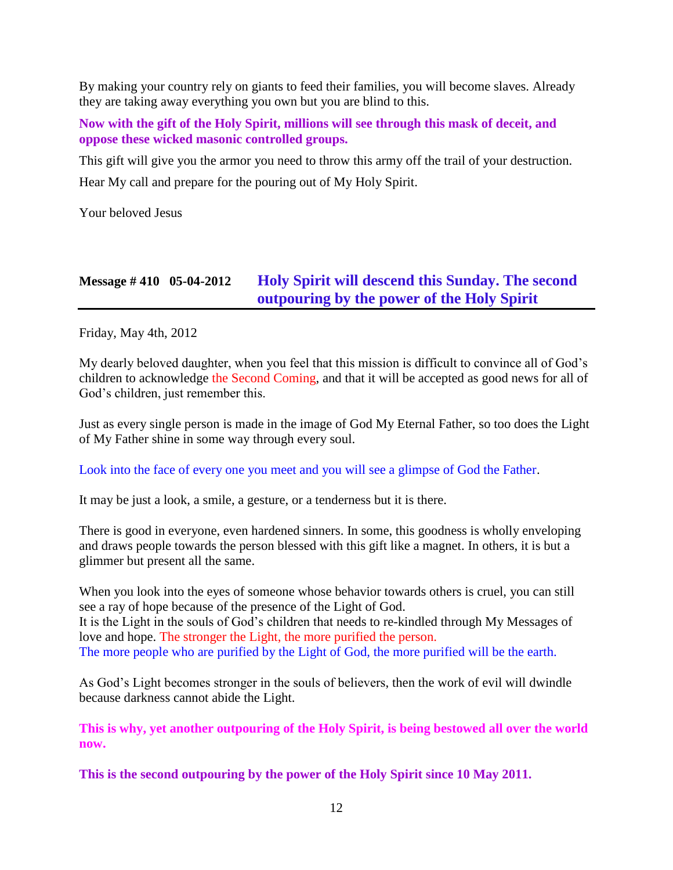By making your country rely on giants to feed their families, you will become slaves. Already they are taking away everything you own but you are blind to this.

**Now with the gift of the Holy Spirit, millions will see through this mask of deceit, and oppose these wicked masonic controlled groups.**

This gift will give you the armor you need to throw this army off the trail of your destruction. Hear My call and prepare for the pouring out of My Holy Spirit.

Your beloved Jesus

# **Message # 410 05-04-2012 [Holy Spirit will descend this Sunday. The second](http://www.thewarningsecondcoming.com/holy-spirit-will-descend-this-sunday-the-second-outpouring-by-the-power-of-the-holy-spirit/)  [outpouring by the power of the Holy Spirit](http://www.thewarningsecondcoming.com/holy-spirit-will-descend-this-sunday-the-second-outpouring-by-the-power-of-the-holy-spirit/)**

Friday, May 4th, 2012

My dearly beloved daughter, when you feel that this mission is difficult to convince all of God's children to acknowledge the Second Coming, and that it will be accepted as good news for all of God's children, just remember this.

Just as every single person is made in the image of God My Eternal Father, so too does the Light of My Father shine in some way through every soul.

### Look into the face of every one you meet and you will see a glimpse of God the Father.

It may be just a look, a smile, a gesture, or a tenderness but it is there.

There is good in everyone, even hardened sinners. In some, this goodness is wholly enveloping and draws people towards the person blessed with this gift like a magnet. In others, it is but a glimmer but present all the same.

When you look into the eyes of someone whose behavior towards others is cruel, you can still see a ray of hope because of the presence of the Light of God. It is the Light in the souls of God's children that needs to re-kindled through My Messages of love and hope. The stronger the Light, the more purified the person. The more people who are purified by the Light of God, the more purified will be the earth.

As God's Light becomes stronger in the souls of believers, then the work of evil will dwindle because darkness cannot abide the Light.

**This is why, yet another outpouring of the Holy Spirit, is being bestowed all over the world now.**

**This is the second outpouring by the power of the Holy Spirit since 10 May 2011.**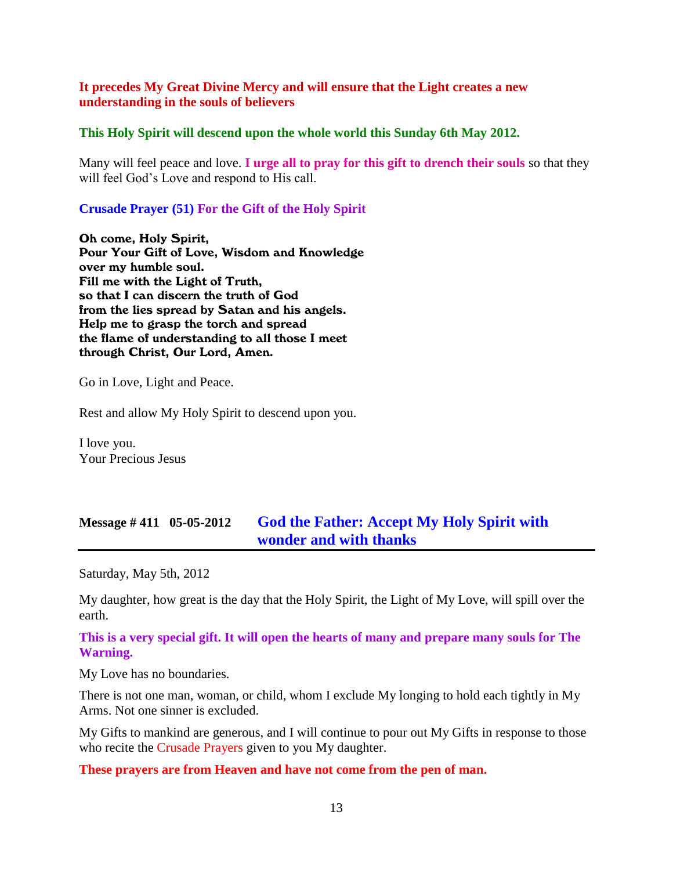### **It precedes My Great Divine Mercy and will ensure that the Light creates a new understanding in the souls of believers**

#### **This Holy Spirit will descend upon the whole world this Sunday 6th May 2012.**

Many will feel peace and love. **I urge all to pray for this gift to drench their souls** so that they will feel God's Love and respond to His call.

### **Crusade Prayer (51) For the Gift of the Holy Spirit**

Oh come, Holy Spirit, Pour Your Gift of Love, Wisdom and Knowledge over my humble soul. Fill me with the Light of Truth, so that I can discern the truth of God from the lies spread by Satan and his angels. Help me to grasp the torch and spread the flame of understanding to all those I meet through Christ, Our Lord, Amen.

Go in Love, Light and Peace.

Rest and allow My Holy Spirit to descend upon you.

I love you. Your Precious Jesus

### **Message # 411 05-05-2012 [God the Father: Accept My Holy Spirit with](http://www.thewarningsecondcoming.com/accept-my-holy-spirit-with-wonder-and-with-thanks/)  [wonder and with thanks](http://www.thewarningsecondcoming.com/accept-my-holy-spirit-with-wonder-and-with-thanks/)**

Saturday, May 5th, 2012

My daughter, how great is the day that the Holy Spirit, the Light of My Love, will spill over the earth.

### **This is a very special gift. It will open the hearts of many and prepare many souls for The Warning.**

My Love has no boundaries.

There is not one man, woman, or child, whom I exclude My longing to hold each tightly in My Arms. Not one sinner is excluded.

My Gifts to mankind are generous, and I will continue to pour out My Gifts in response to those who recite the Crusade Prayers given to you My daughter.

### **These prayers are from Heaven and have not come from the pen of man.**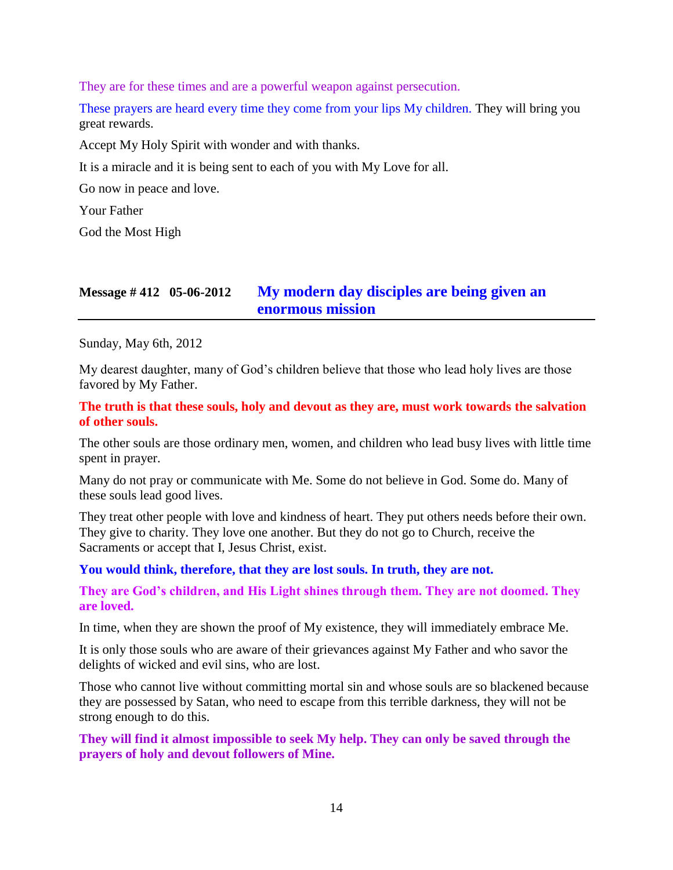They are for these times and are a powerful weapon against persecution.

These prayers are heard every time they come from your lips My children. They will bring you great rewards.

Accept My Holy Spirit with wonder and with thanks.

It is a miracle and it is being sent to each of you with My Love for all.

Go now in peace and love.

Your Father

God the Most High

### **Message # 412 05-06-2012 [My modern day disciples are being given an](http://www.thewarningsecondcoming.com/my-modern-day-disciples-are-being-given-an-enormous-mission/)  [enormous mission](http://www.thewarningsecondcoming.com/my-modern-day-disciples-are-being-given-an-enormous-mission/)**

Sunday, May 6th, 2012

My dearest daughter, many of God's children believe that those who lead holy lives are those favored by My Father.

**The truth is that these souls, holy and devout as they are, must work towards the salvation of other souls.**

The other souls are those ordinary men, women, and children who lead busy lives with little time spent in prayer.

Many do not pray or communicate with Me. Some do not believe in God. Some do. Many of these souls lead good lives.

They treat other people with love and kindness of heart. They put others needs before their own. They give to charity. They love one another. But they do not go to Church, receive the Sacraments or accept that I, Jesus Christ, exist.

### **You would think, therefore, that they are lost souls. In truth, they are not.**

**They are God's children, and His Light shines through them. They are not doomed. They are loved.**

In time, when they are shown the proof of My existence, they will immediately embrace Me.

It is only those souls who are aware of their grievances against My Father and who savor the delights of wicked and evil sins, who are lost.

Those who cannot live without committing mortal sin and whose souls are so blackened because they are possessed by Satan, who need to escape from this terrible darkness, they will not be strong enough to do this.

**They will find it almost impossible to seek My help. They can only be saved through the prayers of holy and devout followers of Mine.**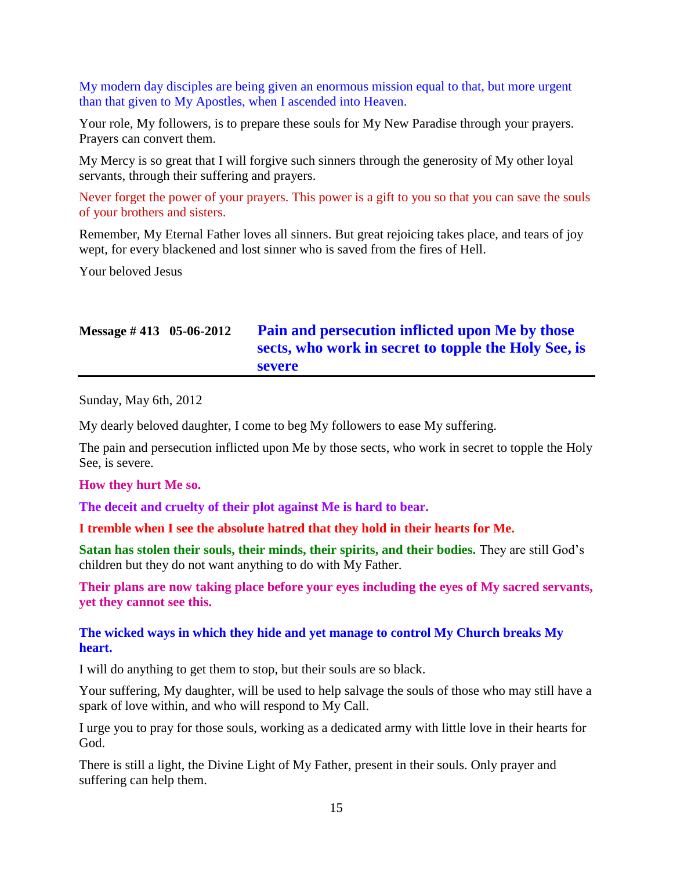My modern day disciples are being given an enormous mission equal to that, but more urgent than that given to My Apostles, when I ascended into Heaven.

Your role, My followers, is to prepare these souls for My New Paradise through your prayers. Prayers can convert them.

My Mercy is so great that I will forgive such sinners through the generosity of My other loyal servants, through their suffering and prayers.

Never forget the power of your prayers. This power is a gift to you so that you can save the souls of your brothers and sisters.

Remember, My Eternal Father loves all sinners. But great rejoicing takes place, and tears of joy wept, for every blackened and lost sinner who is saved from the fires of Hell.

Your beloved Jesus

# **Message # 413 05-06-2012 [Pain and persecution inflicted upon Me by those](http://www.thewarningsecondcoming.com/pain-and-persecution-inflicted-upon-me-by-those-sects-who-work-in-secret-to-topple-the-holy-see-is-severe/)  sects, [who work in secret to topple the Holy See,](http://www.thewarningsecondcoming.com/pain-and-persecution-inflicted-upon-me-by-those-sects-who-work-in-secret-to-topple-the-holy-see-is-severe/) is [severe](http://www.thewarningsecondcoming.com/pain-and-persecution-inflicted-upon-me-by-those-sects-who-work-in-secret-to-topple-the-holy-see-is-severe/)**

Sunday, May 6th, 2012

My dearly beloved daughter, I come to beg My followers to ease My suffering.

The pain and persecution inflicted upon Me by those sects, who work in secret to topple the Holy See, is severe.

### **How they hurt Me so.**

**The deceit and cruelty of their plot against Me is hard to bear.**

**I tremble when I see the absolute hatred that they hold in their hearts for Me.**

**Satan has stolen their souls, their minds, their spirits, and their bodies.** They are still God's children but they do not want anything to do with My Father.

**Their plans are now taking place before your eyes including the eyes of My sacred servants, yet they cannot see this.**

### **The wicked ways in which they hide and yet manage to control My Church breaks My heart.**

I will do anything to get them to stop, but their souls are so black.

Your suffering, My daughter, will be used to help salvage the souls of those who may still have a spark of love within, and who will respond to My Call.

I urge you to pray for those souls, working as a dedicated army with little love in their hearts for God.

There is still a light, the Divine Light of My Father, present in their souls. Only prayer and suffering can help them.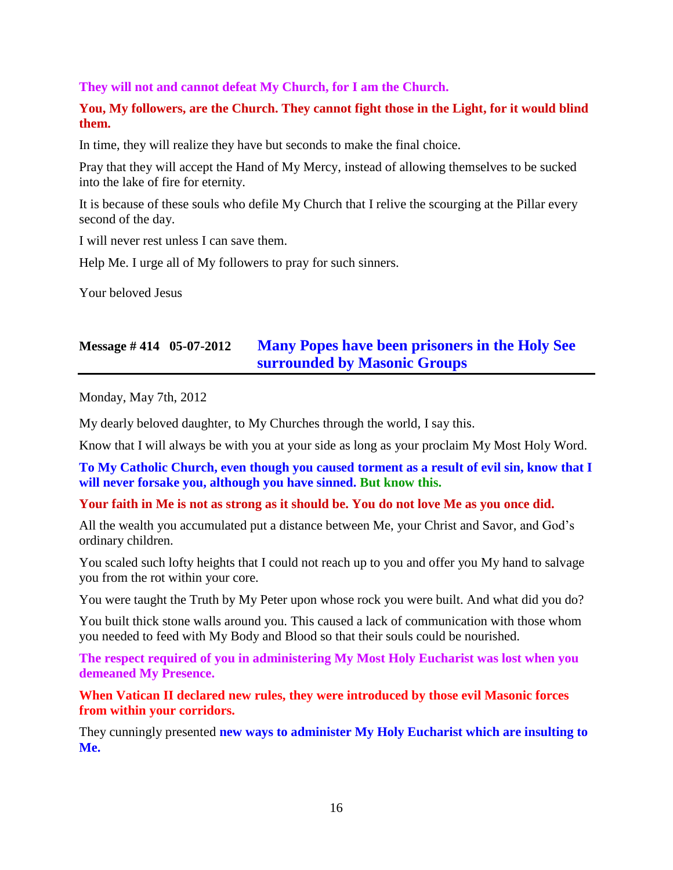### **They will not and cannot defeat My Church, for I am the Church.**

### **You, My followers, are the Church. They cannot fight those in the Light, for it would blind them.**

In time, they will realize they have but seconds to make the final choice.

Pray that they will accept the Hand of My Mercy, instead of allowing themselves to be sucked into the lake of fire for eternity.

It is because of these souls who defile My Church that I relive the scourging at the Pillar every second of the day.

I will never rest unless I can save them.

Help Me. I urge all of My followers to pray for such sinners.

Your beloved Jesus

# **Message # 414 05-07-2012 [Many Popes have been prisoners in the Holy See](http://www.thewarningsecondcoming.com/many-popes-have-been-prisoners-in-the-holy-see-surrounded-by-masonic-groups/)  [surrounded by Masonic Groups](http://www.thewarningsecondcoming.com/many-popes-have-been-prisoners-in-the-holy-see-surrounded-by-masonic-groups/)**

Monday, May 7th, 2012

My dearly beloved daughter, to My Churches through the world, I say this.

Know that I will always be with you at your side as long as your proclaim My Most Holy Word.

**To My Catholic Church, even though you caused torment as a result of evil sin, know that I will never forsake you, although you have sinned. But know this.**

### **Your faith in Me is not as strong as it should be. You do not love Me as you once did.**

All the wealth you accumulated put a distance between Me, your Christ and Savor, and God's ordinary children.

You scaled such lofty heights that I could not reach up to you and offer you My hand to salvage you from the rot within your core.

You were taught the Truth by My Peter upon whose rock you were built. And what did you do?

You built thick stone walls around you. This caused a lack of communication with those whom you needed to feed with My Body and Blood so that their souls could be nourished.

**The respect required of you in administering My Most Holy Eucharist was lost when you demeaned My Presence.**

**When Vatican II declared new rules, they were introduced by those evil Masonic forces from within your corridors.**

They cunningly presented **new ways to administer My Holy Eucharist which are insulting to Me.**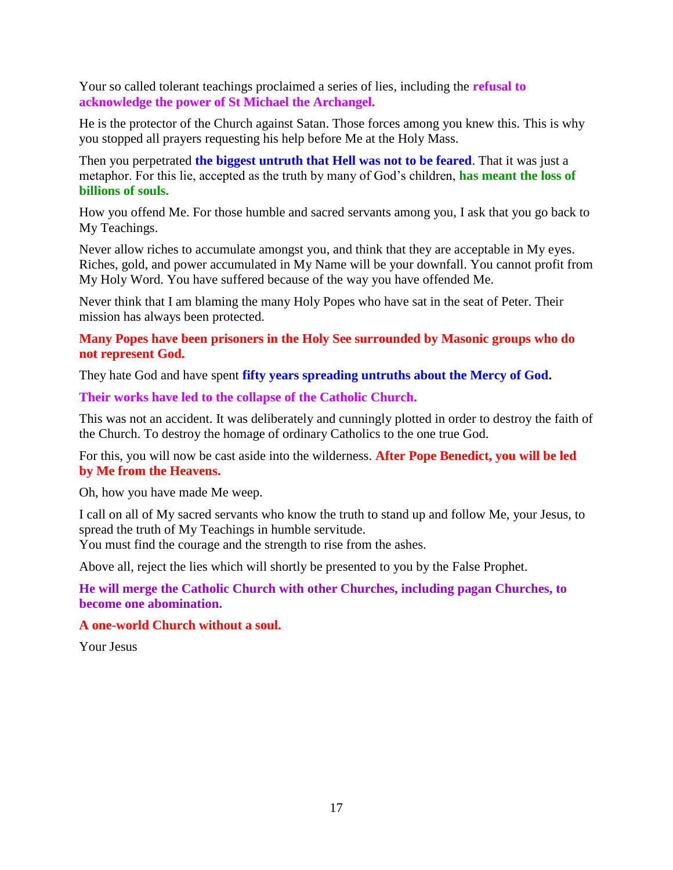Your so called tolerant teachings proclaimed a series of lies, including the **refusal to acknowledge the power of St Michael the Archangel.**

He is the protector of the Church against Satan. Those forces among you knew this. This is why you stopped all prayers requesting his help before Me at the Holy Mass.

Then you perpetrated **the biggest untruth that Hell was not to be feared**. That it was just a metaphor. For this lie, accepted as the truth by many of God's children, **has meant the loss of billions of souls.**

How you offend Me. For those humble and sacred servants among you, I ask that you go back to My Teachings.

Never allow riches to accumulate amongst you, and think that they are acceptable in My eyes. Riches, gold, and power accumulated in My Name will be your downfall. You cannot profit from My Holy Word. You have suffered because of the way you have offended Me.

Never think that I am blaming the many Holy Popes who have sat in the seat of Peter. Their mission has always been protected.

**Many Popes have been prisoners in the Holy See surrounded by Masonic groups who do not represent God.**

They hate God and have spent **fifty years spreading untruths about the Mercy of God.**

**Their works have led to the collapse of the Catholic Church.**

This was not an accident. It was deliberately and cunningly plotted in order to destroy the faith of the Church. To destroy the homage of ordinary Catholics to the one true God.

For this, you will now be cast aside into the wilderness. **After Pope Benedict, you will be led by Me from the Heavens.**

Oh, how you have made Me weep.

I call on all of My sacred servants who know the truth to stand up and follow Me, your Jesus, to spread the truth of My Teachings in humble servitude.

You must find the courage and the strength to rise from the ashes.

Above all, reject the lies which will shortly be presented to you by the False Prophet.

**He will merge the Catholic Church with other Churches, including pagan Churches, to become one abomination.**

**A one-world Church without a soul.**

Your Jesus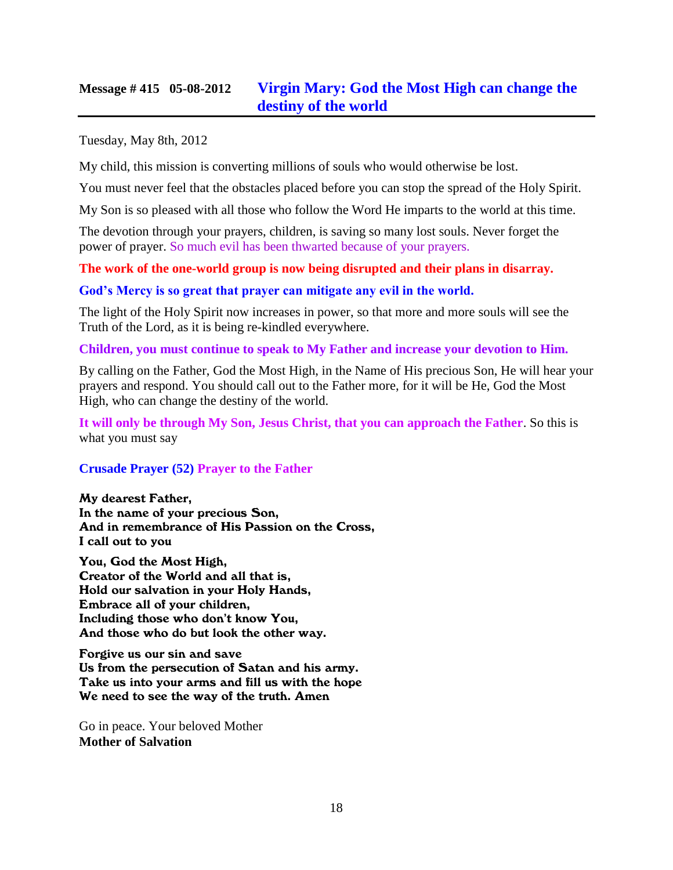### **Message # 415 05-08-2012 [Virgin Mary: God the Most High can change the](http://www.thewarningsecondcoming.com/virgin-mary-god-the-most-high-can-change-the-destiny-of-the-world/)  [destiny of the world](http://www.thewarningsecondcoming.com/virgin-mary-god-the-most-high-can-change-the-destiny-of-the-world/)**

Tuesday, May 8th, 2012

My child, this mission is converting millions of souls who would otherwise be lost.

You must never feel that the obstacles placed before you can stop the spread of the Holy Spirit.

My Son is so pleased with all those who follow the Word He imparts to the world at this time.

The devotion through your prayers, children, is saving so many lost souls. Never forget the power of prayer. So much evil has been thwarted because of your prayers.

### **The work of the one-world group is now being disrupted and their plans in disarray.**

#### **God's Mercy is so great that prayer can mitigate any evil in the world.**

The light of the Holy Spirit now increases in power, so that more and more souls will see the Truth of the Lord, as it is being re-kindled everywhere.

**Children, you must continue to speak to My Father and increase your devotion to Him.**

By calling on the Father, God the Most High, in the Name of His precious Son, He will hear your prayers and respond. You should call out to the Father more, for it will be He, God the Most High, who can change the destiny of the world.

**It will only be through My Son, Jesus Christ, that you can approach the Father**. So this is what you must say

### **Crusade Prayer (52) Prayer to the Father**

My dearest Father, In the name of your precious Son, And in remembrance of His Passion on the Cross, I call out to you

You, God the Most High, Creator of the World and all that is, Hold our salvation in your Holy Hands, Embrace all of your children, Including those who don't know You, And those who do but look the other way.

Forgive us our sin and save Us from the persecution of Satan and his army. Take us into your arms and fill us with the hope We need to see the way of the truth. Amen

Go in peace. Your beloved Mother **Mother of Salvation**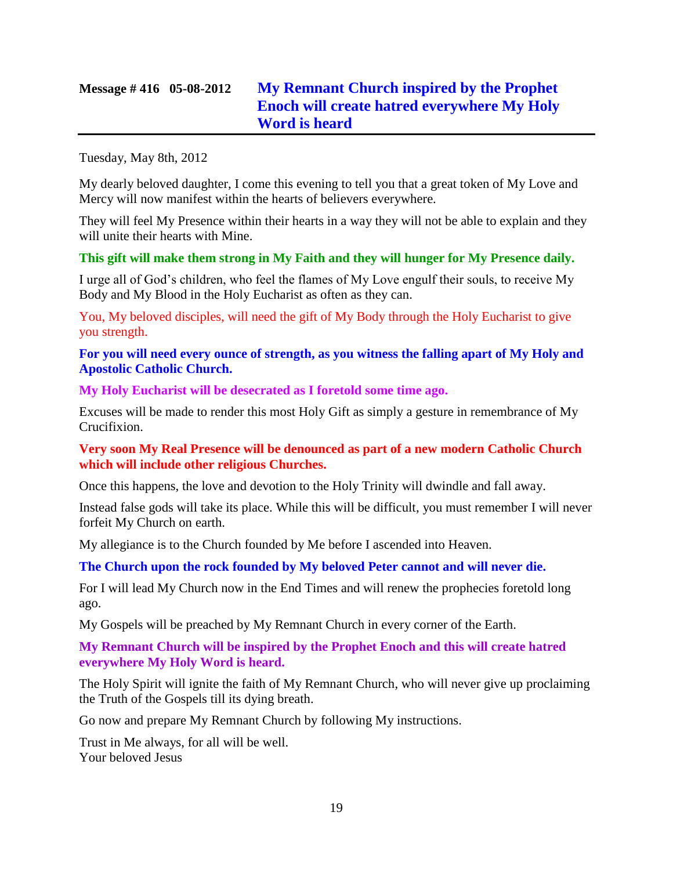# **Message # 416 05-08-2012 [My Remnant Church inspired by the Prophet](http://www.thewarningsecondcoming.com/my-remnant-church-inspired-by-the-prophet-enoch-will-create-hatred-everywhere-my-holy-word-is-heard/)  [Enoch will create hatred everywhere My Holy](http://www.thewarningsecondcoming.com/my-remnant-church-inspired-by-the-prophet-enoch-will-create-hatred-everywhere-my-holy-word-is-heard/)  [Word is heard](http://www.thewarningsecondcoming.com/my-remnant-church-inspired-by-the-prophet-enoch-will-create-hatred-everywhere-my-holy-word-is-heard/)**

Tuesday, May 8th, 2012

My dearly beloved daughter, I come this evening to tell you that a great token of My Love and Mercy will now manifest within the hearts of believers everywhere.

They will feel My Presence within their hearts in a way they will not be able to explain and they will unite their hearts with Mine.

### **This gift will make them strong in My Faith and they will hunger for My Presence daily.**

I urge all of God's children, who feel the flames of My Love engulf their souls, to receive My Body and My Blood in the Holy Eucharist as often as they can.

You, My beloved disciples, will need the gift of My Body through the Holy Eucharist to give you strength.

**For you will need every ounce of strength, as you witness the falling apart of My Holy and Apostolic Catholic Church.**

**My Holy Eucharist will be desecrated as I foretold some time ago.**

Excuses will be made to render this most Holy Gift as simply a gesture in remembrance of My Crucifixion.

**Very soon My Real Presence will be denounced as part of a new modern Catholic Church which will include other religious Churches.**

Once this happens, the love and devotion to the Holy Trinity will dwindle and fall away.

Instead false gods will take its place. While this will be difficult, you must remember I will never forfeit My Church on earth.

My allegiance is to the Church founded by Me before I ascended into Heaven.

**The Church upon the rock founded by My beloved Peter cannot and will never die.**

For I will lead My Church now in the End Times and will renew the prophecies foretold long ago.

My Gospels will be preached by My Remnant Church in every corner of the Earth.

**My Remnant Church will be inspired by the Prophet Enoch and this will create hatred everywhere My Holy Word is heard.**

The Holy Spirit will ignite the faith of My Remnant Church, who will never give up proclaiming the Truth of the Gospels till its dying breath.

Go now and prepare My Remnant Church by following My instructions.

Trust in Me always, for all will be well. Your beloved Jesus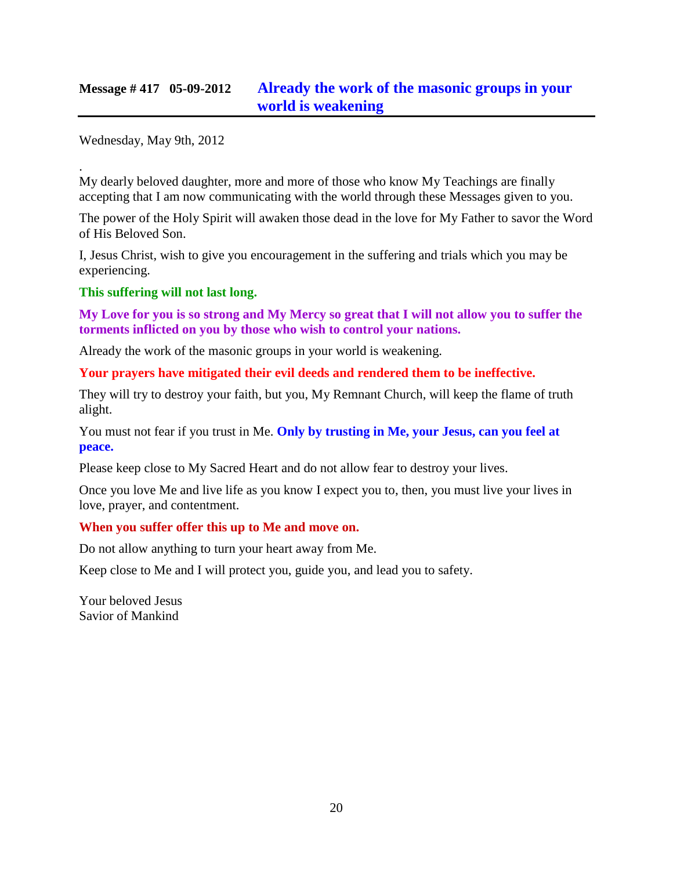### **Message # 417 05-09-2012 [Already the work of the masonic groups in your](http://www.thewarningsecondcoming.com/already-the-work-of-the-masonic-groups-in-your-world-is-weakening/)  [world is weakening](http://www.thewarningsecondcoming.com/already-the-work-of-the-masonic-groups-in-your-world-is-weakening/)**

Wednesday, May 9th, 2012

. My dearly beloved daughter, more and more of those who know My Teachings are finally accepting that I am now communicating with the world through these Messages given to you.

The power of the Holy Spirit will awaken those dead in the love for My Father to savor the Word of His Beloved Son.

I, Jesus Christ, wish to give you encouragement in the suffering and trials which you may be experiencing.

**This suffering will not last long.**

**My Love for you is so strong and My Mercy so great that I will not allow you to suffer the torments inflicted on you by those who wish to control your nations.**

Already the work of the masonic groups in your world is weakening.

**Your prayers have mitigated their evil deeds and rendered them to be ineffective.**

They will try to destroy your faith, but you, My Remnant Church, will keep the flame of truth alight.

You must not fear if you trust in Me. **Only by trusting in Me, your Jesus, can you feel at peace.**

Please keep close to My Sacred Heart and do not allow fear to destroy your lives.

Once you love Me and live life as you know I expect you to, then, you must live your lives in love, prayer, and contentment.

### **When you suffer offer this up to Me and move on.**

Do not allow anything to turn your heart away from Me.

Keep close to Me and I will protect you, guide you, and lead you to safety.

Your beloved Jesus Savior of Mankind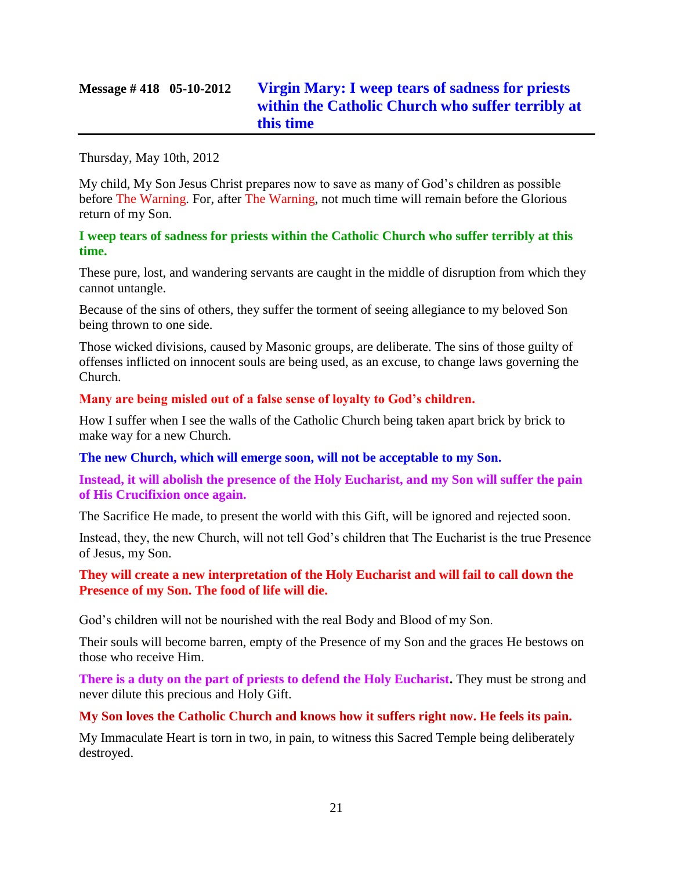# **Message # 418 05-10-2012 [Virgin Mary: I weep tears of sadness for priests](http://www.thewarningsecondcoming.com/virgin-mary-i-weep-tears-of-sadness-for-priests-within-the-catholic-church-who-suffer-terribly-at-this-time/)  [within the Catholic Church who suffer terribly at](http://www.thewarningsecondcoming.com/virgin-mary-i-weep-tears-of-sadness-for-priests-within-the-catholic-church-who-suffer-terribly-at-this-time/)  [this time](http://www.thewarningsecondcoming.com/virgin-mary-i-weep-tears-of-sadness-for-priests-within-the-catholic-church-who-suffer-terribly-at-this-time/)**

Thursday, May 10th, 2012

My child, My Son Jesus Christ prepares now to save as many of God's children as possible before The Warning. For, after The Warning, not much time will remain before the Glorious return of my Son.

### **I weep tears of sadness for priests within the Catholic Church who suffer terribly at this time.**

These pure, lost, and wandering servants are caught in the middle of disruption from which they cannot untangle.

Because of the sins of others, they suffer the torment of seeing allegiance to my beloved Son being thrown to one side.

Those wicked divisions, caused by Masonic groups, are deliberate. The sins of those guilty of offenses inflicted on innocent souls are being used, as an excuse, to change laws governing the Church.

### **Many are being misled out of a false sense of loyalty to God's children.**

How I suffer when I see the walls of the Catholic Church being taken apart brick by brick to make way for a new Church.

### **The new Church, which will emerge soon, will not be acceptable to my Son.**

**Instead, it will abolish the presence of the Holy Eucharist, and my Son will suffer the pain of His Crucifixion once again.**

The Sacrifice He made, to present the world with this Gift, will be ignored and rejected soon.

Instead, they, the new Church, will not tell God's children that The Eucharist is the true Presence of Jesus, my Son.

### **They will create a new interpretation of the Holy Eucharist and will fail to call down the Presence of my Son. The food of life will die.**

God's children will not be nourished with the real Body and Blood of my Son.

Their souls will become barren, empty of the Presence of my Son and the graces He bestows on those who receive Him.

**There is a duty on the part of priests to defend the Holy Eucharist.** They must be strong and never dilute this precious and Holy Gift.

### **My Son loves the Catholic Church and knows how it suffers right now. He feels its pain.**

My Immaculate Heart is torn in two, in pain, to witness this Sacred Temple being deliberately destroyed.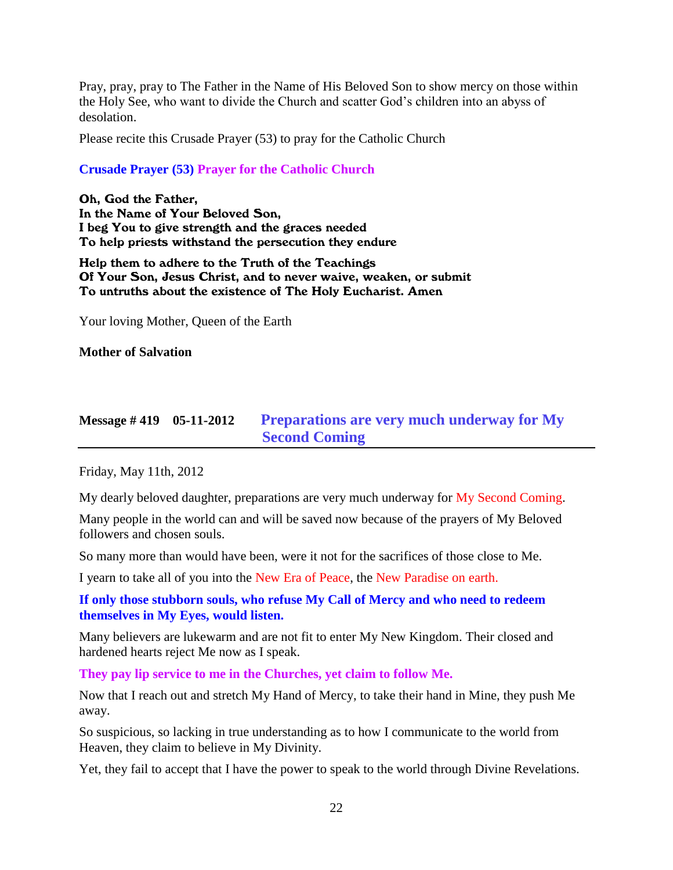Pray, pray, pray to The Father in the Name of His Beloved Son to show mercy on those within the Holy See, who want to divide the Church and scatter God's children into an abyss of desolation.

Please recite this Crusade Prayer (53) to pray for the Catholic Church

### **Crusade Prayer (53) Prayer for the Catholic Church**

Oh, God the Father, In the Name of Your Beloved Son, I beg You to give strength and the graces needed To help priests withstand the persecution they endure

Help them to adhere to the Truth of the Teachings Of Your Son, Jesus Christ, and to never waive, weaken, or submit To untruths about the existence of The Holy Eucharist. Amen

Your loving Mother, Queen of the Earth

**Mother of Salvation**

# **Message # 419 05-11-2012 [Preparations are very much underway for My](http://www.thewarningsecondcoming.com/preparations-are-very-much-underway-for-my-second-coming/)  [Second Coming](http://www.thewarningsecondcoming.com/preparations-are-very-much-underway-for-my-second-coming/)**

Friday, May 11th, 2012

My dearly beloved daughter, preparations are very much underway for My Second Coming.

Many people in the world can and will be saved now because of the prayers of My Beloved followers and chosen souls.

So many more than would have been, were it not for the sacrifices of those close to Me.

I yearn to take all of you into the New Era of Peace, the New Paradise on earth.

### **If only those stubborn souls, who refuse My Call of Mercy and who need to redeem themselves in My Eyes, would listen.**

Many believers are lukewarm and are not fit to enter My New Kingdom. Their closed and hardened hearts reject Me now as I speak.

**They pay lip service to me in the Churches, yet claim to follow Me.**

Now that I reach out and stretch My Hand of Mercy, to take their hand in Mine, they push Me away.

So suspicious, so lacking in true understanding as to how I communicate to the world from Heaven, they claim to believe in My Divinity.

Yet, they fail to accept that I have the power to speak to the world through Divine Revelations.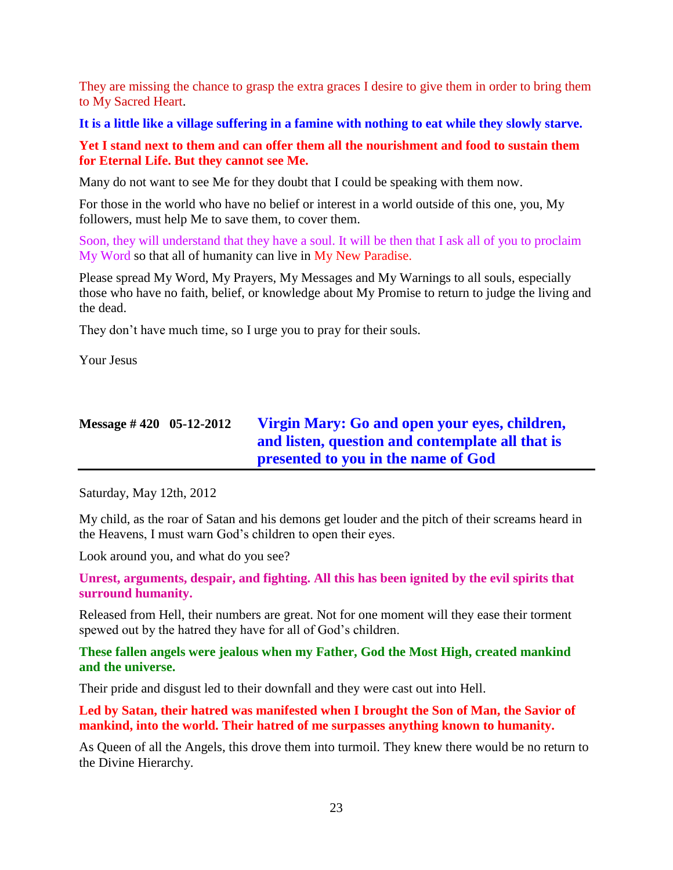They are missing the chance to grasp the extra graces I desire to give them in order to bring them to My Sacred Heart.

**It is a little like a village suffering in a famine with nothing to eat while they slowly starve.**

**Yet I stand next to them and can offer them all the nourishment and food to sustain them for Eternal Life. But they cannot see Me.**

Many do not want to see Me for they doubt that I could be speaking with them now.

For those in the world who have no belief or interest in a world outside of this one, you, My followers, must help Me to save them, to cover them.

Soon, they will understand that they have a soul. It will be then that I ask all of you to proclaim My Word so that all of humanity can live in My New Paradise.

Please spread My Word, My Prayers, My Messages and My Warnings to all souls, especially those who have no faith, belief, or knowledge about My Promise to return to judge the living and the dead.

They don't have much time, so I urge you to pray for their souls.

Your Jesus

# **Message # 420 05-12-2012 [Virgin Mary: Go and open your eyes, children,](http://www.thewarningsecondcoming.com/virgin-mary-go-and-open-your-eyes-children-and-listen-question-and-contemplate-all-that-is-presented-to-you-in-the-name-of-god/)  [and listen, question and contemplate all that is](http://www.thewarningsecondcoming.com/virgin-mary-go-and-open-your-eyes-children-and-listen-question-and-contemplate-all-that-is-presented-to-you-in-the-name-of-god/)  [presented to you in the name of God](http://www.thewarningsecondcoming.com/virgin-mary-go-and-open-your-eyes-children-and-listen-question-and-contemplate-all-that-is-presented-to-you-in-the-name-of-god/)**

Saturday, May 12th, 2012

My child, as the roar of Satan and his demons get louder and the pitch of their screams heard in the Heavens, I must warn God's children to open their eyes.

Look around you, and what do you see?

**Unrest, arguments, despair, and fighting. All this has been ignited by the evil spirits that surround humanity.**

Released from Hell, their numbers are great. Not for one moment will they ease their torment spewed out by the hatred they have for all of God's children.

**These fallen angels were jealous when my Father, God the Most High, created mankind and the universe.**

Their pride and disgust led to their downfall and they were cast out into Hell.

**Led by Satan, their hatred was manifested when I brought the Son of Man, the Savior of mankind, into the world. Their hatred of me surpasses anything known to humanity.**

As Queen of all the Angels, this drove them into turmoil. They knew there would be no return to the Divine Hierarchy.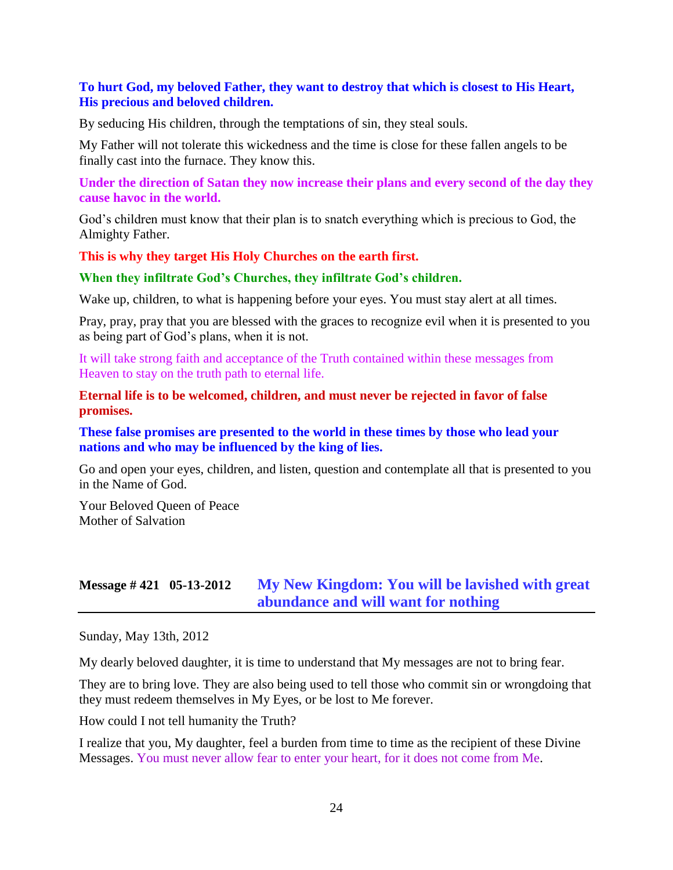### **To hurt God, my beloved Father, they want to destroy that which is closest to His Heart, His precious and beloved children.**

By seducing His children, through the temptations of sin, they steal souls.

My Father will not tolerate this wickedness and the time is close for these fallen angels to be finally cast into the furnace. They know this.

**Under the direction of Satan they now increase their plans and every second of the day they cause havoc in the world.**

God's children must know that their plan is to snatch everything which is precious to God, the Almighty Father.

#### **This is why they target His Holy Churches on the earth first.**

#### **When they infiltrate God's Churches, they infiltrate God's children.**

Wake up, children, to what is happening before your eyes. You must stay alert at all times.

Pray, pray, pray that you are blessed with the graces to recognize evil when it is presented to you as being part of God's plans, when it is not.

It will take strong faith and acceptance of the Truth contained within these messages from Heaven to stay on the truth path to eternal life.

#### **Eternal life is to be welcomed, children, and must never be rejected in favor of false promises.**

**These false promises are presented to the world in these times by those who lead your nations and who may be influenced by the king of lies.**

Go and open your eyes, children, and listen, question and contemplate all that is presented to you in the Name of God.

Your Beloved Queen of Peace Mother of Salvation

### **Message # 421 05-13-2012 [My New Kingdom: You will be lavished with great](http://www.thewarningsecondcoming.com/my-new-kingdom-you-will-be-lavished-with-great-abundance-and-will-want-for-nothing/)  [abundance and will want for nothing](http://www.thewarningsecondcoming.com/my-new-kingdom-you-will-be-lavished-with-great-abundance-and-will-want-for-nothing/)**

Sunday, May 13th, 2012

My dearly beloved daughter, it is time to understand that My messages are not to bring fear.

They are to bring love. They are also being used to tell those who commit sin or wrongdoing that they must redeem themselves in My Eyes, or be lost to Me forever.

How could I not tell humanity the Truth?

I realize that you, My daughter, feel a burden from time to time as the recipient of these Divine Messages. You must never allow fear to enter your heart, for it does not come from Me.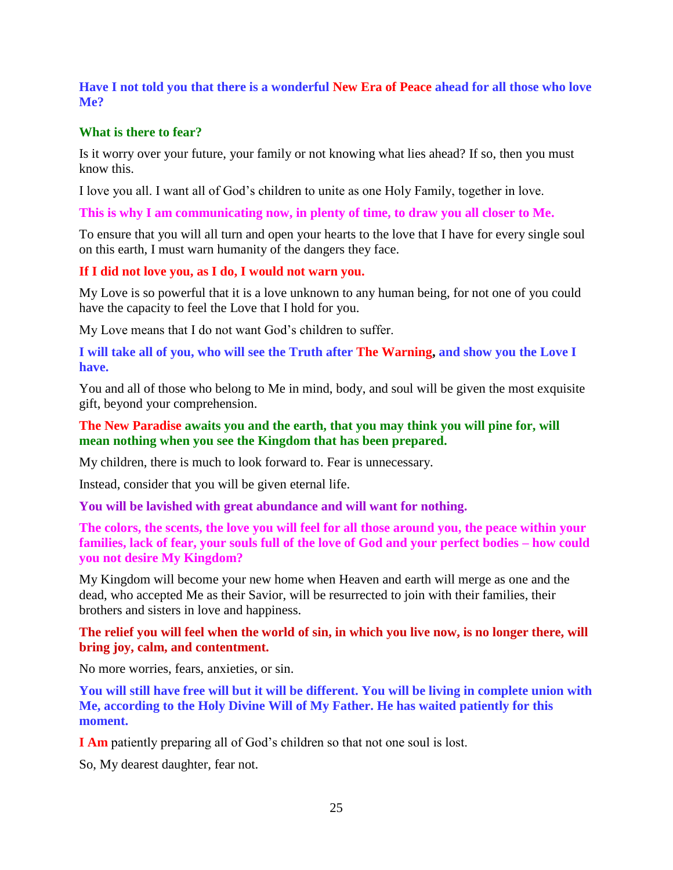### **Have I not told you that there is a wonderful New Era of Peace ahead for all those who love Me?**

### **What is there to fear?**

Is it worry over your future, your family or not knowing what lies ahead? If so, then you must know this.

I love you all. I want all of God's children to unite as one Holy Family, together in love.

**This is why I am communicating now, in plenty of time, to draw you all closer to Me.**

To ensure that you will all turn and open your hearts to the love that I have for every single soul on this earth, I must warn humanity of the dangers they face.

### **If I did not love you, as I do, I would not warn you.**

My Love is so powerful that it is a love unknown to any human being, for not one of you could have the capacity to feel the Love that I hold for you.

My Love means that I do not want God's children to suffer.

**I will take all of you, who will see the Truth after The Warning, and show you the Love I have.**

You and all of those who belong to Me in mind, body, and soul will be given the most exquisite gift, beyond your comprehension.

### **The New Paradise awaits you and the earth, that you may think you will pine for, will mean nothing when you see the Kingdom that has been prepared.**

My children, there is much to look forward to. Fear is unnecessary.

Instead, consider that you will be given eternal life.

**You will be lavished with great abundance and will want for nothing.**

**The colors, the scents, the love you will feel for all those around you, the peace within your families, lack of fear, your souls full of the love of God and your perfect bodies – how could you not desire My Kingdom?**

My Kingdom will become your new home when Heaven and earth will merge as one and the dead, who accepted Me as their Savior, will be resurrected to join with their families, their brothers and sisters in love and happiness.

**The relief you will feel when the world of sin, in which you live now, is no longer there, will bring joy, calm, and contentment.**

No more worries, fears, anxieties, or sin.

**You will still have free will but it will be different. You will be living in complete union with Me, according to the Holy Divine Will of My Father. He has waited patiently for this moment.**

**I Am** patiently preparing all of God's children so that not one soul is lost.

So, My dearest daughter, fear not.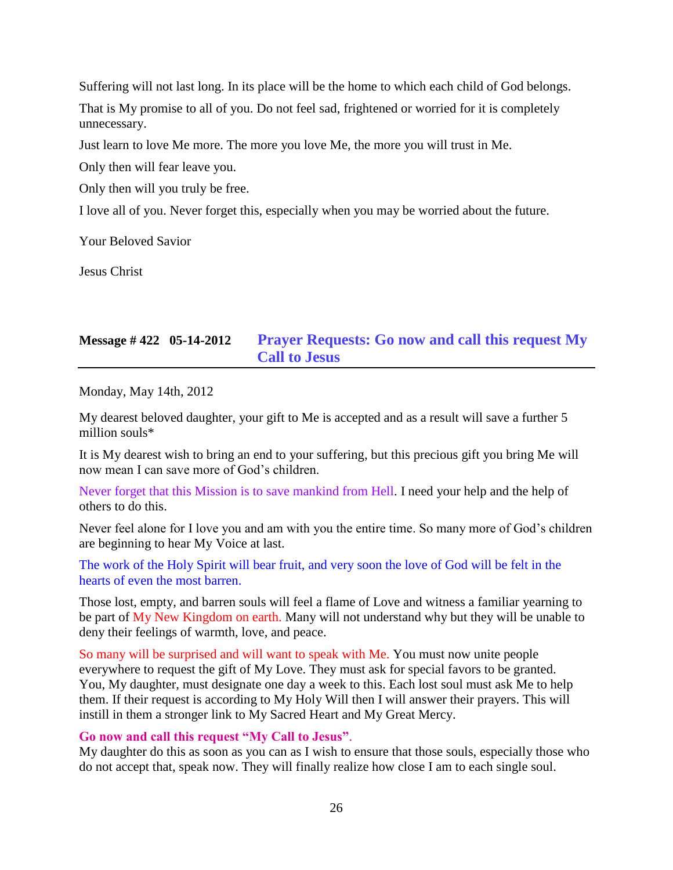Suffering will not last long. In its place will be the home to which each child of God belongs.

That is My promise to all of you. Do not feel sad, frightened or worried for it is completely unnecessary.

Just learn to love Me more. The more you love Me, the more you will trust in Me.

Only then will fear leave you.

Only then will you truly be free.

I love all of you. Never forget this, especially when you may be worried about the future.

Your Beloved Savior

Jesus Christ

# **Message # 422 05-14-2012 [Prayer Requests: Go now and call this request My](http://www.thewarningsecondcoming.com/prayer-requests-go-now-and-call-this-request-my-call-to-jesus/)  [Call to Jesus](http://www.thewarningsecondcoming.com/prayer-requests-go-now-and-call-this-request-my-call-to-jesus/)**

Monday, May 14th, 2012

My dearest beloved daughter, your gift to Me is accepted and as a result will save a further 5 million souls\*

It is My dearest wish to bring an end to your suffering, but this precious gift you bring Me will now mean I can save more of God's children.

Never forget that this Mission is to save mankind from Hell. I need your help and the help of others to do this.

Never feel alone for I love you and am with you the entire time. So many more of God's children are beginning to hear My Voice at last.

The work of the Holy Spirit will bear fruit, and very soon the love of God will be felt in the hearts of even the most barren.

Those lost, empty, and barren souls will feel a flame of Love and witness a familiar yearning to be part of My New Kingdom on earth. Many will not understand why but they will be unable to deny their feelings of warmth, love, and peace.

So many will be surprised and will want to speak with Me. You must now unite people everywhere to request the gift of My Love. They must ask for special favors to be granted. You, My daughter, must designate one day a week to this. Each lost soul must ask Me to help them. If their request is according to My Holy Will then I will answer their prayers. This will instill in them a stronger link to My Sacred Heart and My Great Mercy.

**Go now and call this request "My Call to Jesus"**.

My daughter do this as soon as you can as I wish to ensure that those souls, especially those who do not accept that, speak now. They will finally realize how close I am to each single soul.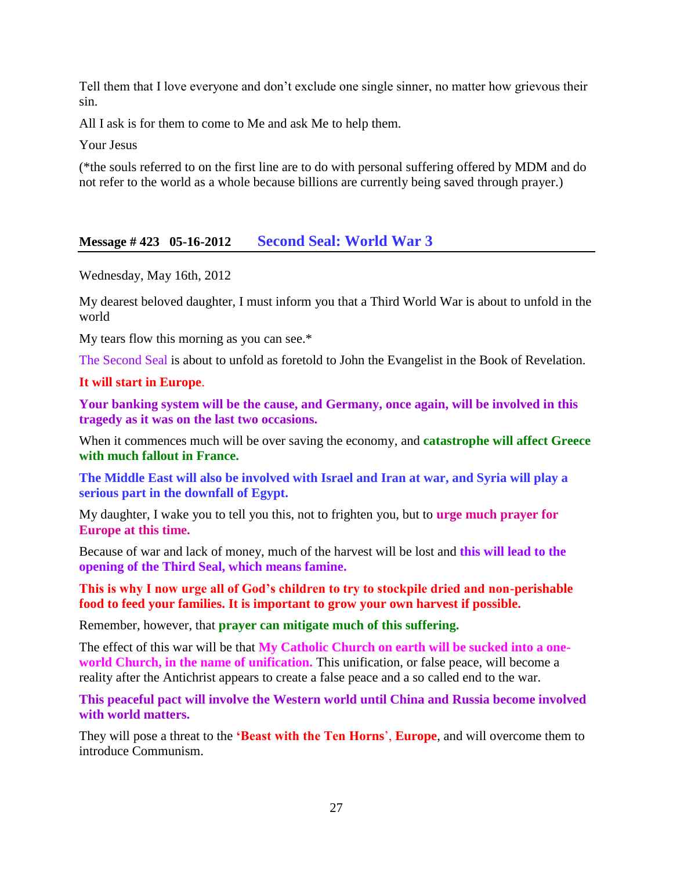Tell them that I love everyone and don't exclude one single sinner, no matter how grievous their sin.

All I ask is for them to come to Me and ask Me to help them.

Your Jesus

(\*the souls referred to on the first line are to do with personal suffering offered by MDM and do not refer to the world as a whole because billions are currently being saved through prayer.)

### **Message # 423 05-16-2012 [Second Seal: World War 3](http://www.thewarningsecondcoming.com/second-seal-world-war-3/)**

Wednesday, May 16th, 2012

My dearest beloved daughter, I must inform you that a Third World War is about to unfold in the world

My tears flow this morning as you can see.\*

The Second Seal is about to unfold as foretold to John the Evangelist in the Book of Revelation.

#### **It will start in Europe**.

**Your banking system will be the cause, and Germany, once again, will be involved in this tragedy as it was on the last two occasions.**

When it commences much will be over saving the economy, and **catastrophe will affect Greece with much fallout in France.**

**The Middle East will also be involved with Israel and Iran at war, and Syria will play a serious part in the downfall of Egypt.**

My daughter, I wake you to tell you this, not to frighten you, but to **urge much prayer for Europe at this time.**

Because of war and lack of money, much of the harvest will be lost and **this will lead to the opening of the Third Seal, which means famine.**

**This is why I now urge all of God's children to try to stockpile dried and non-perishable food to feed your families. It is important to grow your own harvest if possible.**

Remember, however, that **prayer can mitigate much of this suffering.**

The effect of this war will be that **My Catholic Church on earth will be sucked into a oneworld Church, in the name of unification.** This unification, or false peace, will become a reality after the Antichrist appears to create a false peace and a so called end to the war.

**This peaceful pact will involve the Western world until China and Russia become involved with world matters.**

They will pose a threat to the **'Beast with the Ten Horns**', **Europe**, and will overcome them to introduce Communism.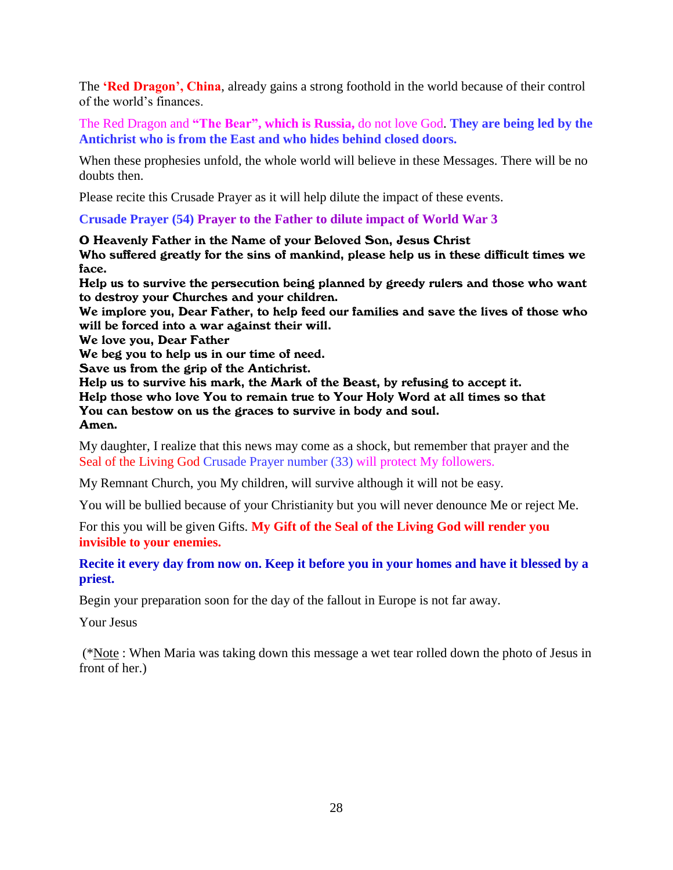The **'Red Dragon', China**, already gains a strong foothold in the world because of their control of the world's finances.

The Red Dragon and **"The Bear", which is Russia,** do not love God. **They are being led by the Antichrist who is from the East and who hides behind closed doors.**

When these prophesies unfold, the whole world will believe in these Messages. There will be no doubts then.

Please recite this Crusade Prayer as it will help dilute the impact of these events.

### **Crusade Prayer (54) Prayer to the Father to dilute impact of World War 3**

O Heavenly Father in the Name of your Beloved Son, Jesus Christ

Who suffered greatly for the sins of mankind, please help us in these difficult times we face.

Help us to survive the persecution being planned by greedy rulers and those who want to destroy your Churches and your children.

We implore you, Dear Father, to help feed our families and save the lives of those who will be forced into a war against their will.

We love you, Dear Father

We beg you to help us in our time of need.

Save us from the grip of the Antichrist.

Help us to survive his mark, the Mark of the Beast, by refusing to accept it.

Help those who love You to remain true to Your Holy Word at all times so that You can bestow on us the graces to survive in body and soul.

Amen.

My daughter, I realize that this news may come as a shock, but remember that prayer and the Seal of the Living God Crusade Prayer number (33) will protect My followers.

My Remnant Church, you My children, will survive although it will not be easy.

You will be bullied because of your Christianity but you will never denounce Me or reject Me.

For this you will be given Gifts. **My Gift of the Seal of the Living God will render you invisible to your enemies.**

### **Recite it every day from now on. Keep it before you in your homes and have it blessed by a priest.**

Begin your preparation soon for the day of the fallout in Europe is not far away.

Your Jesus

(\*Note : When Maria was taking down this message a wet tear rolled down the photo of Jesus in front of her.)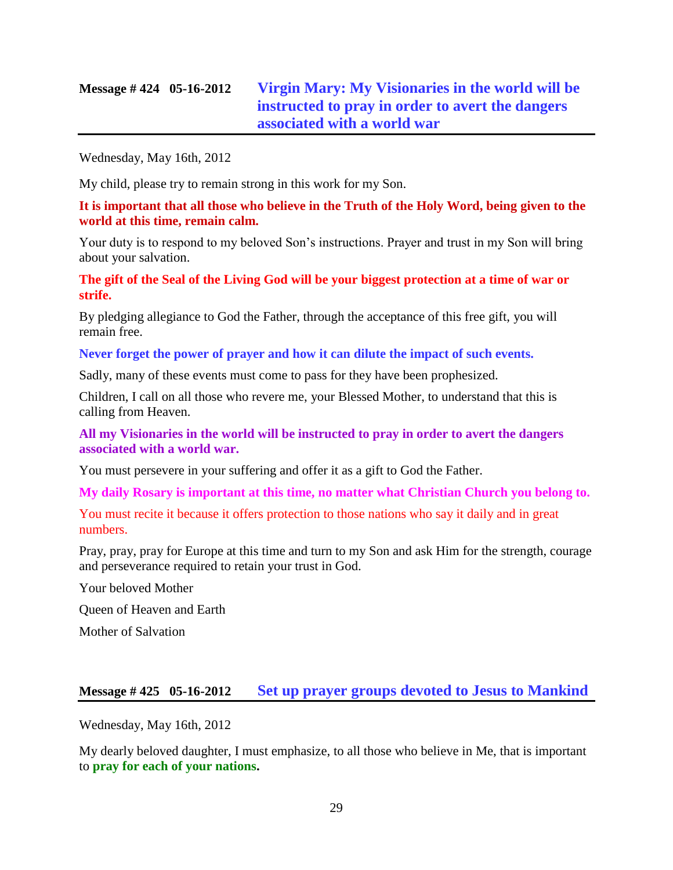# **Message # 424 05-16-2012 [Virgin Mary: My Visionaries in the world will be](http://www.thewarningsecondcoming.com/virgin-mary-my-visionaries-in-the-world-will-be-instructed-to-pray-in-order-to-avert-the-dangers-associated-with-a-world-war/)  [instructed to pray in order](http://www.thewarningsecondcoming.com/virgin-mary-my-visionaries-in-the-world-will-be-instructed-to-pray-in-order-to-avert-the-dangers-associated-with-a-world-war/) to avert the dangers [associated with a world war](http://www.thewarningsecondcoming.com/virgin-mary-my-visionaries-in-the-world-will-be-instructed-to-pray-in-order-to-avert-the-dangers-associated-with-a-world-war/)**

Wednesday, May 16th, 2012

My child, please try to remain strong in this work for my Son.

**It is important that all those who believe in the Truth of the Holy Word, being given to the world at this time, remain calm.**

Your duty is to respond to my beloved Son's instructions. Prayer and trust in my Son will bring about your salvation.

**The gift of the Seal of the Living God will be your biggest protection at a time of war or strife.**

By pledging allegiance to God the Father, through the acceptance of this free gift, you will remain free.

**Never forget the power of prayer and how it can dilute the impact of such events.**

Sadly, many of these events must come to pass for they have been prophesized.

Children, I call on all those who revere me, your Blessed Mother, to understand that this is calling from Heaven.

**All my Visionaries in the world will be instructed to pray in order to avert the dangers associated with a world war.**

You must persevere in your suffering and offer it as a gift to God the Father.

**My daily Rosary is important at this time, no matter what Christian Church you belong to.**

You must recite it because it offers protection to those nations who say it daily and in great numbers.

Pray, pray, pray for Europe at this time and turn to my Son and ask Him for the strength, courage and perseverance required to retain your trust in God.

Your beloved Mother

Queen of Heaven and Earth

Mother of Salvation

### **Message # 425 05-16-2012 [Set up prayer groups devoted to Jesus to Mankind](http://www.thewarningsecondcoming.com/set-up-prayer-groups-devoted-to-jesus-to-mankind/)**

Wednesday, May 16th, 2012

My dearly beloved daughter, I must emphasize, to all those who believe in Me, that is important to **pray for each of your nations.**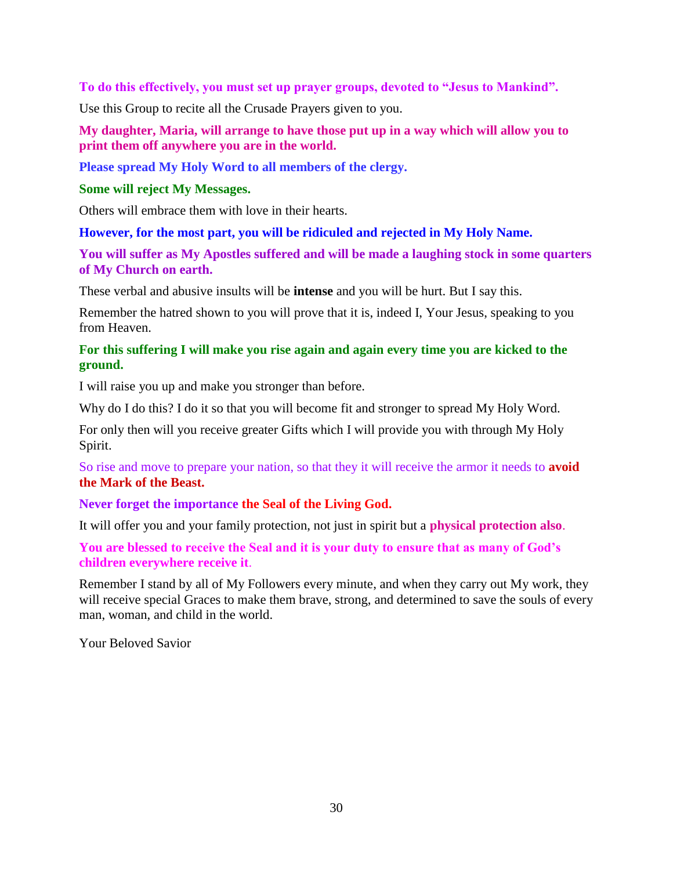**To do this effectively, you must set up prayer groups, devoted to "Jesus to Mankind".**

Use this Group to recite all the Crusade Prayers given to you.

**My daughter, Maria, will arrange to have those put up in a way which will allow you to print them off anywhere you are in the world.**

**Please spread My Holy Word to all members of the clergy.**

### **Some will reject My Messages.**

Others will embrace them with love in their hearts.

### **However, for the most part, you will be ridiculed and rejected in My Holy Name.**

**You will suffer as My Apostles suffered and will be made a laughing stock in some quarters of My Church on earth.**

These verbal and abusive insults will be **intense** and you will be hurt. But I say this.

Remember the hatred shown to you will prove that it is, indeed I, Your Jesus, speaking to you from Heaven.

### **For this suffering I will make you rise again and again every time you are kicked to the ground.**

I will raise you up and make you stronger than before.

Why do I do this? I do it so that you will become fit and stronger to spread My Holy Word.

For only then will you receive greater Gifts which I will provide you with through My Holy Spirit.

So rise and move to prepare your nation, so that they it will receive the armor it needs to **avoid the Mark of the Beast.**

**Never forget the importance the Seal of the Living God.**

It will offer you and your family protection, not just in spirit but a **physical protection also**.

**You are blessed to receive the Seal and it is your duty to ensure that as many of God's children everywhere receive it**.

Remember I stand by all of My Followers every minute, and when they carry out My work, they will receive special Graces to make them brave, strong, and determined to save the souls of every man, woman, and child in the world.

Your Beloved Savior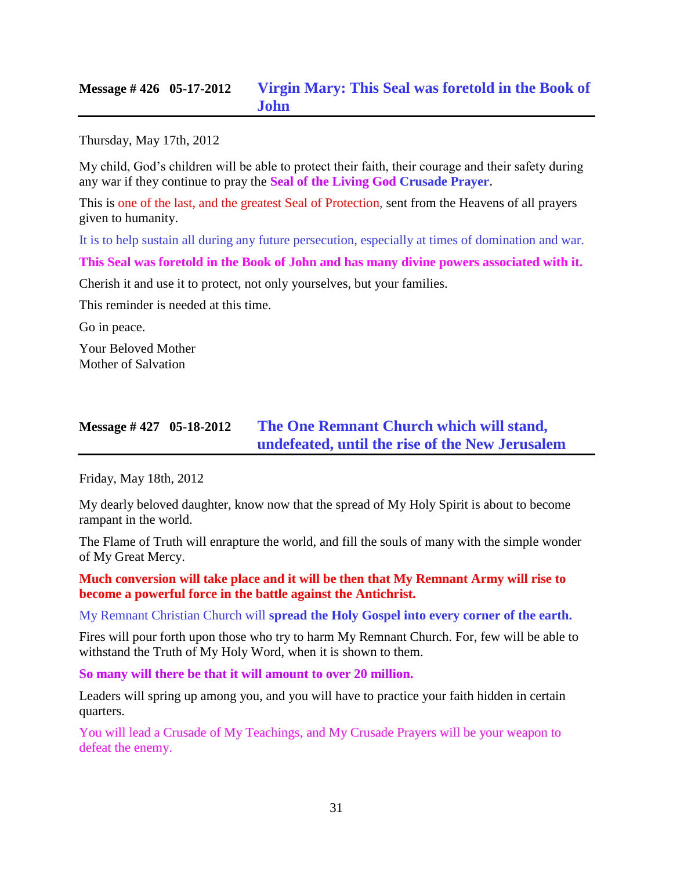### **Message # 426 05-17-2012 [Virgin Mary: This Seal was foretold in the Book of](http://www.thewarningsecondcoming.com/virgin-mary-this-seal-was-foretold-in-the-book-of-john/)  [John](http://www.thewarningsecondcoming.com/virgin-mary-this-seal-was-foretold-in-the-book-of-john/)**

Thursday, May 17th, 2012

My child, God's children will be able to protect their faith, their courage and their safety during any war if they continue to pray the **[Seal of the Living God Crusade Prayer.](http://www.thewarningsecondcoming.com/flyers/seal-of-the-living-God.pdf)**

This is one of the last, and the greatest Seal of Protection, sent from the Heavens of all prayers given to humanity.

It is to help sustain all during any future persecution, especially at times of domination and war.

**This Seal was foretold in the Book of John and has many divine powers associated with it.**

Cherish it and use it to protect, not only yourselves, but your families.

This reminder is needed at this time.

Go in peace.

Your Beloved Mother Mother of Salvation

### **Message # 427 05-18-2012 [The One Remnant Church which will stand,](http://www.thewarningsecondcoming.com/the-one-remnant-church-which-will-stand-undefeated-until-the-rise-of-the-new-jerusalem/)  [undefeated, until the rise of the New Jerusalem](http://www.thewarningsecondcoming.com/the-one-remnant-church-which-will-stand-undefeated-until-the-rise-of-the-new-jerusalem/)**

Friday, May 18th, 2012

My dearly beloved daughter, know now that the spread of My Holy Spirit is about to become rampant in the world.

The Flame of Truth will enrapture the world, and fill the souls of many with the simple wonder of My Great Mercy.

**Much conversion will take place and it will be then that My Remnant Army will rise to become a powerful force in the battle against the Antichrist.**

My Remnant Christian Church will **spread the Holy Gospel into every corner of the earth.**

Fires will pour forth upon those who try to harm My Remnant Church. For, few will be able to withstand the Truth of My Holy Word, when it is shown to them.

**So many will there be that it will amount to over 20 million.**

Leaders will spring up among you, and you will have to practice your faith hidden in certain quarters.

You will lead a Crusade of My Teachings, and My Crusade Prayers will be your weapon to defeat the enemy.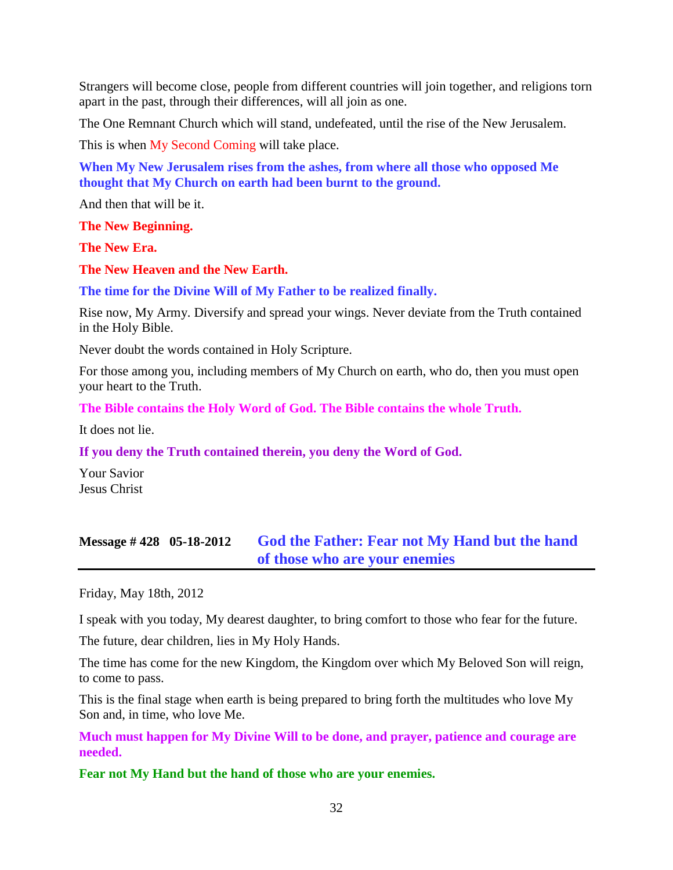Strangers will become close, people from different countries will join together, and religions torn apart in the past, through their differences, will all join as one.

The One Remnant Church which will stand, undefeated, until the rise of the New Jerusalem.

This is when My Second Coming will take place.

**When My New Jerusalem rises from the ashes, from where all those who opposed Me thought that My Church on earth had been burnt to the ground.**

And then that will be it.

**The New Beginning.**

**The New Era.**

**The New Heaven and the New Earth.**

**The time for the Divine Will of My Father to be realized finally.**

Rise now, My Army. Diversify and spread your wings. Never deviate from the Truth contained in the Holy Bible.

Never doubt the words contained in Holy Scripture.

For those among you, including members of My Church on earth, who do, then you must open your heart to the Truth.

**The Bible contains the Holy Word of God. The Bible contains the whole Truth.**

It does not lie.

**If you deny the Truth contained therein, you deny the Word of God.**

Your Savior Jesus Christ

### **Message # 428 05-18-2012 [God the Father: Fear not My Hand but the hand](http://www.thewarningsecondcoming.com/god-the-father-fear-not-my-hand-but-the-hand-of-those-who-are-your-enemies/)  [of those who are your enemies](http://www.thewarningsecondcoming.com/god-the-father-fear-not-my-hand-but-the-hand-of-those-who-are-your-enemies/)**

Friday, May 18th, 2012

I speak with you today, My dearest daughter, to bring comfort to those who fear for the future.

The future, dear children, lies in My Holy Hands.

The time has come for the new Kingdom, the Kingdom over which My Beloved Son will reign, to come to pass.

This is the final stage when earth is being prepared to bring forth the multitudes who love My Son and, in time, who love Me.

**Much must happen for My Divine Will to be done, and prayer, patience and courage are needed.**

**Fear not My Hand but the hand of those who are your enemies.**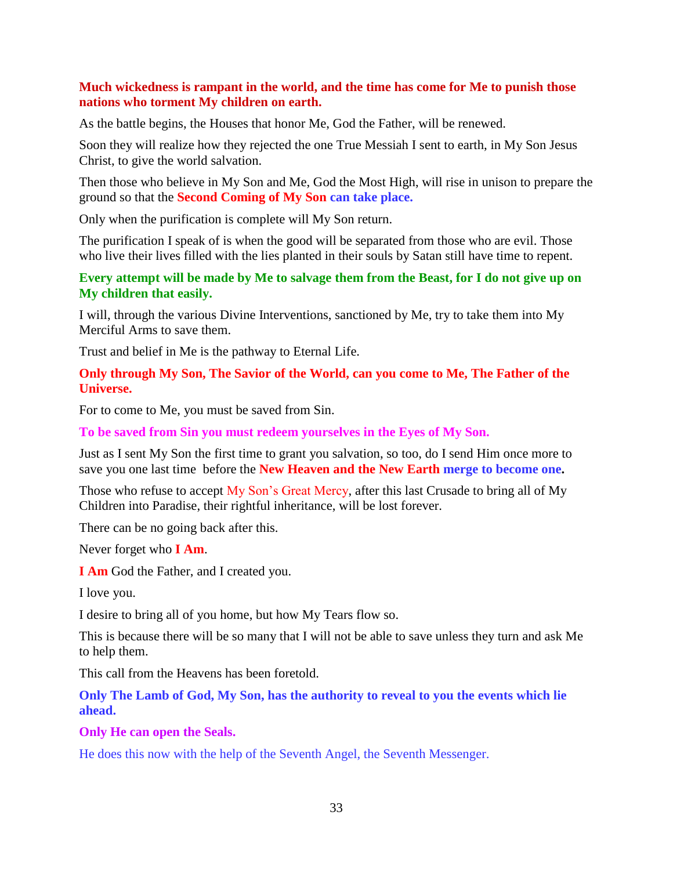### **Much wickedness is rampant in the world, and the time has come for Me to punish those nations who torment My children on earth.**

As the battle begins, the Houses that honor Me, God the Father, will be renewed.

Soon they will realize how they rejected the one True Messiah I sent to earth, in My Son Jesus Christ, to give the world salvation.

Then those who believe in My Son and Me, God the Most High, will rise in unison to prepare the ground so that the **Second Coming of My Son can take place.**

Only when the purification is complete will My Son return.

The purification I speak of is when the good will be separated from those who are evil. Those who live their lives filled with the lies planted in their souls by Satan still have time to repent.

### **Every attempt will be made by Me to salvage them from the Beast, for I do not give up on My children that easily.**

I will, through the various Divine Interventions, sanctioned by Me, try to take them into My Merciful Arms to save them.

Trust and belief in Me is the pathway to Eternal Life.

### **Only through My Son, The Savior of the World, can you come to Me, The Father of the Universe.**

For to come to Me, you must be saved from Sin.

**To be saved from Sin you must redeem yourselves in the Eyes of My Son.**

Just as I sent My Son the first time to grant you salvation, so too, do I send Him once more to save you one last time before the **New Heaven and the New Earth merge to become one.**

Those who refuse to accept My Son's Great Mercy, after this last Crusade to bring all of My Children into Paradise, their rightful inheritance, will be lost forever.

There can be no going back after this.

Never forget who **I Am**.

**I Am** God the Father, and I created you.

I love you.

I desire to bring all of you home, but how My Tears flow so.

This is because there will be so many that I will not be able to save unless they turn and ask Me to help them.

This call from the Heavens has been foretold.

**Only The Lamb of God, My Son, has the authority to reveal to you the events which lie ahead.**

### **Only He can open the Seals.**

He does this now with the help of the Seventh Angel, the Seventh Messenger.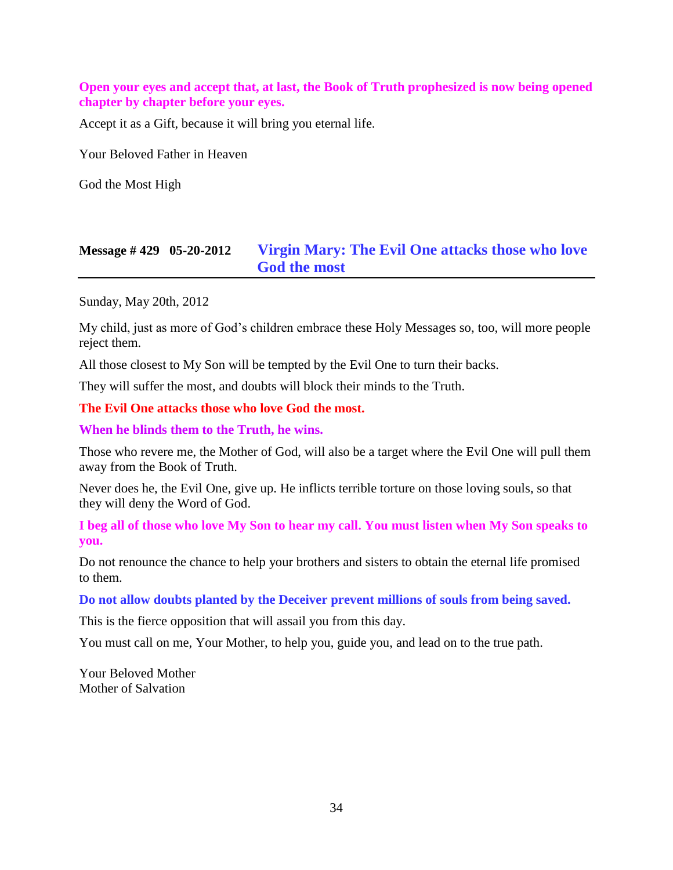### **Open your eyes and accept that, at last, the Book of Truth prophesized is now being opened chapter by chapter before your eyes.**

Accept it as a Gift, because it will bring you eternal life.

Your Beloved Father in Heaven

God the Most High

# **Message # 429 05-20-2012 [Virgin Mary: The Evil One attacks those who love](http://www.thewarningsecondcoming.com/virgin-mary-the-evil-one-attacks-those-who-love-god-the-most/)  [God the most](http://www.thewarningsecondcoming.com/virgin-mary-the-evil-one-attacks-those-who-love-god-the-most/)**

Sunday, May 20th, 2012

My child, just as more of God's children embrace these Holy Messages so, too, will more people reject them.

All those closest to My Son will be tempted by the Evil One to turn their backs.

They will suffer the most, and doubts will block their minds to the Truth.

**The Evil One attacks those who love God the most.**

**When he blinds them to the Truth, he wins.**

Those who revere me, the Mother of God, will also be a target where the Evil One will pull them away from the Book of Truth.

Never does he, the Evil One, give up. He inflicts terrible torture on those loving souls, so that they will deny the Word of God.

**I beg all of those who love My Son to hear my call. You must listen when My Son speaks to you.**

Do not renounce the chance to help your brothers and sisters to obtain the eternal life promised to them.

**Do not allow doubts planted by the Deceiver prevent millions of souls from being saved.**

This is the fierce opposition that will assail you from this day.

You must call on me, Your Mother, to help you, guide you, and lead on to the true path.

Your Beloved Mother Mother of Salvation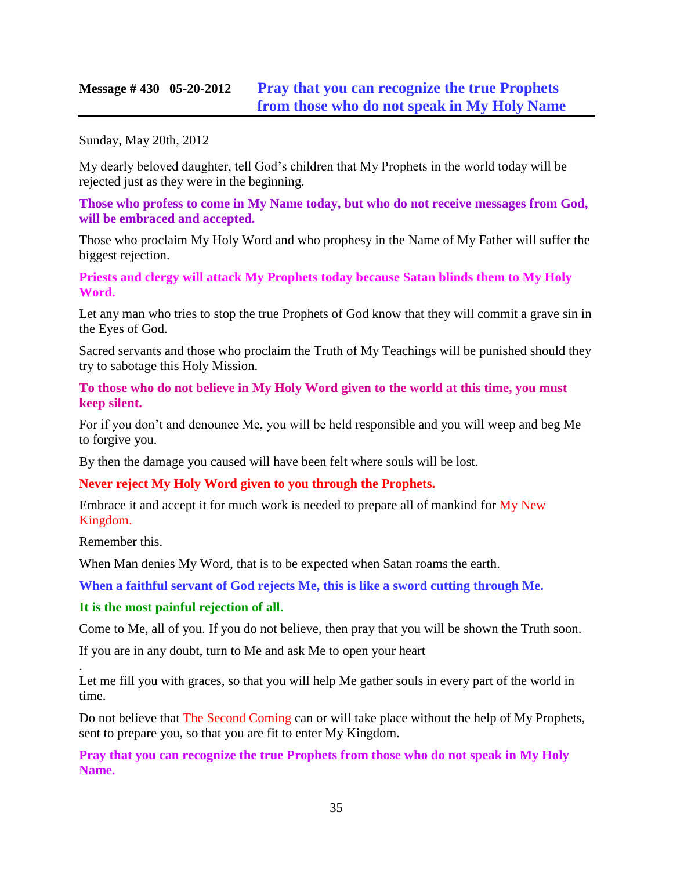### **Message # 430 05-20-2012 [Pray that you can recognize the true Prophets](http://www.thewarningsecondcoming.com/pray-that-you-can-recognise-the-true-prophets-from-those-who-do-not-speak-in-my-holy-name/)  [from those who do not speak in My Holy Name](http://www.thewarningsecondcoming.com/pray-that-you-can-recognise-the-true-prophets-from-those-who-do-not-speak-in-my-holy-name/)**

Sunday, May 20th, 2012

My dearly beloved daughter, tell God's children that My Prophets in the world today will be rejected just as they were in the beginning.

**Those who profess to come in My Name today, but who do not receive messages from God, will be embraced and accepted.**

Those who proclaim My Holy Word and who prophesy in the Name of My Father will suffer the biggest rejection.

**Priests and clergy will attack My Prophets today because Satan blinds them to My Holy Word.**

Let any man who tries to stop the true Prophets of God know that they will commit a grave sin in the Eyes of God.

Sacred servants and those who proclaim the Truth of My Teachings will be punished should they try to sabotage this Holy Mission.

**To those who do not believe in My Holy Word given to the world at this time, you must keep silent.**

For if you don't and denounce Me, you will be held responsible and you will weep and beg Me to forgive you.

By then the damage you caused will have been felt where souls will be lost.

### **Never reject My Holy Word given to you through the Prophets.**

Embrace it and accept it for much work is needed to prepare all of mankind for My New Kingdom.

Remember this.

.

When Man denies My Word, that is to be expected when Satan roams the earth.

**When a faithful servant of God rejects Me, this is like a sword cutting through Me.**

### **It is the most painful rejection of all.**

Come to Me, all of you. If you do not believe, then pray that you will be shown the Truth soon.

If you are in any doubt, turn to Me and ask Me to open your heart

Let me fill you with graces, so that you will help Me gather souls in every part of the world in time.

Do not believe that The Second Coming can or will take place without the help of My Prophets, sent to prepare you, so that you are fit to enter My Kingdom.

**Pray that you can recognize the true Prophets from those who do not speak in My Holy Name.**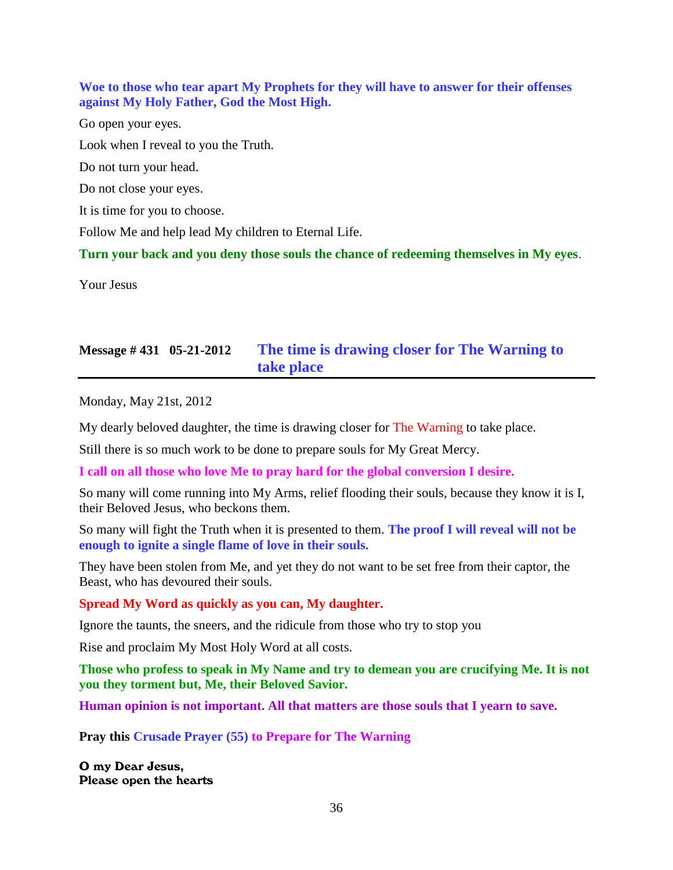**Woe to those who tear apart My Prophets for they will have to answer for their offenses against My Holy Father, God the Most High.** Go open your eyes. Look when I reveal to you the Truth. Do not turn your head. Do not close your eyes. It is time for you to choose.

Follow Me and help lead My children to Eternal Life.

**Turn your back and you deny those souls the chance of redeeming themselves in My eyes**.

Your Jesus

# **Message # 431 05-21-2012 [The time is drawing closer for The Warning to](http://www.thewarningsecondcoming.com/the-time-is-drawing-closer-for-the-warning-to-take-place/)  [take place](http://www.thewarningsecondcoming.com/the-time-is-drawing-closer-for-the-warning-to-take-place/)**

Monday, May 21st, 2012

My dearly beloved daughter, the time is drawing closer for The Warning to take place.

Still there is so much work to be done to prepare souls for My Great Mercy.

**I call on all those who love Me to pray hard for the global conversion I desire.**

So many will come running into My Arms, relief flooding their souls, because they know it is I, their Beloved Jesus, who beckons them.

So many will fight the Truth when it is presented to them. **The proof I will reveal will not be enough to ignite a single flame of love in their souls.**

They have been stolen from Me, and yet they do not want to be set free from their captor, the Beast, who has devoured their souls.

**Spread My Word as quickly as you can, My daughter.**

Ignore the taunts, the sneers, and the ridicule from those who try to stop you

Rise and proclaim My Most Holy Word at all costs.

**Those who profess to speak in My Name and try to demean you are crucifying Me. It is not you they torment but, Me, their Beloved Savior.**

**Human opinion is not important. All that matters are those souls that I yearn to save.**

**Pray this Crusade Prayer (55) to Prepare for The Warning**

O my Dear Jesus, Please open the hearts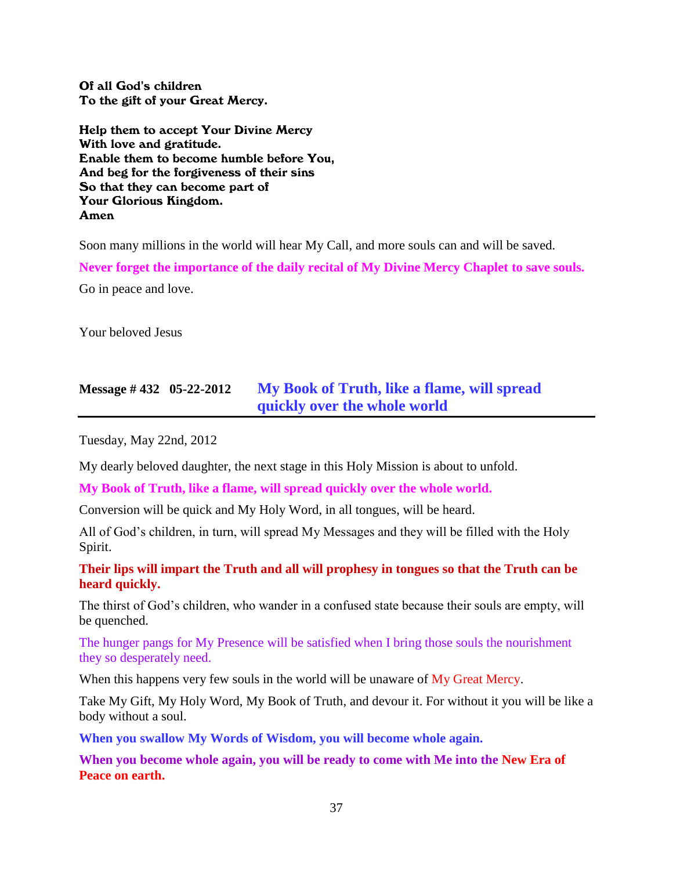Of all God's children To the gift of your Great Mercy.

Help them to accept Your Divine Mercy With love and gratitude. Enable them to become humble before You, And beg for the forgiveness of their sins So that they can become part of Your Glorious Kingdom. Amen

Soon many millions in the world will hear My Call, and more souls can and will be saved.

**Never forget the importance of the daily recital of My Divine Mercy Chaplet to save souls.** Go in peace and love.

Your beloved Jesus

# **Message # 432 05-22-2012 [My Book of Truth, like a flame, will spread](http://www.thewarningsecondcoming.com/my-book-of-truth-like-a-flame-will-spread-quickly-over-the-whole-world/)  [quickly over the whole world](http://www.thewarningsecondcoming.com/my-book-of-truth-like-a-flame-will-spread-quickly-over-the-whole-world/)**

Tuesday, May 22nd, 2012

My dearly beloved daughter, the next stage in this Holy Mission is about to unfold.

**My Book of Truth, like a flame, will spread quickly over the whole world.**

Conversion will be quick and My Holy Word, in all tongues, will be heard.

All of God's children, in turn, will spread My Messages and they will be filled with the Holy Spirit.

**Their lips will impart the Truth and all will prophesy in tongues so that the Truth can be heard quickly.**

The thirst of God's children, who wander in a confused state because their souls are empty, will be quenched.

The hunger pangs for My Presence will be satisfied when I bring those souls the nourishment they so desperately need.

When this happens very few souls in the world will be unaware of My Great Mercy.

Take My Gift, My Holy Word, My Book of Truth, and devour it. For without it you will be like a body without a soul.

**When you swallow My Words of Wisdom, you will become whole again.**

**When you become whole again, you will be ready to come with Me into the New Era of Peace on earth.**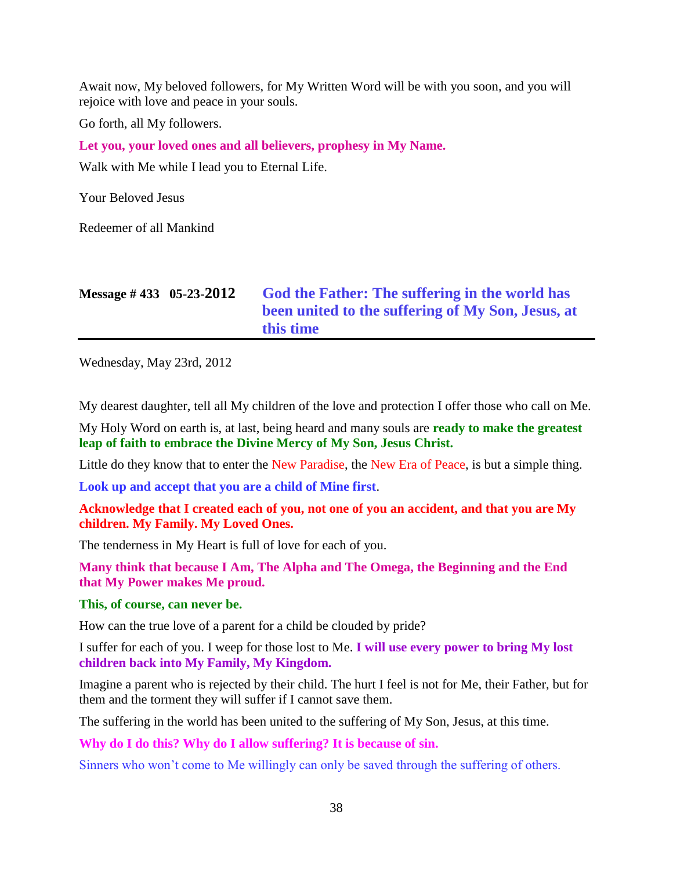Await now, My beloved followers, for My Written Word will be with you soon, and you will rejoice with love and peace in your souls.

Go forth, all My followers.

**Let you, your loved ones and all believers, prophesy in My Name.**

Walk with Me while I lead you to Eternal Life.

Your Beloved Jesus

Redeemer of all Mankind

| Message #433 05-23-2012 | God the Father: The suffering in the world has    |
|-------------------------|---------------------------------------------------|
|                         | been united to the suffering of My Son, Jesus, at |
|                         | this time                                         |

Wednesday, May 23rd, 2012

My dearest daughter, tell all My children of the love and protection I offer those who call on Me.

My Holy Word on earth is, at last, being heard and many souls are **ready to make the greatest leap of faith to embrace the Divine Mercy of My Son, Jesus Christ.**

Little do they know that to enter the New Paradise, the New Era of Peace, is but a simple thing.

**Look up and accept that you are a child of Mine first**.

**Acknowledge that I created each of you, not one of you an accident, and that you are My children. My Family. My Loved Ones.**

The tenderness in My Heart is full of love for each of you.

**Many think that because I Am, The Alpha and The Omega, the Beginning and the End that My Power makes Me proud.**

#### **This, of course, can never be.**

How can the true love of a parent for a child be clouded by pride?

I suffer for each of you. I weep for those lost to Me. **I will use every power to bring My lost children back into My Family, My Kingdom.**

Imagine a parent who is rejected by their child. The hurt I feel is not for Me, their Father, but for them and the torment they will suffer if I cannot save them.

The suffering in the world has been united to the suffering of My Son, Jesus, at this time.

**Why do I do this? Why do I allow suffering? It is because of sin.**

Sinners who won't come to Me willingly can only be saved through the suffering of others.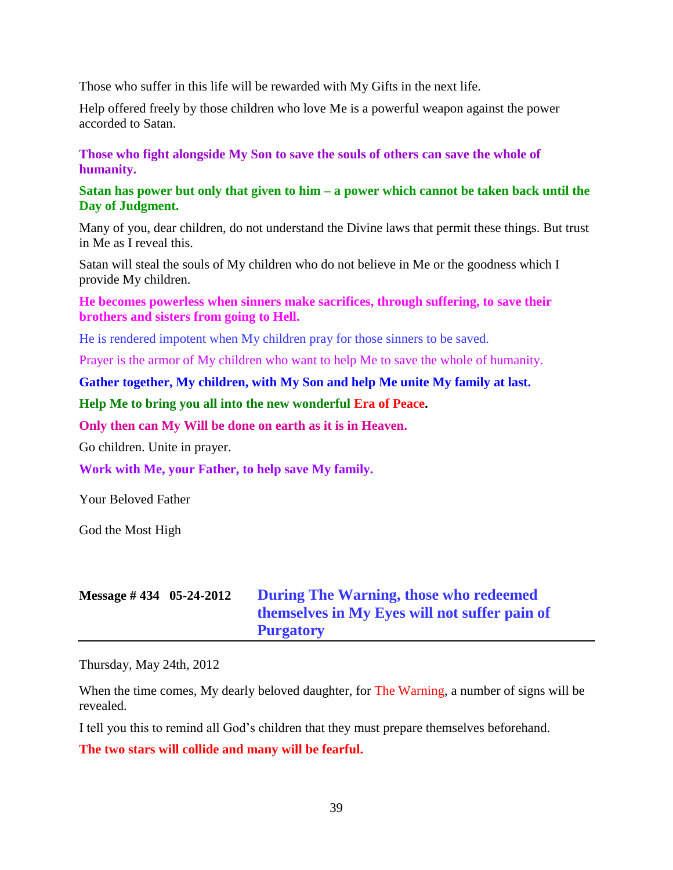Those who suffer in this life will be rewarded with My Gifts in the next life.

Help offered freely by those children who love Me is a powerful weapon against the power accorded to Satan.

### **Those who fight alongside My Son to save the souls of others can save the whole of humanity.**

### **Satan has power but only that given to him – a power which cannot be taken back until the Day of Judgment.**

Many of you, dear children, do not understand the Divine laws that permit these things. But trust in Me as I reveal this.

Satan will steal the souls of My children who do not believe in Me or the goodness which I provide My children.

### **He becomes powerless when sinners make sacrifices, through suffering, to save their brothers and sisters from going to Hell.**

He is rendered impotent when My children pray for those sinners to be saved.

Prayer is the armor of My children who want to help Me to save the whole of humanity.

#### **Gather together, My children, with My Son and help Me unite My family at last.**

#### **Help Me to bring you all into the new wonderful Era of Peace.**

**Only then can My Will be done on earth as it is in Heaven.**

Go children. Unite in prayer.

**Work with Me, your Father, to help save My family.**

Your Beloved Father

God the Most High

| Message $\#$ 434 05-24-2012 | During The Warning, those who redeemed        |
|-----------------------------|-----------------------------------------------|
|                             | themselves in My Eyes will not suffer pain of |
|                             | <b>Purgatory</b>                              |

Thursday, May 24th, 2012

When the time comes, My dearly beloved daughter, for The Warning, a number of signs will be revealed.

I tell you this to remind all God's children that they must prepare themselves beforehand.

**The two stars will collide and many will be fearful.**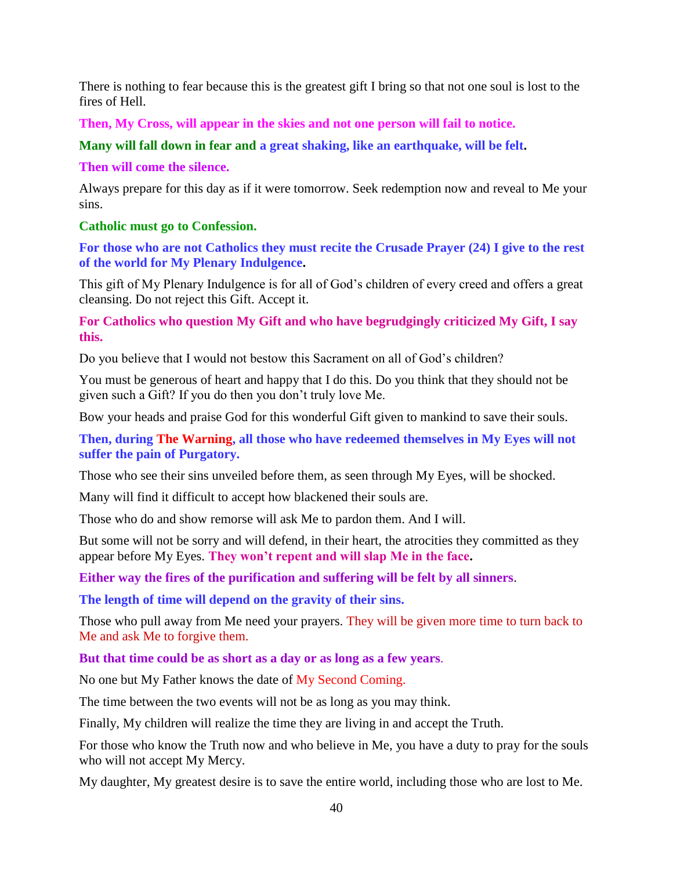There is nothing to fear because this is the greatest gift I bring so that not one soul is lost to the fires of Hell.

**Then, My Cross, will appear in the skies and not one person will fail to notice.**

**Many will fall down in fear and a great shaking, like an earthquake, will be felt.**

### **Then will come the silence.**

Always prepare for this day as if it were tomorrow. Seek redemption now and reveal to Me your sins.

### **Catholic must go to Confession.**

**For those who are not Catholics they must recite the Crusade Prayer (24) I give to the rest of the world for My Plenary Indulgence.**

This gift of My Plenary Indulgence is for all of God's children of every creed and offers a great cleansing. Do not reject this Gift. Accept it.

**For Catholics who question My Gift and who have begrudgingly criticized My Gift, I say this.**

Do you believe that I would not bestow this Sacrament on all of God's children?

You must be generous of heart and happy that I do this. Do you think that they should not be given such a Gift? If you do then you don't truly love Me.

Bow your heads and praise God for this wonderful Gift given to mankind to save their souls.

**Then, during The Warning, all those who have redeemed themselves in My Eyes will not suffer the pain of Purgatory.**

Those who see their sins unveiled before them, as seen through My Eyes, will be shocked.

Many will find it difficult to accept how blackened their souls are.

Those who do and show remorse will ask Me to pardon them. And I will.

But some will not be sorry and will defend, in their heart, the atrocities they committed as they appear before My Eyes. **They won't repent and will slap Me in the face.**

**Either way the fires of the purification and suffering will be felt by all sinners**.

**The length of time will depend on the gravity of their sins.**

Those who pull away from Me need your prayers. They will be given more time to turn back to Me and ask Me to forgive them.

**But that time could be as short as a day or as long as a few years**.

No one but My Father knows the date of My Second Coming.

The time between the two events will not be as long as you may think.

Finally, My children will realize the time they are living in and accept the Truth.

For those who know the Truth now and who believe in Me, you have a duty to pray for the souls who will not accept My Mercy.

My daughter, My greatest desire is to save the entire world, including those who are lost to Me.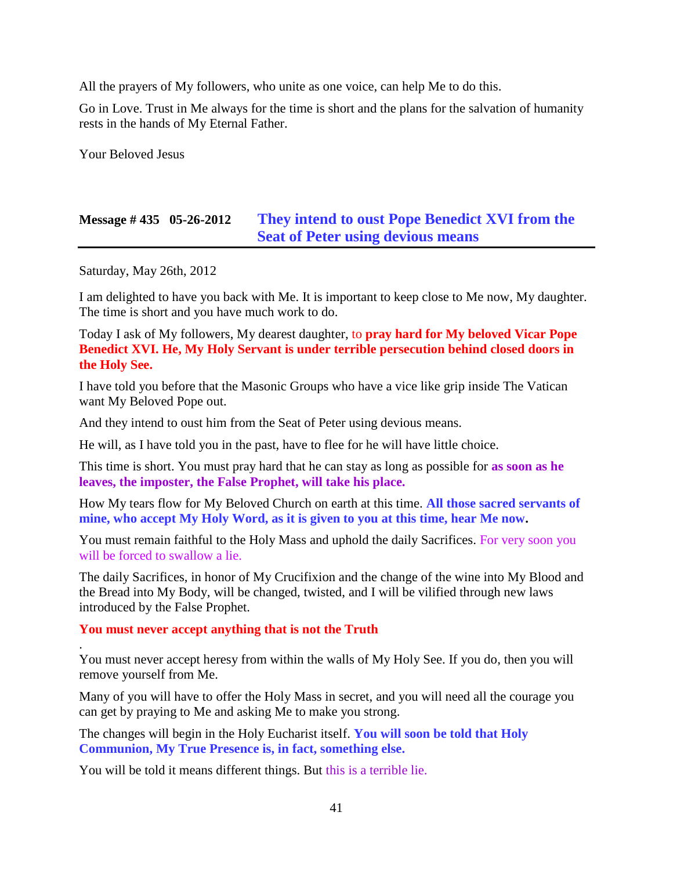All the prayers of My followers, who unite as one voice, can help Me to do this.

Go in Love. Trust in Me always for the time is short and the plans for the salvation of humanity rests in the hands of My Eternal Father.

Your Beloved Jesus

# **Message # 435 05-26-2012 [They intend to oust Pope Benedict XVI from the](http://www.thewarningsecondcoming.com/they-intend-to-oust-pope-benedict-xiv-from-the-seat-of-peter-using-devious-means/)  [Seat of Peter using devious means](http://www.thewarningsecondcoming.com/they-intend-to-oust-pope-benedict-xiv-from-the-seat-of-peter-using-devious-means/)**

Saturday, May 26th, 2012

.

I am delighted to have you back with Me. It is important to keep close to Me now, My daughter. The time is short and you have much work to do.

Today I ask of My followers, My dearest daughter, to **pray hard for My beloved Vicar Pope Benedict XVI. He, My Holy Servant is under terrible persecution behind closed doors in the Holy See.**

I have told you before that the Masonic Groups who have a vice like grip inside The Vatican want My Beloved Pope out.

And they intend to oust him from the Seat of Peter using devious means.

He will, as I have told you in the past, have to flee for he will have little choice.

This time is short. You must pray hard that he can stay as long as possible for **as soon as he leaves, the imposter, the False Prophet, will take his place.**

How My tears flow for My Beloved Church on earth at this time. **All those sacred servants of mine, who accept My Holy Word, as it is given to you at this time, hear Me now.**

You must remain faithful to the Holy Mass and uphold the daily Sacrifices. For very soon you will be forced to swallow a lie.

The daily Sacrifices, in honor of My Crucifixion and the change of the wine into My Blood and the Bread into My Body, will be changed, twisted, and I will be vilified through new laws introduced by the False Prophet.

#### **You must never accept anything that is not the Truth**

You must never accept heresy from within the walls of My Holy See. If you do, then you will remove yourself from Me.

Many of you will have to offer the Holy Mass in secret, and you will need all the courage you can get by praying to Me and asking Me to make you strong.

The changes will begin in the Holy Eucharist itself. **You will soon be told that Holy Communion, My True Presence is, in fact, something else.**

You will be told it means different things. But this is a terrible lie.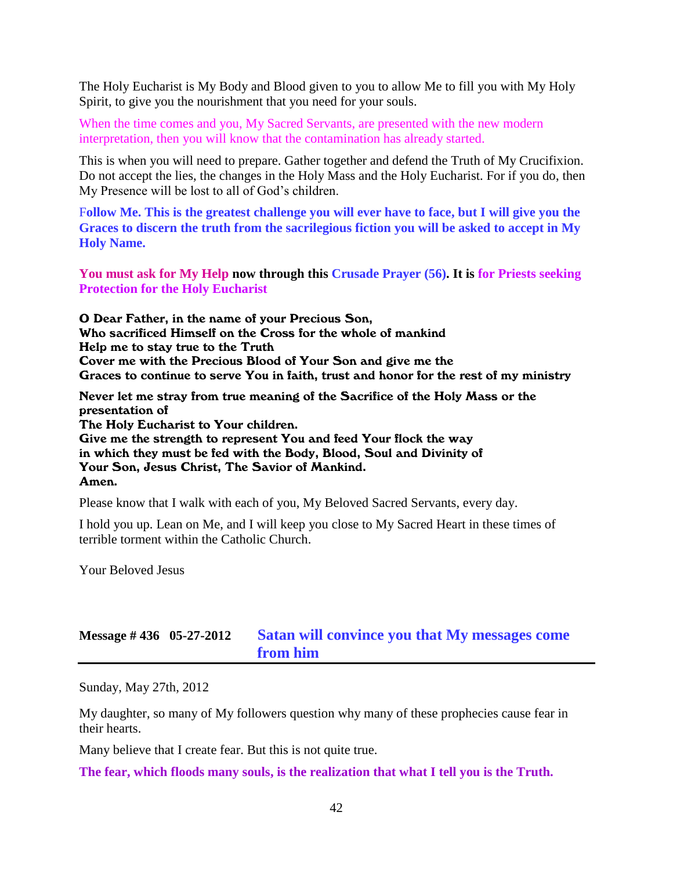The Holy Eucharist is My Body and Blood given to you to allow Me to fill you with My Holy Spirit, to give you the nourishment that you need for your souls.

When the time comes and you, My Sacred Servants, are presented with the new modern interpretation, then you will know that the contamination has already started.

This is when you will need to prepare. Gather together and defend the Truth of My Crucifixion. Do not accept the lies, the changes in the Holy Mass and the Holy Eucharist. For if you do, then My Presence will be lost to all of God's children.

F**ollow Me. This is the greatest challenge you will ever have to face, but I will give you the Graces to discern the truth from the sacrilegious fiction you will be asked to accept in My Holy Name.**

**You must ask for My Help now through this Crusade Prayer (56). It is for Priests seeking Protection for the Holy Eucharist**

O Dear Father, in the name of your Precious Son, Who sacrificed Himself on the Cross for the whole of mankind Help me to stay true to the Truth Cover me with the Precious Blood of Your Son and give me the Graces to continue to serve You in faith, trust and honor for the rest of my ministry

Never let me stray from true meaning of the Sacrifice of the Holy Mass or the presentation of The Holy Eucharist to Your children. Give me the strength to represent You and feed Your flock the way in which they must be fed with the Body, Blood, Soul and Divinity of Your Son, Jesus Christ, The Savior of Mankind. Amen.

Please know that I walk with each of you, My Beloved Sacred Servants, every day.

I hold you up. Lean on Me, and I will keep you close to My Sacred Heart in these times of terrible torment within the Catholic Church.

Your Beloved Jesus

### **Message # 436 05-27-2012 Satan [will convince you that My messages come](http://www.thewarningsecondcoming.com/satan-will-convince-you-that-my-messages-come-from-him/)  [from him](http://www.thewarningsecondcoming.com/satan-will-convince-you-that-my-messages-come-from-him/)**

Sunday, May 27th, 2012

My daughter, so many of My followers question why many of these prophecies cause fear in their hearts.

Many believe that I create fear. But this is not quite true.

**The fear, which floods many souls, is the realization that what I tell you is the Truth.**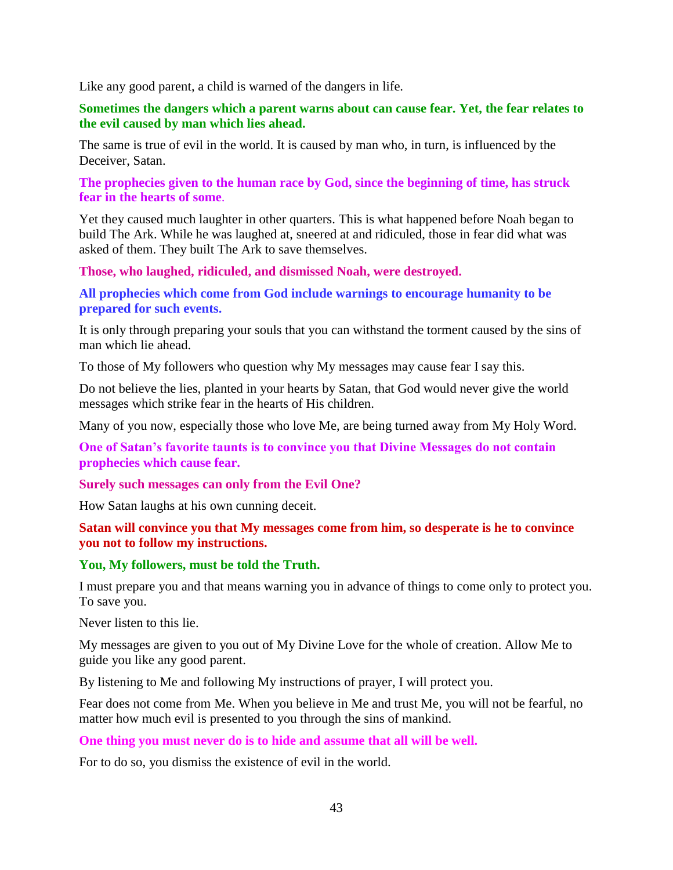Like any good parent, a child is warned of the dangers in life.

### **Sometimes the dangers which a parent warns about can cause fear. Yet, the fear relates to the evil caused by man which lies ahead.**

The same is true of evil in the world. It is caused by man who, in turn, is influenced by the Deceiver, Satan.

**The prophecies given to the human race by God, since the beginning of time, has struck fear in the hearts of some**.

Yet they caused much laughter in other quarters. This is what happened before Noah began to build The Ark. While he was laughed at, sneered at and ridiculed, those in fear did what was asked of them. They built The Ark to save themselves.

**Those, who laughed, ridiculed, and dismissed Noah, were destroyed.**

**All prophecies which come from God include warnings to encourage humanity to be prepared for such events.**

It is only through preparing your souls that you can withstand the torment caused by the sins of man which lie ahead.

To those of My followers who question why My messages may cause fear I say this.

Do not believe the lies, planted in your hearts by Satan, that God would never give the world messages which strike fear in the hearts of His children.

Many of you now, especially those who love Me, are being turned away from My Holy Word.

**One of Satan's favorite taunts is to convince you that Divine Messages do not contain prophecies which cause fear.**

**Surely such messages can only from the Evil One?**

How Satan laughs at his own cunning deceit.

#### **Satan will convince you that My messages come from him, so desperate is he to convince you not to follow my instructions.**

#### **You, My followers, must be told the Truth.**

I must prepare you and that means warning you in advance of things to come only to protect you. To save you.

Never listen to this lie.

My messages are given to you out of My Divine Love for the whole of creation. Allow Me to guide you like any good parent.

By listening to Me and following My instructions of prayer, I will protect you.

Fear does not come from Me. When you believe in Me and trust Me, you will not be fearful, no matter how much evil is presented to you through the sins of mankind.

#### **One thing you must never do is to hide and assume that all will be well.**

For to do so, you dismiss the existence of evil in the world.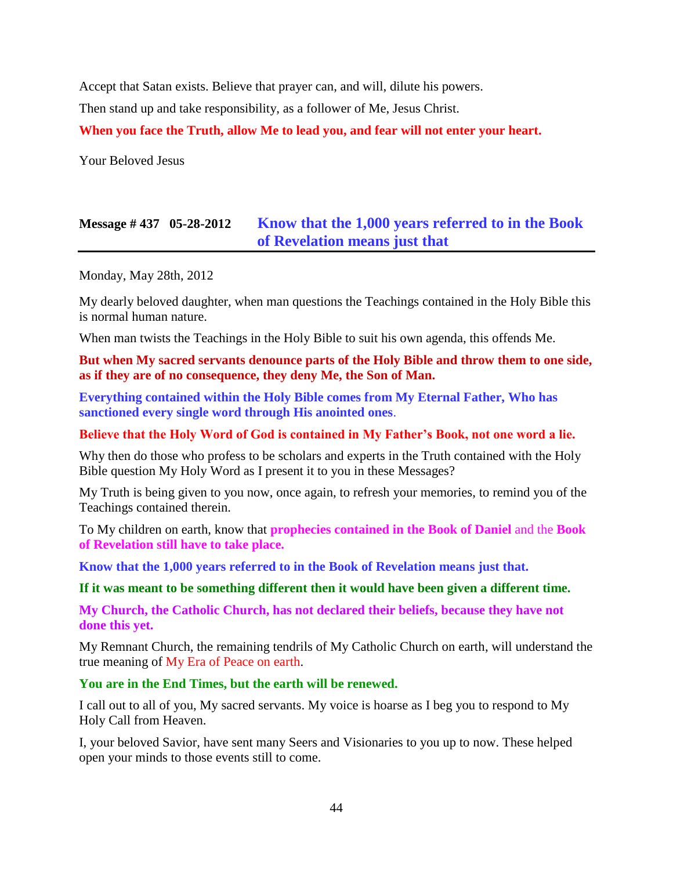Accept that Satan exists. Believe that prayer can, and will, dilute his powers.

Then stand up and take responsibility, as a follower of Me, Jesus Christ.

**When you face the Truth, allow Me to lead you, and fear will not enter your heart.**

Your Beloved Jesus

# **Message # 437 05-28-2012 [Know that the 1,000 years referred to in the Book](http://www.thewarningsecondcoming.com/know-that-the-1000-years-referred-to-in-the-book-of-revelation-means-just-that/)  [of Revelation means just that](http://www.thewarningsecondcoming.com/know-that-the-1000-years-referred-to-in-the-book-of-revelation-means-just-that/)**

Monday, May 28th, 2012

My dearly beloved daughter, when man questions the Teachings contained in the Holy Bible this is normal human nature.

When man twists the Teachings in the Holy Bible to suit his own agenda, this offends Me.

**But when My sacred servants denounce parts of the Holy Bible and throw them to one side, as if they are of no consequence, they deny Me, the Son of Man.**

**Everything contained within the Holy Bible comes from My Eternal Father, Who has sanctioned every single word through His anointed ones**.

#### **Believe that the Holy Word of God is contained in My Father's Book, not one word a lie.**

Why then do those who profess to be scholars and experts in the Truth contained with the Holy Bible question My Holy Word as I present it to you in these Messages?

My Truth is being given to you now, once again, to refresh your memories, to remind you of the Teachings contained therein.

To My children on earth, know that **prophecies contained in the Book of Daniel** and the **Book of Revelation still have to take place.**

**Know that the 1,000 years referred to in the Book of Revelation means just that.**

#### **If it was meant to be something different then it would have been given a different time.**

**My Church, the Catholic Church, has not declared their beliefs, because they have not done this yet.**

My Remnant Church, the remaining tendrils of My Catholic Church on earth, will understand the true meaning of My Era of Peace on earth.

### **You are in the End Times, but the earth will be renewed.**

I call out to all of you, My sacred servants. My voice is hoarse as I beg you to respond to My Holy Call from Heaven.

I, your beloved Savior, have sent many Seers and Visionaries to you up to now. These helped open your minds to those events still to come.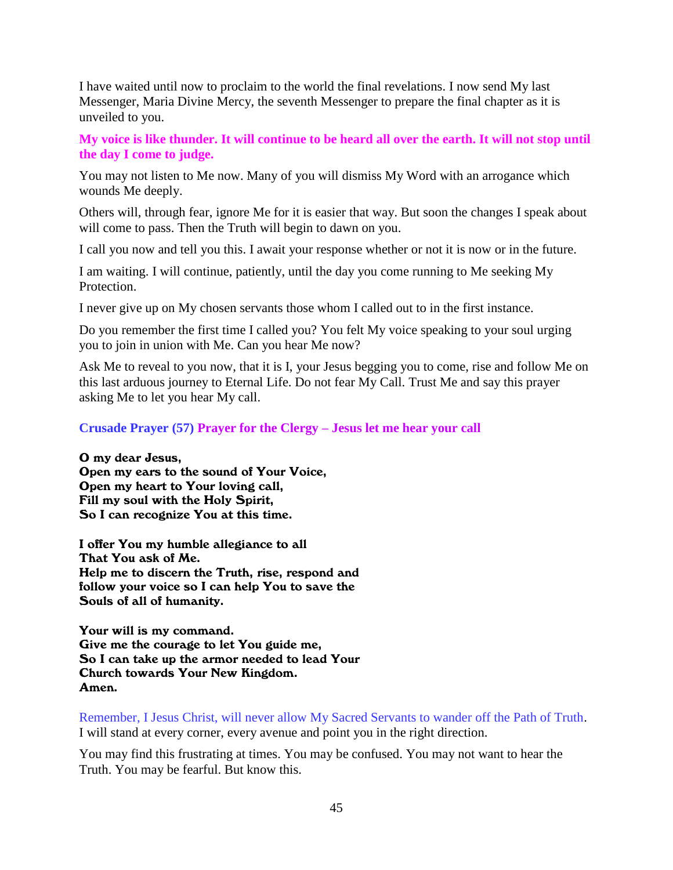I have waited until now to proclaim to the world the final revelations. I now send My last Messenger, Maria Divine Mercy, the seventh Messenger to prepare the final chapter as it is unveiled to you.

**My voice is like thunder. It will continue to be heard all over the earth. It will not stop until the day I come to judge.**

You may not listen to Me now. Many of you will dismiss My Word with an arrogance which wounds Me deeply.

Others will, through fear, ignore Me for it is easier that way. But soon the changes I speak about will come to pass. Then the Truth will begin to dawn on you.

I call you now and tell you this. I await your response whether or not it is now or in the future.

I am waiting. I will continue, patiently, until the day you come running to Me seeking My Protection.

I never give up on My chosen servants those whom I called out to in the first instance.

Do you remember the first time I called you? You felt My voice speaking to your soul urging you to join in union with Me. Can you hear Me now?

Ask Me to reveal to you now, that it is I, your Jesus begging you to come, rise and follow Me on this last arduous journey to Eternal Life. Do not fear My Call. Trust Me and say this prayer asking Me to let you hear My call.

### **Crusade Prayer (57) Prayer for the Clergy – Jesus let me hear your call**

O my dear Jesus, Open my ears to the sound of Your Voice, Open my heart to Your loving call, Fill my soul with the Holy Spirit, So I can recognize You at this time.

I offer You my humble allegiance to all That You ask of Me. Help me to discern the Truth, rise, respond and follow your voice so I can help You to save the Souls of all of humanity.

Your will is my command. Give me the courage to let You guide me, So I can take up the armor needed to lead Your Church towards Your New Kingdom. Amen.

Remember, I Jesus Christ, will never allow My Sacred Servants to wander off the Path of Truth. I will stand at every corner, every avenue and point you in the right direction.

You may find this frustrating at times. You may be confused. You may not want to hear the Truth. You may be fearful. But know this.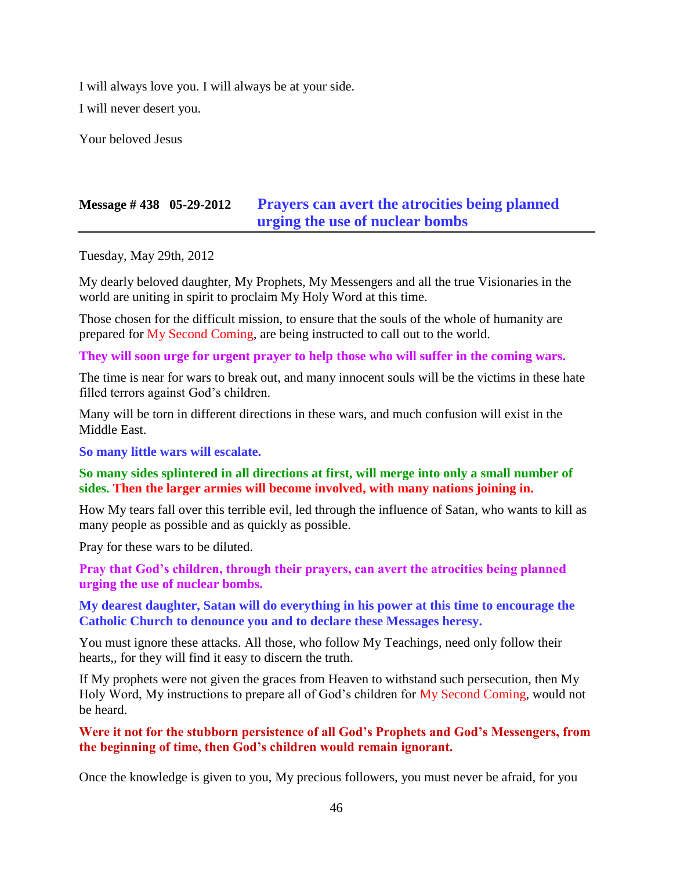I will always love you. I will always be at your side.

I will never desert you.

Your beloved Jesus

# **Message # 438 05-29-2012 [Prayers can avert the atrocities being planned](http://www.thewarningsecondcoming.com/prayers-can-avert-the-atrocities-being-planned-urging-the-use-of-nuclear-bombs/)  [urging the use of nuclear bombs](http://www.thewarningsecondcoming.com/prayers-can-avert-the-atrocities-being-planned-urging-the-use-of-nuclear-bombs/)**

Tuesday, May 29th, 2012

My dearly beloved daughter, My Prophets, My Messengers and all the true Visionaries in the world are uniting in spirit to proclaim My Holy Word at this time.

Those chosen for the difficult mission, to ensure that the souls of the whole of humanity are prepared for My Second Coming, are being instructed to call out to the world.

#### **They will soon urge for urgent prayer to help those who will suffer in the coming wars.**

The time is near for wars to break out, and many innocent souls will be the victims in these hate filled terrors against God's children.

Many will be torn in different directions in these wars, and much confusion will exist in the Middle East.

**So many little wars will escalate.**

#### **So many sides splintered in all directions at first, will merge into only a small number of sides. Then the larger armies will become involved, with many nations joining in.**

How My tears fall over this terrible evil, led through the influence of Satan, who wants to kill as many people as possible and as quickly as possible.

Pray for these wars to be diluted.

**Pray that God's children, through their prayers, can avert the atrocities being planned urging the use of nuclear bombs.**

#### **My dearest daughter, Satan will do everything in his power at this time to encourage the Catholic Church to denounce you and to declare these Messages heresy.**

You must ignore these attacks. All those, who follow My Teachings, need only follow their hearts,, for they will find it easy to discern the truth.

If My prophets were not given the graces from Heaven to withstand such persecution, then My Holy Word, My instructions to prepare all of God's children for My Second Coming, would not be heard.

**Were it not for the stubborn persistence of all God's Prophets and God's Messengers, from the beginning of time, then God's children would remain ignorant.**

Once the knowledge is given to you, My precious followers, you must never be afraid, for you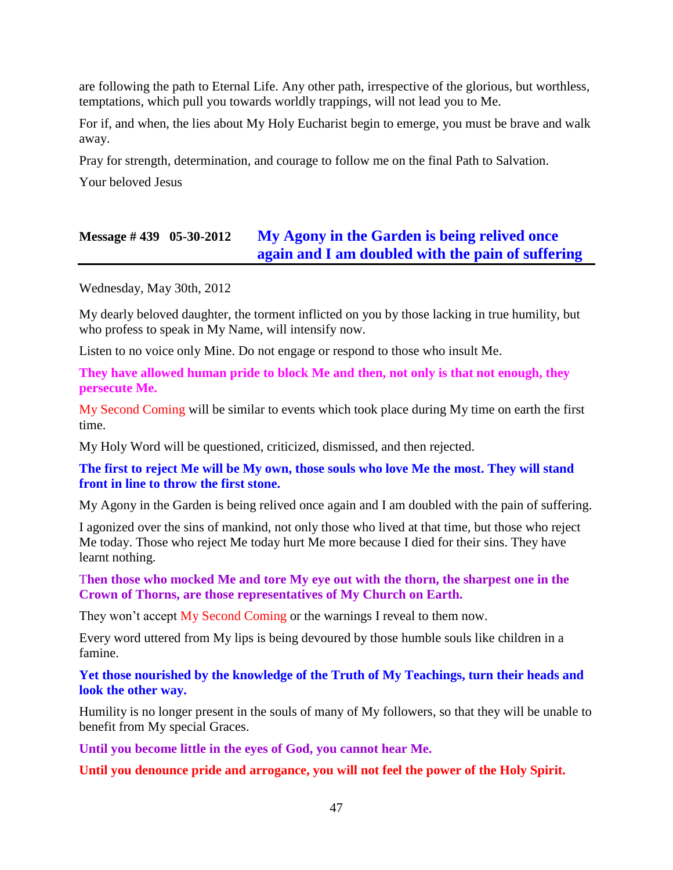are following the path to Eternal Life. Any other path, irrespective of the glorious, but worthless, temptations, which pull you towards worldly trappings, will not lead you to Me.

For if, and when, the lies about My Holy Eucharist begin to emerge, you must be brave and walk away.

Pray for strength, determination, and courage to follow me on the final Path to Salvation.

Your beloved Jesus

# **Message # 439 05-30-2012 [My Agony in the Garden is being relived once](http://www.thewarningsecondcoming.com/my-agony-in-the-garden-is-being-relived-once-again-and-i-am-doubled-with-the-pain-of-suffering/)  [again and I am doubled with the pain of suffering](http://www.thewarningsecondcoming.com/my-agony-in-the-garden-is-being-relived-once-again-and-i-am-doubled-with-the-pain-of-suffering/)**

Wednesday, May 30th, 2012

My dearly beloved daughter, the torment inflicted on you by those lacking in true humility, but who profess to speak in My Name, will intensify now.

Listen to no voice only Mine. Do not engage or respond to those who insult Me.

**They have allowed human pride to block Me and then, not only is that not enough, they persecute Me.**

My Second Coming will be similar to events which took place during My time on earth the first time.

My Holy Word will be questioned, criticized, dismissed, and then rejected.

**The first to reject Me will be My own, those souls who love Me the most. They will stand front in line to throw the first stone.**

My Agony in the Garden is being relived once again and I am doubled with the pain of suffering.

I agonized over the sins of mankind, not only those who lived at that time, but those who reject Me today. Those who reject Me today hurt Me more because I died for their sins. They have learnt nothing.

T**hen those who mocked Me and tore My eye out with the thorn, the sharpest one in the Crown of Thorns, are those representatives of My Church on Earth.**

They won't accept My Second Coming or the warnings I reveal to them now.

Every word uttered from My lips is being devoured by those humble souls like children in a famine.

**Yet those nourished by the knowledge of the Truth of My Teachings, turn their heads and look the other way.**

Humility is no longer present in the souls of many of My followers, so that they will be unable to benefit from My special Graces.

**Until you become little in the eyes of God, you cannot hear Me.**

**Until you denounce pride and arrogance, you will not feel the power of the Holy Spirit.**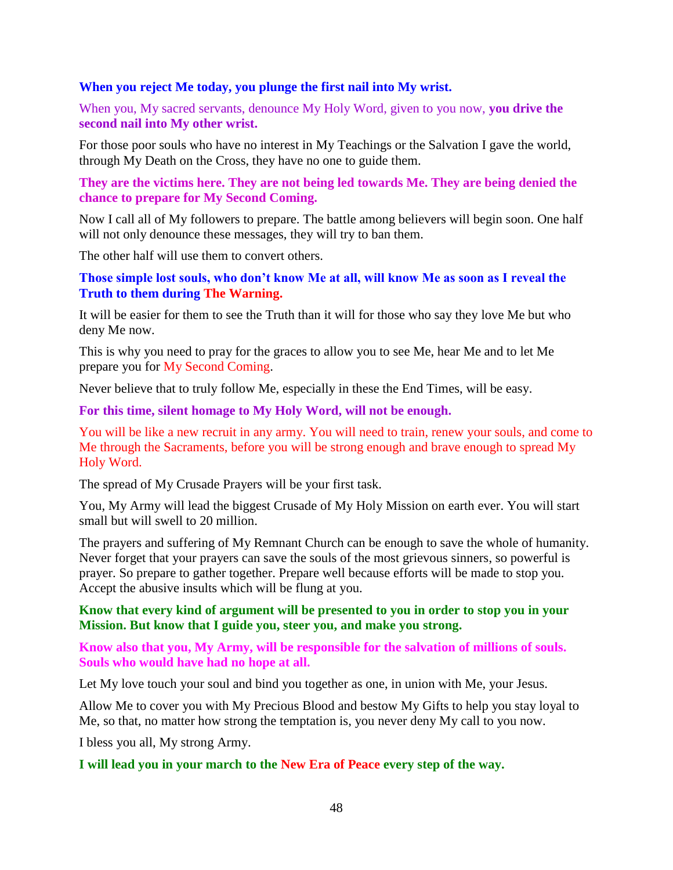#### **When you reject Me today, you plunge the first nail into My wrist.**

When you, My sacred servants, denounce My Holy Word, given to you now, **you drive the second nail into My other wrist.**

For those poor souls who have no interest in My Teachings or the Salvation I gave the world, through My Death on the Cross, they have no one to guide them.

#### **They are the victims here. They are not being led towards Me. They are being denied the chance to prepare for My Second Coming.**

Now I call all of My followers to prepare. The battle among believers will begin soon. One half will not only denounce these messages, they will try to ban them.

The other half will use them to convert others.

#### **Those simple lost souls, who don't know Me at all, will know Me as soon as I reveal the Truth to them during The Warning.**

It will be easier for them to see the Truth than it will for those who say they love Me but who deny Me now.

This is why you need to pray for the graces to allow you to see Me, hear Me and to let Me prepare you for My Second Coming.

Never believe that to truly follow Me, especially in these the End Times, will be easy.

#### **For this time, silent homage to My Holy Word, will not be enough.**

You will be like a new recruit in any army. You will need to train, renew your souls, and come to Me through the Sacraments, before you will be strong enough and brave enough to spread My Holy Word.

The spread of My Crusade Prayers will be your first task.

You, My Army will lead the biggest Crusade of My Holy Mission on earth ever. You will start small but will swell to 20 million.

The prayers and suffering of My Remnant Church can be enough to save the whole of humanity. Never forget that your prayers can save the souls of the most grievous sinners, so powerful is prayer. So prepare to gather together. Prepare well because efforts will be made to stop you. Accept the abusive insults which will be flung at you.

### **Know that every kind of argument will be presented to you in order to stop you in your Mission. But know that I guide you, steer you, and make you strong.**

#### **Know also that you, My Army, will be responsible for the salvation of millions of souls. Souls who would have had no hope at all.**

Let My love touch your soul and bind you together as one, in union with Me, your Jesus.

Allow Me to cover you with My Precious Blood and bestow My Gifts to help you stay loyal to Me, so that, no matter how strong the temptation is, you never deny My call to you now.

I bless you all, My strong Army.

#### **I will lead you in your march to the New Era of Peace every step of the way.**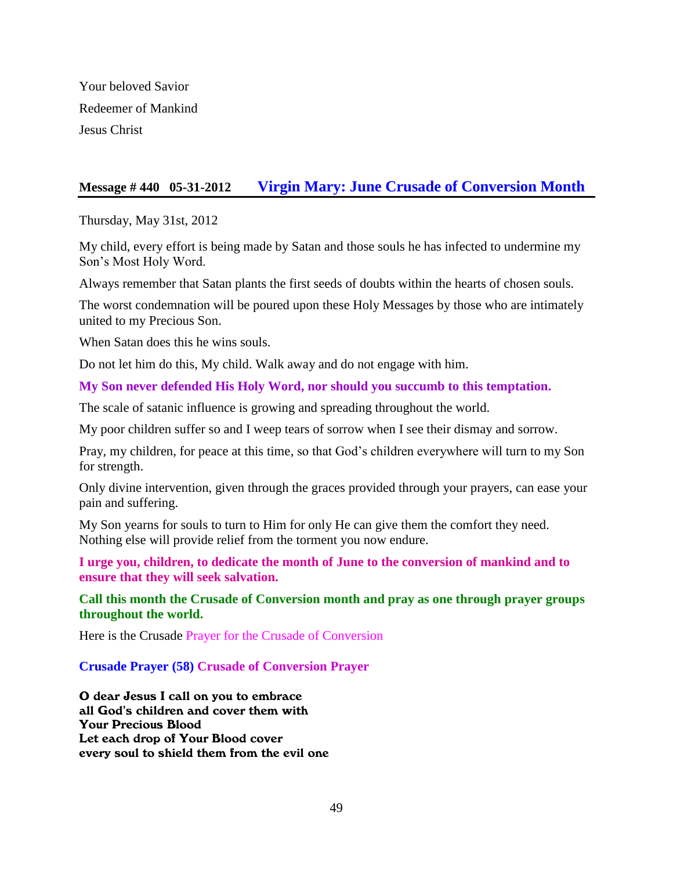Your beloved Savior Redeemer of Mankind Jesus Christ

## **Message # 440 05-31-2012 [Virgin Mary: June Crusade of Conversion Month](http://www.thewarningsecondcoming.com/virgin-mary-june-crusade-of-conversion-month/)**

Thursday, May 31st, 2012

My child, every effort is being made by Satan and those souls he has infected to undermine my Son's Most Holy Word.

Always remember that Satan plants the first seeds of doubts within the hearts of chosen souls.

The worst condemnation will be poured upon these Holy Messages by those who are intimately united to my Precious Son.

When Satan does this he wins souls.

Do not let him do this, My child. Walk away and do not engage with him.

**My Son never defended His Holy Word, nor should you succumb to this temptation.**

The scale of satanic influence is growing and spreading throughout the world.

My poor children suffer so and I weep tears of sorrow when I see their dismay and sorrow.

Pray, my children, for peace at this time, so that God's children everywhere will turn to my Son for strength.

Only divine intervention, given through the graces provided through your prayers, can ease your pain and suffering.

My Son yearns for souls to turn to Him for only He can give them the comfort they need. Nothing else will provide relief from the torment you now endure.

**I urge you, children, to dedicate the month of June to the conversion of mankind and to ensure that they will seek salvation.**

**Call this month the Crusade of Conversion month and pray as one through prayer groups throughout the world.**

Here is the Crusade Prayer for the Crusade of Conversion

### **Crusade Prayer (58) Crusade of Conversion Prayer**

O dear Jesus I call on you to embrace all God's children and cover them with Your Precious Blood Let each drop of Your Blood cover every soul to shield them from the evil one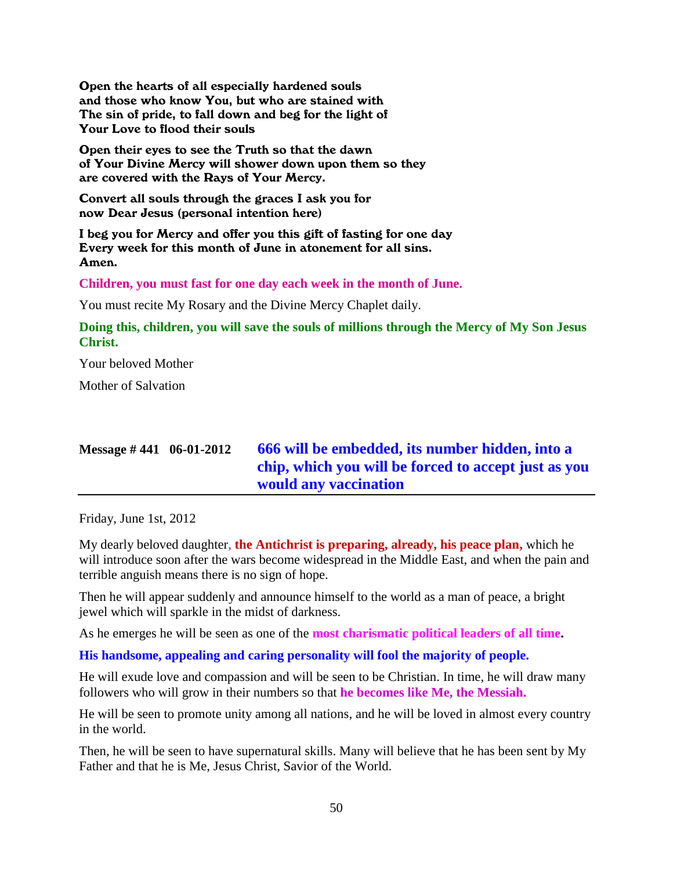Open the hearts of all especially hardened souls and those who know You, but who are stained with The sin of pride, to fall down and beg for the light of Your Love to flood their souls

Open their eyes to see the Truth so that the dawn of Your Divine Mercy will shower down upon them so they are covered with the Rays of Your Mercy.

Convert all souls through the graces I ask you for now Dear Jesus (personal intention here)

I beg you for Mercy and offer you this gift of fasting for one day Every week for this month of June in atonement for all sins. Amen.

**Children, you must fast for one day each week in the month of June.**

You must recite My Rosary and the Divine Mercy Chaplet daily.

**Doing this, children, you will save the souls of millions through the Mercy of My Son Jesus Christ.**

Your beloved Mother

Mother of Salvation

# **Message # 441 06-01-2012 [666 will be embedded, its number hidden, into a](http://www.thewarningsecondcoming.com/666-will-be-embedded-its-number-hidden-into-a-chip-which-you-will-be-forced-to-accept-just-as-you-would-any-vaccination/)  chip, [which you will be forced to accept just as you](http://www.thewarningsecondcoming.com/666-will-be-embedded-its-number-hidden-into-a-chip-which-you-will-be-forced-to-accept-just-as-you-would-any-vaccination/)  [would any vaccination](http://www.thewarningsecondcoming.com/666-will-be-embedded-its-number-hidden-into-a-chip-which-you-will-be-forced-to-accept-just-as-you-would-any-vaccination/)**

Friday, June 1st, 2012

My dearly beloved daughter, **the Antichrist is preparing, already, his peace plan,** which he will introduce soon after the wars become widespread in the Middle East, and when the pain and terrible anguish means there is no sign of hope.

Then he will appear suddenly and announce himself to the world as a man of peace, a bright jewel which will sparkle in the midst of darkness.

As he emerges he will be seen as one of the **most charismatic political leaders of all time.**

**His handsome, appealing and caring personality will fool the majority of people.**

He will exude love and compassion and will be seen to be Christian. In time, he will draw many followers who will grow in their numbers so that **he becomes like Me, the Messiah.**

He will be seen to promote unity among all nations, and he will be loved in almost every country in the world.

Then, he will be seen to have supernatural skills. Many will believe that he has been sent by My Father and that he is Me, Jesus Christ, Savior of the World.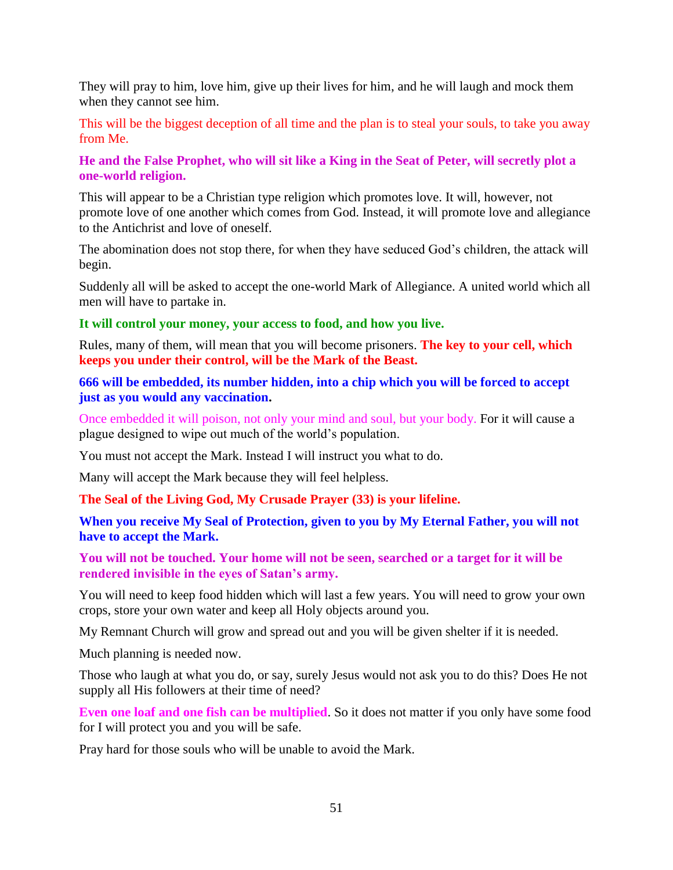They will pray to him, love him, give up their lives for him, and he will laugh and mock them when they cannot see him.

This will be the biggest deception of all time and the plan is to steal your souls, to take you away from Me.

### **He and the False Prophet, who will sit like a King in the Seat of Peter, will secretly plot a one-world religion.**

This will appear to be a Christian type religion which promotes love. It will, however, not promote love of one another which comes from God. Instead, it will promote love and allegiance to the Antichrist and love of oneself.

The abomination does not stop there, for when they have seduced God's children, the attack will begin.

Suddenly all will be asked to accept the one-world Mark of Allegiance. A united world which all men will have to partake in.

#### **It will control your money, your access to food, and how you live.**

Rules, many of them, will mean that you will become prisoners. **The key to your cell, which keeps you under their control, will be the Mark of the Beast.**

### **666 will be embedded, its number hidden, into a chip which you will be forced to accept just as you would any vaccination.**

Once embedded it will poison, not only your mind and soul, but your body. For it will cause a plague designed to wipe out much of the world's population.

You must not accept the Mark. Instead I will instruct you what to do.

Many will accept the Mark because they will feel helpless.

**[The Seal of the Living God, My Crusade Prayer \(33\) is your lifeline.](http://www.thewarningsecondcoming.com/crusade-prayer-33-rise-now-and-accept-the-seal-of-the-living-god/)**

**When you receive My Seal of Protection, given to you by My Eternal Father, you will not have to accept the Mark.**

#### **You will not be touched. Your home will not be seen, searched or a target for it will be rendered invisible in the eyes of Satan's army.**

You will need to keep food hidden which will last a few years. You will need to grow your own crops, store your own water and keep all Holy objects around you.

My Remnant Church will grow and spread out and you will be given shelter if it is needed.

Much planning is needed now.

Those who laugh at what you do, or say, surely Jesus would not ask you to do this? Does He not supply all His followers at their time of need?

**Even one loaf and one fish can be multiplied**. So it does not matter if you only have some food for I will protect you and you will be safe.

Pray hard for those souls who will be unable to avoid the Mark.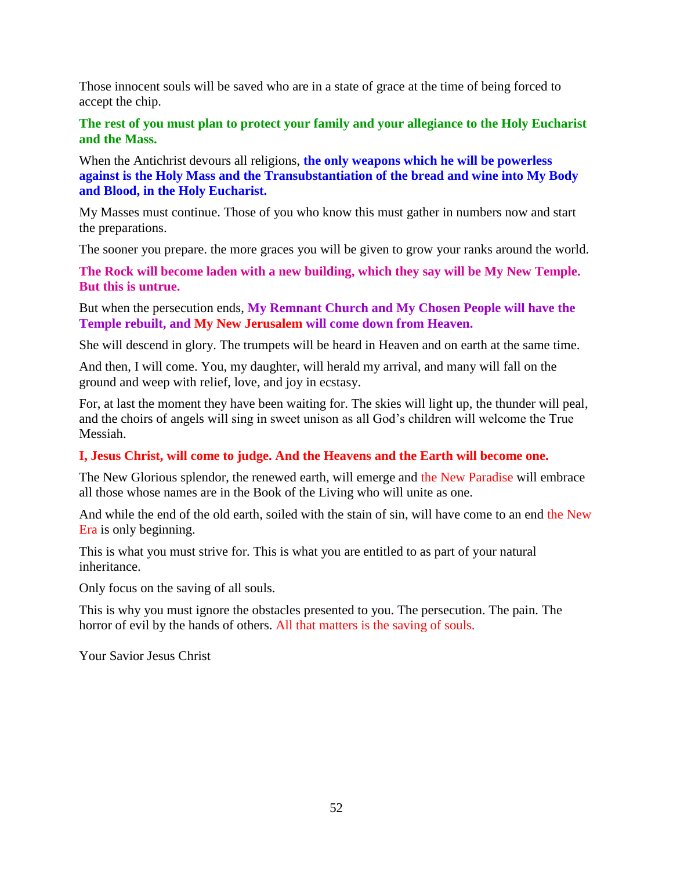Those innocent souls will be saved who are in a state of grace at the time of being forced to accept the chip.

### **The rest of you must plan to protect your family and your allegiance to the Holy Eucharist and the Mass.**

When the Antichrist devours all religions, **the only weapons which he will be powerless against is the Holy Mass and the Transubstantiation of the bread and wine into My Body and Blood, in the Holy Eucharist.**

My Masses must continue. Those of you who know this must gather in numbers now and start the preparations.

The sooner you prepare. the more graces you will be given to grow your ranks around the world.

**The Rock will become laden with a new building, which they say will be My New Temple. But this is untrue.**

But when the persecution ends, **My Remnant Church and My Chosen People will have the Temple rebuilt, and My New Jerusalem will come down from Heaven.**

She will descend in glory. The trumpets will be heard in Heaven and on earth at the same time.

And then, I will come. You, my daughter, will herald my arrival, and many will fall on the ground and weep with relief, love, and joy in ecstasy.

For, at last the moment they have been waiting for. The skies will light up, the thunder will peal, and the choirs of angels will sing in sweet unison as all God's children will welcome the True Messiah.

### **I, Jesus Christ, will come to judge. And the Heavens and the Earth will become one.**

The New Glorious splendor, the renewed earth, will emerge and the New Paradise will embrace all those whose names are in the Book of the Living who will unite as one.

And while the end of the old earth, soiled with the stain of sin, will have come to an end the New Era is only beginning.

This is what you must strive for. This is what you are entitled to as part of your natural inheritance.

Only focus on the saving of all souls.

This is why you must ignore the obstacles presented to you. The persecution. The pain. The horror of evil by the hands of others. All that matters is the saving of souls.

Your Savior Jesus Christ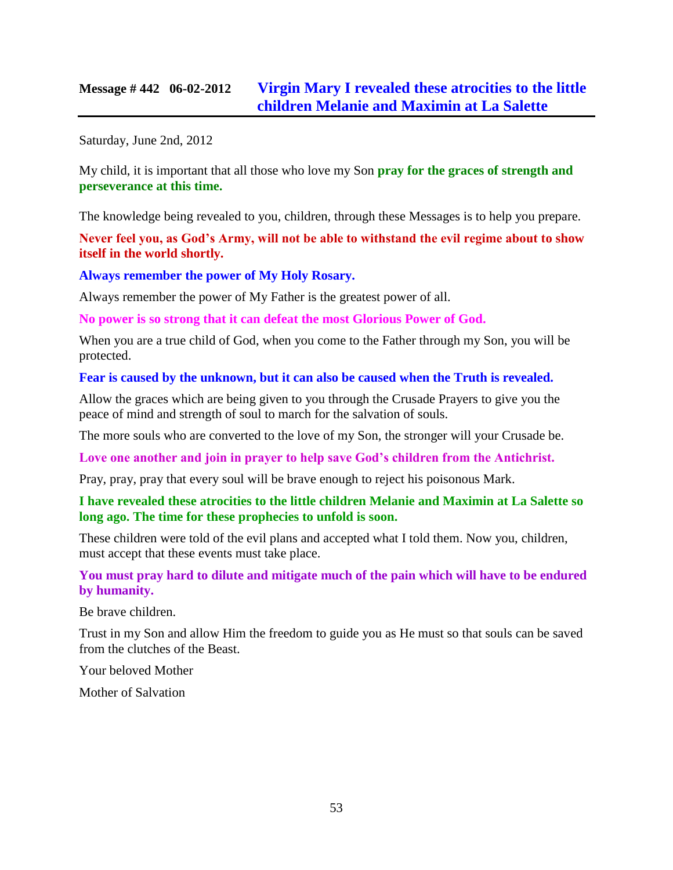# **Message # 442 06-02-2012 [Virgin Mary I revealed these atrocities to the little](http://www.thewarningsecondcoming.com/virgin-mary-i-have-revealed-these-atrocities-to-the-little-children-melanie-and-maximin-at-la-salette-so-long-ago/)  [children Melanie and Maximin at La Salette](http://www.thewarningsecondcoming.com/virgin-mary-i-have-revealed-these-atrocities-to-the-little-children-melanie-and-maximin-at-la-salette-so-long-ago/)**

Saturday, June 2nd, 2012

My child, it is important that all those who love my Son **pray for the graces of strength and perseverance at this time.**

The knowledge being revealed to you, children, through these Messages is to help you prepare.

**Never feel you, as God's Army, will not be able to withstand the evil regime about to show itself in the world shortly.**

**Always remember the power of My Holy Rosary.**

Always remember the power of My Father is the greatest power of all.

**No power is so strong that it can defeat the most Glorious Power of God.**

When you are a true child of God, when you come to the Father through my Son, you will be protected.

**Fear is caused by the unknown, but it can also be caused when the Truth is revealed.**

Allow the graces which are being given to you through the Crusade Prayers to give you the peace of mind and strength of soul to march for the salvation of souls.

The more souls who are converted to the love of my Son, the stronger will your Crusade be.

**Love one another and join in prayer to help save God's children from the Antichrist.**

Pray, pray, pray that every soul will be brave enough to reject his poisonous Mark.

**I have revealed these atrocities to the little children Melanie and Maximin at La Salette so long ago. The time for these prophecies to unfold is soon.**

These children were told of the evil plans and accepted what I told them. Now you, children, must accept that these events must take place.

**You must pray hard to dilute and mitigate much of the pain which will have to be endured by humanity.**

Be brave children.

Trust in my Son and allow Him the freedom to guide you as He must so that souls can be saved from the clutches of the Beast.

Your beloved Mother

Mother of Salvation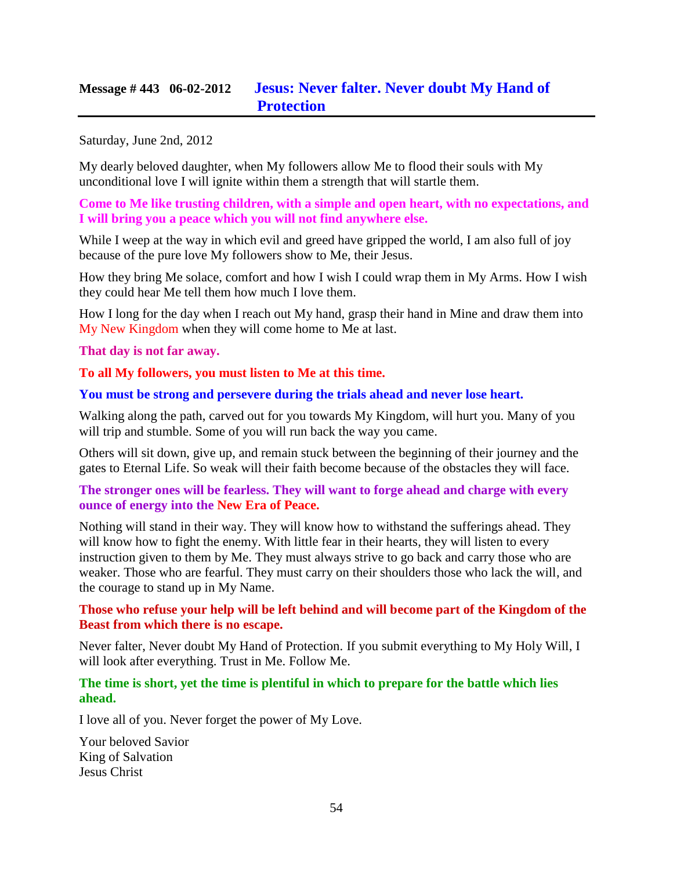# **Message # 443 06-02-2012 [Jesus: Never falter. Never doubt My Hand of](http://www.thewarningsecondcoming.com/jesus-never-falter-never-doubt-my-hand-of-protection/)  [Protection](http://www.thewarningsecondcoming.com/jesus-never-falter-never-doubt-my-hand-of-protection/)**

Saturday, June 2nd, 2012

My dearly beloved daughter, when My followers allow Me to flood their souls with My unconditional love I will ignite within them a strength that will startle them.

**Come to Me like trusting children, with a simple and open heart, with no expectations, and I will bring you a peace which you will not find anywhere else.**

While I weep at the way in which evil and greed have gripped the world, I am also full of joy because of the pure love My followers show to Me, their Jesus.

How they bring Me solace, comfort and how I wish I could wrap them in My Arms. How I wish they could hear Me tell them how much I love them.

How I long for the day when I reach out My hand, grasp their hand in Mine and draw them into My New Kingdom when they will come home to Me at last.

#### **That day is not far away.**

**To all My followers, you must listen to Me at this time.**

#### **You must be strong and persevere during the trials ahead and never lose heart.**

Walking along the path, carved out for you towards My Kingdom, will hurt you. Many of you will trip and stumble. Some of you will run back the way you came.

Others will sit down, give up, and remain stuck between the beginning of their journey and the gates to Eternal Life. So weak will their faith become because of the obstacles they will face.

#### **The stronger ones will be fearless. They will want to forge ahead and charge with every ounce of energy into the New Era of Peace.**

Nothing will stand in their way. They will know how to withstand the sufferings ahead. They will know how to fight the enemy. With little fear in their hearts, they will listen to every instruction given to them by Me. They must always strive to go back and carry those who are weaker. Those who are fearful. They must carry on their shoulders those who lack the will, and the courage to stand up in My Name.

### **Those who refuse your help will be left behind and will become part of the Kingdom of the Beast from which there is no escape.**

Never falter, Never doubt My Hand of Protection. If you submit everything to My Holy Will, I will look after everything. Trust in Me. Follow Me.

#### **The time is short, yet the time is plentiful in which to prepare for the battle which lies ahead.**

I love all of you. Never forget the power of My Love.

Your beloved Savior King of Salvation Jesus Christ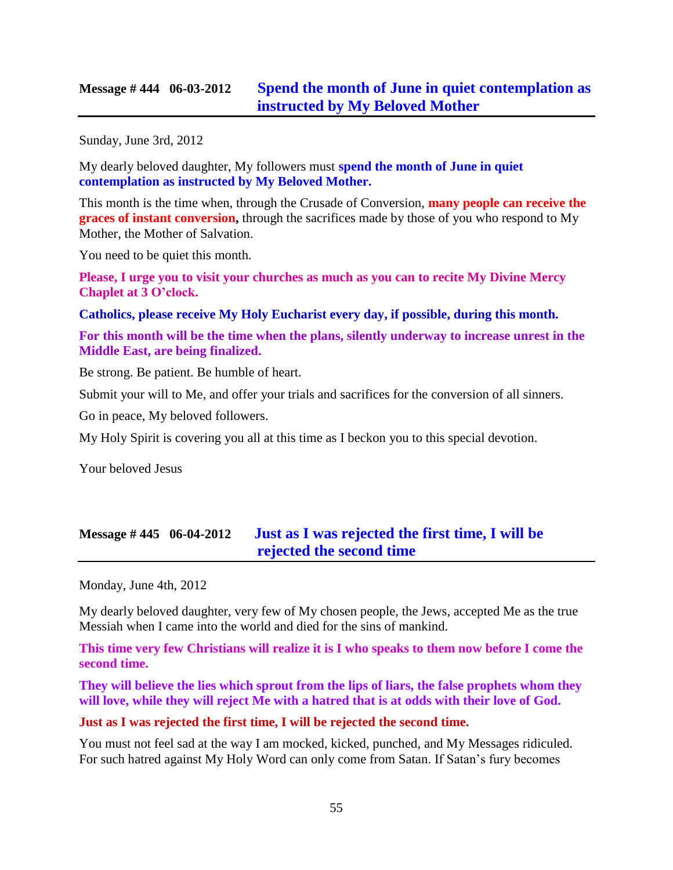## **Message # 444 06-03-2012 [Spend the month of June in quiet contemplation as](http://www.thewarningsecondcoming.com/spend-the-month-of-june-in-quiet-contemplation-as-instructed-by-my-beloved-mother/)  [instructed by My Beloved](http://www.thewarningsecondcoming.com/spend-the-month-of-june-in-quiet-contemplation-as-instructed-by-my-beloved-mother/) Mother**

Sunday, June 3rd, 2012

My dearly beloved daughter, My followers must **spend the month of June in quiet contemplation as instructed by My Beloved Mother.**

This month is the time when, through the Crusade of Conversion, **many people can receive the graces of instant conversion,** through the sacrifices made by those of you who respond to My Mother, the Mother of Salvation.

You need to be quiet this month.

**Please, I urge you to visit your churches as much as you can to recite My Divine Mercy Chaplet at 3 O'clock.**

**Catholics, please receive My Holy Eucharist every day, if possible, during this month.**

**For this month will be the time when the plans, silently underway to increase unrest in the Middle East, are being finalized.**

Be strong. Be patient. Be humble of heart.

Submit your will to Me, and offer your trials and sacrifices for the conversion of all sinners.

Go in peace, My beloved followers.

My Holy Spirit is covering you all at this time as I beckon you to this special devotion.

Your beloved Jesus

# **Message # 445 06-04-2012 [Just as I was rejected the first time, I will be](http://www.thewarningsecondcoming.com/just-as-i-was-rejected-the-first-time-i-will-be-rejected-the-second-time/)  [rejected the second time](http://www.thewarningsecondcoming.com/just-as-i-was-rejected-the-first-time-i-will-be-rejected-the-second-time/)**

Monday, June 4th, 2012

My dearly beloved daughter, very few of My chosen people, the Jews, accepted Me as the true Messiah when I came into the world and died for the sins of mankind.

**This time very few Christians will realize it is I who speaks to them now before I come the second time.**

**They will believe the lies which sprout from the lips of liars, the false prophets whom they will love, while they will reject Me with a hatred that is at odds with their love of God.**

#### **Just as I was rejected the first time, I will be rejected the second time.**

You must not feel sad at the way I am mocked, kicked, punched, and My Messages ridiculed. For such hatred against My Holy Word can only come from Satan. If Satan's fury becomes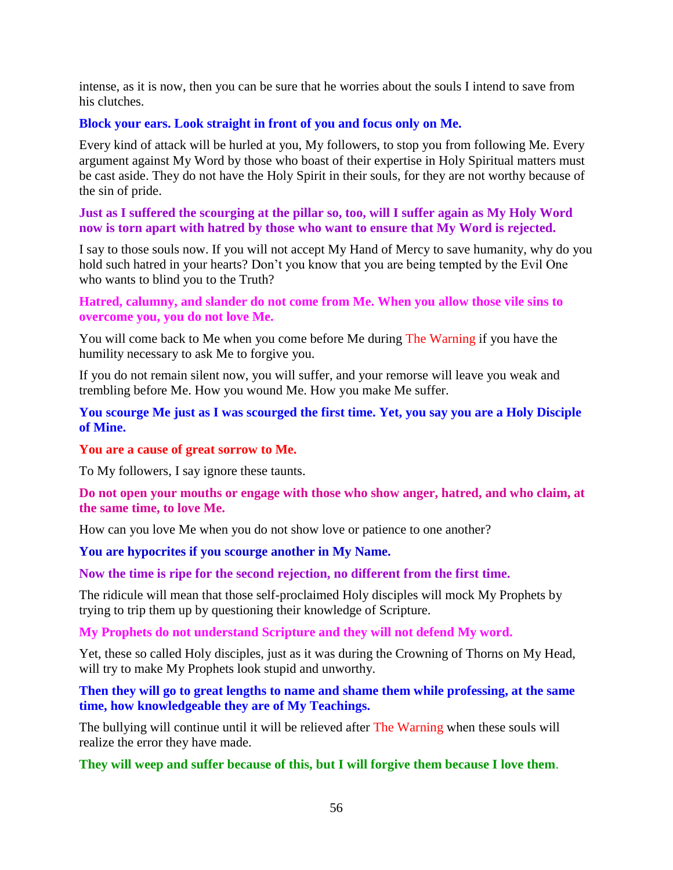intense, as it is now, then you can be sure that he worries about the souls I intend to save from his clutches.

### **Block your ears. Look straight in front of you and focus only on Me.**

Every kind of attack will be hurled at you, My followers, to stop you from following Me. Every argument against My Word by those who boast of their expertise in Holy Spiritual matters must be cast aside. They do not have the Holy Spirit in their souls, for they are not worthy because of the sin of pride.

**Just as I suffered the scourging at the pillar so, too, will I suffer again as My Holy Word now is torn apart with hatred by those who want to ensure that My Word is rejected.**

I say to those souls now. If you will not accept My Hand of Mercy to save humanity, why do you hold such hatred in your hearts? Don't you know that you are being tempted by the Evil One who wants to blind you to the Truth?

### **Hatred, calumny, and slander do not come from Me. When you allow those vile sins to overcome you, you do not love Me.**

You will come back to Me when you come before Me during The Warning if you have the humility necessary to ask Me to forgive you.

If you do not remain silent now, you will suffer, and your remorse will leave you weak and trembling before Me. How you wound Me. How you make Me suffer.

#### **You scourge Me just as I was scourged the first time. Yet, you say you are a Holy Disciple of Mine.**

#### **You are a cause of great sorrow to Me.**

To My followers, I say ignore these taunts.

**Do not open your mouths or engage with those who show anger, hatred, and who claim, at the same time, to love Me.**

How can you love Me when you do not show love or patience to one another?

#### **You are hypocrites if you scourge another in My Name.**

### **Now the time is ripe for the second rejection, no different from the first time.**

The ridicule will mean that those self-proclaimed Holy disciples will mock My Prophets by trying to trip them up by questioning their knowledge of Scripture.

**My Prophets do not understand Scripture and they will not defend My word.**

Yet, these so called Holy disciples, just as it was during the Crowning of Thorns on My Head, will try to make My Prophets look stupid and unworthy.

**Then they will go to great lengths to name and shame them while professing, at the same time, how knowledgeable they are of My Teachings.**

The bullying will continue until it will be relieved after The Warning when these souls will realize the error they have made.

#### **They will weep and suffer because of this, but I will forgive them because I love them**.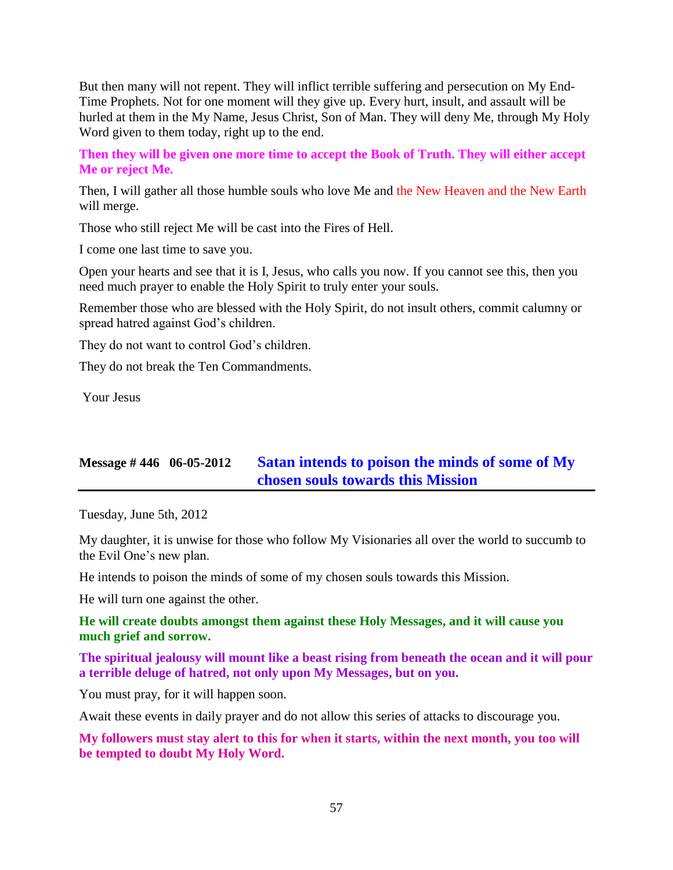But then many will not repent. They will inflict terrible suffering and persecution on My End-Time Prophets. Not for one moment will they give up. Every hurt, insult, and assault will be hurled at them in the My Name, Jesus Christ, Son of Man. They will deny Me, through My Holy Word given to them today, right up to the end.

**Then they will be given one more time to accept the Book of Truth. They will either accept Me or reject Me.**

Then, I will gather all those humble souls who love Me and the New Heaven and the New Earth will merge.

Those who still reject Me will be cast into the Fires of Hell.

I come one last time to save you.

Open your hearts and see that it is I, Jesus, who calls you now. If you cannot see this, then you need much prayer to enable the Holy Spirit to truly enter your souls.

Remember those who are blessed with the Holy Spirit, do not insult others, commit calumny or spread hatred against God's children.

They do not want to control God's children.

They do not break the Ten Commandments.

Your Jesus

# **Message # 446 06-05-2012 [Satan intends to poison the minds of some of My](http://www.thewarningsecondcoming.com/satan-intends-to-poison-the-minds-of-some-of-my-chosen-souls-towards-this-mission/)  [chosen souls towards this Mission](http://www.thewarningsecondcoming.com/satan-intends-to-poison-the-minds-of-some-of-my-chosen-souls-towards-this-mission/)**

Tuesday, June 5th, 2012

My daughter, it is unwise for those who follow My Visionaries all over the world to succumb to the Evil One's new plan.

He intends to poison the minds of some of my chosen souls towards this Mission.

He will turn one against the other.

#### **He will create doubts amongst them against these Holy Messages, and it will cause you much grief and sorrow.**

**The spiritual jealousy will mount like a beast rising from beneath the ocean and it will pour a terrible deluge of hatred, not only upon My Messages, but on you.**

You must pray, for it will happen soon.

Await these events in daily prayer and do not allow this series of attacks to discourage you.

**My followers must stay alert to this for when it starts, within the next month, you too will be tempted to doubt My Holy Word.**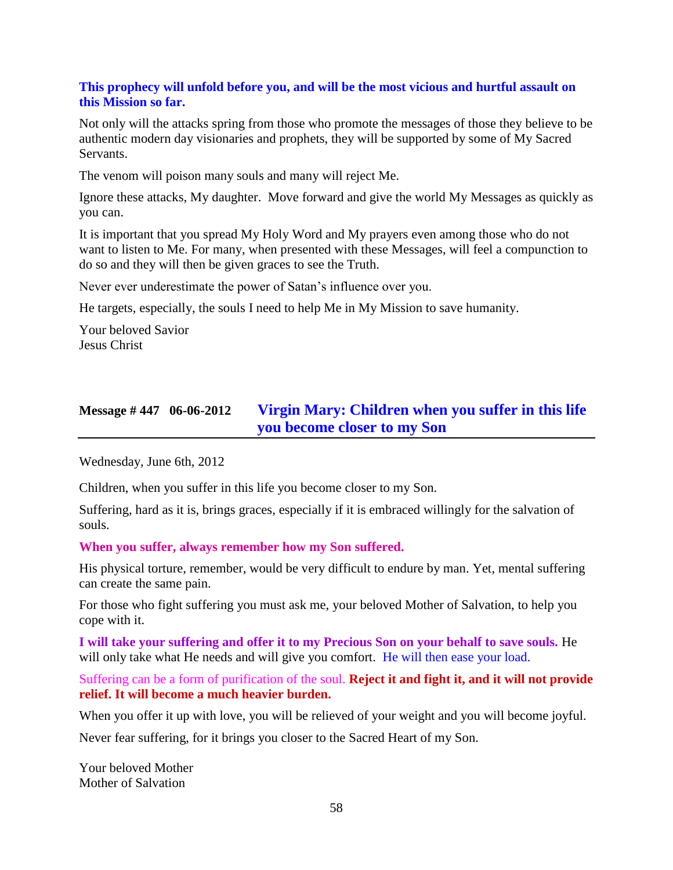### **This prophecy will unfold before you, and will be the most vicious and hurtful assault on this Mission so far.**

Not only will the attacks spring from those who promote the messages of those they believe to be authentic modern day visionaries and prophets, they will be supported by some of My Sacred Servants.

The venom will poison many souls and many will reject Me.

Ignore these attacks, My daughter. Move forward and give the world My Messages as quickly as you can.

It is important that you spread My Holy Word and My prayers even among those who do not want to listen to Me. For many, when presented with these Messages, will feel a compunction to do so and they will then be given graces to see the Truth.

Never ever underestimate the power of Satan's influence over you.

He targets, especially, the souls I need to help Me in My Mission to save humanity.

Your beloved Savior Jesus Christ

# **Message # 447 06-06-2012 [Virgin Mary: Children when you suffer in this life](http://www.thewarningsecondcoming.com/virgin-marychildren-when-you-suffer-in-this-life-you-become-closer-to-my-son/)  [you become closer to my Son](http://www.thewarningsecondcoming.com/virgin-marychildren-when-you-suffer-in-this-life-you-become-closer-to-my-son/)**

Wednesday, June 6th, 2012

Children, when you suffer in this life you become closer to my Son.

Suffering, hard as it is, brings graces, especially if it is embraced willingly for the salvation of souls.

**When you suffer, always remember how my Son suffered.**

His physical torture, remember, would be very difficult to endure by man. Yet, mental suffering can create the same pain.

For those who fight suffering you must ask me, your beloved Mother of Salvation, to help you cope with it.

**I will take your suffering and offer it to my Precious Son on your behalf to save souls.** He will only take what He needs and will give you comfort. He will then ease your load.

Suffering can be a form of purification of the soul. **Reject it and fight it, and it will not provide relief. It will become a much heavier burden.**

When you offer it up with love, you will be relieved of your weight and you will become joyful.

Never fear suffering, for it brings you closer to the Sacred Heart of my Son.

Your beloved Mother Mother of Salvation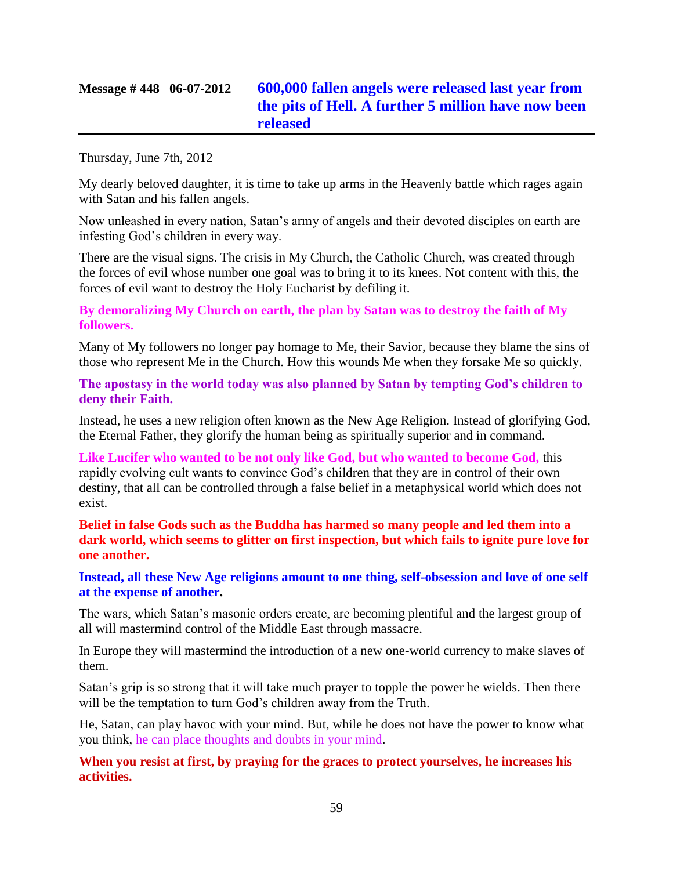# **Message # 448 06-07-2012 [600,000 fallen angels were released last year from](http://www.thewarningsecondcoming.com/600000-fallen-angels-were-released-last-year-from-the-pits-of-hell-a-further-5-million-have-now-been-released/)  [the pits of Hell. A further 5 million have now been](http://www.thewarningsecondcoming.com/600000-fallen-angels-were-released-last-year-from-the-pits-of-hell-a-further-5-million-have-now-been-released/)  [released](http://www.thewarningsecondcoming.com/600000-fallen-angels-were-released-last-year-from-the-pits-of-hell-a-further-5-million-have-now-been-released/)**

Thursday, June 7th, 2012

My dearly beloved daughter, it is time to take up arms in the Heavenly battle which rages again with Satan and his fallen angels.

Now unleashed in every nation, Satan's army of angels and their devoted disciples on earth are infesting God's children in every way.

There are the visual signs. The crisis in My Church, the Catholic Church, was created through the forces of evil whose number one goal was to bring it to its knees. Not content with this, the forces of evil want to destroy the Holy Eucharist by defiling it.

**By demoralizing My Church on earth, the plan by Satan was to destroy the faith of My followers.**

Many of My followers no longer pay homage to Me, their Savior, because they blame the sins of those who represent Me in the Church. How this wounds Me when they forsake Me so quickly.

**The apostasy in the world today was also planned by Satan by tempting God's children to deny their Faith.**

Instead, he uses a new religion often known as the New Age Religion. Instead of glorifying God, the Eternal Father, they glorify the human being as spiritually superior and in command.

**Like Lucifer who wanted to be not only like God, but who wanted to become God,** this rapidly evolving cult wants to convince God's children that they are in control of their own destiny, that all can be controlled through a false belief in a metaphysical world which does not exist.

**Belief in false Gods such as the Buddha has harmed so many people and led them into a dark world, which seems to glitter on first inspection, but which fails to ignite pure love for one another.**

**Instead, all these New Age religions amount to one thing, self-obsession and love of one self at the expense of another.**

The wars, which Satan's masonic orders create, are becoming plentiful and the largest group of all will mastermind control of the Middle East through massacre.

In Europe they will mastermind the introduction of a new one-world currency to make slaves of them.

Satan's grip is so strong that it will take much prayer to topple the power he wields. Then there will be the temptation to turn God's children away from the Truth.

He, Satan, can play havoc with your mind. But, while he does not have the power to know what you think, he can place thoughts and doubts in your mind.

**When you resist at first, by praying for the graces to protect yourselves, he increases his activities.**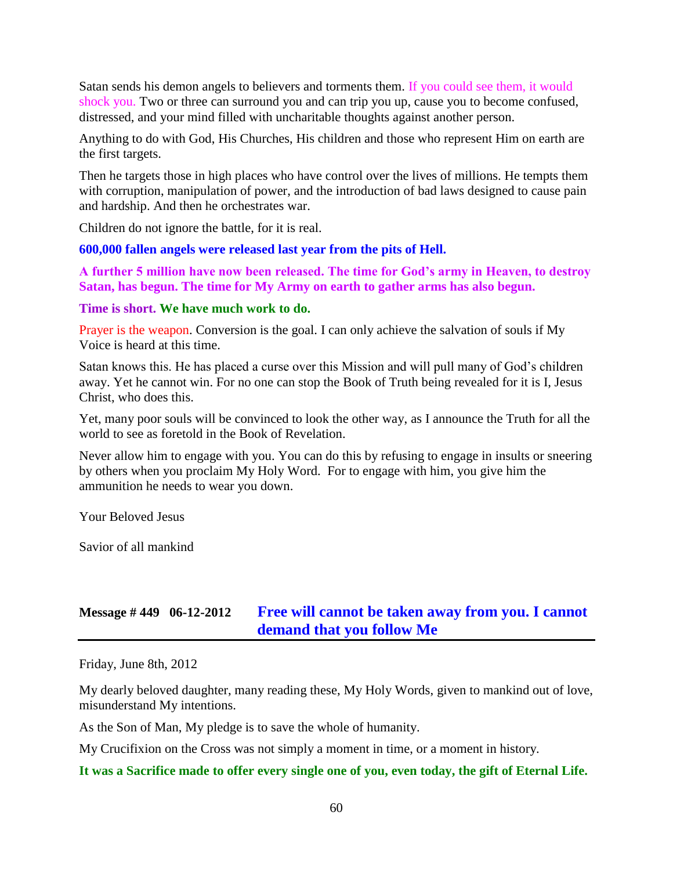Satan sends his demon angels to believers and torments them. If you could see them, it would shock you. Two or three can surround you and can trip you up, cause you to become confused, distressed, and your mind filled with uncharitable thoughts against another person.

Anything to do with God, His Churches, His children and those who represent Him on earth are the first targets.

Then he targets those in high places who have control over the lives of millions. He tempts them with corruption, manipulation of power, and the introduction of bad laws designed to cause pain and hardship. And then he orchestrates war.

Children do not ignore the battle, for it is real.

**600,000 fallen angels were released last year from the pits of Hell.**

**A further 5 million have now been released. The time for God's army in Heaven, to destroy Satan, has begun. The time for My Army on earth to gather arms has also begun.**

#### **Time is short. We have much work to do.**

Prayer is the weapon. Conversion is the goal. I can only achieve the salvation of souls if My Voice is heard at this time.

Satan knows this. He has placed a curse over this Mission and will pull many of God's children away. Yet he cannot win. For no one can stop the Book of Truth being revealed for it is I, Jesus Christ, who does this.

Yet, many poor souls will be convinced to look the other way, as I announce the Truth for all the world to see as foretold in the Book of Revelation.

Never allow him to engage with you. You can do this by refusing to engage in insults or sneering by others when you proclaim My Holy Word. For to engage with him, you give him the ammunition he needs to wear you down.

Your Beloved Jesus

Savior of all mankind

## **Message # 449 06-12-2012 [Free will cannot be taken away from you. I cannot](http://www.thewarningsecondcoming.com/free-will-cannot-be-taken-away-from-you-i-cannot-demand-that-you-follow-me/)  [demand that you follow Me](http://www.thewarningsecondcoming.com/free-will-cannot-be-taken-away-from-you-i-cannot-demand-that-you-follow-me/)**

Friday, June 8th, 2012

My dearly beloved daughter, many reading these, My Holy Words, given to mankind out of love, misunderstand My intentions.

As the Son of Man, My pledge is to save the whole of humanity.

My Crucifixion on the Cross was not simply a moment in time, or a moment in history.

#### **It was a Sacrifice made to offer every single one of you, even today, the gift of Eternal Life.**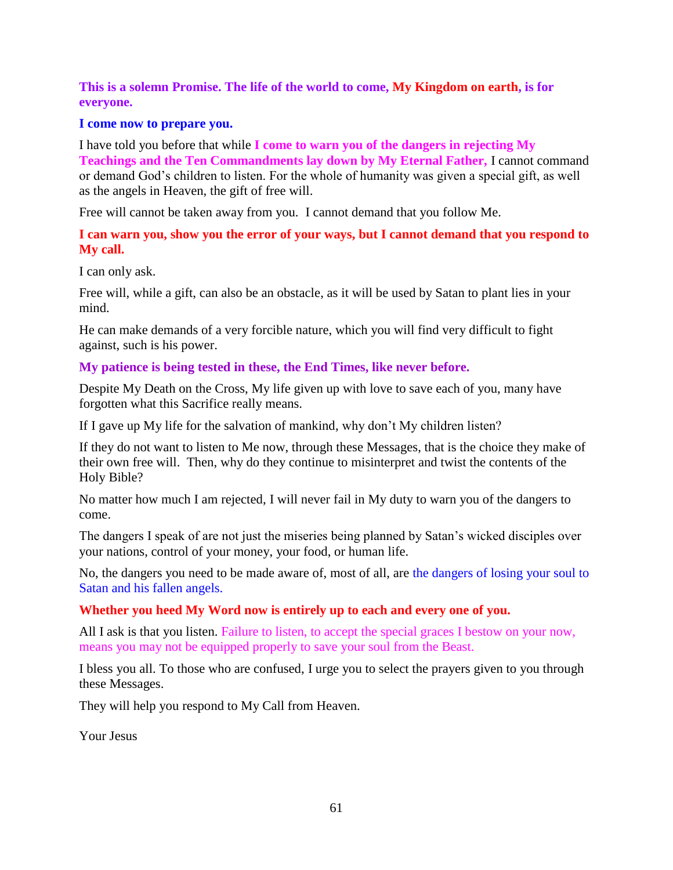**This is a solemn Promise. The life of the world to come, My Kingdom on earth, is for everyone.**

#### **I come now to prepare you.**

I have told you before that while **I come to warn you of the dangers in rejecting My Teachings and the Ten Commandments lay down by My Eternal Father,** I cannot command or demand God's children to listen. For the whole of humanity was given a special gift, as well as the angels in Heaven, the gift of free will.

Free will cannot be taken away from you. I cannot demand that you follow Me.

#### **I can warn you, show you the error of your ways, but I cannot demand that you respond to My call.**

I can only ask.

Free will, while a gift, can also be an obstacle, as it will be used by Satan to plant lies in your mind.

He can make demands of a very forcible nature, which you will find very difficult to fight against, such is his power.

### **My patience is being tested in these, the End Times, like never before.**

Despite My Death on the Cross, My life given up with love to save each of you, many have forgotten what this Sacrifice really means.

If I gave up My life for the salvation of mankind, why don't My children listen?

If they do not want to listen to Me now, through these Messages, that is the choice they make of their own free will. Then, why do they continue to misinterpret and twist the contents of the Holy Bible?

No matter how much I am rejected, I will never fail in My duty to warn you of the dangers to come.

The dangers I speak of are not just the miseries being planned by Satan's wicked disciples over your nations, control of your money, your food, or human life.

No, the dangers you need to be made aware of, most of all, are the dangers of losing your soul to Satan and his fallen angels.

### **Whether you heed My Word now is entirely up to each and every one of you.**

All I ask is that you listen. Failure to listen, to accept the special graces I bestow on your now, means you may not be equipped properly to save your soul from the Beast.

I bless you all. To those who are confused, I urge you to select the prayers given to you through these Messages.

They will help you respond to My Call from Heaven.

Your Jesus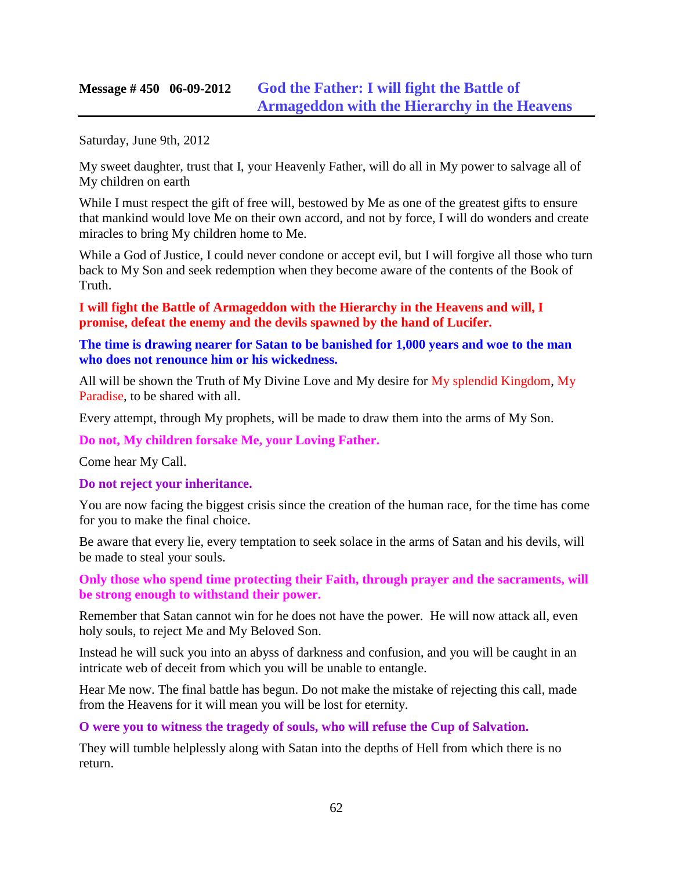### **Message # 450 06-09-2012 [God the Father: I will fight the Battle of](http://www.thewarningsecondcoming.com/god-the-father-i-will-fight-the-battle-of-armageddon-with-the-hierarchy-in-the-heavens/)  [Armageddon with the Hierarchy in the Heavens](http://www.thewarningsecondcoming.com/god-the-father-i-will-fight-the-battle-of-armageddon-with-the-hierarchy-in-the-heavens/)**

Saturday, June 9th, 2012

My sweet daughter, trust that I, your Heavenly Father, will do all in My power to salvage all of My children on earth

While I must respect the gift of free will, bestowed by Me as one of the greatest gifts to ensure that mankind would love Me on their own accord, and not by force, I will do wonders and create miracles to bring My children home to Me.

While a God of Justice, I could never condone or accept evil, but I will forgive all those who turn back to My Son and seek redemption when they become aware of the contents of the Book of Truth.

**I will fight the Battle of Armageddon with the Hierarchy in the Heavens and will, I promise, defeat the enemy and the devils spawned by the hand of Lucifer.**

#### **The time is drawing nearer for Satan to be banished for 1,000 years and woe to the man who does not renounce him or his wickedness.**

All will be shown the Truth of My Divine Love and My desire for My splendid Kingdom, My Paradise, to be shared with all.

Every attempt, through My prophets, will be made to draw them into the arms of My Son.

**Do not, My children forsake Me, your Loving Father.**

Come hear My Call.

**Do not reject your inheritance.**

You are now facing the biggest crisis since the creation of the human race, for the time has come for you to make the final choice.

Be aware that every lie, every temptation to seek solace in the arms of Satan and his devils, will be made to steal your souls.

**Only those who spend time protecting their Faith, through prayer and the sacraments, will be strong enough to withstand their power.**

Remember that Satan cannot win for he does not have the power. He will now attack all, even holy souls, to reject Me and My Beloved Son.

Instead he will suck you into an abyss of darkness and confusion, and you will be caught in an intricate web of deceit from which you will be unable to entangle.

Hear Me now. The final battle has begun. Do not make the mistake of rejecting this call, made from the Heavens for it will mean you will be lost for eternity.

**O were you to witness the tragedy of souls, who will refuse the Cup of Salvation.**

They will tumble helplessly along with Satan into the depths of Hell from which there is no return.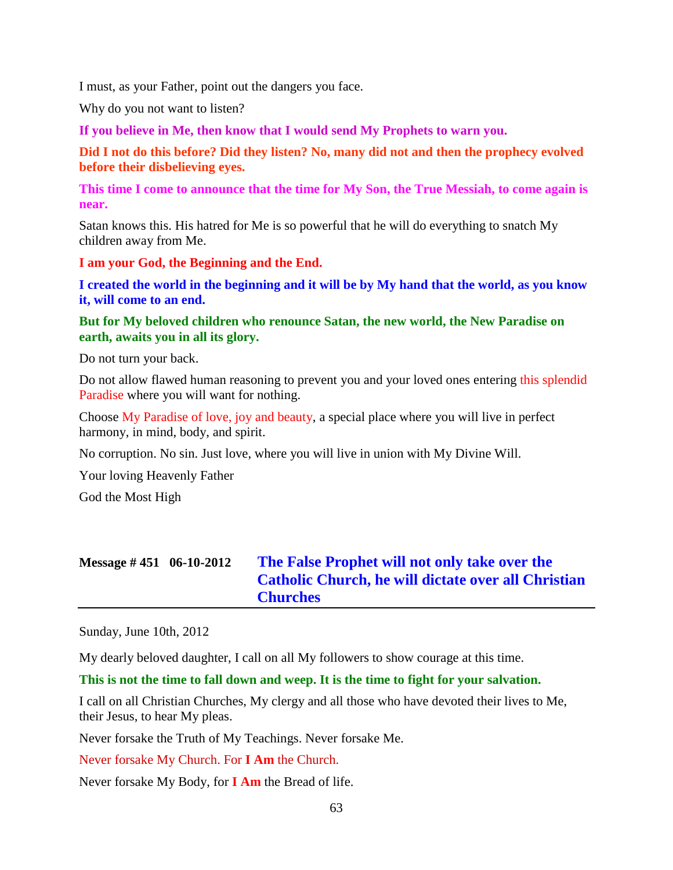I must, as your Father, point out the dangers you face.

Why do you not want to listen?

**If you believe in Me, then know that I would send My Prophets to warn you.**

**Did I not do this before? Did they listen? No, many did not and then the prophecy evolved before their disbelieving eyes.**

**This time I come to announce that the time for My Son, the True Messiah, to come again is near.**

Satan knows this. His hatred for Me is so powerful that he will do everything to snatch My children away from Me.

**I am your God, the Beginning and the End.**

**I created the world in the beginning and it will be by My hand that the world, as you know it, will come to an end.**

#### **But for My beloved children who renounce Satan, the new world, the New Paradise on earth, awaits you in all its glory.**

Do not turn your back.

Do not allow flawed human reasoning to prevent you and your loved ones entering this splendid Paradise where you will want for nothing.

Choose My Paradise of love, joy and beauty, a special place where you will live in perfect harmony, in mind, body, and spirit.

No corruption. No sin. Just love, where you will live in union with My Divine Will.

Your loving Heavenly Father

God the Most High

| Message $\#$ 451 06-10-2012 | The False Prophet will not only take over the<br><b>Catholic Church, he will dictate over all Christian</b><br><b>Churches</b> |
|-----------------------------|--------------------------------------------------------------------------------------------------------------------------------|
|-----------------------------|--------------------------------------------------------------------------------------------------------------------------------|

Sunday, June 10th, 2012

My dearly beloved daughter, I call on all My followers to show courage at this time.

**This is not the time to fall down and weep. It is the time to fight for your salvation.**

I call on all Christian Churches, My clergy and all those who have devoted their lives to Me, their Jesus, to hear My pleas.

Never forsake the Truth of My Teachings. Never forsake Me.

Never forsake My Church. For **I Am** the Church.

Never forsake My Body, for **I Am** the Bread of life.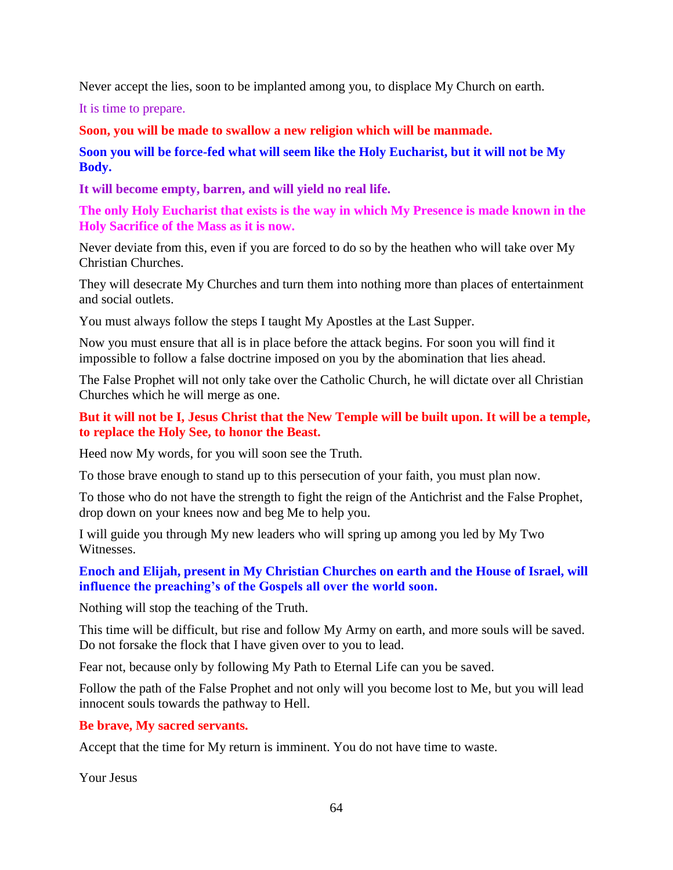Never accept the lies, soon to be implanted among you, to displace My Church on earth.

It is time to prepare.

**Soon, you will be made to swallow a new religion which will be manmade.**

**Soon you will be force-fed what will seem like the Holy Eucharist, but it will not be My Body.**

**It will become empty, barren, and will yield no real life.**

**The only Holy Eucharist that exists is the way in which My Presence is made known in the Holy Sacrifice of the Mass as it is now.**

Never deviate from this, even if you are forced to do so by the heathen who will take over My Christian Churches.

They will desecrate My Churches and turn them into nothing more than places of entertainment and social outlets.

You must always follow the steps I taught My Apostles at the Last Supper.

Now you must ensure that all is in place before the attack begins. For soon you will find it impossible to follow a false doctrine imposed on you by the abomination that lies ahead.

The False Prophet will not only take over the Catholic Church, he will dictate over all Christian Churches which he will merge as one.

### **But it will not be I, Jesus Christ that the New Temple will be built upon. It will be a temple, to replace the Holy See, to honor the Beast.**

Heed now My words, for you will soon see the Truth.

To those brave enough to stand up to this persecution of your faith, you must plan now.

To those who do not have the strength to fight the reign of the Antichrist and the False Prophet, drop down on your knees now and beg Me to help you.

I will guide you through My new leaders who will spring up among you led by My Two Witnesses.

### **Enoch and Elijah, present in My Christian Churches on earth and the House of Israel, will influence the preaching's of the Gospels all over the world soon.**

Nothing will stop the teaching of the Truth.

This time will be difficult, but rise and follow My Army on earth, and more souls will be saved. Do not forsake the flock that I have given over to you to lead.

Fear not, because only by following My Path to Eternal Life can you be saved.

Follow the path of the False Prophet and not only will you become lost to Me, but you will lead innocent souls towards the pathway to Hell.

#### **Be brave, My sacred servants.**

Accept that the time for My return is imminent. You do not have time to waste.

Your Jesus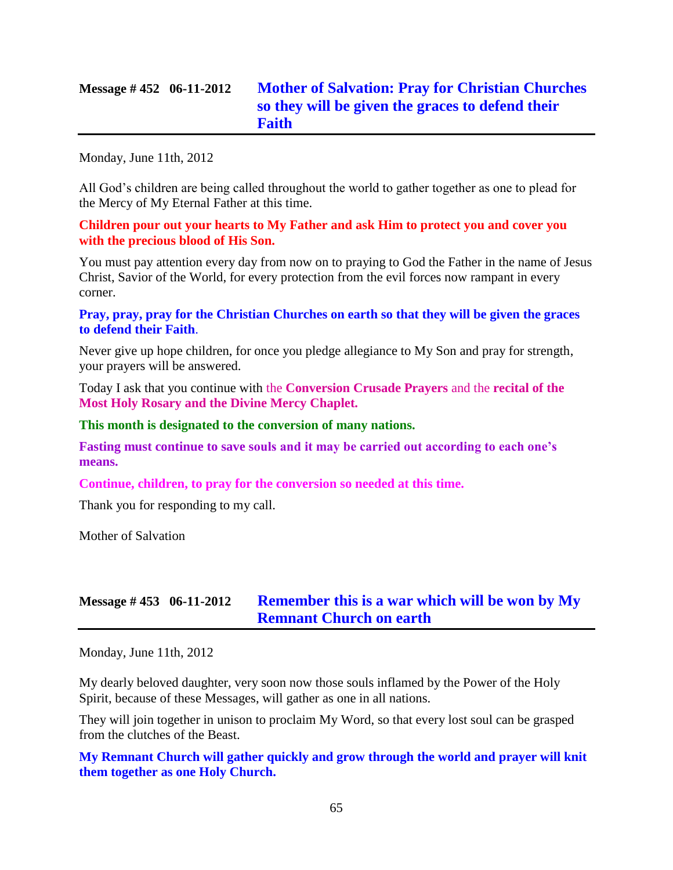# **Message # 452 06-11-2012 [Mother of Salvation: Pray for Christian Churches](http://www.thewarningsecondcoming.com/mother-of-salvation-pray-for-christian-churches-so-they-will-be-given-the-graces-to-defend-their-faith/)  [so they will be given the graces to defend their](http://www.thewarningsecondcoming.com/mother-of-salvation-pray-for-christian-churches-so-they-will-be-given-the-graces-to-defend-their-faith/)  [Faith](http://www.thewarningsecondcoming.com/mother-of-salvation-pray-for-christian-churches-so-they-will-be-given-the-graces-to-defend-their-faith/)**

Monday, June 11th, 2012

All God's children are being called throughout the world to gather together as one to plead for the Mercy of My Eternal Father at this time.

**Children pour out your hearts to My Father and ask Him to protect you and cover you with the precious blood of His Son.**

You must pay attention every day from now on to praying to God the Father in the name of Jesus Christ, Savior of the World, for every protection from the evil forces now rampant in every corner.

**Pray, pray, pray for the Christian Churches on earth so that they will be given the graces to defend their Faith**.

Never give up hope children, for once you pledge allegiance to My Son and pray for strength, your prayers will be answered.

Today I ask that you continue with the **Conversion Crusade Prayers** and the **recital of the Most Holy Rosary and the Divine Mercy Chaplet.**

**This month is designated to the conversion of many nations.**

**Fasting must continue to save souls and it may be carried out according to each one's means.**

**Continue, children, to pray for the conversion so needed at this time.**

Thank you for responding to my call.

Mother of Salvation

# **Message # 453 06-11-2012 [Remember this is a war which will be won by My](http://www.thewarningsecondcoming.com/remember-this-is-a-war-which-will-be-won-by-my-remnant-church-on-earth/)  [Remnant Church on earth](http://www.thewarningsecondcoming.com/remember-this-is-a-war-which-will-be-won-by-my-remnant-church-on-earth/)**

Monday, June 11th, 2012

My dearly beloved daughter, very soon now those souls inflamed by the Power of the Holy Spirit, because of these Messages, will gather as one in all nations.

They will join together in unison to proclaim My Word, so that every lost soul can be grasped from the clutches of the Beast.

**My Remnant Church will gather quickly and grow through the world and prayer will knit them together as one Holy Church.**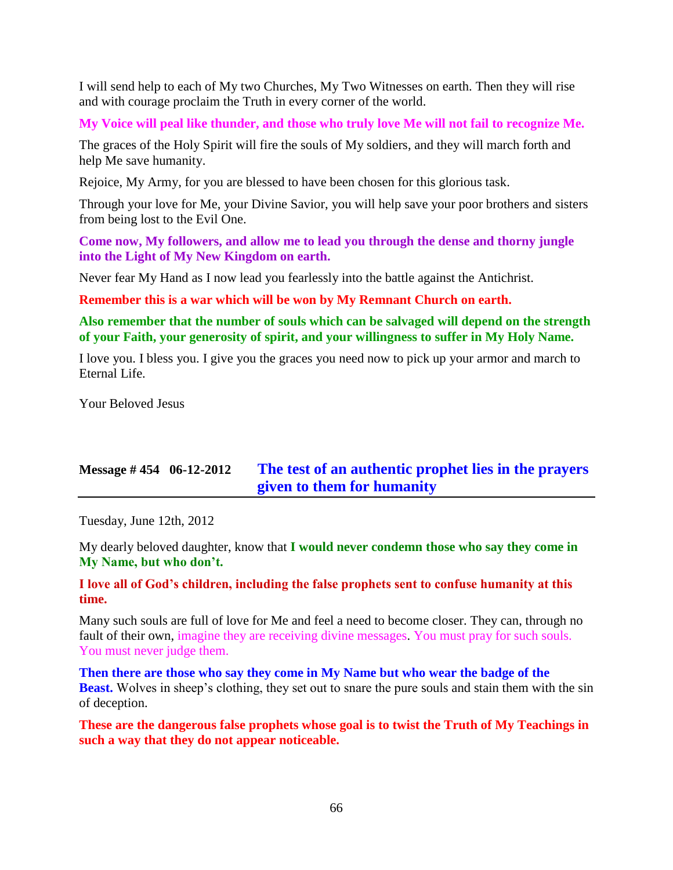I will send help to each of My two Churches, My Two Witnesses on earth. Then they will rise and with courage proclaim the Truth in every corner of the world.

**My Voice will peal like thunder, and those who truly love Me will not fail to recognize Me.**

The graces of the Holy Spirit will fire the souls of My soldiers, and they will march forth and help Me save humanity.

Rejoice, My Army, for you are blessed to have been chosen for this glorious task.

Through your love for Me, your Divine Savior, you will help save your poor brothers and sisters from being lost to the Evil One.

**Come now, My followers, and allow me to lead you through the dense and thorny jungle into the Light of My New Kingdom on earth.**

Never fear My Hand as I now lead you fearlessly into the battle against the Antichrist.

**Remember this is a war which will be won by My Remnant Church on earth.**

**Also remember that the number of souls which can be salvaged will depend on the strength of your Faith, your generosity of spirit, and your willingness to suffer in My Holy Name.**

I love you. I bless you. I give you the graces you need now to pick up your armor and march to Eternal Life.

Your Beloved Jesus

# **Message # 454 06-12-2012 [The test of an authentic prophet lies in the prayers](http://www.thewarningsecondcoming.com/the-test-of-an-authentic-prophet-lies-in-the-prayers-given-to-them-for-humanity/)  [given to them for humanity](http://www.thewarningsecondcoming.com/the-test-of-an-authentic-prophet-lies-in-the-prayers-given-to-them-for-humanity/)**

Tuesday, June 12th, 2012

My dearly beloved daughter, know that **I would never condemn those who say they come in My Name, but who don't.**

### **I love all of God's children, including the false prophets sent to confuse humanity at this time.**

Many such souls are full of love for Me and feel a need to become closer. They can, through no fault of their own, imagine they are receiving divine messages. You must pray for such souls. You must never judge them.

**Then there are those who say they come in My Name but who wear the badge of the Beast.** Wolves in sheep's clothing, they set out to snare the pure souls and stain them with the sin of deception.

**These are the dangerous false prophets whose goal is to twist the Truth of My Teachings in such a way that they do not appear noticeable.**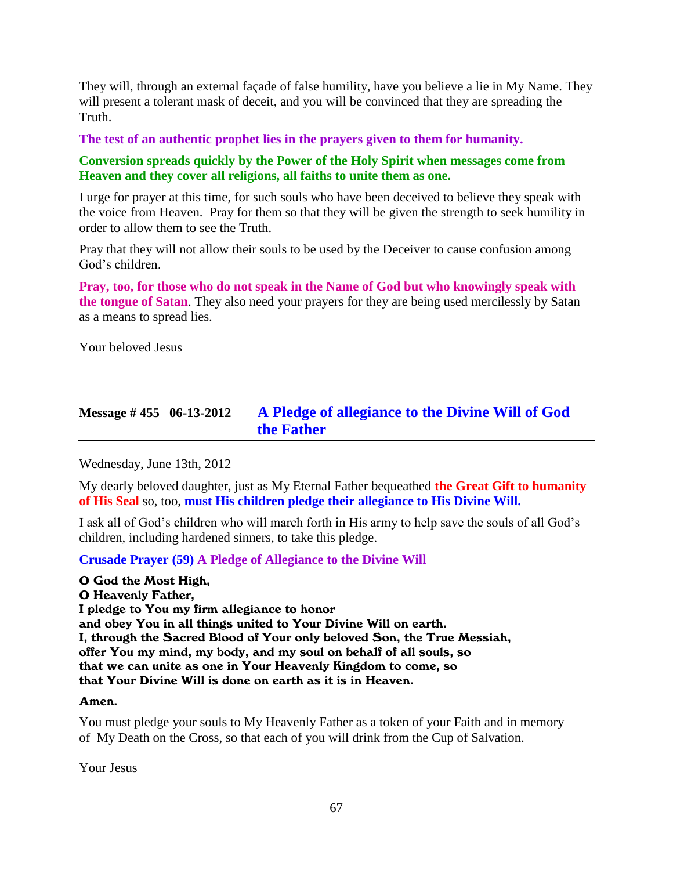They will, through an external façade of false humility, have you believe a lie in My Name. They will present a tolerant mask of deceit, and you will be convinced that they are spreading the Truth.

**The test of an authentic prophet lies in the prayers given to them for humanity.**

### **Conversion spreads quickly by the Power of the Holy Spirit when messages come from Heaven and they cover all religions, all faiths to unite them as one.**

I urge for prayer at this time, for such souls who have been deceived to believe they speak with the voice from Heaven. Pray for them so that they will be given the strength to seek humility in order to allow them to see the Truth.

Pray that they will not allow their souls to be used by the Deceiver to cause confusion among God's children.

**Pray, too, for those who do not speak in the Name of God but who knowingly speak with the tongue of Satan**. They also need your prayers for they are being used mercilessly by Satan as a means to spread lies.

Your beloved Jesus

# **Message # 455 06-13-2012 [A Pledge of allegiance to the Divine Will of God](http://www.thewarningsecondcoming.com/pledge-of-allegiance-to-the-divine-will-of-god-the-father/)  [the Father](http://www.thewarningsecondcoming.com/pledge-of-allegiance-to-the-divine-will-of-god-the-father/)**

Wednesday, June 13th, 2012

My dearly beloved daughter, just as My Eternal Father bequeathed **the Great Gift to humanity of His Seal** so, too, **must His children pledge their allegiance to His Divine Will.**

I ask all of God's children who will march forth in His army to help save the souls of all God's children, including hardened sinners, to take this pledge.

**Crusade Prayer (59) A Pledge of Allegiance to the Divine Will**

O God the Most High, O Heavenly Father, I pledge to You my firm allegiance to honor and obey You in all things united to Your Divine Will on earth. I, through the Sacred Blood of Your only beloved Son, the True Messiah, offer You my mind, my body, and my soul on behalf of all souls, so that we can unite as one in Your Heavenly Kingdom to come, so that Your Divine Will is done on earth as it is in Heaven.

#### Amen.

You must pledge your souls to My Heavenly Father as a token of your Faith and in memory of My Death on the Cross, so that each of you will drink from the Cup of Salvation.

Your Jesus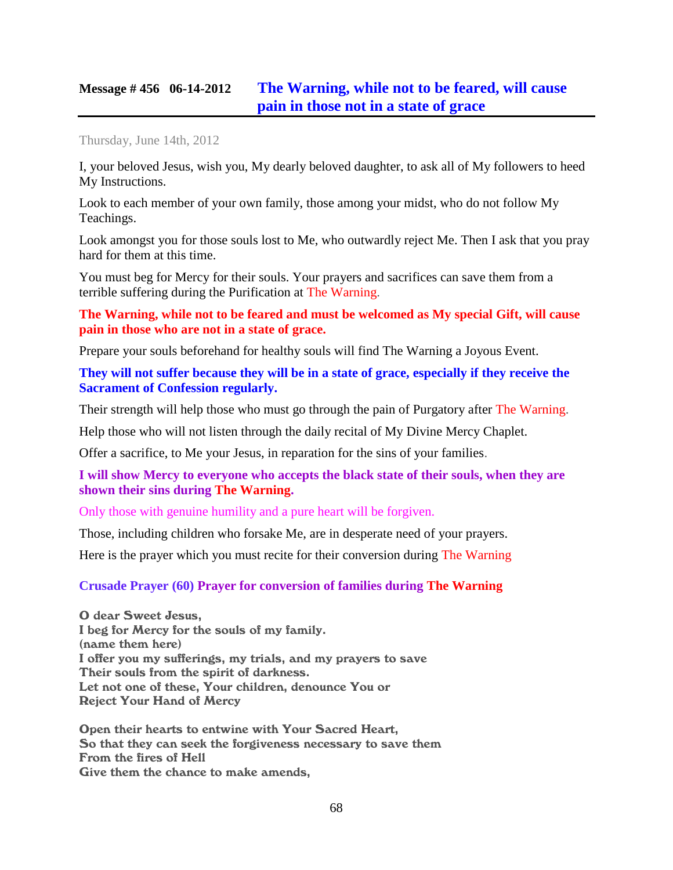## **Message # 456 06-14-2012 [The Warning, while not to be feared,](http://www.thewarningsecondcoming.com/the-warning-while-not-to-be-feared-will-cause-pain-in-those-not-in-a-state-of-grace/) will cause [pain in those not in a state of grace](http://www.thewarningsecondcoming.com/the-warning-while-not-to-be-feared-will-cause-pain-in-those-not-in-a-state-of-grace/)**

Thursday, June 14th, 2012

I, your beloved Jesus, wish you, My dearly beloved daughter, to ask all of My followers to heed My Instructions.

Look to each member of your own family, those among your midst, who do not follow My Teachings.

Look amongst you for those souls lost to Me, who outwardly reject Me. Then I ask that you pray hard for them at this time.

You must beg for Mercy for their souls. Your prayers and sacrifices can save them from a terrible suffering during the Purification at The Warning.

**The Warning, while not to be feared and must be welcomed as My special Gift, will cause pain in those who are not in a state of grace.**

Prepare your souls beforehand for healthy souls will find The Warning a Joyous Event.

**They will not suffer because they will be in a state of grace, especially if they receive the Sacrament of Confession regularly.**

Their strength will help those who must go through the pain of Purgatory after The Warning.

Help those who will not listen through the daily recital of My Divine Mercy Chaplet.

Offer a sacrifice, to Me your Jesus, in reparation for the sins of your families.

#### **I will show Mercy to everyone who accepts the black state of their souls, when they are shown their sins during The Warning.**

Only those with genuine humility and a pure heart will be forgiven.

Those, including children who forsake Me, are in desperate need of your prayers.

Here is the prayer which you must recite for their conversion during The Warning

#### **Crusade Prayer (60) Prayer for conversion of families during The Warning**

O dear Sweet Jesus, I beg for Mercy for the souls of my family. (name them here) I offer you my sufferings, my trials, and my prayers to save Their souls from the spirit of darkness. Let not one of these, Your children, denounce You or Reject Your Hand of Mercy

Open their hearts to entwine with Your Sacred Heart, So that they can seek the forgiveness necessary to save them From the fires of Hell Give them the chance to make amends,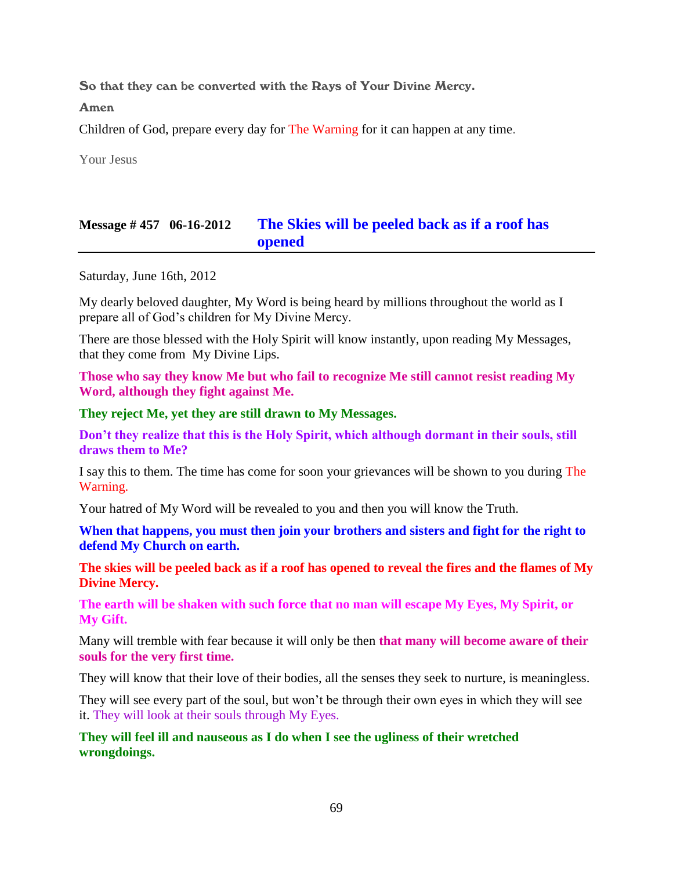So that they can be converted with the Rays of Your Divine Mercy.

Amen

Children of God, prepare every day for The Warning for it can happen at any time.

Your Jesus

# **Message # 457 06-16-2012 [The Skies will be peeled back as if a roof has](http://www.thewarningsecondcoming.com/the-skies-will-be-peeled-back-as-if-a-roof-has-opened/)  [opened](http://www.thewarningsecondcoming.com/the-skies-will-be-peeled-back-as-if-a-roof-has-opened/)**

Saturday, June 16th, 2012

My dearly beloved daughter, My Word is being heard by millions throughout the world as I prepare all of God's children for My Divine Mercy.

There are those blessed with the Holy Spirit will know instantly, upon reading My Messages, that they come from My Divine Lips.

**Those who say they know Me but who fail to recognize Me still cannot resist reading My Word, although they fight against Me.**

**They reject Me, yet they are still drawn to My Messages.**

**Don't they realize that this is the Holy Spirit, which although dormant in their souls, still draws them to Me?**

I say this to them. The time has come for soon your grievances will be shown to you during The Warning.

Your hatred of My Word will be revealed to you and then you will know the Truth.

**When that happens, you must then join your brothers and sisters and fight for the right to defend My Church on earth.**

**The skies will be peeled back as if a roof has opened to reveal the fires and the flames of My Divine Mercy.**

**The earth will be shaken with such force that no man will escape My Eyes, My Spirit, or My Gift.**

Many will tremble with fear because it will only be then **that many will become aware of their souls for the very first time.**

They will know that their love of their bodies, all the senses they seek to nurture, is meaningless.

They will see every part of the soul, but won't be through their own eyes in which they will see it. They will look at their souls through My Eyes.

**They will feel ill and nauseous as I do when I see the ugliness of their wretched wrongdoings.**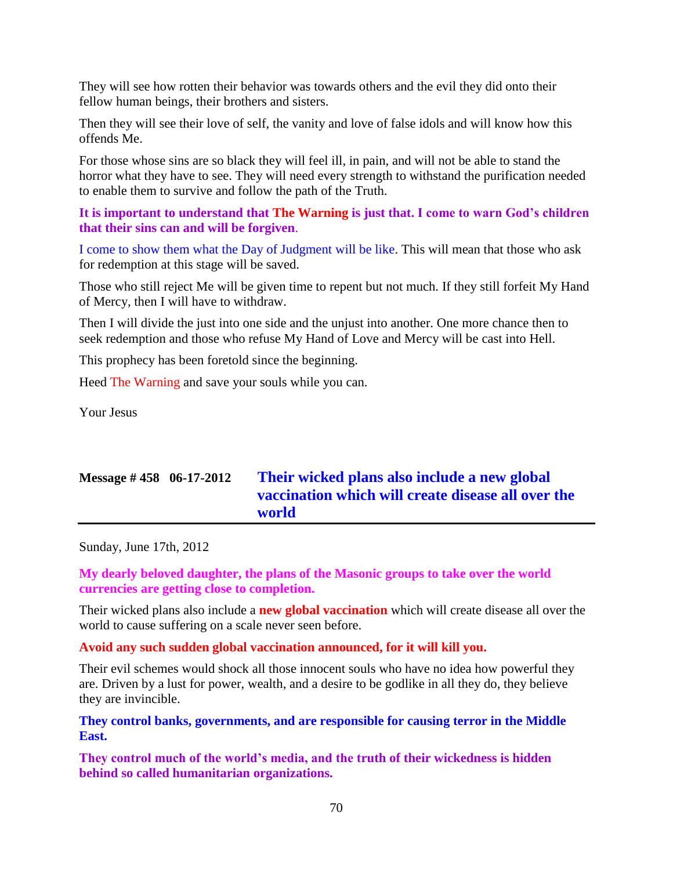They will see how rotten their behavior was towards others and the evil they did onto their fellow human beings, their brothers and sisters.

Then they will see their love of self, the vanity and love of false idols and will know how this offends Me.

For those whose sins are so black they will feel ill, in pain, and will not be able to stand the horror what they have to see. They will need every strength to withstand the purification needed to enable them to survive and follow the path of the Truth.

**It is important to understand that The Warning is just that. I come to warn God's children that their sins can and will be forgiven**.

I come to show them what the Day of Judgment will be like. This will mean that those who ask for redemption at this stage will be saved.

Those who still reject Me will be given time to repent but not much. If they still forfeit My Hand of Mercy, then I will have to withdraw.

Then I will divide the just into one side and the unjust into another. One more chance then to seek redemption and those who refuse My Hand of Love and Mercy will be cast into Hell.

This prophecy has been foretold since the beginning.

Heed The Warning and save your souls while you can.

Your Jesus

# **Message # 458 06-17-2012 [Their wicked plans also include a new global](http://www.thewarningsecondcoming.com/their-wicked-plans-also-include-a-new-global-vaccination-which-will-create-disease-all-over-the-world/)  [vaccination which will create disease all over the](http://www.thewarningsecondcoming.com/their-wicked-plans-also-include-a-new-global-vaccination-which-will-create-disease-all-over-the-world/)  [world](http://www.thewarningsecondcoming.com/their-wicked-plans-also-include-a-new-global-vaccination-which-will-create-disease-all-over-the-world/)**

Sunday, June 17th, 2012

**My dearly beloved daughter, the plans of the Masonic groups to take over the world currencies are getting close to completion.**

Their wicked plans also include a **new global vaccination** which will create disease all over the world to cause suffering on a scale never seen before.

**Avoid any such sudden global vaccination announced, for it will kill you.**

Their evil schemes would shock all those innocent souls who have no idea how powerful they are. Driven by a lust for power, wealth, and a desire to be godlike in all they do, they believe they are invincible.

**They control banks, governments, and are responsible for causing terror in the Middle East.**

**They control much of the world's media, and the truth of their wickedness is hidden behind so called humanitarian organizations.**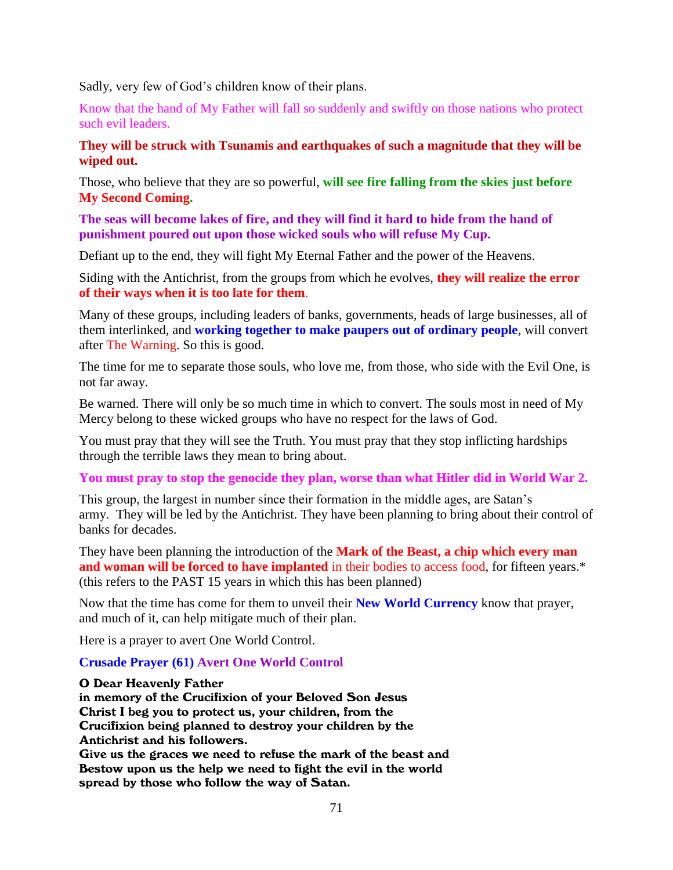Sadly, very few of God's children know of their plans.

Know that the hand of My Father will fall so suddenly and swiftly on those nations who protect such evil leaders.

**They will be struck with Tsunamis and earthquakes of such a magnitude that they will be wiped out.**

Those, who believe that they are so powerful, **will see fire falling from the skies just before My Second Coming.**

**The seas will become lakes of fire, and they will find it hard to hide from the hand of punishment poured out upon those wicked souls who will refuse My Cup.**

Defiant up to the end, they will fight My Eternal Father and the power of the Heavens.

Siding with the Antichrist, from the groups from which he evolves, **they will realize the error of their ways when it is too late for them**.

Many of these groups, including leaders of banks, governments, heads of large businesses, all of them interlinked, and **working together to make paupers out of ordinary people**, will convert after The Warning. So this is good.

The time for me to separate those souls, who love me, from those, who side with the Evil One, is not far away.

Be warned. There will only be so much time in which to convert. The souls most in need of My Mercy belong to these wicked groups who have no respect for the laws of God.

You must pray that they will see the Truth. You must pray that they stop inflicting hardships through the terrible laws they mean to bring about.

**You must pray to stop the genocide they plan, worse than what Hitler did in World War 2.**

This group, the largest in number since their formation in the middle ages, are Satan's army. They will be led by the Antichrist. They have been planning to bring about their control of banks for decades.

They have been planning the introduction of the **Mark of the Beast, a chip which every man and woman will be forced to have implanted** in their bodies to access food, for fifteen years.\* (this refers to the PAST 15 years in which this has been planned)

Now that the time has come for them to unveil their **New World Currency** know that prayer, and much of it, can help mitigate much of their plan.

Here is a prayer to avert One World Control.

#### **Crusade Prayer (61) Avert One World Control**

#### O Dear Heavenly Father

in memory of the Crucifixion of your Beloved Son Jesus Christ I beg you to protect us, your children, from the Crucifixion being planned to destroy your children by the Antichrist and his followers.

Give us the graces we need to refuse the mark of the beast and Bestow upon us the help we need to fight the evil in the world spread by those who follow the way of Satan.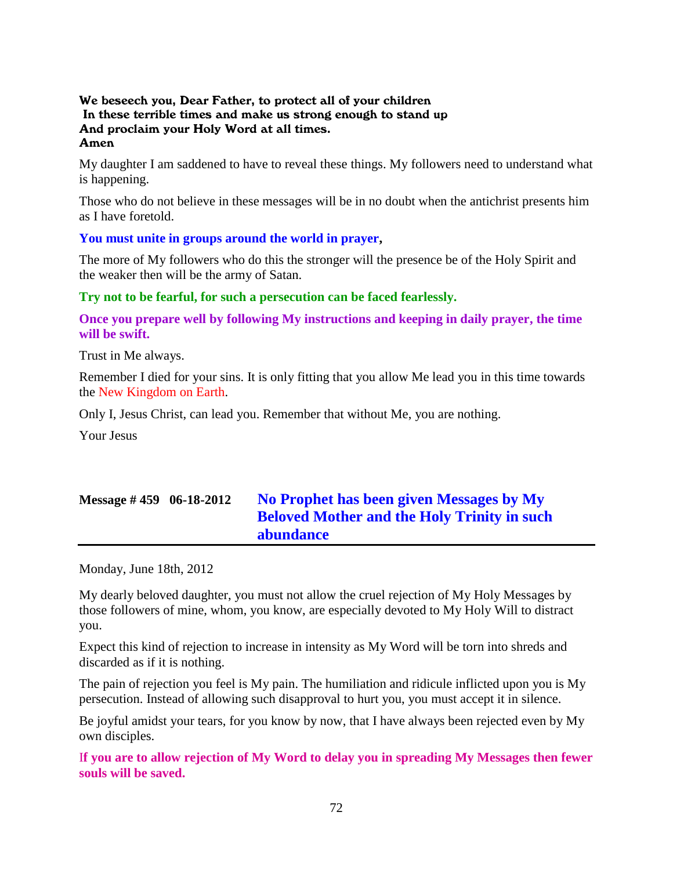#### We beseech you, Dear Father, to protect all of your children In these terrible times and make us strong enough to stand up And proclaim your Holy Word at all times. Amen

My daughter I am saddened to have to reveal these things. My followers need to understand what is happening.

Those who do not believe in these messages will be in no doubt when the antichrist presents him as I have foretold.

#### **You must unite in groups around the world in prayer,**

The more of My followers who do this the stronger will the presence be of the Holy Spirit and the weaker then will be the army of Satan.

#### **Try not to be fearful, for such a persecution can be faced fearlessly.**

**Once you prepare well by following My instructions and keeping in daily prayer, the time will be swift.**

Trust in Me always.

Remember I died for your sins. It is only fitting that you allow Me lead you in this time towards the New Kingdom on Earth.

Only I, Jesus Christ, can lead you. Remember that without Me, you are nothing.

Your Jesus

# **Message # 459 06-18-2012 [No Prophet has been given Messages by My](http://www.thewarningsecondcoming.com/no-prophet-has-been-given-messages-by-my-beloved-mother-and-the-holy-trinity-in-such-abundance/)  [Beloved Mother and the Holy Trinity in such](http://www.thewarningsecondcoming.com/no-prophet-has-been-given-messages-by-my-beloved-mother-and-the-holy-trinity-in-such-abundance/)  [abundance](http://www.thewarningsecondcoming.com/no-prophet-has-been-given-messages-by-my-beloved-mother-and-the-holy-trinity-in-such-abundance/)**

Monday, June 18th, 2012

My dearly beloved daughter, you must not allow the cruel rejection of My Holy Messages by those followers of mine, whom, you know, are especially devoted to My Holy Will to distract you.

Expect this kind of rejection to increase in intensity as My Word will be torn into shreds and discarded as if it is nothing.

The pain of rejection you feel is My pain. The humiliation and ridicule inflicted upon you is My persecution. Instead of allowing such disapproval to hurt you, you must accept it in silence.

Be joyful amidst your tears, for you know by now, that I have always been rejected even by My own disciples.

I**f you are to allow rejection of My Word to delay you in spreading My Messages then fewer souls will be saved.**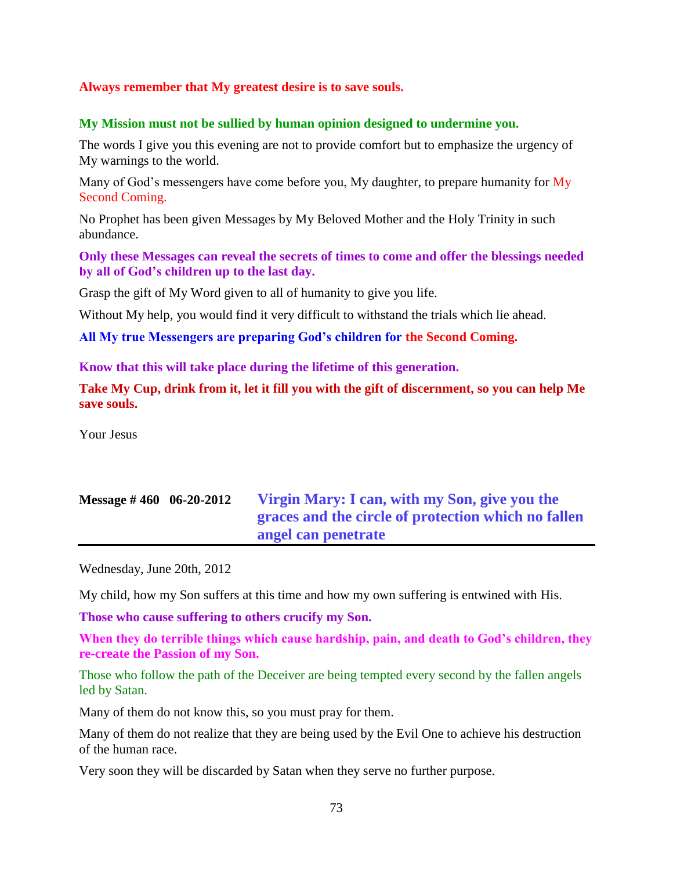#### **Always remember that My greatest desire is to save souls.**

#### **My Mission must not be sullied by human opinion designed to undermine you.**

The words I give you this evening are not to provide comfort but to emphasize the urgency of My warnings to the world.

Many of God's messengers have come before you, My daughter, to prepare humanity for My Second Coming.

No Prophet has been given Messages by My Beloved Mother and the Holy Trinity in such abundance.

**Only these Messages can reveal the secrets of times to come and offer the blessings needed by all of God's children up to the last day.**

Grasp the gift of My Word given to all of humanity to give you life.

Without My help, you would find it very difficult to withstand the trials which lie ahead.

**All My true Messengers are preparing God's children for the Second Coming.**

**Know that this will take place during the lifetime of this generation.**

**Take My Cup, drink from it, let it fill you with the gift of discernment, so you can help Me save souls.**

Your Jesus

# **Message # 460 06-20-2012 [Virgin Mary: I can, with my Son, give you the](http://www.thewarningsecondcoming.com/virgin-mary-i-can-with-my-son-give-you-the-graces-and-the-circle-of-protection-which-no-fallen-angel-can-penetrate/)  [graces and the circle of protection which no fallen](http://www.thewarningsecondcoming.com/virgin-mary-i-can-with-my-son-give-you-the-graces-and-the-circle-of-protection-which-no-fallen-angel-can-penetrate/)  [angel can penetrate](http://www.thewarningsecondcoming.com/virgin-mary-i-can-with-my-son-give-you-the-graces-and-the-circle-of-protection-which-no-fallen-angel-can-penetrate/)**

Wednesday, June 20th, 2012

My child, how my Son suffers at this time and how my own suffering is entwined with His.

**Those who cause suffering to others crucify my Son.**

**When they do terrible things which cause hardship, pain, and death to God's children, they re-create the Passion of my Son.**

Those who follow the path of the Deceiver are being tempted every second by the fallen angels led by Satan.

Many of them do not know this, so you must pray for them.

Many of them do not realize that they are being used by the Evil One to achieve his destruction of the human race.

Very soon they will be discarded by Satan when they serve no further purpose.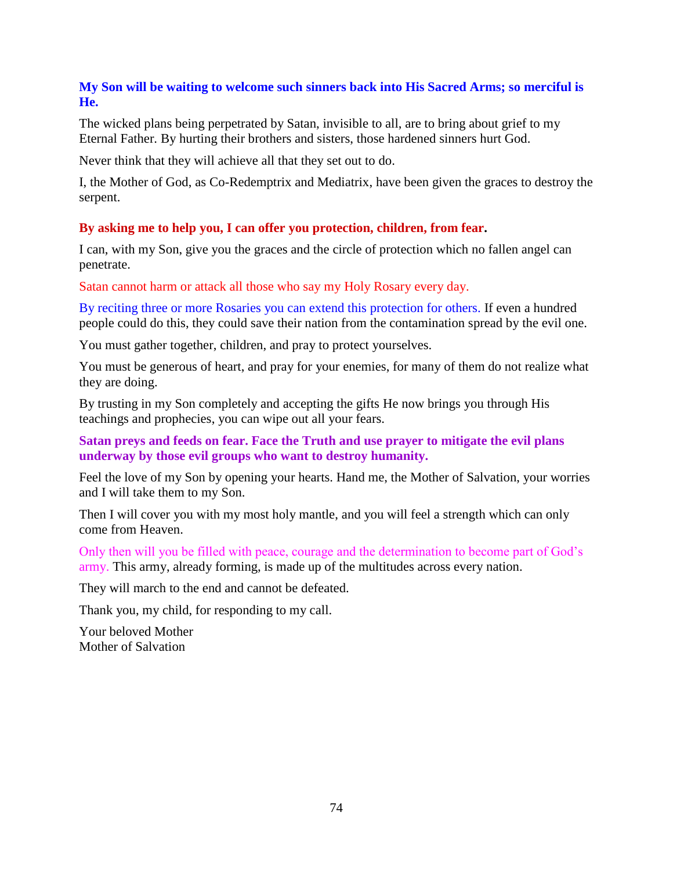## **My Son will be waiting to welcome such sinners back into His Sacred Arms; so merciful is He.**

The wicked plans being perpetrated by Satan, invisible to all, are to bring about grief to my Eternal Father. By hurting their brothers and sisters, those hardened sinners hurt God.

Never think that they will achieve all that they set out to do.

I, the Mother of God, as Co-Redemptrix and Mediatrix, have been given the graces to destroy the serpent.

## **By asking me to help you, I can offer you protection, children, from fear.**

I can, with my Son, give you the graces and the circle of protection which no fallen angel can penetrate.

Satan cannot harm or attack all those who say my Holy Rosary every day.

By reciting three or more Rosaries you can extend this protection for others. If even a hundred people could do this, they could save their nation from the contamination spread by the evil one.

You must gather together, children, and pray to protect yourselves.

You must be generous of heart, and pray for your enemies, for many of them do not realize what they are doing.

By trusting in my Son completely and accepting the gifts He now brings you through His teachings and prophecies, you can wipe out all your fears.

## **Satan preys and feeds on fear. Face the Truth and use prayer to mitigate the evil plans underway by those evil groups who want to destroy humanity.**

Feel the love of my Son by opening your hearts. Hand me, the Mother of Salvation, your worries and I will take them to my Son.

Then I will cover you with my most holy mantle, and you will feel a strength which can only come from Heaven.

Only then will you be filled with peace, courage and the determination to become part of God's army. This army, already forming, is made up of the multitudes across every nation.

They will march to the end and cannot be defeated.

Thank you, my child, for responding to my call.

Your beloved Mother Mother of Salvation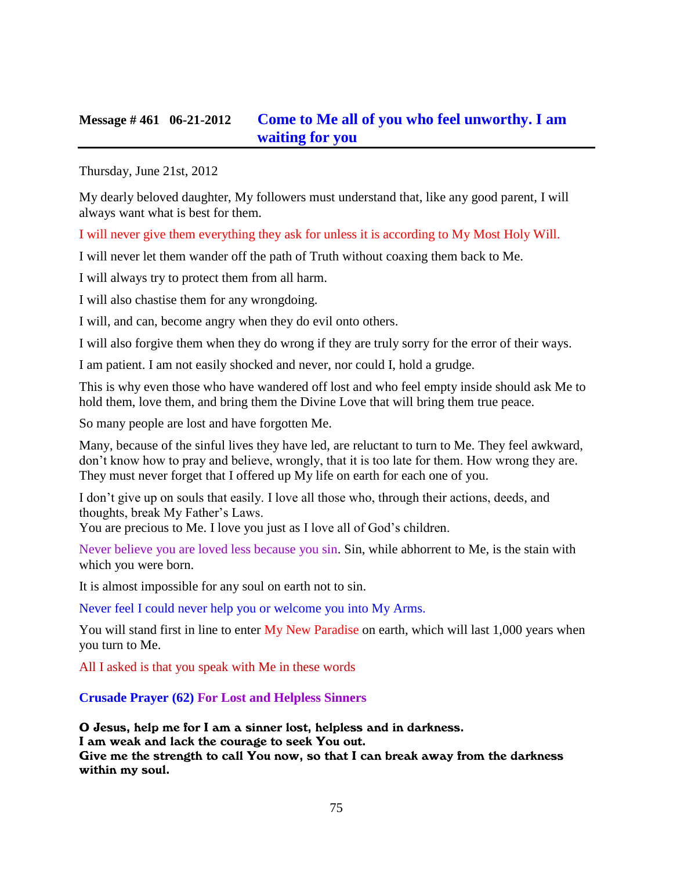## **Message # 461 06-21-2012 [Come to Me all of you who feel unworthy. I am](http://www.thewarningsecondcoming.com/come-to-me-all-of-you-who-feel-unworthy-i-am-waiting-for-you/)  [waiting for you](http://www.thewarningsecondcoming.com/come-to-me-all-of-you-who-feel-unworthy-i-am-waiting-for-you/)**

Thursday, June 21st, 2012

My dearly beloved daughter, My followers must understand that, like any good parent, I will always want what is best for them.

I will never give them everything they ask for unless it is according to My Most Holy Will.

I will never let them wander off the path of Truth without coaxing them back to Me.

I will always try to protect them from all harm.

I will also chastise them for any wrongdoing.

I will, and can, become angry when they do evil onto others.

I will also forgive them when they do wrong if they are truly sorry for the error of their ways.

I am patient. I am not easily shocked and never, nor could I, hold a grudge.

This is why even those who have wandered off lost and who feel empty inside should ask Me to hold them, love them, and bring them the Divine Love that will bring them true peace.

So many people are lost and have forgotten Me.

Many, because of the sinful lives they have led, are reluctant to turn to Me. They feel awkward, don't know how to pray and believe, wrongly, that it is too late for them. How wrong they are. They must never forget that I offered up My life on earth for each one of you.

I don't give up on souls that easily. I love all those who, through their actions, deeds, and thoughts, break My Father's Laws.

You are precious to Me. I love you just as I love all of God's children.

Never believe you are loved less because you sin. Sin, while abhorrent to Me, is the stain with which you were born.

It is almost impossible for any soul on earth not to sin.

Never feel I could never help you or welcome you into My Arms.

You will stand first in line to enter My New Paradise on earth, which will last 1,000 years when you turn to Me.

All I asked is that you speak with Me in these words

**Crusade Prayer (62) For Lost and Helpless Sinners**

O Jesus, help me for I am a sinner lost, helpless and in darkness. I am weak and lack the courage to seek You out. Give me the strength to call You now, so that I can break away from the darkness within my soul.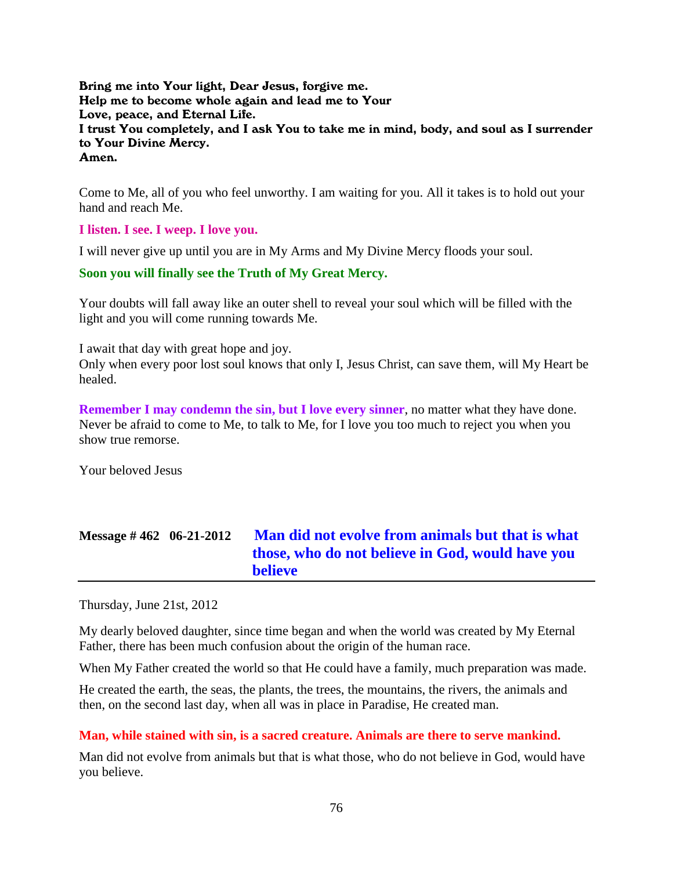Bring me into Your light, Dear Jesus, forgive me. Help me to become whole again and lead me to Your Love, peace, and Eternal Life. I trust You completely, and I ask You to take me in mind, body, and soul as I surrender to Your Divine Mercy. Amen.

Come to Me, all of you who feel unworthy. I am waiting for you. All it takes is to hold out your hand and reach Me.

**I listen. I see. I weep. I love you.**

I will never give up until you are in My Arms and My Divine Mercy floods your soul.

#### **Soon you will finally see the Truth of My Great Mercy.**

Your doubts will fall away like an outer shell to reveal your soul which will be filled with the light and you will come running towards Me.

I await that day with great hope and joy.

Only when every poor lost soul knows that only I, Jesus Christ, can save them, will My Heart be healed.

**Remember I may condemn the sin, but I love every sinner**, no matter what they have done. Never be afraid to come to Me, to talk to Me, for I love you too much to reject you when you show true remorse.

Your beloved Jesus

# **Message # 462 06-21-2012 [Man did not evolve from animals but that is what](http://www.thewarningsecondcoming.com/man-did-not-evolve-from-animals-but-that-is-what-those-who-do-not-believe-in-god-would-have-you-believe/)  [those, who do not believe in God, would have you](http://www.thewarningsecondcoming.com/man-did-not-evolve-from-animals-but-that-is-what-those-who-do-not-believe-in-god-would-have-you-believe/)  [believe](http://www.thewarningsecondcoming.com/man-did-not-evolve-from-animals-but-that-is-what-those-who-do-not-believe-in-god-would-have-you-believe/)**

Thursday, June 21st, 2012

My dearly beloved daughter, since time began and when the world was created by My Eternal Father, there has been much confusion about the origin of the human race.

When My Father created the world so that He could have a family, much preparation was made.

He created the earth, the seas, the plants, the trees, the mountains, the rivers, the animals and then, on the second last day, when all was in place in Paradise, He created man.

#### **Man, while stained with sin, is a sacred creature. Animals are there to serve mankind.**

Man did not evolve from animals but that is what those, who do not believe in God, would have you believe.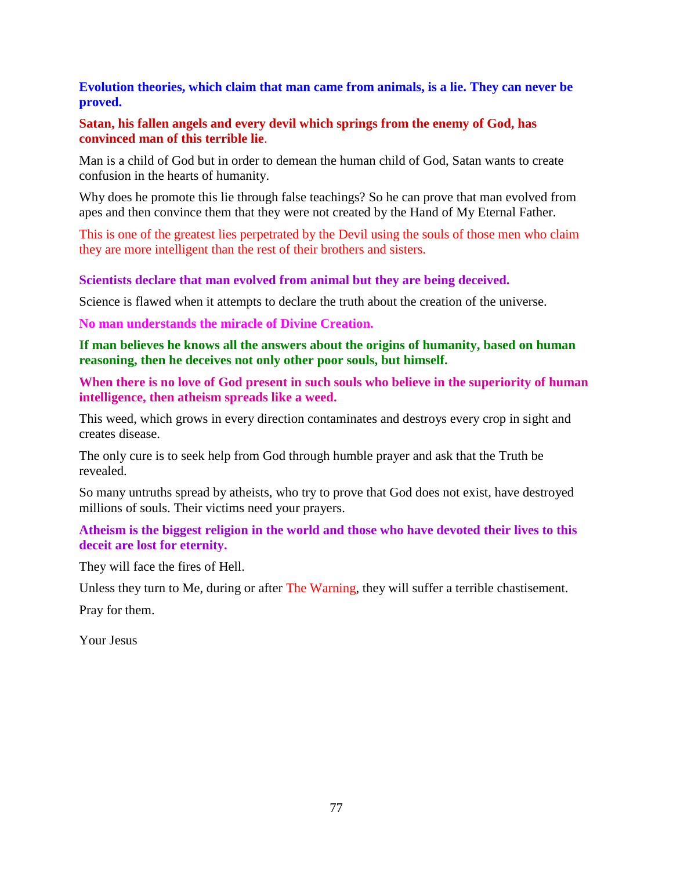**Evolution theories, which claim that man came from animals, is a lie. They can never be proved.**

#### **Satan, his fallen angels and every devil which springs from the enemy of God, has convinced man of this terrible lie**.

Man is a child of God but in order to demean the human child of God, Satan wants to create confusion in the hearts of humanity.

Why does he promote this lie through false teachings? So he can prove that man evolved from apes and then convince them that they were not created by the Hand of My Eternal Father.

This is one of the greatest lies perpetrated by the Devil using the souls of those men who claim they are more intelligent than the rest of their brothers and sisters.

**Scientists declare that man evolved from animal but they are being deceived.**

Science is flawed when it attempts to declare the truth about the creation of the universe.

**No man understands the miracle of Divine Creation.**

**If man believes he knows all the answers about the origins of humanity, based on human reasoning, then he deceives not only other poor souls, but himself.**

**When there is no love of God present in such souls who believe in the superiority of human intelligence, then atheism spreads like a weed.**

This weed, which grows in every direction contaminates and destroys every crop in sight and creates disease.

The only cure is to seek help from God through humble prayer and ask that the Truth be revealed.

So many untruths spread by atheists, who try to prove that God does not exist, have destroyed millions of souls. Their victims need your prayers.

**Atheism is the biggest religion in the world and those who have devoted their lives to this deceit are lost for eternity.**

They will face the fires of Hell.

Unless they turn to Me, during or after The Warning, they will suffer a terrible chastisement.

Pray for them.

Your Jesus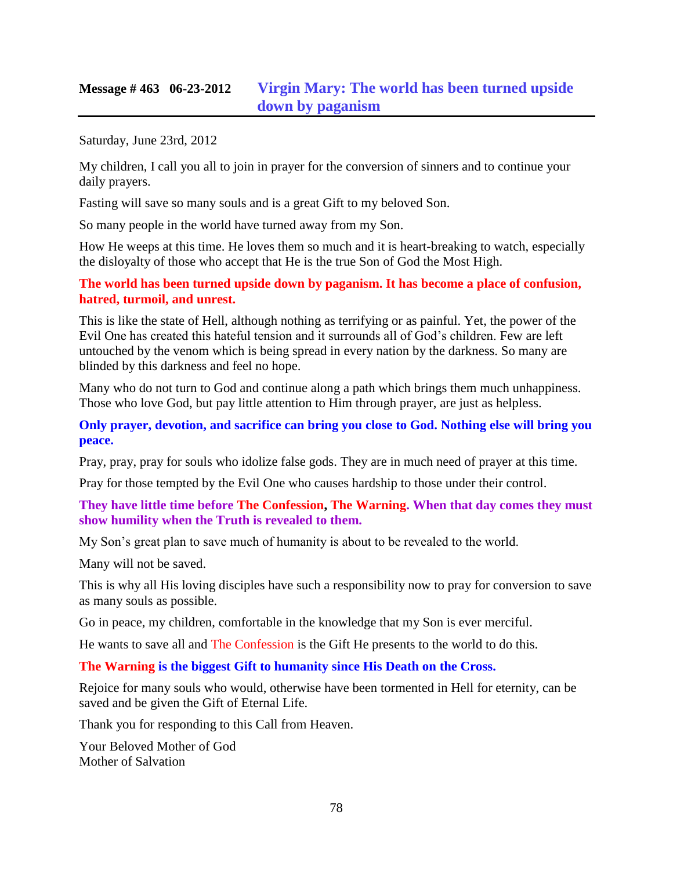## **Message # 463 06-23-2012 [Virgin Mary: The world has been turned upside](http://www.thewarningsecondcoming.com/virgin-mary-the-world-has-been-turned-upside-down-by-paganism/)  [down by paganism](http://www.thewarningsecondcoming.com/virgin-mary-the-world-has-been-turned-upside-down-by-paganism/)**

Saturday, June 23rd, 2012

My children, I call you all to join in prayer for the conversion of sinners and to continue your daily prayers.

Fasting will save so many souls and is a great Gift to my beloved Son.

So many people in the world have turned away from my Son.

How He weeps at this time. He loves them so much and it is heart-breaking to watch, especially the disloyalty of those who accept that He is the true Son of God the Most High.

**The world has been turned upside down by paganism. It has become a place of confusion, hatred, turmoil, and unrest.**

This is like the state of Hell, although nothing as terrifying or as painful. Yet, the power of the Evil One has created this hateful tension and it surrounds all of God's children. Few are left untouched by the venom which is being spread in every nation by the darkness. So many are blinded by this darkness and feel no hope.

Many who do not turn to God and continue along a path which brings them much unhappiness. Those who love God, but pay little attention to Him through prayer, are just as helpless.

**Only prayer, devotion, and sacrifice can bring you close to God. Nothing else will bring you peace.**

Pray, pray, pray for souls who idolize false gods. They are in much need of prayer at this time.

Pray for those tempted by the Evil One who causes hardship to those under their control.

#### **They have little time before The Confession, The Warning. When that day comes they must show humility when the Truth is revealed to them.**

My Son's great plan to save much of humanity is about to be revealed to the world.

Many will not be saved.

This is why all His loving disciples have such a responsibility now to pray for conversion to save as many souls as possible.

Go in peace, my children, comfortable in the knowledge that my Son is ever merciful.

He wants to save all and The Confession is the Gift He presents to the world to do this.

#### **The Warning is the biggest Gift to humanity since His Death on the Cross.**

Rejoice for many souls who would, otherwise have been tormented in Hell for eternity, can be saved and be given the Gift of Eternal Life.

Thank you for responding to this Call from Heaven.

Your Beloved Mother of God Mother of Salvation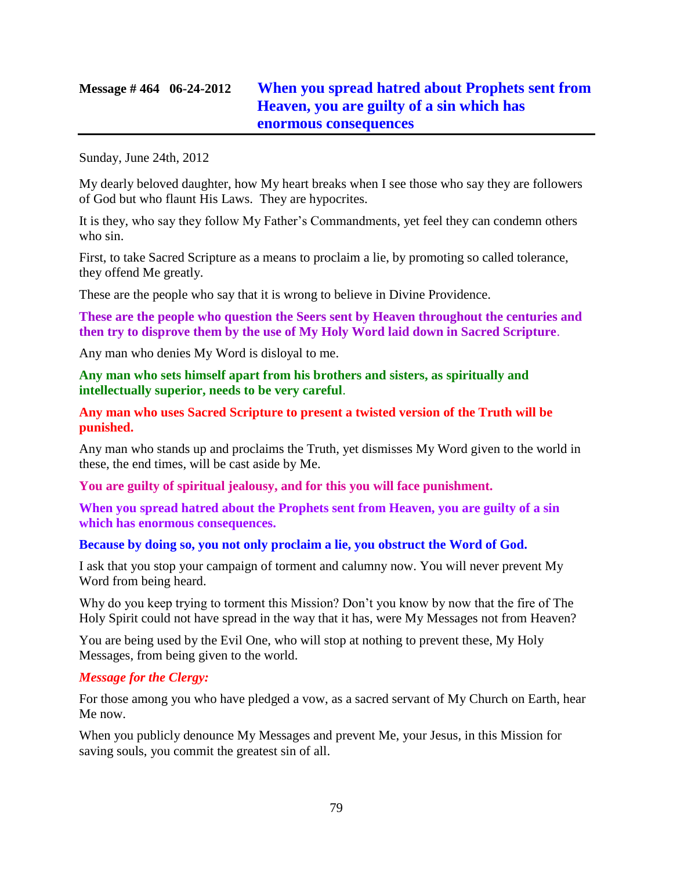# **Message # 464 06-24-2012 [When you spread hatred about Prophets sent from](http://www.thewarningsecondcoming.com/when-you-spread-hatred-about-prophets-sent-from-heaven-you-are-guilty-of-a-sin-which-has-enormous-consequences/)  [Heaven, you are guilty of a sin which has](http://www.thewarningsecondcoming.com/when-you-spread-hatred-about-prophets-sent-from-heaven-you-are-guilty-of-a-sin-which-has-enormous-consequences/)  [enormous consequences](http://www.thewarningsecondcoming.com/when-you-spread-hatred-about-prophets-sent-from-heaven-you-are-guilty-of-a-sin-which-has-enormous-consequences/)**

Sunday, June 24th, 2012

My dearly beloved daughter, how My heart breaks when I see those who say they are followers of God but who flaunt His Laws. They are hypocrites.

It is they, who say they follow My Father's Commandments, yet feel they can condemn others who sin.

First, to take Sacred Scripture as a means to proclaim a lie, by promoting so called tolerance, they offend Me greatly.

These are the people who say that it is wrong to believe in Divine Providence.

**These are the people who question the Seers sent by Heaven throughout the centuries and then try to disprove them by the use of My Holy Word laid down in Sacred Scripture**.

Any man who denies My Word is disloyal to me.

**Any man who sets himself apart from his brothers and sisters, as spiritually and intellectually superior, needs to be very careful**.

**Any man who uses Sacred Scripture to present a twisted version of the Truth will be punished.**

Any man who stands up and proclaims the Truth, yet dismisses My Word given to the world in these, the end times, will be cast aside by Me.

**You are guilty of spiritual jealousy, and for this you will face punishment.**

**When you spread hatred about the Prophets sent from Heaven, you are guilty of a sin which has enormous consequences.**

**Because by doing so, you not only proclaim a lie, you obstruct the Word of God.**

I ask that you stop your campaign of torment and calumny now. You will never prevent My Word from being heard.

Why do you keep trying to torment this Mission? Don't you know by now that the fire of The Holy Spirit could not have spread in the way that it has, were My Messages not from Heaven?

You are being used by the Evil One, who will stop at nothing to prevent these, My Holy Messages, from being given to the world.

#### *Message for the Clergy:*

For those among you who have pledged a vow, as a sacred servant of My Church on Earth, hear Me now.

When you publicly denounce My Messages and prevent Me, your Jesus, in this Mission for saving souls, you commit the greatest sin of all.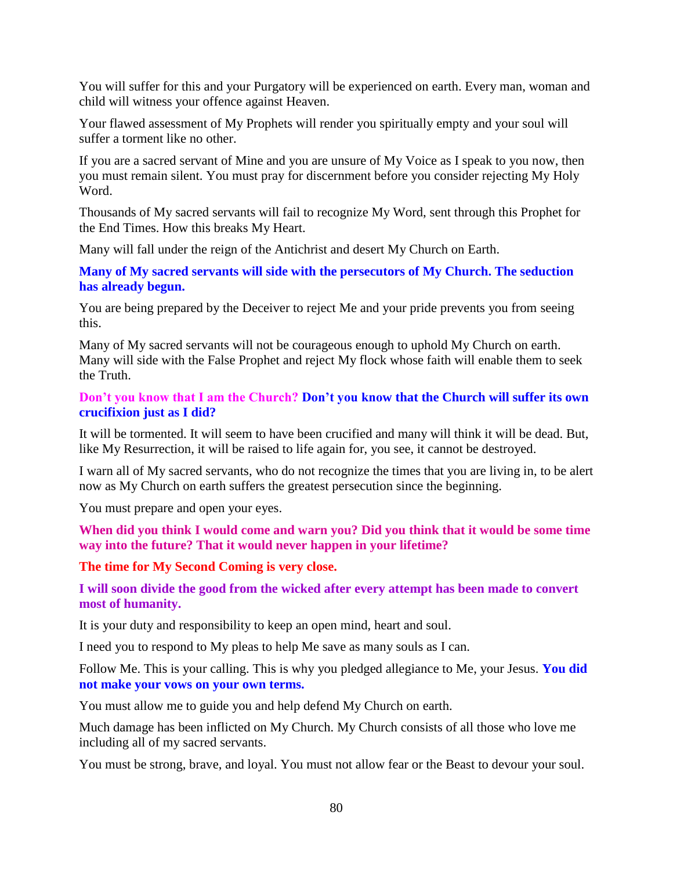You will suffer for this and your Purgatory will be experienced on earth. Every man, woman and child will witness your offence against Heaven.

Your flawed assessment of My Prophets will render you spiritually empty and your soul will suffer a torment like no other.

If you are a sacred servant of Mine and you are unsure of My Voice as I speak to you now, then you must remain silent. You must pray for discernment before you consider rejecting My Holy Word.

Thousands of My sacred servants will fail to recognize My Word, sent through this Prophet for the End Times. How this breaks My Heart.

Many will fall under the reign of the Antichrist and desert My Church on Earth.

**Many of My sacred servants will side with the persecutors of My Church. The seduction has already begun.**

You are being prepared by the Deceiver to reject Me and your pride prevents you from seeing this.

Many of My sacred servants will not be courageous enough to uphold My Church on earth. Many will side with the False Prophet and reject My flock whose faith will enable them to seek the Truth.

**Don't you know that I am the Church? Don't you know that the Church will suffer its own crucifixion just as I did?**

It will be tormented. It will seem to have been crucified and many will think it will be dead. But, like My Resurrection, it will be raised to life again for, you see, it cannot be destroyed.

I warn all of My sacred servants, who do not recognize the times that you are living in, to be alert now as My Church on earth suffers the greatest persecution since the beginning.

You must prepare and open your eyes.

**When did you think I would come and warn you? Did you think that it would be some time way into the future? That it would never happen in your lifetime?**

**The time for My Second Coming is very close.**

**I will soon divide the good from the wicked after every attempt has been made to convert most of humanity.**

It is your duty and responsibility to keep an open mind, heart and soul.

I need you to respond to My pleas to help Me save as many souls as I can.

Follow Me. This is your calling. This is why you pledged allegiance to Me, your Jesus. **You did not make your vows on your own terms.** 

You must allow me to guide you and help defend My Church on earth.

Much damage has been inflicted on My Church. My Church consists of all those who love me including all of my sacred servants.

You must be strong, brave, and loyal. You must not allow fear or the Beast to devour your soul.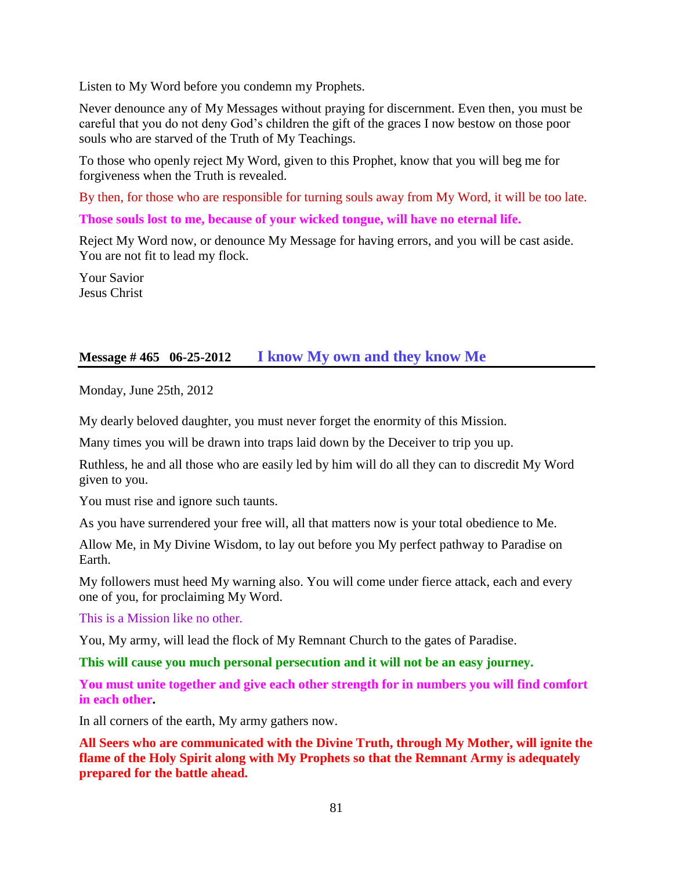Listen to My Word before you condemn my Prophets.

Never denounce any of My Messages without praying for discernment. Even then, you must be careful that you do not deny God's children the gift of the graces I now bestow on those poor souls who are starved of the Truth of My Teachings.

To those who openly reject My Word, given to this Prophet, know that you will beg me for forgiveness when the Truth is revealed.

By then, for those who are responsible for turning souls away from My Word, it will be too late.

**Those souls lost to me, because of your wicked tongue, will have no eternal life.**

Reject My Word now, or denounce My Message for having errors, and you will be cast aside. You are not fit to lead my flock.

Your Savior Jesus Christ

## **Message # 465 06-25-2012 [I know My own and they know Me](http://www.thewarningsecondcoming.com/i-know-my-own-and-they-know-me/)**

Monday, June 25th, 2012

My dearly beloved daughter, you must never forget the enormity of this Mission.

Many times you will be drawn into traps laid down by the Deceiver to trip you up.

Ruthless, he and all those who are easily led by him will do all they can to discredit My Word given to you.

You must rise and ignore such taunts.

As you have surrendered your free will, all that matters now is your total obedience to Me.

Allow Me, in My Divine Wisdom, to lay out before you My perfect pathway to Paradise on Earth.

My followers must heed My warning also. You will come under fierce attack, each and every one of you, for proclaiming My Word.

This is a Mission like no other.

You, My army, will lead the flock of My Remnant Church to the gates of Paradise.

**This will cause you much personal persecution and it will not be an easy journey.**

**You must unite together and give each other strength for in numbers you will find comfort in each other.**

In all corners of the earth, My army gathers now.

**All Seers who are communicated with the Divine Truth, through My Mother, will ignite the flame of the Holy Spirit along with My Prophets so that the Remnant Army is adequately prepared for the battle ahead.**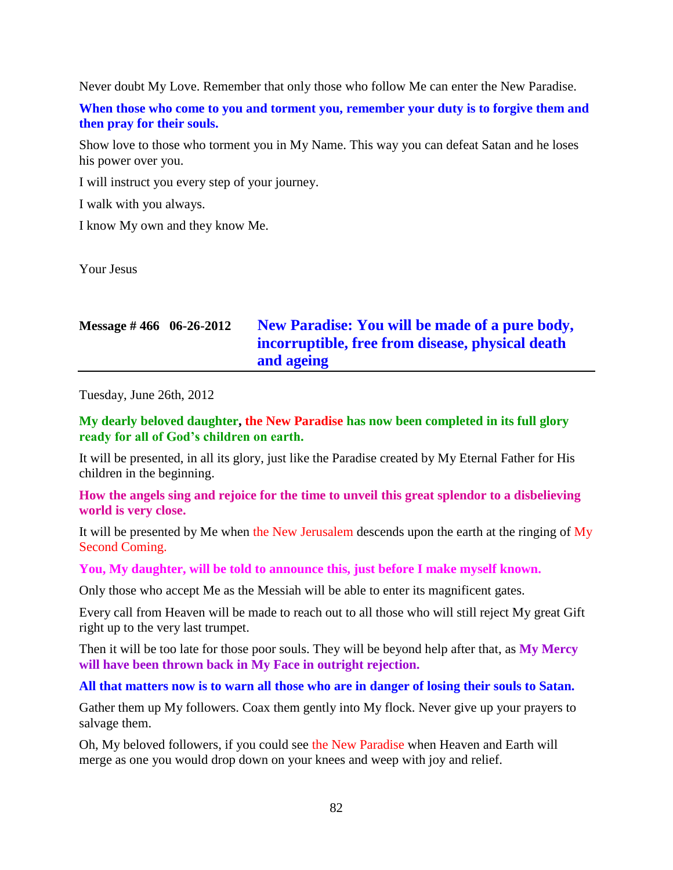Never doubt My Love. Remember that only those who follow Me can enter the New Paradise.

**When those who come to you and torment you, remember your duty is to forgive them and then pray for their souls.**

Show love to those who torment you in My Name. This way you can defeat Satan and he loses his power over you.

I will instruct you every step of your journey.

I walk with you always.

I know My own and they know Me.

Your Jesus

# **Message # 466 06-26-2012 [New Paradise: You will be made of a pure body,](http://www.thewarningsecondcoming.com/new-paradise-you-will-be-made-of-a-pure-body-incorruptible-free-from-disease-physical-death-and-ageing/)  [incorruptible, free from disease, physical death](http://www.thewarningsecondcoming.com/new-paradise-you-will-be-made-of-a-pure-body-incorruptible-free-from-disease-physical-death-and-ageing/)  [and ageing](http://www.thewarningsecondcoming.com/new-paradise-you-will-be-made-of-a-pure-body-incorruptible-free-from-disease-physical-death-and-ageing/)**

Tuesday, June 26th, 2012

**My dearly beloved daughter, the New Paradise has now been completed in its full glory ready for all of God's children on earth.**

It will be presented, in all its glory, just like the Paradise created by My Eternal Father for His children in the beginning.

**How the angels sing and rejoice for the time to unveil this great splendor to a disbelieving world is very close.**

It will be presented by Me when the New Jerusalem descends upon the earth at the ringing of My Second Coming.

#### **You, My daughter, will be told to announce this, just before I make myself known.**

Only those who accept Me as the Messiah will be able to enter its magnificent gates.

Every call from Heaven will be made to reach out to all those who will still reject My great Gift right up to the very last trumpet.

Then it will be too late for those poor souls. They will be beyond help after that, as **My Mercy will have been thrown back in My Face in outright rejection.**

#### **All that matters now is to warn all those who are in danger of losing their souls to Satan.**

Gather them up My followers. Coax them gently into My flock. Never give up your prayers to salvage them.

Oh, My beloved followers, if you could see the New Paradise when Heaven and Earth will merge as one you would drop down on your knees and weep with joy and relief.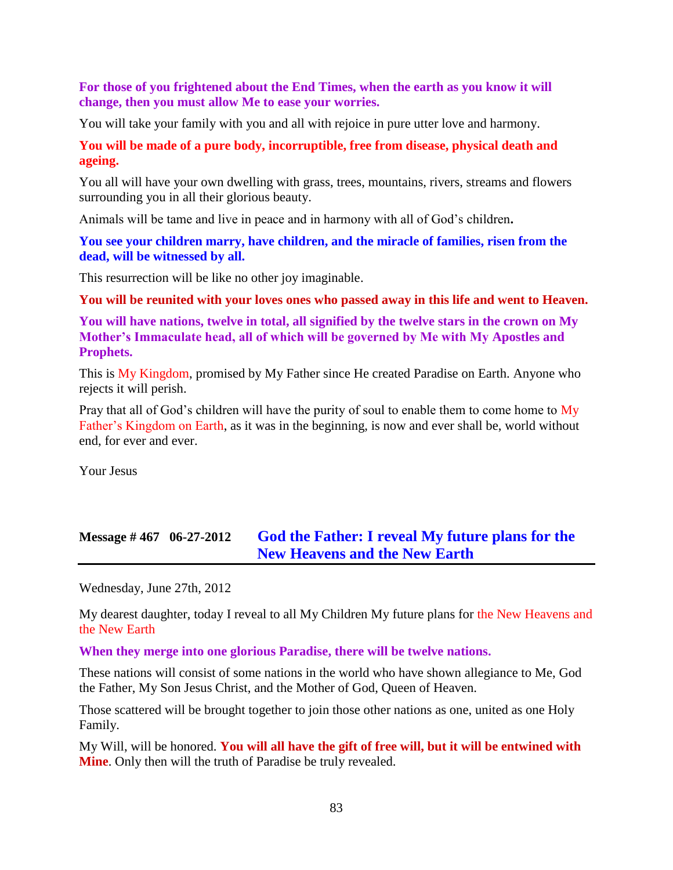#### **For those of you frightened about the End Times, when the earth as you know it will change, then you must allow Me to ease your worries.**

You will take your family with you and all with rejoice in pure utter love and harmony.

#### **You will be made of a pure body, incorruptible, free from disease, physical death and ageing.**

You all will have your own dwelling with grass, trees, mountains, rivers, streams and flowers surrounding you in all their glorious beauty.

Animals will be tame and live in peace and in harmony with all of God's children**.**

**You see your children marry, have children, and the miracle of families, risen from the dead, will be witnessed by all.**

This resurrection will be like no other joy imaginable.

**You will be reunited with your loves ones who passed away in this life and went to Heaven.**

**You will have nations, twelve in total, all signified by the twelve stars in the crown on My Mother's Immaculate head, all of which will be governed by Me with My Apostles and Prophets.**

This is My Kingdom, promised by My Father since He created Paradise on Earth. Anyone who rejects it will perish.

Pray that all of God's children will have the purity of soul to enable them to come home to My Father's Kingdom on Earth, as it was in the beginning, is now and ever shall be, world without end, for ever and ever.

Your Jesus

## **Message # 467 06-27-2012 [God the Father: I reveal My future plans for the](http://www.thewarningsecondcoming.com/god-the-father-i-reveal-my-future-plans-for-the-new-heavens-and-the-new-earth/)  [New Heavens and the New Earth](http://www.thewarningsecondcoming.com/god-the-father-i-reveal-my-future-plans-for-the-new-heavens-and-the-new-earth/)**

Wednesday, June 27th, 2012

My dearest daughter, today I reveal to all My Children My future plans for the New Heavens and the New Earth

**When they merge into one glorious Paradise, there will be twelve nations.**

These nations will consist of some nations in the world who have shown allegiance to Me, God the Father, My Son Jesus Christ, and the Mother of God, Queen of Heaven.

Those scattered will be brought together to join those other nations as one, united as one Holy Family.

My Will, will be honored. **You will all have the gift of free will, but it will be entwined with Mine**. Only then will the truth of Paradise be truly revealed.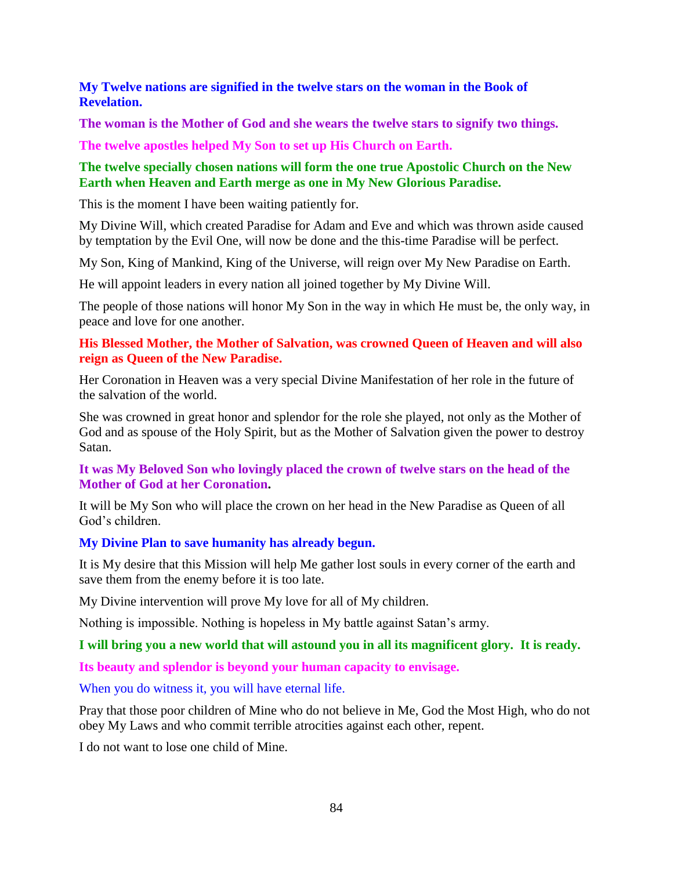### **My Twelve nations are signified in the twelve stars on the woman in the Book of Revelation.**

**The woman is the Mother of God and she wears the twelve stars to signify two things.**

**The twelve apostles helped My Son to set up His Church on Earth.**

## **The twelve specially chosen nations will form the one true Apostolic Church on the New Earth when Heaven and Earth merge as one in My New Glorious Paradise.**

This is the moment I have been waiting patiently for.

My Divine Will, which created Paradise for Adam and Eve and which was thrown aside caused by temptation by the Evil One, will now be done and the this-time Paradise will be perfect.

My Son, King of Mankind, King of the Universe, will reign over My New Paradise on Earth.

He will appoint leaders in every nation all joined together by My Divine Will.

The people of those nations will honor My Son in the way in which He must be, the only way, in peace and love for one another.

### **His Blessed Mother, the Mother of Salvation, was crowned Queen of Heaven and will also reign as Queen of the New Paradise.**

Her Coronation in Heaven was a very special Divine Manifestation of her role in the future of the salvation of the world.

She was crowned in great honor and splendor for the role she played, not only as the Mother of God and as spouse of the Holy Spirit, but as the Mother of Salvation given the power to destroy Satan.

### **It was My Beloved Son who lovingly placed the crown of twelve stars on the head of the Mother of God at her Coronation.**

It will be My Son who will place the crown on her head in the New Paradise as Queen of all God's children.

## **My Divine Plan to save humanity has already begun.**

It is My desire that this Mission will help Me gather lost souls in every corner of the earth and save them from the enemy before it is too late.

My Divine intervention will prove My love for all of My children.

Nothing is impossible. Nothing is hopeless in My battle against Satan's army.

## **I will bring you a new world that will astound you in all its magnificent glory. It is ready.**

**Its beauty and splendor is beyond your human capacity to envisage.**

When you do witness it, you will have eternal life.

Pray that those poor children of Mine who do not believe in Me, God the Most High, who do not obey My Laws and who commit terrible atrocities against each other, repent.

I do not want to lose one child of Mine.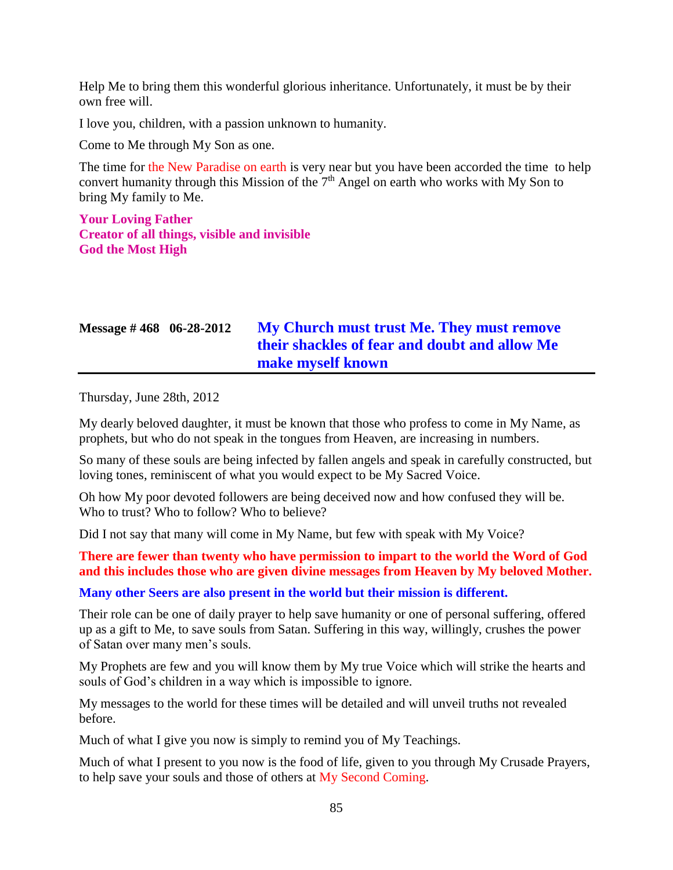Help Me to bring them this wonderful glorious inheritance. Unfortunately, it must be by their own free will.

I love you, children, with a passion unknown to humanity.

Come to Me through My Son as one.

The time for the New Paradise on earth is very near but you have been accorded the time to help convert humanity through this Mission of the  $7<sup>th</sup>$  Angel on earth who works with My Son to bring My family to Me.

**Your Loving Father Creator of all things, visible and invisible God the Most High**

# **Message # 468 06-28-2012 [My Church must trust Me. They must remove](http://www.thewarningsecondcoming.com/my-my-church-must-trust-me-they-must-remove-their-shackles-of-fear-and-doubt-and-allow-me-make-myself-known-through-these-messages/)  [their shackles of fear and doubt and allow Me](http://www.thewarningsecondcoming.com/my-my-church-must-trust-me-they-must-remove-their-shackles-of-fear-and-doubt-and-allow-me-make-myself-known-through-these-messages/)  [make myself known](http://www.thewarningsecondcoming.com/my-my-church-must-trust-me-they-must-remove-their-shackles-of-fear-and-doubt-and-allow-me-make-myself-known-through-these-messages/)**

Thursday, June 28th, 2012

My dearly beloved daughter, it must be known that those who profess to come in My Name, as prophets, but who do not speak in the tongues from Heaven, are increasing in numbers.

So many of these souls are being infected by fallen angels and speak in carefully constructed, but loving tones, reminiscent of what you would expect to be My Sacred Voice.

Oh how My poor devoted followers are being deceived now and how confused they will be. Who to trust? Who to follow? Who to believe?

Did I not say that many will come in My Name, but few with speak with My Voice?

### **There are fewer than twenty who have permission to impart to the world the Word of God and this includes those who are given divine messages from Heaven by My beloved Mother.**

#### **Many other Seers are also present in the world but their mission is different.**

Their role can be one of daily prayer to help save humanity or one of personal suffering, offered up as a gift to Me, to save souls from Satan. Suffering in this way, willingly, crushes the power of Satan over many men's souls.

My Prophets are few and you will know them by My true Voice which will strike the hearts and souls of God's children in a way which is impossible to ignore.

My messages to the world for these times will be detailed and will unveil truths not revealed before.

Much of what I give you now is simply to remind you of My Teachings.

Much of what I present to you now is the food of life, given to you through My Crusade Prayers, to help save your souls and those of others at My Second Coming.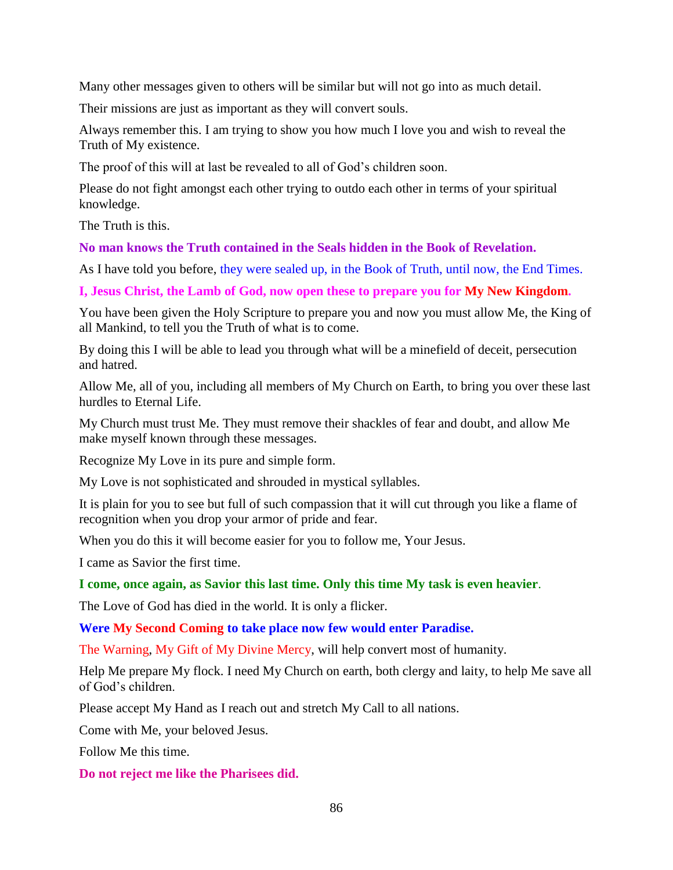Many other messages given to others will be similar but will not go into as much detail.

Their missions are just as important as they will convert souls.

Always remember this. I am trying to show you how much I love you and wish to reveal the Truth of My existence.

The proof of this will at last be revealed to all of God's children soon.

Please do not fight amongst each other trying to outdo each other in terms of your spiritual knowledge.

The Truth is this.

### **No man knows the Truth contained in the Seals hidden in the Book of Revelation.**

As I have told you before, they were sealed up, in the Book of Truth, until now, the End Times.

**I, Jesus Christ, the Lamb of God, now open these to prepare you for My New Kingdom.**

You have been given the Holy Scripture to prepare you and now you must allow Me, the King of all Mankind, to tell you the Truth of what is to come.

By doing this I will be able to lead you through what will be a minefield of deceit, persecution and hatred.

Allow Me, all of you, including all members of My Church on Earth, to bring you over these last hurdles to Eternal Life.

My Church must trust Me. They must remove their shackles of fear and doubt, and allow Me make myself known through these messages.

Recognize My Love in its pure and simple form.

My Love is not sophisticated and shrouded in mystical syllables.

It is plain for you to see but full of such compassion that it will cut through you like a flame of recognition when you drop your armor of pride and fear.

When you do this it will become easier for you to follow me, Your Jesus.

I came as Savior the first time.

## **I come, once again, as Savior this last time. Only this time My task is even heavier**.

The Love of God has died in the world. It is only a flicker.

**Were My Second Coming to take place now few would enter Paradise.**

The Warning, My Gift of My Divine Mercy, will help convert most of humanity.

Help Me prepare My flock. I need My Church on earth, both clergy and laity, to help Me save all of God's children.

Please accept My Hand as I reach out and stretch My Call to all nations.

Come with Me, your beloved Jesus.

Follow Me this time.

**Do not reject me like the Pharisees did.**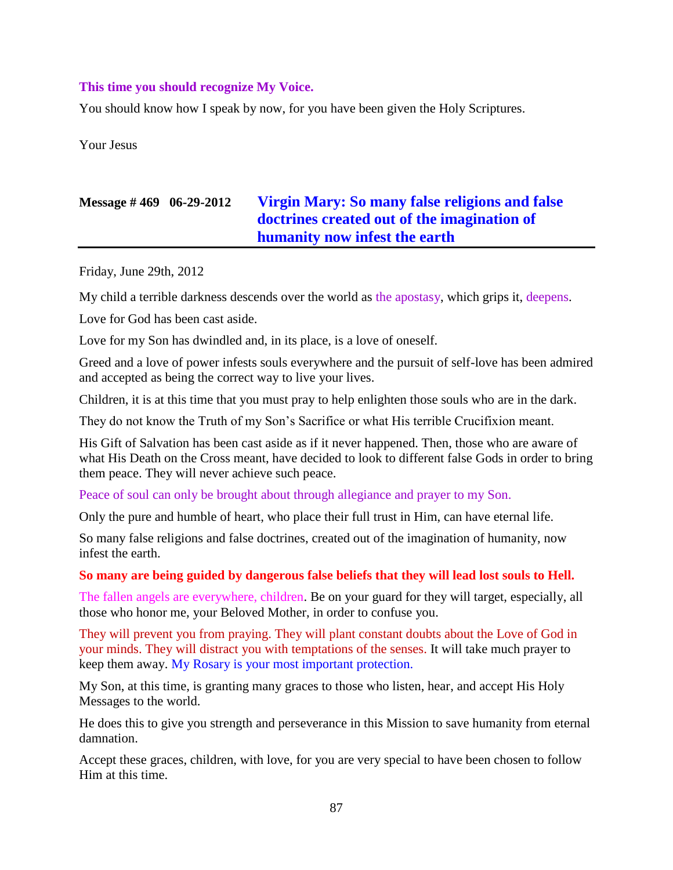#### **This time you should recognize My Voice.**

You should know how I speak by now, for you have been given the Holy Scriptures.

Your Jesus

# **Message # 469 06-29-2012 [Virgin Mary: So many false religions and false](http://www.thewarningsecondcoming.com/virgin-mary-so-many-false-religions-and-false-doctrines-created-out-of-the-imagination-of-humanity-now-infest-the-earth/)  [doctrines created out of the imagination of](http://www.thewarningsecondcoming.com/virgin-mary-so-many-false-religions-and-false-doctrines-created-out-of-the-imagination-of-humanity-now-infest-the-earth/)  [humanity now infest the earth](http://www.thewarningsecondcoming.com/virgin-mary-so-many-false-religions-and-false-doctrines-created-out-of-the-imagination-of-humanity-now-infest-the-earth/)**

Friday, June 29th, 2012

My child a terrible darkness descends over the world as the apostasy, which grips it, deepens.

Love for God has been cast aside.

Love for my Son has dwindled and, in its place, is a love of oneself.

Greed and a love of power infests souls everywhere and the pursuit of self-love has been admired and accepted as being the correct way to live your lives.

Children, it is at this time that you must pray to help enlighten those souls who are in the dark.

They do not know the Truth of my Son's Sacrifice or what His terrible Crucifixion meant.

His Gift of Salvation has been cast aside as if it never happened. Then, those who are aware of what His Death on the Cross meant, have decided to look to different false Gods in order to bring them peace. They will never achieve such peace.

Peace of soul can only be brought about through allegiance and prayer to my Son.

Only the pure and humble of heart, who place their full trust in Him, can have eternal life.

So many false religions and false doctrines, created out of the imagination of humanity, now infest the earth.

#### **So many are being guided by dangerous false beliefs that they will lead lost souls to Hell.**

The fallen angels are everywhere, children. Be on your guard for they will target, especially, all those who honor me, your Beloved Mother, in order to confuse you.

They will prevent you from praying. They will plant constant doubts about the Love of God in your minds. They will distract you with temptations of the senses. It will take much prayer to keep them away. My Rosary is your most important protection.

My Son, at this time, is granting many graces to those who listen, hear, and accept His Holy Messages to the world.

He does this to give you strength and perseverance in this Mission to save humanity from eternal damnation.

Accept these graces, children, with love, for you are very special to have been chosen to follow Him at this time.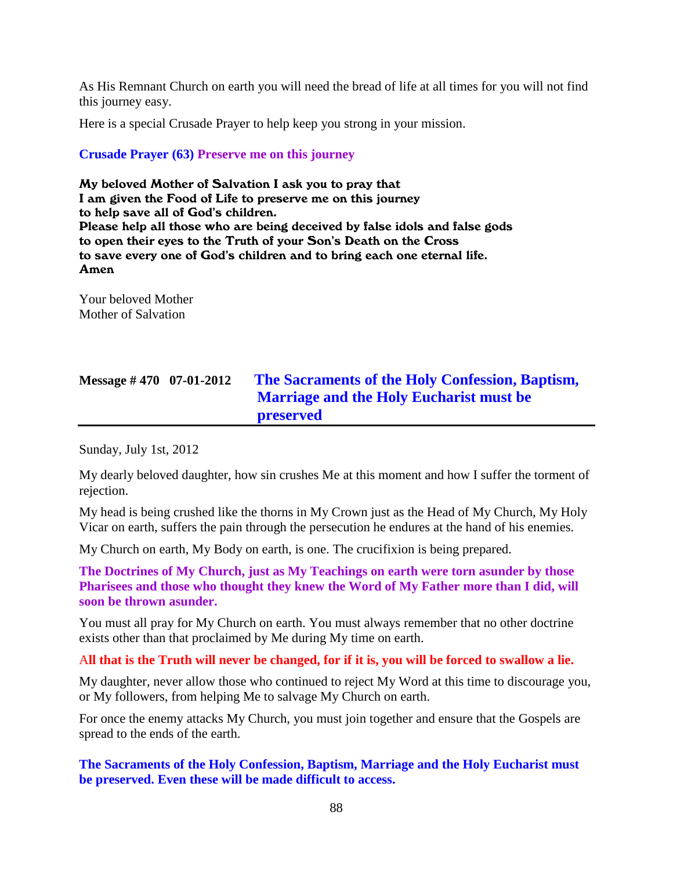As His Remnant Church on earth you will need the bread of life at all times for you will not find this journey easy.

Here is a special Crusade Prayer to help keep you strong in your mission.

### **Crusade Prayer (63) Preserve me on this journey**

My beloved Mother of Salvation I ask you to pray that I am given the Food of Life to preserve me on this journey to help save all of God's children. Please help all those who are being deceived by false idols and false gods to open their eyes to the Truth of your Son's Death on the Cross to save every one of God's children and to bring each one eternal life. Amen

Your beloved Mother Mother of Salvation

| Message $\#$ 470 07-01-2012 | The Sacraments of the Holy Confession, Baptism, |
|-----------------------------|-------------------------------------------------|
|                             | <b>Marriage and the Holy Eucharist must be</b>  |
|                             | preserved                                       |

Sunday, July 1st, 2012

My dearly beloved daughter, how sin crushes Me at this moment and how I suffer the torment of rejection.

My head is being crushed like the thorns in My Crown just as the Head of My Church, My Holy Vicar on earth, suffers the pain through the persecution he endures at the hand of his enemies.

My Church on earth, My Body on earth, is one. The crucifixion is being prepared.

**The Doctrines of My Church, just as My Teachings on earth were torn asunder by those Pharisees and those who thought they knew the Word of My Father more than I did, will soon be thrown asunder.**

You must all pray for My Church on earth. You must always remember that no other doctrine exists other than that proclaimed by Me during My time on earth.

A**ll that is the Truth will never be changed, for if it is, you will be forced to swallow a lie.**

My daughter, never allow those who continued to reject My Word at this time to discourage you, or My followers, from helping Me to salvage My Church on earth.

For once the enemy attacks My Church, you must join together and ensure that the Gospels are spread to the ends of the earth.

**The Sacraments of the Holy Confession, Baptism, Marriage and the Holy Eucharist must be preserved. Even these will be made difficult to access.**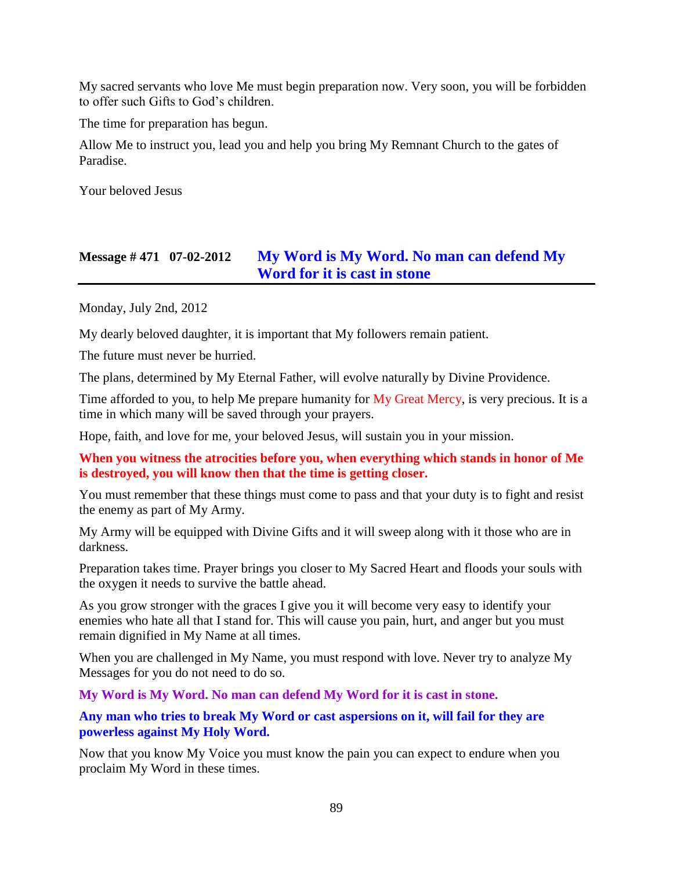My sacred servants who love Me must begin preparation now. Very soon, you will be forbidden to offer such Gifts to God's children.

The time for preparation has begun.

Allow Me to instruct you, lead you and help you bring My Remnant Church to the gates of Paradise.

Your beloved Jesus

## **Message # 471 07-02-2012 [My Word is My Word. No man can defend My](http://www.thewarningsecondcoming.com/my-word-is-my-word-no-man-can-defend-my-word-for-it-is-cast-in-stone/)  [Word for it is cast in stone](http://www.thewarningsecondcoming.com/my-word-is-my-word-no-man-can-defend-my-word-for-it-is-cast-in-stone/)**

Monday, July 2nd, 2012

My dearly beloved daughter, it is important that My followers remain patient.

The future must never be hurried.

The plans, determined by My Eternal Father, will evolve naturally by Divine Providence.

Time afforded to you, to help Me prepare humanity for My Great Mercy, is very precious. It is a time in which many will be saved through your prayers.

Hope, faith, and love for me, your beloved Jesus, will sustain you in your mission.

**When you witness the atrocities before you, when everything which stands in honor of Me is destroyed, you will know then that the time is getting closer.**

You must remember that these things must come to pass and that your duty is to fight and resist the enemy as part of My Army.

My Army will be equipped with Divine Gifts and it will sweep along with it those who are in darkness.

Preparation takes time. Prayer brings you closer to My Sacred Heart and floods your souls with the oxygen it needs to survive the battle ahead.

As you grow stronger with the graces I give you it will become very easy to identify your enemies who hate all that I stand for. This will cause you pain, hurt, and anger but you must remain dignified in My Name at all times.

When you are challenged in My Name, you must respond with love. Never try to analyze My Messages for you do not need to do so.

**My Word is My Word. No man can defend My Word for it is cast in stone.**

**Any man who tries to break My Word or cast aspersions on it, will fail for they are powerless against My Holy Word.**

Now that you know My Voice you must know the pain you can expect to endure when you proclaim My Word in these times.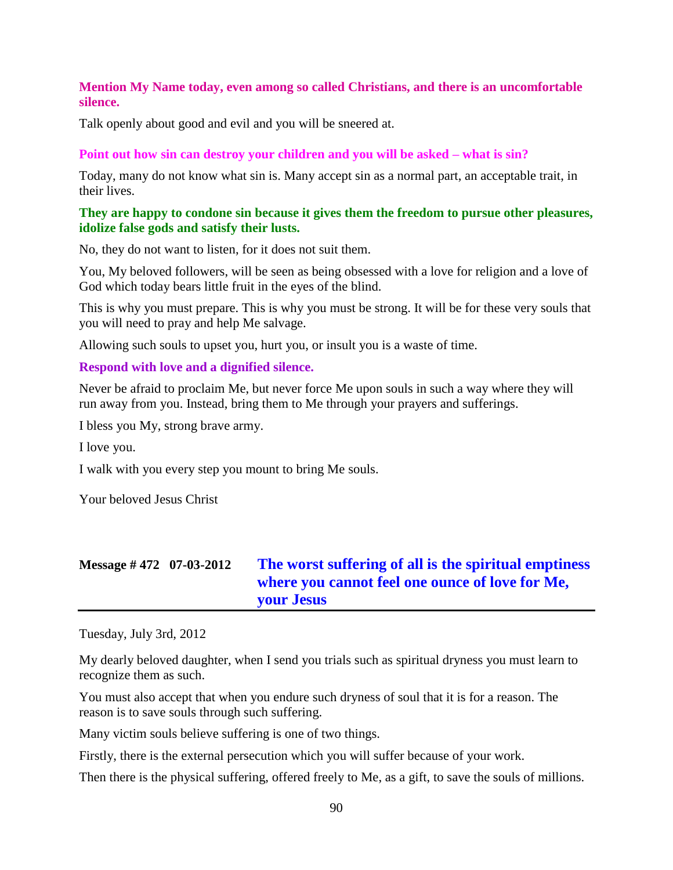#### **Mention My Name today, even among so called Christians, and there is an uncomfortable silence.**

Talk openly about good and evil and you will be sneered at.

#### **Point out how sin can destroy your children and you will be asked – what is sin?**

Today, many do not know what sin is. Many accept sin as a normal part, an acceptable trait, in their lives.

#### **They are happy to condone sin because it gives them the freedom to pursue other pleasures, idolize false gods and satisfy their lusts.**

No, they do not want to listen, for it does not suit them.

You, My beloved followers, will be seen as being obsessed with a love for religion and a love of God which today bears little fruit in the eyes of the blind.

This is why you must prepare. This is why you must be strong. It will be for these very souls that you will need to pray and help Me salvage.

Allowing such souls to upset you, hurt you, or insult you is a waste of time.

#### **Respond with love and a dignified silence.**

Never be afraid to proclaim Me, but never force Me upon souls in such a way where they will run away from you. Instead, bring them to Me through your prayers and sufferings.

I bless you My, strong brave army.

I love you.

I walk with you every step you mount to bring Me souls.

Your beloved Jesus Christ

# **Message # 472 07-03-2012 [The worst suffering of all is the spiritual emptiness](http://www.thewarningsecondcoming.com/the-worst-suffering-of-all-is-the-spiritual-emptiness-where-you-cannot-feel-one-ounce-of-love-for-me-your-jesus/)  [where you cannot feel one ounce of love for Me,](http://www.thewarningsecondcoming.com/the-worst-suffering-of-all-is-the-spiritual-emptiness-where-you-cannot-feel-one-ounce-of-love-for-me-your-jesus/)  [your Jesus](http://www.thewarningsecondcoming.com/the-worst-suffering-of-all-is-the-spiritual-emptiness-where-you-cannot-feel-one-ounce-of-love-for-me-your-jesus/)**

Tuesday, July 3rd, 2012

My dearly beloved daughter, when I send you trials such as spiritual dryness you must learn to recognize them as such.

You must also accept that when you endure such dryness of soul that it is for a reason. The reason is to save souls through such suffering.

Many victim souls believe suffering is one of two things.

Firstly, there is the external persecution which you will suffer because of your work.

Then there is the physical suffering, offered freely to Me, as a gift, to save the souls of millions.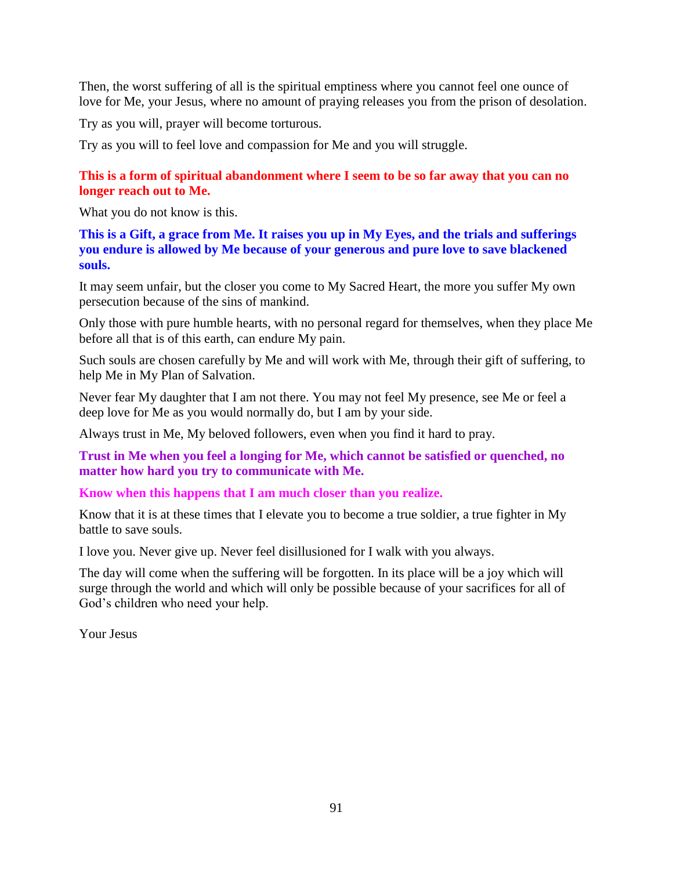Then, the worst suffering of all is the spiritual emptiness where you cannot feel one ounce of love for Me, your Jesus, where no amount of praying releases you from the prison of desolation.

Try as you will, prayer will become torturous.

Try as you will to feel love and compassion for Me and you will struggle.

## **This is a form of spiritual abandonment where I seem to be so far away that you can no longer reach out to Me.**

What you do not know is this.

**This is a Gift, a grace from Me. It raises you up in My Eyes, and the trials and sufferings you endure is allowed by Me because of your generous and pure love to save blackened souls.**

It may seem unfair, but the closer you come to My Sacred Heart, the more you suffer My own persecution because of the sins of mankind.

Only those with pure humble hearts, with no personal regard for themselves, when they place Me before all that is of this earth, can endure My pain.

Such souls are chosen carefully by Me and will work with Me, through their gift of suffering, to help Me in My Plan of Salvation.

Never fear My daughter that I am not there. You may not feel My presence, see Me or feel a deep love for Me as you would normally do, but I am by your side.

Always trust in Me, My beloved followers, even when you find it hard to pray.

**Trust in Me when you feel a longing for Me, which cannot be satisfied or quenched, no matter how hard you try to communicate with Me.**

#### **Know when this happens that I am much closer than you realize.**

Know that it is at these times that I elevate you to become a true soldier, a true fighter in My battle to save souls.

I love you. Never give up. Never feel disillusioned for I walk with you always.

The day will come when the suffering will be forgotten. In its place will be a joy which will surge through the world and which will only be possible because of your sacrifices for all of God's children who need your help.

Your Jesus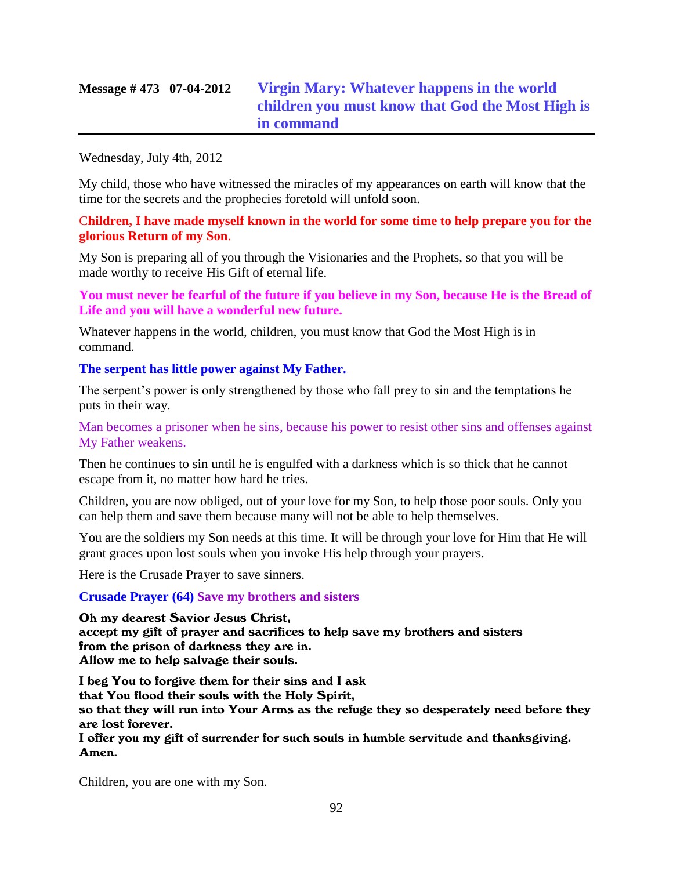# **Message # 473 07-04-2012 [Virgin Mary: Whatever happens in the world](http://www.thewarningsecondcoming.com/virgin-mary-whatever-happens-in-the-world-children-you-must-know-that-god-the-most-high-is-in-command/)  [children you must know that God the Most High is](http://www.thewarningsecondcoming.com/virgin-mary-whatever-happens-in-the-world-children-you-must-know-that-god-the-most-high-is-in-command/)  [in command](http://www.thewarningsecondcoming.com/virgin-mary-whatever-happens-in-the-world-children-you-must-know-that-god-the-most-high-is-in-command/)**

#### Wednesday, July 4th, 2012

My child, those who have witnessed the miracles of my appearances on earth will know that the time for the secrets and the prophecies foretold will unfold soon.

#### C**hildren, I have made myself known in the world for some time to help prepare you for the glorious Return of my Son**.

My Son is preparing all of you through the Visionaries and the Prophets, so that you will be made worthy to receive His Gift of eternal life.

**You must never be fearful of the future if you believe in my Son, because He is the Bread of Life and you will have a wonderful new future.**

Whatever happens in the world, children, you must know that God the Most High is in command.

#### **The serpent has little power against My Father.**

The serpent's power is only strengthened by those who fall prey to sin and the temptations he puts in their way.

Man becomes a prisoner when he sins, because his power to resist other sins and offenses against My Father weakens.

Then he continues to sin until he is engulfed with a darkness which is so thick that he cannot escape from it, no matter how hard he tries.

Children, you are now obliged, out of your love for my Son, to help those poor souls. Only you can help them and save them because many will not be able to help themselves.

You are the soldiers my Son needs at this time. It will be through your love for Him that He will grant graces upon lost souls when you invoke His help through your prayers.

Here is the Crusade Prayer to save sinners.

#### **Crusade Prayer (64) Save my brothers and sisters**

Oh my dearest Savior Jesus Christ, accept my gift of prayer and sacrifices to help save my brothers and sisters from the prison of darkness they are in. Allow me to help salvage their souls.

I beg You to forgive them for their sins and I ask that You flood their souls with the Holy Spirit, so that they will run into Your Arms as the refuge they so desperately need before they are lost forever.

I offer you my gift of surrender for such souls in humble servitude and thanksgiving. Amen.

Children, you are one with my Son.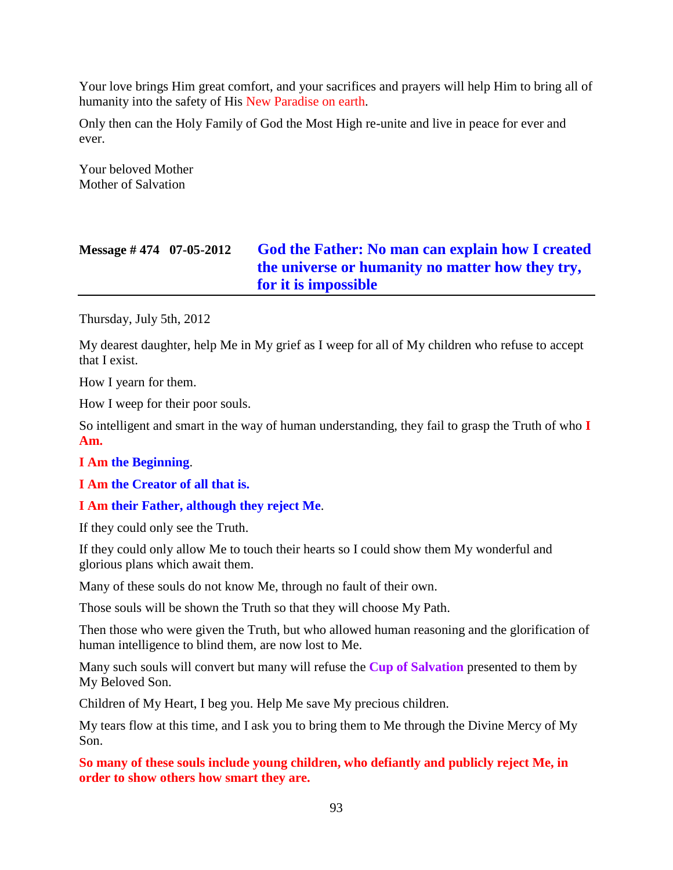Your love brings Him great comfort, and your sacrifices and prayers will help Him to bring all of humanity into the safety of His New Paradise on earth.

Only then can the Holy Family of God the Most High re-unite and live in peace for ever and ever.

Your beloved Mother Mother of Salvation

# **Message # 474 07-05-2012 [God the Father: No man can explain how I created](http://www.thewarningsecondcoming.com/god-the-father-no-man-can-explain-how-i-created-the-universe-or-humanity-no-matter-how-they-try-for-it-is-impossible/)  [the universe or humanity no matter how they try,](http://www.thewarningsecondcoming.com/god-the-father-no-man-can-explain-how-i-created-the-universe-or-humanity-no-matter-how-they-try-for-it-is-impossible/)  [for it is impossible](http://www.thewarningsecondcoming.com/god-the-father-no-man-can-explain-how-i-created-the-universe-or-humanity-no-matter-how-they-try-for-it-is-impossible/)**

Thursday, July 5th, 2012

My dearest daughter, help Me in My grief as I weep for all of My children who refuse to accept that I exist.

How I yearn for them.

How I weep for their poor souls.

So intelligent and smart in the way of human understanding, they fail to grasp the Truth of who **I Am.**

#### **I Am the Beginning**.

**I Am the Creator of all that is.**

#### **I Am their Father, although they reject Me**.

If they could only see the Truth.

If they could only allow Me to touch their hearts so I could show them My wonderful and glorious plans which await them.

Many of these souls do not know Me, through no fault of their own.

Those souls will be shown the Truth so that they will choose My Path.

Then those who were given the Truth, but who allowed human reasoning and the glorification of human intelligence to blind them, are now lost to Me.

Many such souls will convert but many will refuse the **Cup of Salvation** presented to them by My Beloved Son.

Children of My Heart, I beg you. Help Me save My precious children.

My tears flow at this time, and I ask you to bring them to Me through the Divine Mercy of My Son.

**So many of these souls include young children, who defiantly and publicly reject Me, in order to show others how smart they are.**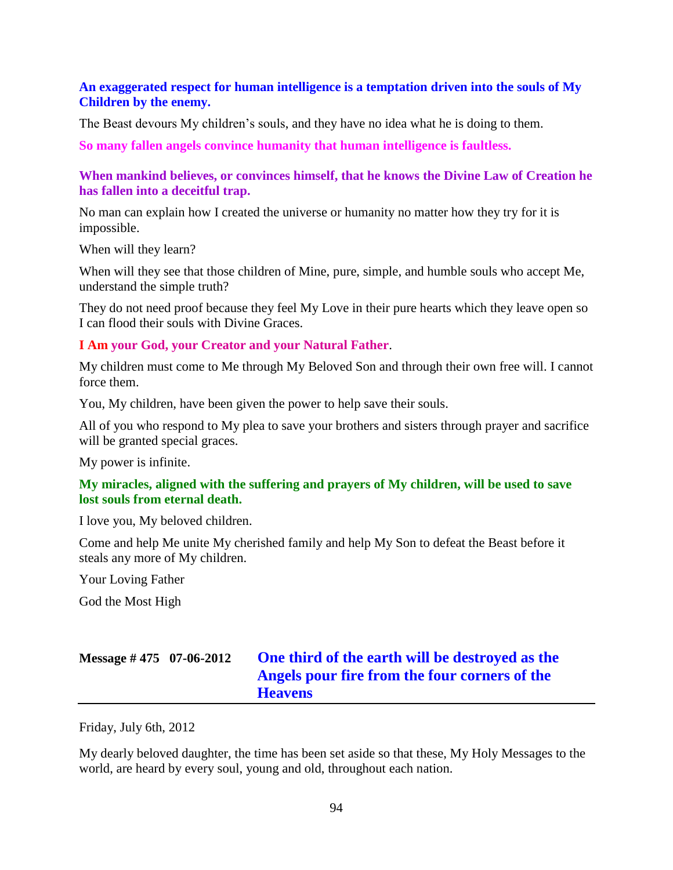#### **An exaggerated respect for human intelligence is a temptation driven into the souls of My Children by the enemy.**

The Beast devours My children's souls, and they have no idea what he is doing to them.

**So many fallen angels convince humanity that human intelligence is faultless.**

#### **When mankind believes, or convinces himself, that he knows the Divine Law of Creation he has fallen into a deceitful trap.**

No man can explain how I created the universe or humanity no matter how they try for it is impossible.

When will they learn?

When will they see that those children of Mine, pure, simple, and humble souls who accept Me, understand the simple truth?

They do not need proof because they feel My Love in their pure hearts which they leave open so I can flood their souls with Divine Graces.

#### **I Am your God, your Creator and your Natural Father**.

My children must come to Me through My Beloved Son and through their own free will. I cannot force them.

You, My children, have been given the power to help save their souls.

All of you who respond to My plea to save your brothers and sisters through prayer and sacrifice will be granted special graces.

My power is infinite.

## **My miracles, aligned with the suffering and prayers of My children, will be used to save lost souls from eternal death.**

I love you, My beloved children.

Come and help Me unite My cherished family and help My Son to defeat the Beast before it steals any more of My children.

Your Loving Father

God the Most High

# **Message # 475 07-06-2012 [One third of the earth will be destroyed as the](http://www.thewarningsecondcoming.com/one-third-of-the-earth-will-be-destroyed-as-the-angels-pour-fire-from-the-four-corners-of-the-heavens/)  [Angels pour fire from the four corners of the](http://www.thewarningsecondcoming.com/one-third-of-the-earth-will-be-destroyed-as-the-angels-pour-fire-from-the-four-corners-of-the-heavens/)  [Heavens](http://www.thewarningsecondcoming.com/one-third-of-the-earth-will-be-destroyed-as-the-angels-pour-fire-from-the-four-corners-of-the-heavens/)**

Friday, July 6th, 2012

My dearly beloved daughter, the time has been set aside so that these, My Holy Messages to the world, are heard by every soul, young and old, throughout each nation.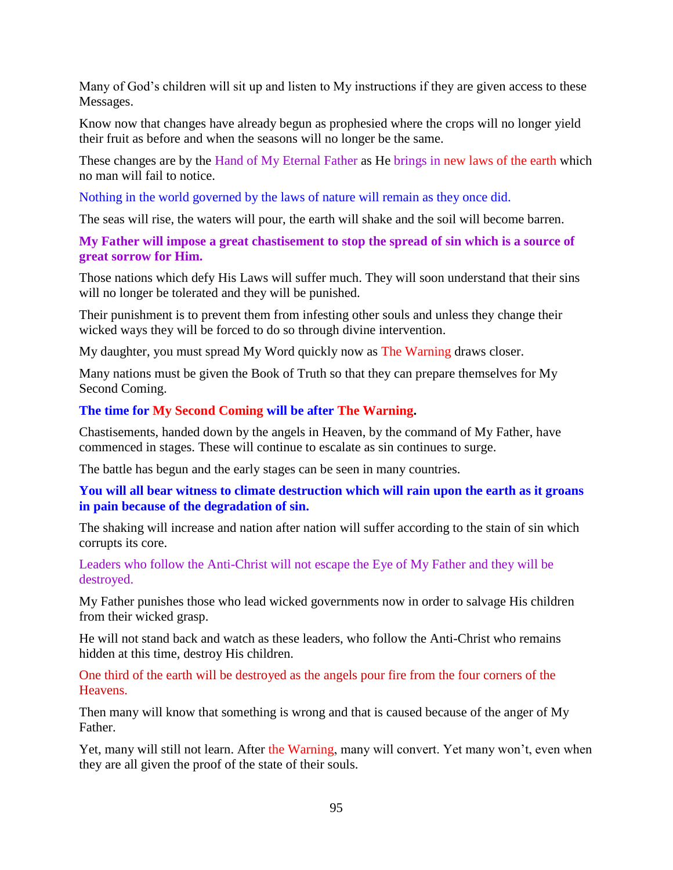Many of God's children will sit up and listen to My instructions if they are given access to these Messages.

Know now that changes have already begun as prophesied where the crops will no longer yield their fruit as before and when the seasons will no longer be the same.

These changes are by the Hand of My Eternal Father as He brings in new laws of the earth which no man will fail to notice.

Nothing in the world governed by the laws of nature will remain as they once did.

The seas will rise, the waters will pour, the earth will shake and the soil will become barren.

### **My Father will impose a great chastisement to stop the spread of sin which is a source of great sorrow for Him.**

Those nations which defy His Laws will suffer much. They will soon understand that their sins will no longer be tolerated and they will be punished.

Their punishment is to prevent them from infesting other souls and unless they change their wicked ways they will be forced to do so through divine intervention.

My daughter, you must spread My Word quickly now as The Warning draws closer.

Many nations must be given the Book of Truth so that they can prepare themselves for My Second Coming.

## **The time for My Second Coming will be after The Warning.**

Chastisements, handed down by the angels in Heaven, by the command of My Father, have commenced in stages. These will continue to escalate as sin continues to surge.

The battle has begun and the early stages can be seen in many countries.

## **You will all bear witness to climate destruction which will rain upon the earth as it groans in pain because of the degradation of sin.**

The shaking will increase and nation after nation will suffer according to the stain of sin which corrupts its core.

Leaders who follow the Anti-Christ will not escape the Eye of My Father and they will be destroyed.

My Father punishes those who lead wicked governments now in order to salvage His children from their wicked grasp.

He will not stand back and watch as these leaders, who follow the Anti-Christ who remains hidden at this time, destroy His children.

One third of the earth will be destroyed as the angels pour fire from the four corners of the **Heavens** 

Then many will know that something is wrong and that is caused because of the anger of My Father.

Yet, many will still not learn. After the Warning, many will convert. Yet many won't, even when they are all given the proof of the state of their souls.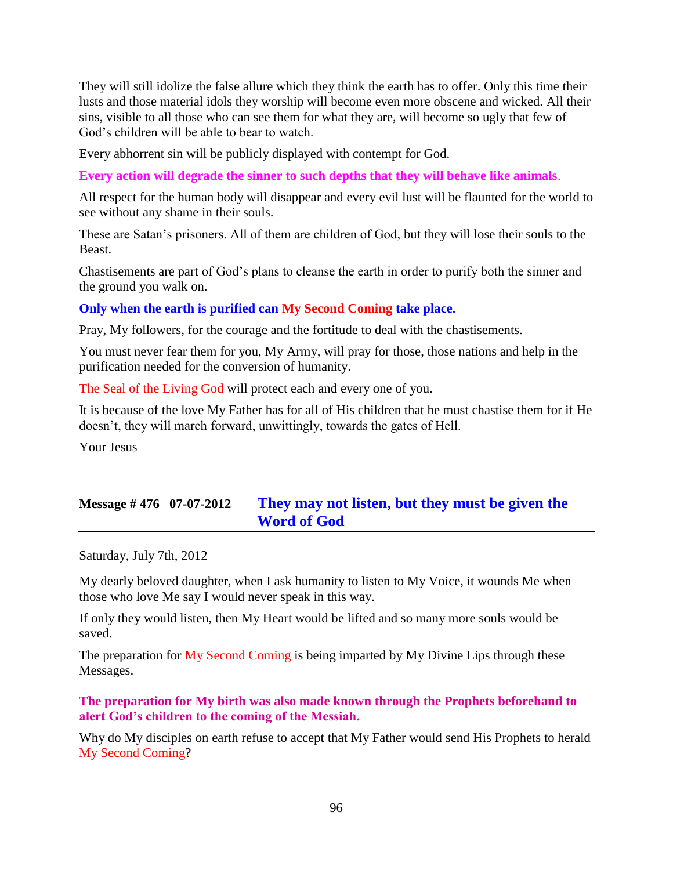They will still idolize the false allure which they think the earth has to offer. Only this time their lusts and those material idols they worship will become even more obscene and wicked. All their sins, visible to all those who can see them for what they are, will become so ugly that few of God's children will be able to bear to watch.

Every abhorrent sin will be publicly displayed with contempt for God.

**Every action will degrade the sinner to such depths that they will behave like animals**.

All respect for the human body will disappear and every evil lust will be flaunted for the world to see without any shame in their souls.

These are Satan's prisoners. All of them are children of God, but they will lose their souls to the Beast.

Chastisements are part of God's plans to cleanse the earth in order to purify both the sinner and the ground you walk on.

#### **Only when the earth is purified can My Second Coming take place.**

Pray, My followers, for the courage and the fortitude to deal with the chastisements.

You must never fear them for you, My Army, will pray for those, those nations and help in the purification needed for the conversion of humanity.

The Seal of the Living God will protect each and every one of you.

It is because of the love My Father has for all of His children that he must chastise them for if He doesn't, they will march forward, unwittingly, towards the gates of Hell.

Your Jesus

# **Message # 476 07-07-2012 They may not listen, [but they must be given the](http://www.thewarningsecondcoming.com/they-may-not-listen-but-they-must-be-given-the-word-of-god/)  [Word of God](http://www.thewarningsecondcoming.com/they-may-not-listen-but-they-must-be-given-the-word-of-god/)**

Saturday, July 7th, 2012

My dearly beloved daughter, when I ask humanity to listen to My Voice, it wounds Me when those who love Me say I would never speak in this way.

If only they would listen, then My Heart would be lifted and so many more souls would be saved.

The preparation for My Second Coming is being imparted by My Divine Lips through these Messages.

**The preparation for My birth was also made known through the Prophets beforehand to alert God's children to the coming of the Messiah.**

Why do My disciples on earth refuse to accept that My Father would send His Prophets to herald My Second Coming?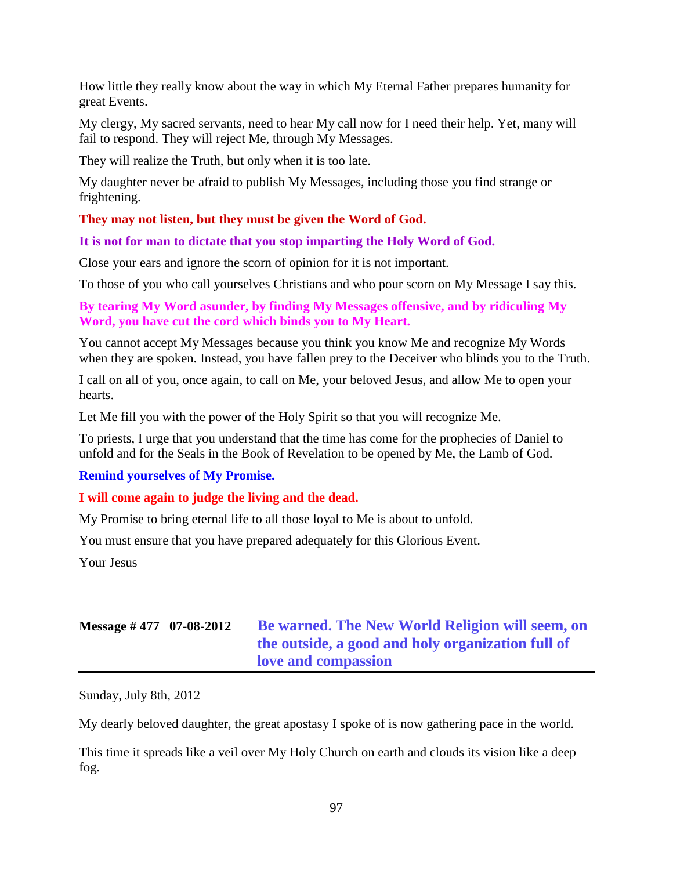How little they really know about the way in which My Eternal Father prepares humanity for great Events.

My clergy, My sacred servants, need to hear My call now for I need their help. Yet, many will fail to respond. They will reject Me, through My Messages.

They will realize the Truth, but only when it is too late.

My daughter never be afraid to publish My Messages, including those you find strange or frightening.

### **They may not listen, but they must be given the Word of God.**

**It is not for man to dictate that you stop imparting the Holy Word of God.**

Close your ears and ignore the scorn of opinion for it is not important.

To those of you who call yourselves Christians and who pour scorn on My Message I say this.

**By tearing My Word asunder, by finding My Messages offensive, and by ridiculing My Word, you have cut the cord which binds you to My Heart.**

You cannot accept My Messages because you think you know Me and recognize My Words when they are spoken. Instead, you have fallen prey to the Deceiver who blinds you to the Truth.

I call on all of you, once again, to call on Me, your beloved Jesus, and allow Me to open your hearts.

Let Me fill you with the power of the Holy Spirit so that you will recognize Me.

To priests, I urge that you understand that the time has come for the prophecies of Daniel to unfold and for the Seals in the Book of Revelation to be opened by Me, the Lamb of God.

#### **Remind yourselves of My Promise.**

#### **I will come again to judge the living and the dead.**

My Promise to bring eternal life to all those loyal to Me is about to unfold.

You must ensure that you have prepared adequately for this Glorious Event.

Your Jesus

# **Message # 477 07-08-2012 [Be warned. The New World Religion will seem, on](http://www.thewarningsecondcoming.com/be-warned-the-new-world-religion-will-seem-on-the-outside-a-good-and-holy-organisation-full-of-love-and-compassion/)  [the outside, a good and holy organization full of](http://www.thewarningsecondcoming.com/be-warned-the-new-world-religion-will-seem-on-the-outside-a-good-and-holy-organisation-full-of-love-and-compassion/)  [love and compassion](http://www.thewarningsecondcoming.com/be-warned-the-new-world-religion-will-seem-on-the-outside-a-good-and-holy-organisation-full-of-love-and-compassion/)**

Sunday, July 8th, 2012

My dearly beloved daughter, the great apostasy I spoke of is now gathering pace in the world.

This time it spreads like a veil over My Holy Church on earth and clouds its vision like a deep fog.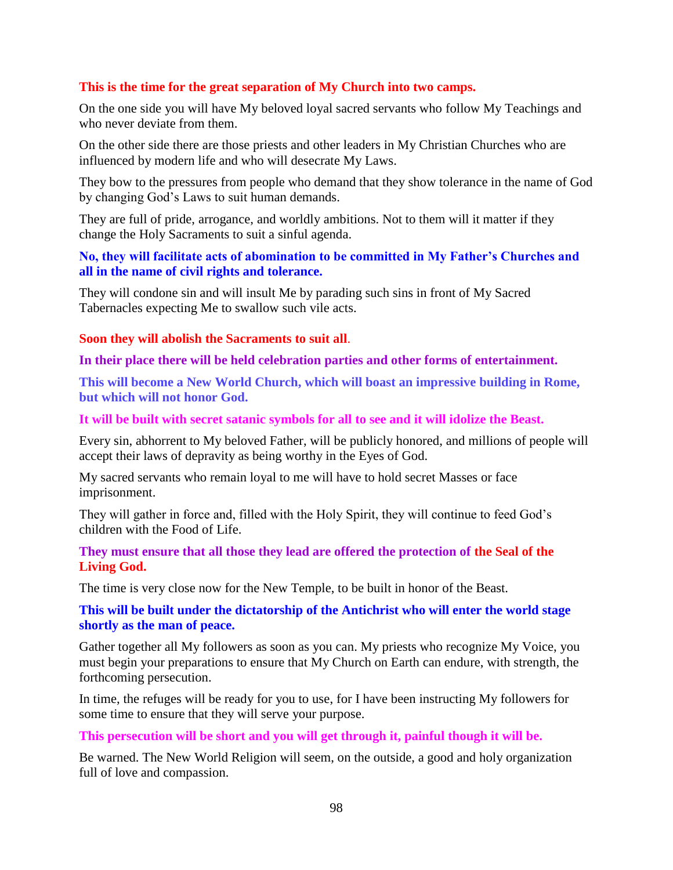### **This is the time for the great separation of My Church into two camps.**

On the one side you will have My beloved loyal sacred servants who follow My Teachings and who never deviate from them.

On the other side there are those priests and other leaders in My Christian Churches who are influenced by modern life and who will desecrate My Laws.

They bow to the pressures from people who demand that they show tolerance in the name of God by changing God's Laws to suit human demands.

They are full of pride, arrogance, and worldly ambitions. Not to them will it matter if they change the Holy Sacraments to suit a sinful agenda.

### **No, they will facilitate acts of abomination to be committed in My Father's Churches and all in the name of civil rights and tolerance.**

They will condone sin and will insult Me by parading such sins in front of My Sacred Tabernacles expecting Me to swallow such vile acts.

#### **Soon they will abolish the Sacraments to suit all**.

#### **In their place there will be held celebration parties and other forms of entertainment.**

**This will become a New World Church, which will boast an impressive building in Rome, but which will not honor God.**

#### **It will be built with secret satanic symbols for all to see and it will idolize the Beast.**

Every sin, abhorrent to My beloved Father, will be publicly honored, and millions of people will accept their laws of depravity as being worthy in the Eyes of God.

My sacred servants who remain loyal to me will have to hold secret Masses or face imprisonment.

They will gather in force and, filled with the Holy Spirit, they will continue to feed God's children with the Food of Life.

#### **They must ensure that all those they lead are offered the protection of the Seal of the Living God.**

The time is very close now for the New Temple, to be built in honor of the Beast.

### **This will be built under the dictatorship of the Antichrist who will enter the world stage shortly as the man of peace.**

Gather together all My followers as soon as you can. My priests who recognize My Voice, you must begin your preparations to ensure that My Church on Earth can endure, with strength, the forthcoming persecution.

In time, the refuges will be ready for you to use, for I have been instructing My followers for some time to ensure that they will serve your purpose.

#### **This persecution will be short and you will get through it, painful though it will be.**

Be warned. The New World Religion will seem, on the outside, a good and holy organization full of love and compassion.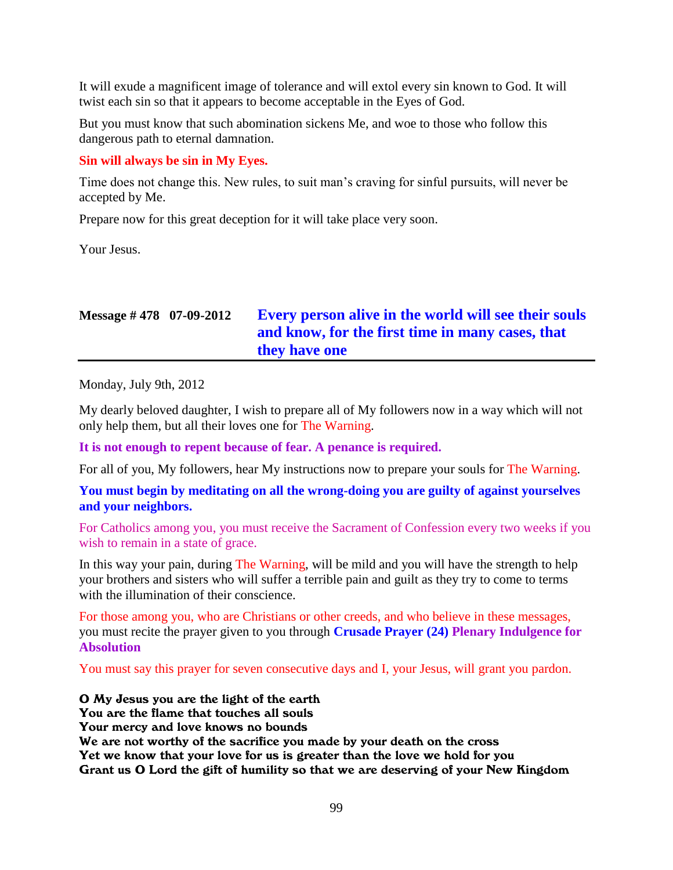It will exude a magnificent image of tolerance and will extol every sin known to God. It will twist each sin so that it appears to become acceptable in the Eyes of God.

But you must know that such abomination sickens Me, and woe to those who follow this dangerous path to eternal damnation.

### **Sin will always be sin in My Eyes.**

Time does not change this. New rules, to suit man's craving for sinful pursuits, will never be accepted by Me.

Prepare now for this great deception for it will take place very soon.

Your Jesus.

# **Message # 478 07-09-2012 [Every person alive in the world will see their souls](http://www.thewarningsecondcoming.com/every-person-alive-in-the-world-will-see-their-souls-and-know-for-the-first-time-in-many-cases-that-they-have-one/)  [and know, for the first time in many cases, that](http://www.thewarningsecondcoming.com/every-person-alive-in-the-world-will-see-their-souls-and-know-for-the-first-time-in-many-cases-that-they-have-one/)  [they have one](http://www.thewarningsecondcoming.com/every-person-alive-in-the-world-will-see-their-souls-and-know-for-the-first-time-in-many-cases-that-they-have-one/)**

Monday, July 9th, 2012

My dearly beloved daughter, I wish to prepare all of My followers now in a way which will not only help them, but all their loves one for The Warning.

**It is not enough to repent because of fear. A penance is required.**

For all of you, My followers, hear My instructions now to prepare your souls for The Warning.

### **You must begin by meditating on all the wrong-doing you are guilty of against yourselves and your neighbors.**

For Catholics among you, you must receive the Sacrament of Confession every two weeks if you wish to remain in a state of grace.

In this way your pain, during The Warning, will be mild and you will have the strength to help your brothers and sisters who will suffer a terrible pain and guilt as they try to come to terms with the illumination of their conscience.

For those among you, who are Christians or other creeds, and who believe in these messages, you must recite the prayer given to you through **Crusade Prayer (24) Plenary Indulgence for Absolution**

You must say this prayer for seven consecutive days and I, your Jesus, will grant you pardon.

#### O My Jesus you are the light of the earth

You are the flame that touches all souls

Your mercy and love knows no bounds

We are not worthy of the sacrifice you made by your death on the cross Yet we know that your love for us is greater than the love we hold for you Grant us O Lord the gift of humility so that we are deserving of your New Kingdom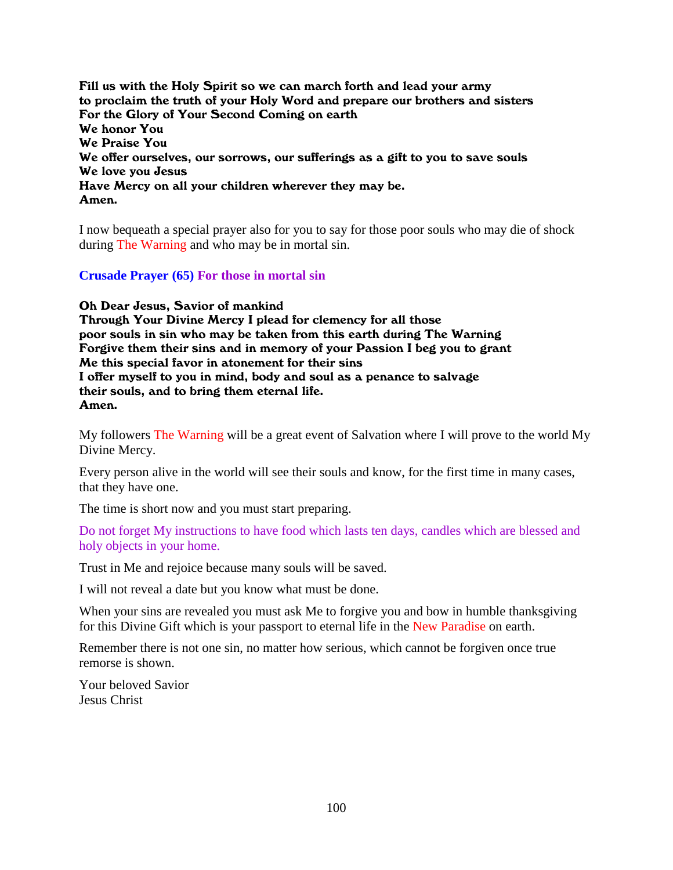Fill us with the Holy Spirit so we can march forth and lead your army to proclaim the truth of your Holy Word and prepare our brothers and sisters For the Glory of Your Second Coming on earth We honor You We Praise You We offer ourselves, our sorrows, our sufferings as a gift to you to save souls We love you Jesus Have Mercy on all your children wherever they may be. Amen.

I now bequeath a special prayer also for you to say for those poor souls who may die of shock during The Warning and who may be in mortal sin.

#### **Crusade Prayer (65) For those in mortal sin**

Oh Dear Jesus, Savior of mankind

Through Your Divine Mercy I plead for clemency for all those poor souls in sin who may be taken from this earth during The Warning Forgive them their sins and in memory of your Passion I beg you to grant Me this special favor in atonement for their sins I offer myself to you in mind, body and soul as a penance to salvage their souls, and to bring them eternal life. Amen.

My followers The Warning will be a great event of Salvation where I will prove to the world My Divine Mercy.

Every person alive in the world will see their souls and know, for the first time in many cases, that they have one.

The time is short now and you must start preparing.

Do not forget My instructions to have food which lasts ten days, candles which are blessed and holy objects in your home.

Trust in Me and rejoice because many souls will be saved.

I will not reveal a date but you know what must be done.

When your sins are revealed you must ask Me to forgive you and bow in humble thanksgiving for this Divine Gift which is your passport to eternal life in the New Paradise on earth.

Remember there is not one sin, no matter how serious, which cannot be forgiven once true remorse is shown.

Your beloved Savior Jesus Christ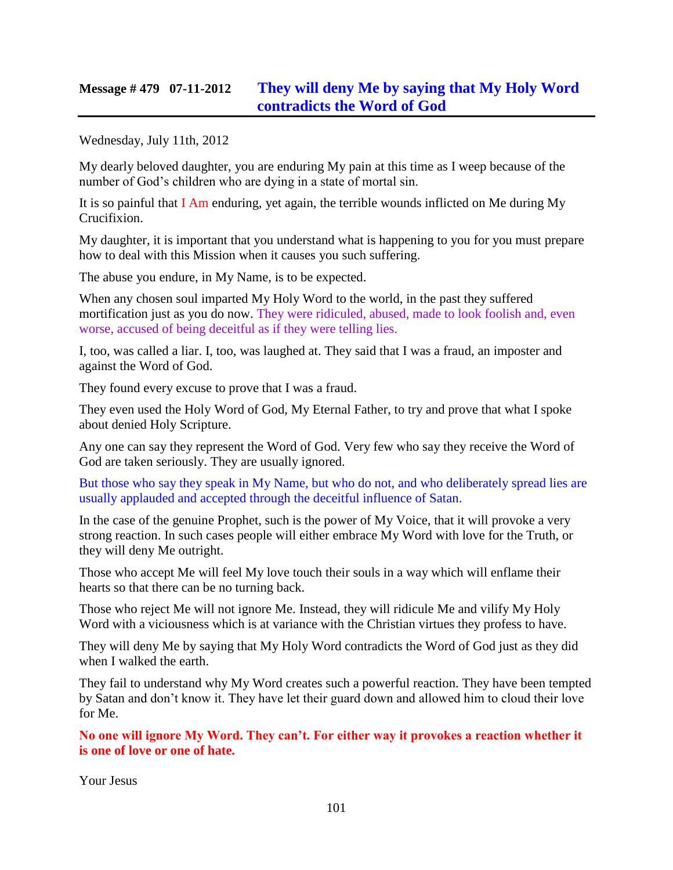## **Message # 479 07-11-2012 [They will deny Me by saying that My Holy Word](http://www.thewarningsecondcoming.com/they-will-deny-me-by-saying-that-my-holy-word-contradicts-the-word-of-god/)  [contradicts the Word of God](http://www.thewarningsecondcoming.com/they-will-deny-me-by-saying-that-my-holy-word-contradicts-the-word-of-god/)**

Wednesday, July 11th, 2012

My dearly beloved daughter, you are enduring My pain at this time as I weep because of the number of God's children who are dying in a state of mortal sin.

It is so painful that I Am enduring, yet again, the terrible wounds inflicted on Me during My Crucifixion.

My daughter, it is important that you understand what is happening to you for you must prepare how to deal with this Mission when it causes you such suffering.

The abuse you endure, in My Name, is to be expected.

When any chosen soul imparted My Holy Word to the world, in the past they suffered mortification just as you do now. They were ridiculed, abused, made to look foolish and, even worse, accused of being deceitful as if they were telling lies.

I, too, was called a liar. I, too, was laughed at. They said that I was a fraud, an imposter and against the Word of God.

They found every excuse to prove that I was a fraud.

They even used the Holy Word of God, My Eternal Father, to try and prove that what I spoke about denied Holy Scripture.

Any one can say they represent the Word of God. Very few who say they receive the Word of God are taken seriously. They are usually ignored.

But those who say they speak in My Name, but who do not, and who deliberately spread lies are usually applauded and accepted through the deceitful influence of Satan.

In the case of the genuine Prophet, such is the power of My Voice, that it will provoke a very strong reaction. In such cases people will either embrace My Word with love for the Truth, or they will deny Me outright.

Those who accept Me will feel My love touch their souls in a way which will enflame their hearts so that there can be no turning back.

Those who reject Me will not ignore Me. Instead, they will ridicule Me and vilify My Holy Word with a viciousness which is at variance with the Christian virtues they profess to have.

They will deny Me by saying that My Holy Word contradicts the Word of God just as they did when I walked the earth.

They fail to understand why My Word creates such a powerful reaction. They have been tempted by Satan and don't know it. They have let their guard down and allowed him to cloud their love for Me.

**No one will ignore My Word. They can't. For either way it provokes a reaction whether it is one of love or one of hate.**

Your Jesus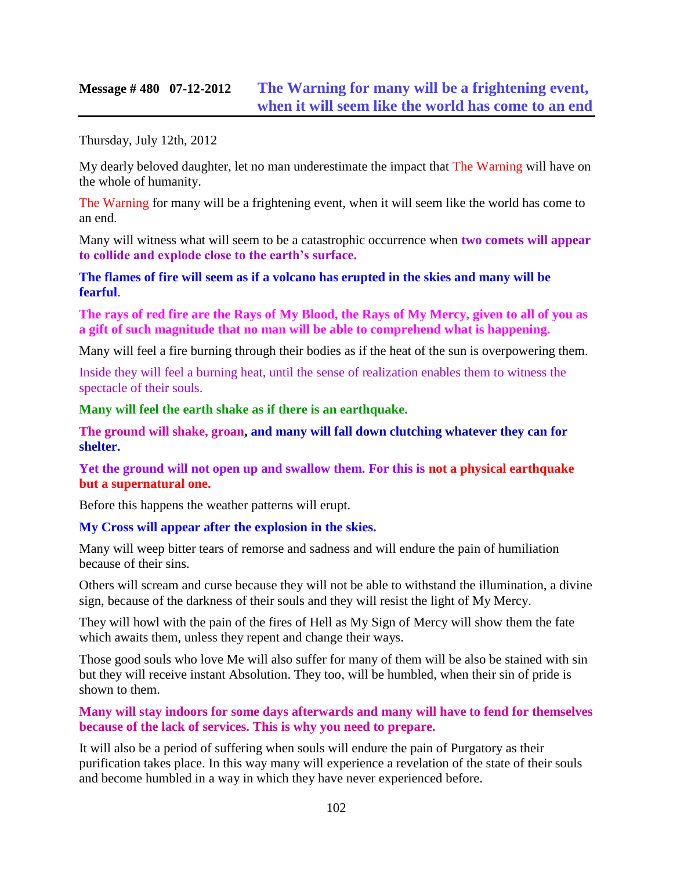## **Message # 480 07-12-2012 [The Warning for many will be a frightening event,](http://www.thewarningsecondcoming.com/the-warning-for-many-will-be-a-frightening-event-when-it-will-seem-like-the-world-has-come-to-an-end/)  [when it will seem like the world has come to an end](http://www.thewarningsecondcoming.com/the-warning-for-many-will-be-a-frightening-event-when-it-will-seem-like-the-world-has-come-to-an-end/)**

#### Thursday, July 12th, 2012

My dearly beloved daughter, let no man underestimate the impact that The Warning will have on the whole of humanity.

The Warning for many will be a frightening event, when it will seem like the world has come to an end.

Many will witness what will seem to be a catastrophic occurrence when **two comets will appear to collide and explode close to the earth's surface.**

#### **The flames of fire will seem as if a volcano has erupted in the skies and many will be fearful**.

**The rays of red fire are the Rays of My Blood, the Rays of My Mercy, given to all of you as a gift of such magnitude that no man will be able to comprehend what is happening.**

Many will feel a fire burning through their bodies as if the heat of the sun is overpowering them.

Inside they will feel a burning heat, until the sense of realization enables them to witness the spectacle of their souls.

#### **Many will feel the earth shake as if there is an earthquake.**

**The ground will shake, groan, and many will fall down clutching whatever they can for shelter.**

#### **Yet the ground will not open up and swallow them. For this is not a physical earthquake but a supernatural one.**

Before this happens the weather patterns will erupt.

#### **My Cross will appear after the explosion in the skies.**

Many will weep bitter tears of remorse and sadness and will endure the pain of humiliation because of their sins.

Others will scream and curse because they will not be able to withstand the illumination, a divine sign, because of the darkness of their souls and they will resist the light of My Mercy.

They will howl with the pain of the fires of Hell as My Sign of Mercy will show them the fate which awaits them, unless they repent and change their ways.

Those good souls who love Me will also suffer for many of them will be also be stained with sin but they will receive instant Absolution. They too, will be humbled, when their sin of pride is shown to them.

#### **Many will stay indoors for some days afterwards and many will have to fend for themselves because of the lack of services. This is why you need to prepare.**

It will also be a period of suffering when souls will endure the pain of Purgatory as their purification takes place. In this way many will experience a revelation of the state of their souls and become humbled in a way in which they have never experienced before.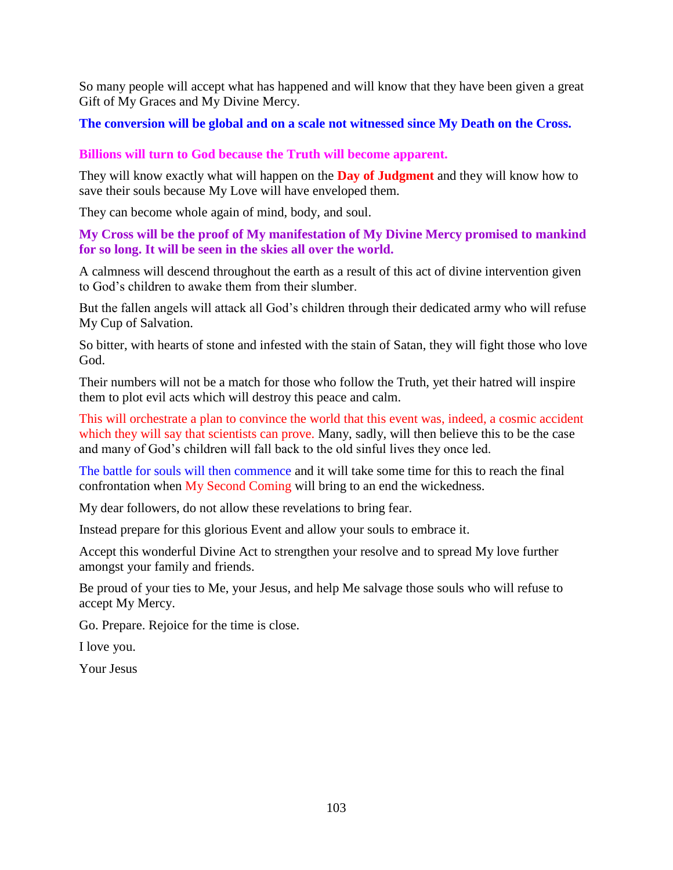So many people will accept what has happened and will know that they have been given a great Gift of My Graces and My Divine Mercy.

**The conversion will be global and on a scale not witnessed since My Death on the Cross.**

**Billions will turn to God because the Truth will become apparent.**

They will know exactly what will happen on the **Day of Judgment** and they will know how to save their souls because My Love will have enveloped them.

They can become whole again of mind, body, and soul.

**My Cross will be the proof of My manifestation of My Divine Mercy promised to mankind for so long. It will be seen in the skies all over the world.**

A calmness will descend throughout the earth as a result of this act of divine intervention given to God's children to awake them from their slumber.

But the fallen angels will attack all God's children through their dedicated army who will refuse My Cup of Salvation.

So bitter, with hearts of stone and infested with the stain of Satan, they will fight those who love God.

Their numbers will not be a match for those who follow the Truth, yet their hatred will inspire them to plot evil acts which will destroy this peace and calm.

This will orchestrate a plan to convince the world that this event was, indeed, a cosmic accident which they will say that scientists can prove. Many, sadly, will then believe this to be the case and many of God's children will fall back to the old sinful lives they once led.

The battle for souls will then commence and it will take some time for this to reach the final confrontation when My Second Coming will bring to an end the wickedness.

My dear followers, do not allow these revelations to bring fear.

Instead prepare for this glorious Event and allow your souls to embrace it.

Accept this wonderful Divine Act to strengthen your resolve and to spread My love further amongst your family and friends.

Be proud of your ties to Me, your Jesus, and help Me salvage those souls who will refuse to accept My Mercy.

Go. Prepare. Rejoice for the time is close.

I love you.

Your Jesus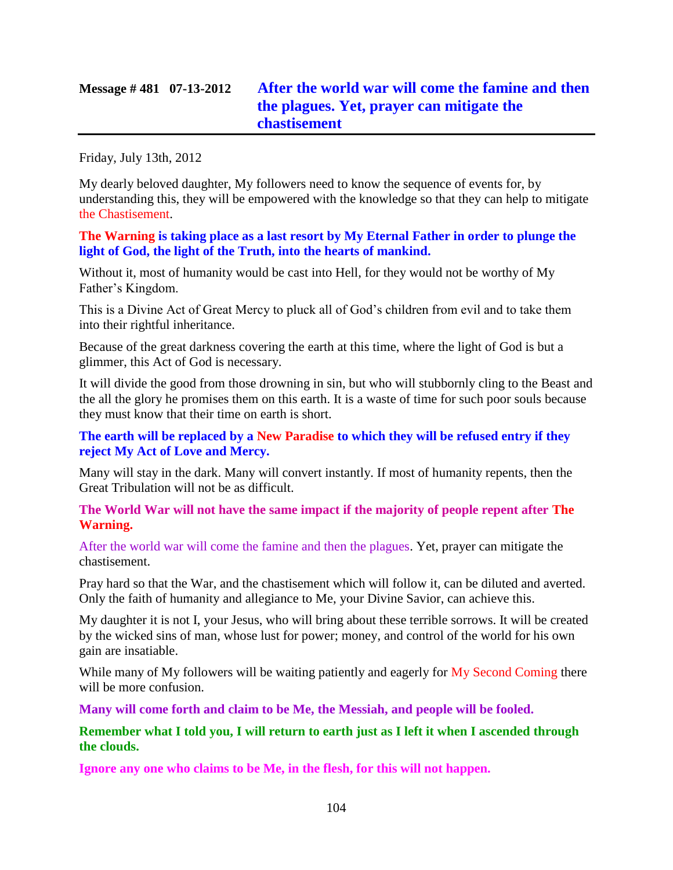Friday, July 13th, 2012

My dearly beloved daughter, My followers need to know the sequence of events for, by understanding this, they will be empowered with the knowledge so that they can help to mitigate the Chastisement.

### **The Warning is taking place as a last resort by My Eternal Father in order to plunge the light of God, the light of the Truth, into the hearts of mankind.**

Without it, most of humanity would be cast into Hell, for they would not be worthy of My Father's Kingdom.

This is a Divine Act of Great Mercy to pluck all of God's children from evil and to take them into their rightful inheritance.

Because of the great darkness covering the earth at this time, where the light of God is but a glimmer, this Act of God is necessary.

It will divide the good from those drowning in sin, but who will stubbornly cling to the Beast and the all the glory he promises them on this earth. It is a waste of time for such poor souls because they must know that their time on earth is short.

## **The earth will be replaced by a New Paradise to which they will be refused entry if they reject My Act of Love and Mercy.**

Many will stay in the dark. Many will convert instantly. If most of humanity repents, then the Great Tribulation will not be as difficult.

### **The World War will not have the same impact if the majority of people repent after The Warning.**

After the world war will come the famine and then the plagues. Yet, prayer can mitigate the chastisement.

Pray hard so that the War, and the chastisement which will follow it, can be diluted and averted. Only the faith of humanity and allegiance to Me, your Divine Savior, can achieve this.

My daughter it is not I, your Jesus, who will bring about these terrible sorrows. It will be created by the wicked sins of man, whose lust for power; money, and control of the world for his own gain are insatiable.

While many of My followers will be waiting patiently and eagerly for My Second Coming there will be more confusion.

**Many will come forth and claim to be Me, the Messiah, and people will be fooled.**

## **Remember what I told you, I will return to earth just as I left it when I ascended through the clouds.**

**Ignore any one who claims to be Me, in the flesh, for this will not happen.**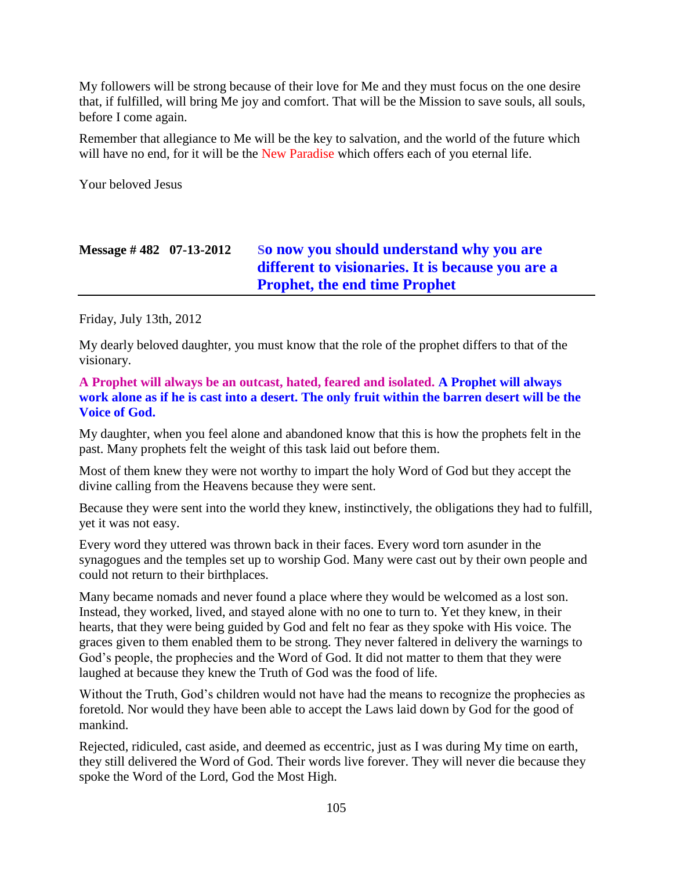My followers will be strong because of their love for Me and they must focus on the one desire that, if fulfilled, will bring Me joy and comfort. That will be the Mission to save souls, all souls, before I come again.

Remember that allegiance to Me will be the key to salvation, and the world of the future which will have no end, for it will be the New Paradise which offers each of you eternal life.

Your beloved Jesus

## **Message # 482 07-13-2012 S[o now you should understand why you are](http://www.thewarningsecondcoming.com/so-now-you-should-understand-why-you-are-different-to-visionaries-it-is-because-you-are-a-prophet-the-end-time-prophet/)  [different to visionaries. It is because you are a](http://www.thewarningsecondcoming.com/so-now-you-should-understand-why-you-are-different-to-visionaries-it-is-because-you-are-a-prophet-the-end-time-prophet/)  [Prophet, the end time Prophet](http://www.thewarningsecondcoming.com/so-now-you-should-understand-why-you-are-different-to-visionaries-it-is-because-you-are-a-prophet-the-end-time-prophet/)**

Friday, July 13th, 2012

My dearly beloved daughter, you must know that the role of the prophet differs to that of the visionary.

**A Prophet will always be an outcast, hated, feared and isolated. A Prophet will always work alone as if he is cast into a desert. The only fruit within the barren desert will be the Voice of God.**

My daughter, when you feel alone and abandoned know that this is how the prophets felt in the past. Many prophets felt the weight of this task laid out before them.

Most of them knew they were not worthy to impart the holy Word of God but they accept the divine calling from the Heavens because they were sent.

Because they were sent into the world they knew, instinctively, the obligations they had to fulfill, yet it was not easy.

Every word they uttered was thrown back in their faces. Every word torn asunder in the synagogues and the temples set up to worship God. Many were cast out by their own people and could not return to their birthplaces.

Many became nomads and never found a place where they would be welcomed as a lost son. Instead, they worked, lived, and stayed alone with no one to turn to. Yet they knew, in their hearts, that they were being guided by God and felt no fear as they spoke with His voice. The graces given to them enabled them to be strong. They never faltered in delivery the warnings to God's people, the prophecies and the Word of God. It did not matter to them that they were laughed at because they knew the Truth of God was the food of life.

Without the Truth, God's children would not have had the means to recognize the prophecies as foretold. Nor would they have been able to accept the Laws laid down by God for the good of mankind.

Rejected, ridiculed, cast aside, and deemed as eccentric, just as I was during My time on earth, they still delivered the Word of God. Their words live forever. They will never die because they spoke the Word of the Lord, God the Most High.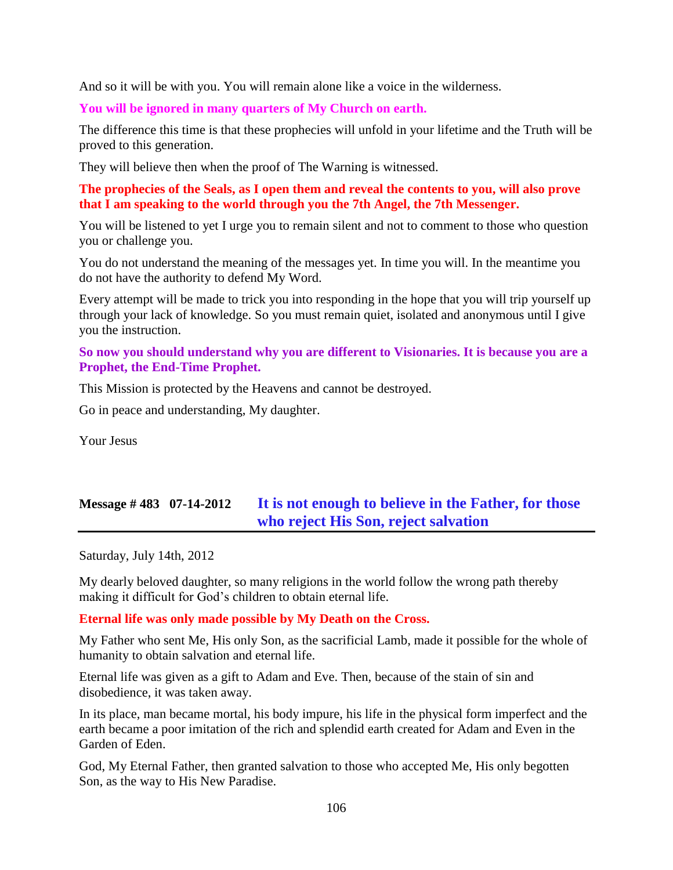And so it will be with you. You will remain alone like a voice in the wilderness.

**You will be ignored in many quarters of My Church on earth.**

The difference this time is that these prophecies will unfold in your lifetime and the Truth will be proved to this generation.

They will believe then when the proof of The Warning is witnessed.

### **The prophecies of the Seals, as I open them and reveal the contents to you, will also prove that I am speaking to the world through you the 7th Angel, the 7th Messenger.**

You will be listened to yet I urge you to remain silent and not to comment to those who question you or challenge you.

You do not understand the meaning of the messages yet. In time you will. In the meantime you do not have the authority to defend My Word.

Every attempt will be made to trick you into responding in the hope that you will trip yourself up through your lack of knowledge. So you must remain quiet, isolated and anonymous until I give you the instruction.

### **So now you should understand why you are different to Visionaries. It is because you are a Prophet, the End-Time Prophet.**

This Mission is protected by the Heavens and cannot be destroyed.

Go in peace and understanding, My daughter.

Your Jesus

# **Message # 483 07-14-2012 [It is not enough to believe in the Father, for those](http://www.thewarningsecondcoming.com/it-is-not-enough-to-believe-in-the-father-for-those-who-reject-his-son-reject-salvation/)  [who reject His Son, reject salvation](http://www.thewarningsecondcoming.com/it-is-not-enough-to-believe-in-the-father-for-those-who-reject-his-son-reject-salvation/)**

Saturday, July 14th, 2012

My dearly beloved daughter, so many religions in the world follow the wrong path thereby making it difficult for God's children to obtain eternal life.

#### **Eternal life was only made possible by My Death on the Cross.**

My Father who sent Me, His only Son, as the sacrificial Lamb, made it possible for the whole of humanity to obtain salvation and eternal life.

Eternal life was given as a gift to Adam and Eve. Then, because of the stain of sin and disobedience, it was taken away.

In its place, man became mortal, his body impure, his life in the physical form imperfect and the earth became a poor imitation of the rich and splendid earth created for Adam and Even in the Garden of Eden.

God, My Eternal Father, then granted salvation to those who accepted Me, His only begotten Son, as the way to His New Paradise.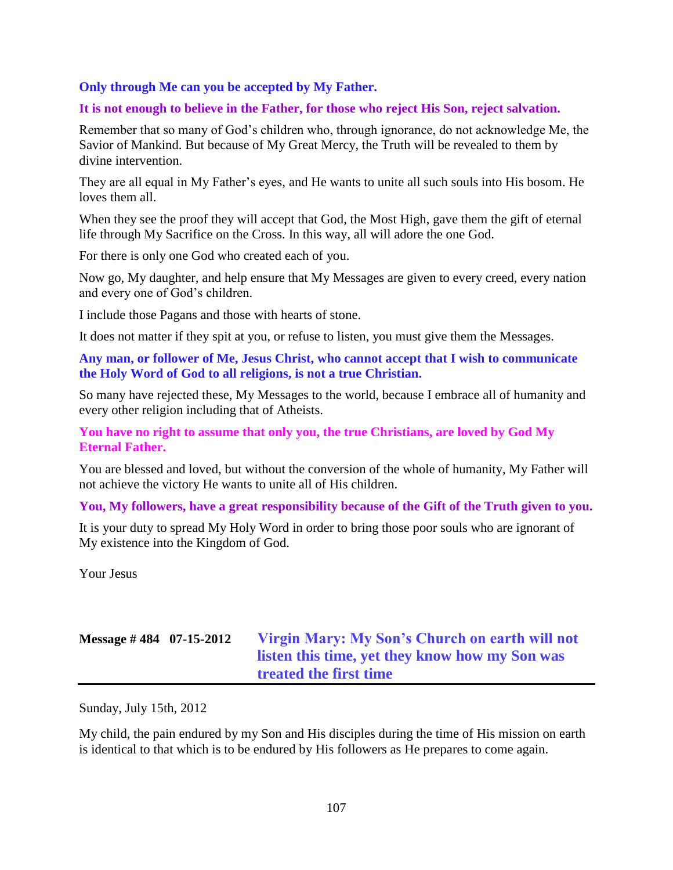#### **Only through Me can you be accepted by My Father.**

#### **It is not enough to believe in the Father, for those who reject His Son, reject salvation.**

Remember that so many of God's children who, through ignorance, do not acknowledge Me, the Savior of Mankind. But because of My Great Mercy, the Truth will be revealed to them by divine intervention.

They are all equal in My Father's eyes, and He wants to unite all such souls into His bosom. He loves them all.

When they see the proof they will accept that God, the Most High, gave them the gift of eternal life through My Sacrifice on the Cross. In this way, all will adore the one God.

For there is only one God who created each of you.

Now go, My daughter, and help ensure that My Messages are given to every creed, every nation and every one of God's children.

I include those Pagans and those with hearts of stone.

It does not matter if they spit at you, or refuse to listen, you must give them the Messages.

**Any man, or follower of Me, Jesus Christ, who cannot accept that I wish to communicate the Holy Word of God to all religions, is not a true Christian.**

So many have rejected these, My Messages to the world, because I embrace all of humanity and every other religion including that of Atheists.

**You have no right to assume that only you, the true Christians, are loved by God My Eternal Father.**

You are blessed and loved, but without the conversion of the whole of humanity, My Father will not achieve the victory He wants to unite all of His children.

**You, My followers, have a great responsibility because of the Gift of the Truth given to you.**

It is your duty to spread My Holy Word in order to bring those poor souls who are ignorant of My existence into the Kingdom of God.

Your Jesus

# **Message # 484 07-15-2012 [Virgin Mary: My Son's Church on earth will not](http://www.thewarningsecondcoming.com/my-sons-church-on-earth-will-not-listen-this-time-yet-they-know-how-my-son-was-treated-the-first-time/)  [listen this time, yet they know how my Son was](http://www.thewarningsecondcoming.com/my-sons-church-on-earth-will-not-listen-this-time-yet-they-know-how-my-son-was-treated-the-first-time/)  [treated the first time](http://www.thewarningsecondcoming.com/my-sons-church-on-earth-will-not-listen-this-time-yet-they-know-how-my-son-was-treated-the-first-time/)**

Sunday, July 15th, 2012

My child, the pain endured by my Son and His disciples during the time of His mission on earth is identical to that which is to be endured by His followers as He prepares to come again.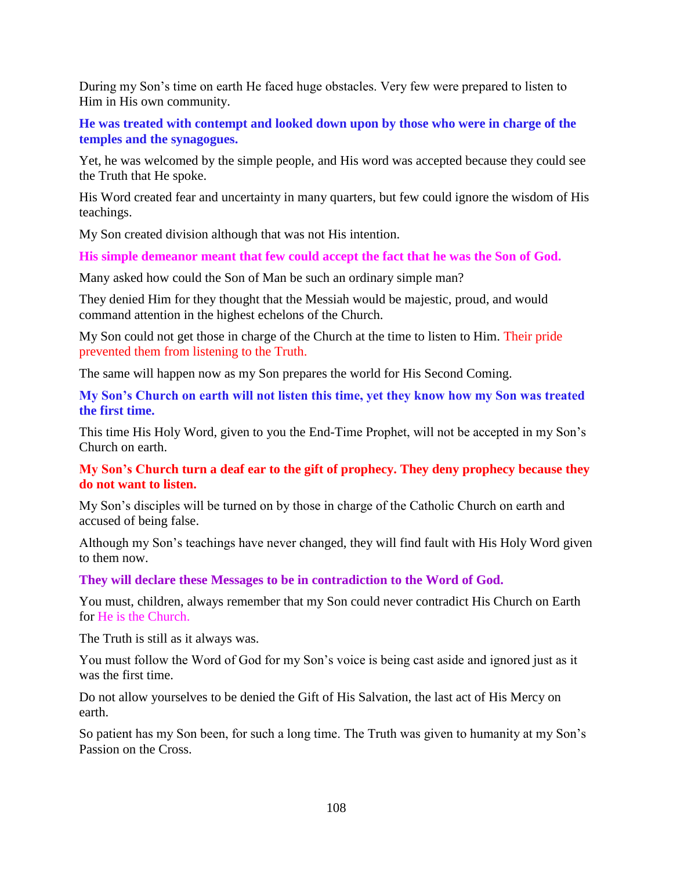During my Son's time on earth He faced huge obstacles. Very few were prepared to listen to Him in His own community.

**He was treated with contempt and looked down upon by those who were in charge of the temples and the synagogues.**

Yet, he was welcomed by the simple people, and His word was accepted because they could see the Truth that He spoke.

His Word created fear and uncertainty in many quarters, but few could ignore the wisdom of His teachings.

My Son created division although that was not His intention.

**His simple demeanor meant that few could accept the fact that he was the Son of God.**

Many asked how could the Son of Man be such an ordinary simple man?

They denied Him for they thought that the Messiah would be majestic, proud, and would command attention in the highest echelons of the Church.

My Son could not get those in charge of the Church at the time to listen to Him. Their pride prevented them from listening to the Truth.

The same will happen now as my Son prepares the world for His Second Coming.

**My Son's Church on earth will not listen this time, yet they know how my Son was treated the first time.**

This time His Holy Word, given to you the End-Time Prophet, will not be accepted in my Son's Church on earth.

#### **My Son's Church turn a deaf ear to the gift of prophecy. They deny prophecy because they do not want to listen.**

My Son's disciples will be turned on by those in charge of the Catholic Church on earth and accused of being false.

Although my Son's teachings have never changed, they will find fault with His Holy Word given to them now.

**They will declare these Messages to be in contradiction to the Word of God.**

You must, children, always remember that my Son could never contradict His Church on Earth for He is the Church.

The Truth is still as it always was.

You must follow the Word of God for my Son's voice is being cast aside and ignored just as it was the first time.

Do not allow yourselves to be denied the Gift of His Salvation, the last act of His Mercy on earth.

So patient has my Son been, for such a long time. The Truth was given to humanity at my Son's Passion on the Cross.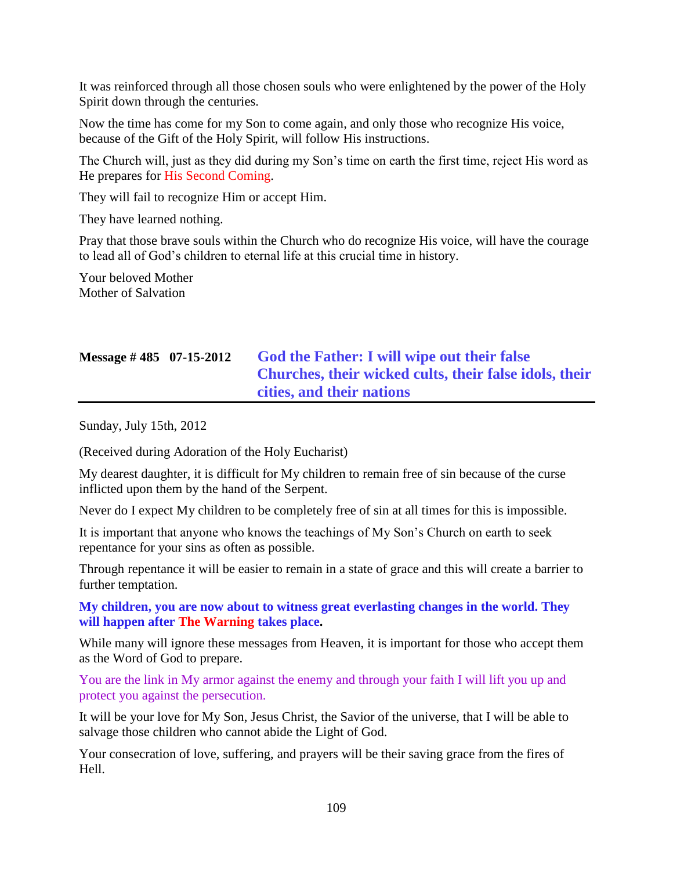It was reinforced through all those chosen souls who were enlightened by the power of the Holy Spirit down through the centuries.

Now the time has come for my Son to come again, and only those who recognize His voice, because of the Gift of the Holy Spirit, will follow His instructions.

The Church will, just as they did during my Son's time on earth the first time, reject His word as He prepares for His Second Coming.

They will fail to recognize Him or accept Him.

They have learned nothing.

Pray that those brave souls within the Church who do recognize His voice, will have the courage to lead all of God's children to eternal life at this crucial time in history.

Your beloved Mother Mother of Salvation

# **Message # 485 07-15-2012 [God the Father: I will wipe out their false](http://www.thewarningsecondcoming.com/god-the-father-i-will-wipe-out-their-false-churches-their-wicked-cults-their-false-idols-their-cities-and-their-nations/)  [Churches, their wicked cults, their false idols, their](http://www.thewarningsecondcoming.com/god-the-father-i-will-wipe-out-their-false-churches-their-wicked-cults-their-false-idols-their-cities-and-their-nations/)  cities, [and their nations](http://www.thewarningsecondcoming.com/god-the-father-i-will-wipe-out-their-false-churches-their-wicked-cults-their-false-idols-their-cities-and-their-nations/)**

Sunday, July 15th, 2012

(Received during Adoration of the Holy Eucharist)

My dearest daughter, it is difficult for My children to remain free of sin because of the curse inflicted upon them by the hand of the Serpent.

Never do I expect My children to be completely free of sin at all times for this is impossible.

It is important that anyone who knows the teachings of My Son's Church on earth to seek repentance for your sins as often as possible.

Through repentance it will be easier to remain in a state of grace and this will create a barrier to further temptation.

**My children, you are now about to witness great everlasting changes in the world. They will happen after The Warning takes place.**

While many will ignore these messages from Heaven, it is important for those who accept them as the Word of God to prepare.

You are the link in My armor against the enemy and through your faith I will lift you up and protect you against the persecution.

It will be your love for My Son, Jesus Christ, the Savior of the universe, that I will be able to salvage those children who cannot abide the Light of God.

Your consecration of love, suffering, and prayers will be their saving grace from the fires of Hell.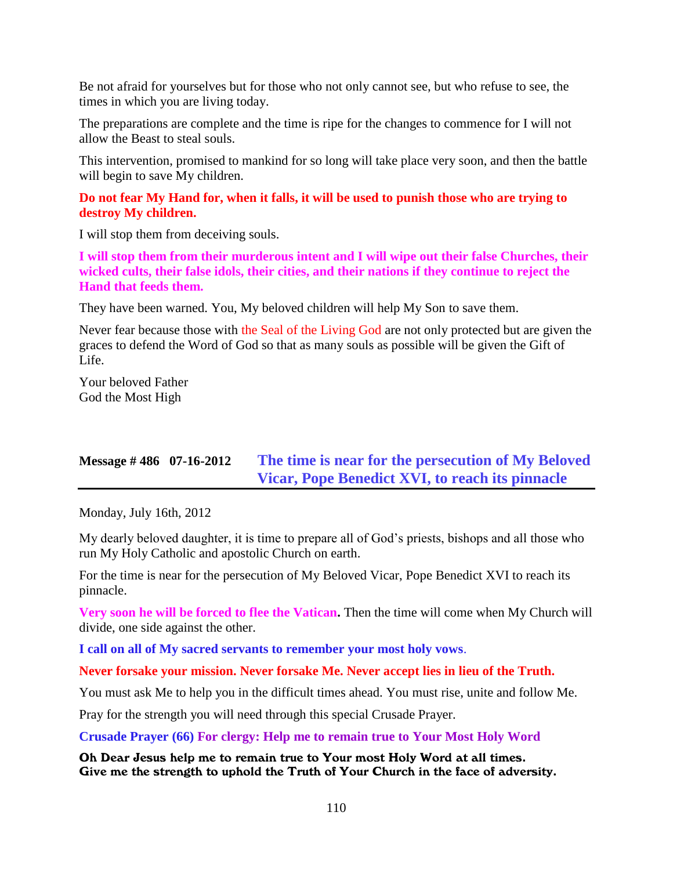Be not afraid for yourselves but for those who not only cannot see, but who refuse to see, the times in which you are living today.

The preparations are complete and the time is ripe for the changes to commence for I will not allow the Beast to steal souls.

This intervention, promised to mankind for so long will take place very soon, and then the battle will begin to save My children.

#### **Do not fear My Hand for, when it falls, it will be used to punish those who are trying to destroy My children.**

I will stop them from deceiving souls.

**I will stop them from their murderous intent and I will wipe out their false Churches, their wicked cults, their false idols, their cities, and their nations if they continue to reject the Hand that feeds them.**

They have been warned. You, My beloved children will help My Son to save them.

Never fear because those with the Seal of the Living God are not only protected but are given the graces to defend the Word of God so that as many souls as possible will be given the Gift of Life.

Your beloved Father God the Most High

## **Message # 486 07-16-2012 [The time is near for the persecution of My Beloved](http://www.thewarningsecondcoming.com/the-time-is-near-for-the-persecution-of-my-beloved-vicar-pope-benedict-xvi-to-reach-its-pinnacle/)  [Vicar, Pope Benedict XVI, to reach its pinnacle](http://www.thewarningsecondcoming.com/the-time-is-near-for-the-persecution-of-my-beloved-vicar-pope-benedict-xvi-to-reach-its-pinnacle/)**

Monday, July 16th, 2012

My dearly beloved daughter, it is time to prepare all of God's priests, bishops and all those who run My Holy Catholic and apostolic Church on earth.

For the time is near for the persecution of My Beloved Vicar, Pope Benedict XVI to reach its pinnacle.

**Very soon he will be forced to flee the Vatican.** Then the time will come when My Church will divide, one side against the other.

**I call on all of My sacred servants to remember your most holy vows**.

**Never forsake your mission. Never forsake Me. Never accept lies in lieu of the Truth.**

You must ask Me to help you in the difficult times ahead. You must rise, unite and follow Me.

Pray for the strength you will need through this special Crusade Prayer.

**Crusade Prayer (66) For clergy: Help me to remain true to Your Most Holy Word**

Oh Dear Jesus help me to remain true to Your most Holy Word at all times. Give me the strength to uphold the Truth of Your Church in the face of adversity.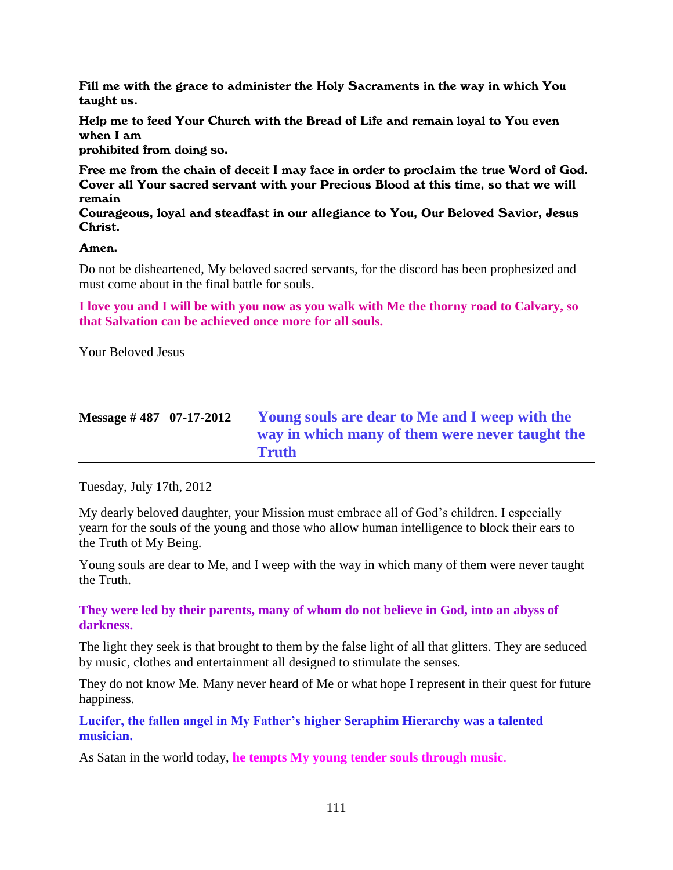Fill me with the grace to administer the Holy Sacraments in the way in which You taught us.

Help me to feed Your Church with the Bread of Life and remain loyal to You even when I am

prohibited from doing so.

Free me from the chain of deceit I may face in order to proclaim the true Word of God. Cover all Your sacred servant with your Precious Blood at this time, so that we will remain

Courageous, loyal and steadfast in our allegiance to You, Our Beloved Savior, Jesus Christ.

#### Amen.

Do not be disheartened, My beloved sacred servants, for the discord has been prophesized and must come about in the final battle for souls.

**I love you and I will be with you now as you walk with Me the thorny road to Calvary, so that Salvation can be achieved once more for all souls.**

Your Beloved Jesus

| Message $\#$ 487 07-17-2012 | Young souls are dear to Me and I weep with the  |
|-----------------------------|-------------------------------------------------|
|                             | way in which many of them were never taught the |
|                             | <b>Truth</b>                                    |

Tuesday, July 17th, 2012

My dearly beloved daughter, your Mission must embrace all of God's children. I especially yearn for the souls of the young and those who allow human intelligence to block their ears to the Truth of My Being.

Young souls are dear to Me, and I weep with the way in which many of them were never taught the Truth.

#### **They were led by their parents, many of whom do not believe in God, into an abyss of darkness.**

The light they seek is that brought to them by the false light of all that glitters. They are seduced by music, clothes and entertainment all designed to stimulate the senses.

They do not know Me. Many never heard of Me or what hope I represent in their quest for future happiness.

**Lucifer, the fallen angel in My Father's higher Seraphim Hierarchy was a talented musician.**

As Satan in the world today, **he tempts My young tender souls through music**.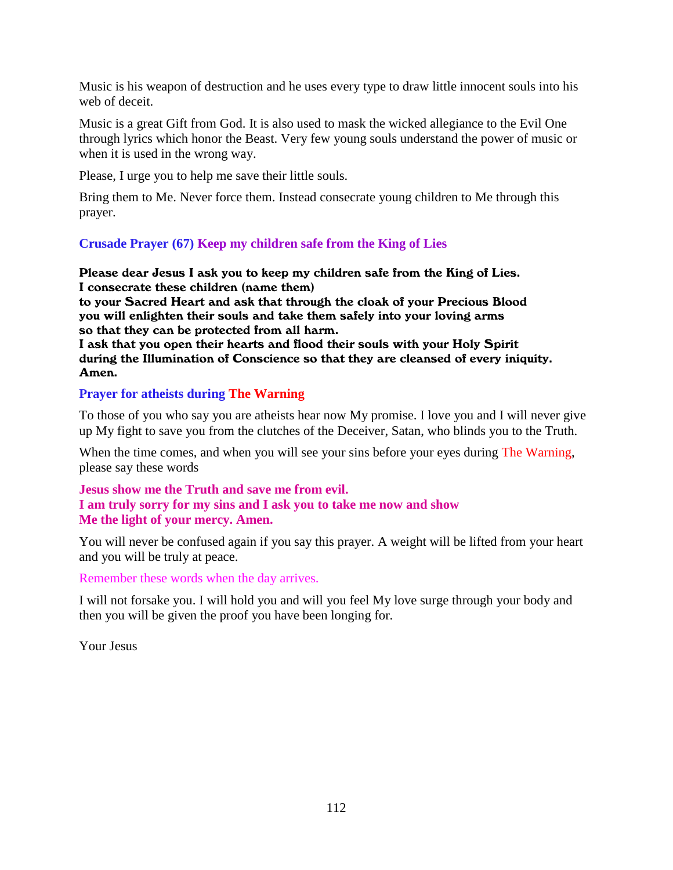Music is his weapon of destruction and he uses every type to draw little innocent souls into his web of deceit.

Music is a great Gift from God. It is also used to mask the wicked allegiance to the Evil One through lyrics which honor the Beast. Very few young souls understand the power of music or when it is used in the wrong way.

Please, I urge you to help me save their little souls.

Bring them to Me. Never force them. Instead consecrate young children to Me through this prayer.

### **Crusade Prayer (67) Keep my children safe from the King of Lies**

Please dear Jesus I ask you to keep my children safe from the King of Lies. I consecrate these children (name them)

to your Sacred Heart and ask that through the cloak of your Precious Blood you will enlighten their souls and take them safely into your loving arms so that they can be protected from all harm.

I ask that you open their hearts and flood their souls with your Holy Spirit during the Illumination of Conscience so that they are cleansed of every iniquity. Amen.

#### **Prayer for atheists during The Warning**

To those of you who say you are atheists hear now My promise. I love you and I will never give up My fight to save you from the clutches of the Deceiver, Satan, who blinds you to the Truth.

When the time comes, and when you will see your sins before your eyes during The Warning, please say these words

**Jesus show me the Truth and save me from evil. I am truly sorry for my sins and I ask you to take me now and show Me the light of your mercy. Amen.**

You will never be confused again if you say this prayer. A weight will be lifted from your heart and you will be truly at peace.

#### Remember these words when the day arrives.

I will not forsake you. I will hold you and will you feel My love surge through your body and then you will be given the proof you have been longing for.

Your Jesus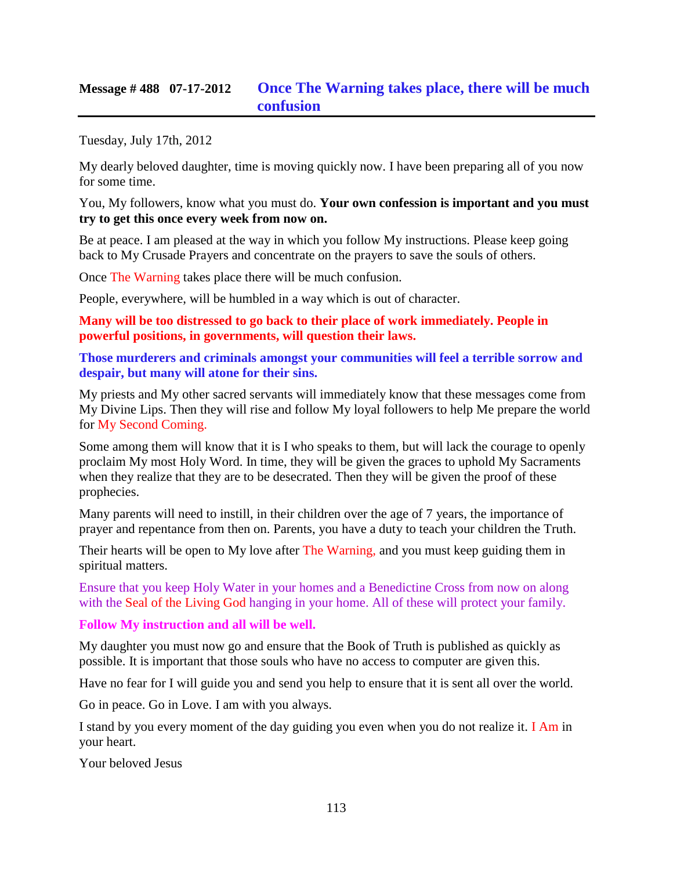## **Message # 488 07-17-2012 [Once The Warning takes place,](http://www.thewarningsecondcoming.com/once-the-warning-takes-place-there-will-be-much-confusion/) there will be much [confusion](http://www.thewarningsecondcoming.com/once-the-warning-takes-place-there-will-be-much-confusion/)**

Tuesday, July 17th, 2012

My dearly beloved daughter, time is moving quickly now. I have been preparing all of you now for some time.

You, My followers, know what you must do. **Your own confession is important and you must try to get this once every week from now on.**

Be at peace. I am pleased at the way in which you follow My instructions. Please keep going back to My Crusade Prayers and concentrate on the prayers to save the souls of others.

Once The Warning takes place there will be much confusion.

People, everywhere, will be humbled in a way which is out of character.

**Many will be too distressed to go back to their place of work immediately. People in powerful positions, in governments, will question their laws.**

**Those murderers and criminals amongst your communities will feel a terrible sorrow and despair, but many will atone for their sins.**

My priests and My other sacred servants will immediately know that these messages come from My Divine Lips. Then they will rise and follow My loyal followers to help Me prepare the world for My Second Coming.

Some among them will know that it is I who speaks to them, but will lack the courage to openly proclaim My most Holy Word. In time, they will be given the graces to uphold My Sacraments when they realize that they are to be desecrated. Then they will be given the proof of these prophecies.

Many parents will need to instill, in their children over the age of 7 years, the importance of prayer and repentance from then on. Parents, you have a duty to teach your children the Truth.

Their hearts will be open to My love after The Warning, and you must keep guiding them in spiritual matters.

Ensure that you keep Holy Water in your homes and a Benedictine Cross from now on along with the Seal of the Living God hanging in your home. All of these will protect your family.

#### **Follow My instruction and all will be well.**

My daughter you must now go and ensure that the Book of Truth is published as quickly as possible. It is important that those souls who have no access to computer are given this.

Have no fear for I will guide you and send you help to ensure that it is sent all over the world.

Go in peace. Go in Love. I am with you always.

I stand by you every moment of the day guiding you even when you do not realize it. I Am in your heart.

Your beloved Jesus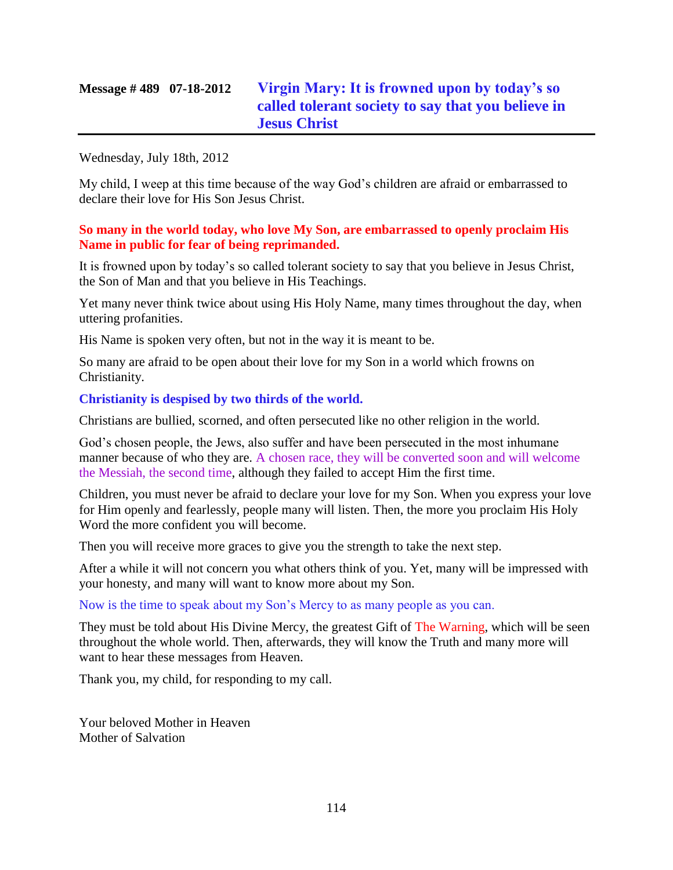#### Wednesday, July 18th, 2012

My child, I weep at this time because of the way God's children are afraid or embarrassed to declare their love for His Son Jesus Christ.

#### **So many in the world today, who love My Son, are embarrassed to openly proclaim His Name in public for fear of being reprimanded.**

It is frowned upon by today's so called tolerant society to say that you believe in Jesus Christ, the Son of Man and that you believe in His Teachings.

Yet many never think twice about using His Holy Name, many times throughout the day, when uttering profanities.

His Name is spoken very often, but not in the way it is meant to be.

So many are afraid to be open about their love for my Son in a world which frowns on Christianity.

#### **Christianity is despised by two thirds of the world.**

Christians are bullied, scorned, and often persecuted like no other religion in the world.

God's chosen people, the Jews, also suffer and have been persecuted in the most inhumane manner because of who they are. A chosen race, they will be converted soon and will welcome the Messiah, the second time, although they failed to accept Him the first time.

Children, you must never be afraid to declare your love for my Son. When you express your love for Him openly and fearlessly, people many will listen. Then, the more you proclaim His Holy Word the more confident you will become.

Then you will receive more graces to give you the strength to take the next step.

After a while it will not concern you what others think of you. Yet, many will be impressed with your honesty, and many will want to know more about my Son.

Now is the time to speak about my Son's Mercy to as many people as you can.

They must be told about His Divine Mercy, the greatest Gift of The Warning, which will be seen throughout the whole world. Then, afterwards, they will know the Truth and many more will want to hear these messages from Heaven.

Thank you, my child, for responding to my call.

Your beloved Mother in Heaven Mother of Salvation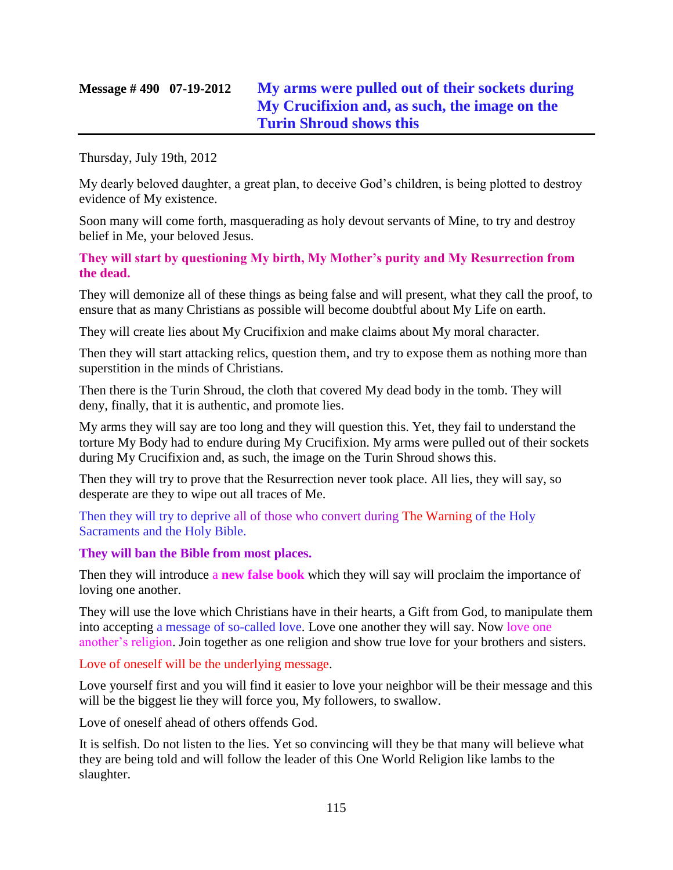# **Message # 490 07-19-2012 [My arms were pulled out of their sockets during](http://www.thewarningsecondcoming.com/my-arms-were-pulled-out-of-their-sockets-during-my-crucifixion-and-as-such-the-image-on-the-turin-shroud-shows-this/)  [My Crucifixion and, as such, the image on the](http://www.thewarningsecondcoming.com/my-arms-were-pulled-out-of-their-sockets-during-my-crucifixion-and-as-such-the-image-on-the-turin-shroud-shows-this/)  [Turin Shroud shows this](http://www.thewarningsecondcoming.com/my-arms-were-pulled-out-of-their-sockets-during-my-crucifixion-and-as-such-the-image-on-the-turin-shroud-shows-this/)**

Thursday, July 19th, 2012

My dearly beloved daughter, a great plan, to deceive God's children, is being plotted to destroy evidence of My existence.

Soon many will come forth, masquerading as holy devout servants of Mine, to try and destroy belief in Me, your beloved Jesus.

**They will start by questioning My birth, My Mother's purity and My Resurrection from the dead.**

They will demonize all of these things as being false and will present, what they call the proof, to ensure that as many Christians as possible will become doubtful about My Life on earth.

They will create lies about My Crucifixion and make claims about My moral character.

Then they will start attacking relics, question them, and try to expose them as nothing more than superstition in the minds of Christians.

Then there is the Turin Shroud, the cloth that covered My dead body in the tomb. They will deny, finally, that it is authentic, and promote lies.

My arms they will say are too long and they will question this. Yet, they fail to understand the torture My Body had to endure during My Crucifixion. My arms were pulled out of their sockets during My Crucifixion and, as such, the image on the Turin Shroud shows this.

Then they will try to prove that the Resurrection never took place. All lies, they will say, so desperate are they to wipe out all traces of Me.

Then they will try to deprive all of those who convert during The Warning of the Holy Sacraments and the Holy Bible.

### **They will ban the Bible from most places.**

Then they will introduce a **new false book** which they will say will proclaim the importance of loving one another.

They will use the love which Christians have in their hearts, a Gift from God, to manipulate them into accepting a message of so-called love. Love one another they will say. Now love one another's religion. Join together as one religion and show true love for your brothers and sisters.

Love of oneself will be the underlying message.

Love yourself first and you will find it easier to love your neighbor will be their message and this will be the biggest lie they will force you, My followers, to swallow.

Love of oneself ahead of others offends God.

It is selfish. Do not listen to the lies. Yet so convincing will they be that many will believe what they are being told and will follow the leader of this One World Religion like lambs to the slaughter.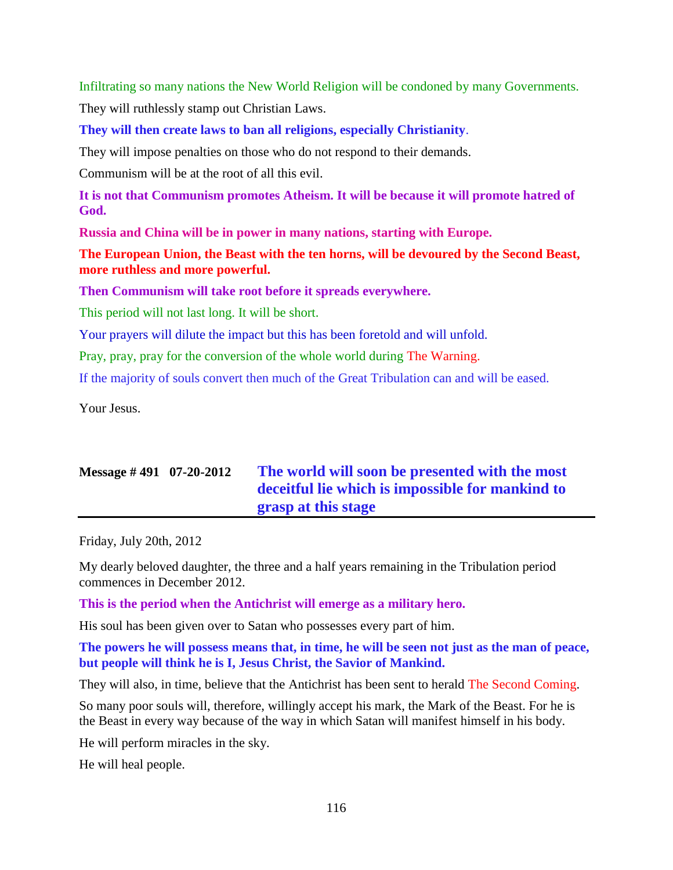Infiltrating so many nations the New World Religion will be condoned by many Governments.

They will ruthlessly stamp out Christian Laws.

**They will then create laws to ban all religions, especially Christianity**.

They will impose penalties on those who do not respond to their demands.

Communism will be at the root of all this evil.

**It is not that Communism promotes Atheism. It will be because it will promote hatred of God.**

**Russia and China will be in power in many nations, starting with Europe.**

**The European Union, the Beast with the ten horns, will be devoured by the Second Beast, more ruthless and more powerful.**

**Then Communism will take root before it spreads everywhere.**

This period will not last long. It will be short.

Your prayers will dilute the impact but this has been foretold and will unfold.

Pray, pray, pray for the conversion of the whole world during The Warning.

If the majority of souls convert then much of the Great Tribulation can and will be eased.

Your Jesus.

# **Message # 491 07-20-2012 [The world will soon be presented with the most](http://www.thewarningsecondcoming.com/the-world-will-soon-be-presented-with-the-most-deceitful-lie-which-is-impossible-for-mankind-to-grasp-at-this-stage/)  [deceitful lie which is impossible for mankind to](http://www.thewarningsecondcoming.com/the-world-will-soon-be-presented-with-the-most-deceitful-lie-which-is-impossible-for-mankind-to-grasp-at-this-stage/)  [grasp at this stage](http://www.thewarningsecondcoming.com/the-world-will-soon-be-presented-with-the-most-deceitful-lie-which-is-impossible-for-mankind-to-grasp-at-this-stage/)**

Friday, July 20th, 2012

My dearly beloved daughter, the three and a half years remaining in the Tribulation period commences in December 2012.

**This is the period when the Antichrist will emerge as a military hero.**

His soul has been given over to Satan who possesses every part of him.

**The powers he will possess means that, in time, he will be seen not just as the man of peace, but people will think he is I, Jesus Christ, the Savior of Mankind.**

They will also, in time, believe that the Antichrist has been sent to herald The Second Coming.

So many poor souls will, therefore, willingly accept his mark, the Mark of the Beast. For he is the Beast in every way because of the way in which Satan will manifest himself in his body.

He will perform miracles in the sky.

He will heal people.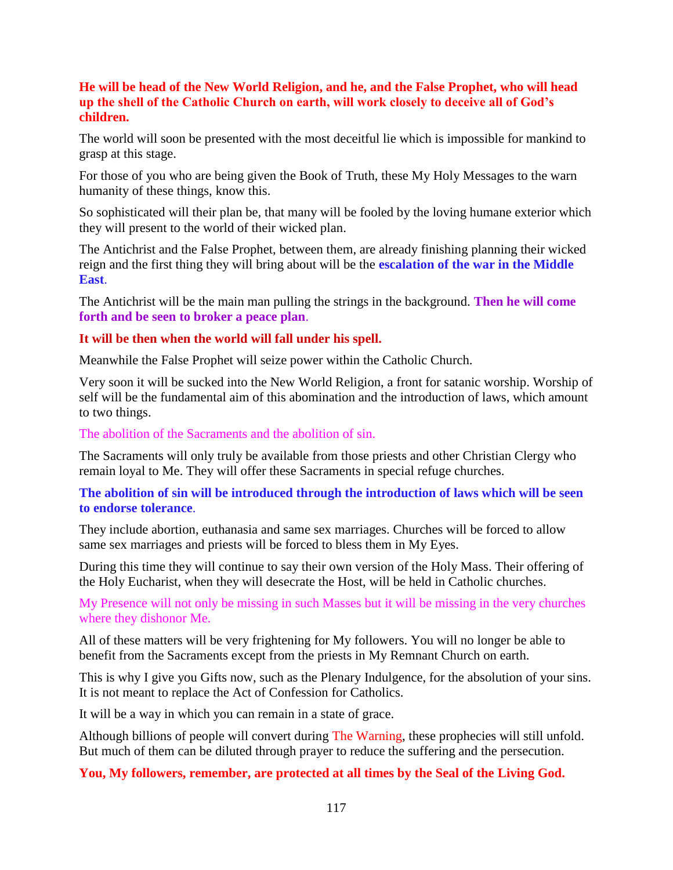#### **He will be head of the New World Religion, and he, and the False Prophet, who will head up the shell of the Catholic Church on earth, will work closely to deceive all of God's children.**

The world will soon be presented with the most deceitful lie which is impossible for mankind to grasp at this stage.

For those of you who are being given the Book of Truth, these My Holy Messages to the warn humanity of these things, know this.

So sophisticated will their plan be, that many will be fooled by the loving humane exterior which they will present to the world of their wicked plan.

The Antichrist and the False Prophet, between them, are already finishing planning their wicked reign and the first thing they will bring about will be the **escalation of the war in the Middle East**.

The Antichrist will be the main man pulling the strings in the background. **Then he will come forth and be seen to broker a peace plan**.

### **It will be then when the world will fall under his spell.**

Meanwhile the False Prophet will seize power within the Catholic Church.

Very soon it will be sucked into the New World Religion, a front for satanic worship. Worship of self will be the fundamental aim of this abomination and the introduction of laws, which amount to two things.

The abolition of the Sacraments and the abolition of sin.

The Sacraments will only truly be available from those priests and other Christian Clergy who remain loyal to Me. They will offer these Sacraments in special refuge churches.

#### **The abolition of sin will be introduced through the introduction of laws which will be seen to endorse tolerance**.

They include abortion, euthanasia and same sex marriages. Churches will be forced to allow same sex marriages and priests will be forced to bless them in My Eyes.

During this time they will continue to say their own version of the Holy Mass. Their offering of the Holy Eucharist, when they will desecrate the Host, will be held in Catholic churches.

My Presence will not only be missing in such Masses but it will be missing in the very churches where they dishonor Me.

All of these matters will be very frightening for My followers. You will no longer be able to benefit from the Sacraments except from the priests in My Remnant Church on earth.

This is why I give you Gifts now, such as the Plenary Indulgence, for the absolution of your sins. It is not meant to replace the Act of Confession for Catholics.

It will be a way in which you can remain in a state of grace.

Although billions of people will convert during The Warning, these prophecies will still unfold. But much of them can be diluted through prayer to reduce the suffering and the persecution.

**You, My followers, remember, are protected at all times by the Seal of the Living God.**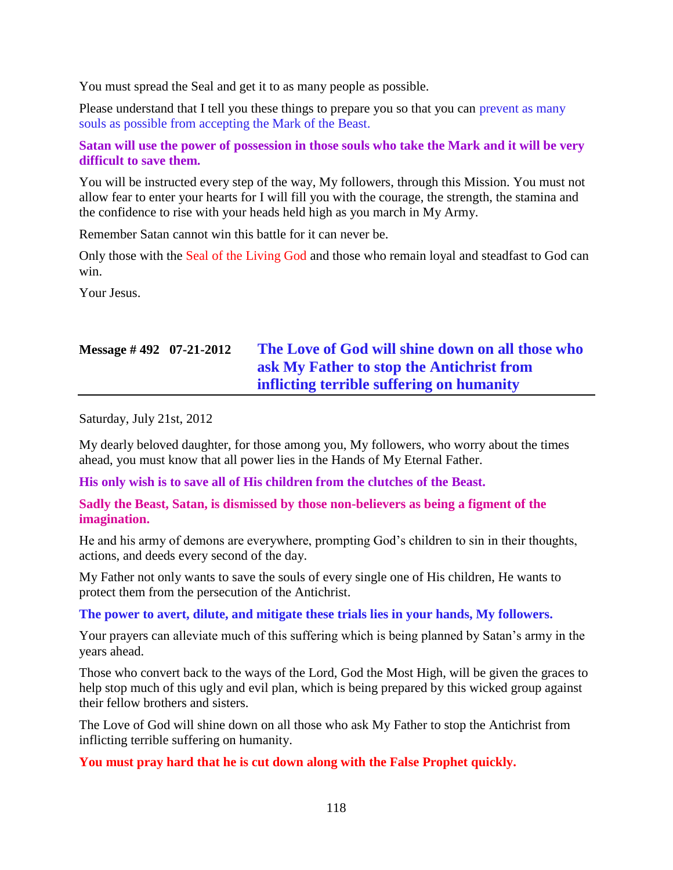You must spread the Seal and get it to as many people as possible.

Please understand that I tell you these things to prepare you so that you can prevent as many souls as possible from accepting the Mark of the Beast.

#### **Satan will use the power of possession in those souls who take the Mark and it will be very difficult to save them.**

You will be instructed every step of the way, My followers, through this Mission. You must not allow fear to enter your hearts for I will fill you with the courage, the strength, the stamina and the confidence to rise with your heads held high as you march in My Army.

Remember Satan cannot win this battle for it can never be.

Only those with the Seal of the Living God and those who remain loyal and steadfast to God can win.

Your Jesus.

# **Message # 492 07-21-2012 [The Love of God will shine down on all those who](http://www.thewarningsecondcoming.com/the-love-of-god-will-shine-down-on-all-those-who-ask-my-father-to-stop-the-antichrist-from-inflicting-terrible-suffering-on-humanity/)  [ask My Father to stop the Antichrist from](http://www.thewarningsecondcoming.com/the-love-of-god-will-shine-down-on-all-those-who-ask-my-father-to-stop-the-antichrist-from-inflicting-terrible-suffering-on-humanity/)  [inflicting terrible suffering on humanity](http://www.thewarningsecondcoming.com/the-love-of-god-will-shine-down-on-all-those-who-ask-my-father-to-stop-the-antichrist-from-inflicting-terrible-suffering-on-humanity/)**

Saturday, July 21st, 2012

My dearly beloved daughter, for those among you, My followers, who worry about the times ahead, you must know that all power lies in the Hands of My Eternal Father.

**His only wish is to save all of His children from the clutches of the Beast.**

**Sadly the Beast, Satan, is dismissed by those non-believers as being a figment of the imagination.**

He and his army of demons are everywhere, prompting God's children to sin in their thoughts, actions, and deeds every second of the day.

My Father not only wants to save the souls of every single one of His children, He wants to protect them from the persecution of the Antichrist.

#### **The power to avert, dilute, and mitigate these trials lies in your hands, My followers.**

Your prayers can alleviate much of this suffering which is being planned by Satan's army in the years ahead.

Those who convert back to the ways of the Lord, God the Most High, will be given the graces to help stop much of this ugly and evil plan, which is being prepared by this wicked group against their fellow brothers and sisters.

The Love of God will shine down on all those who ask My Father to stop the Antichrist from inflicting terrible suffering on humanity.

**You must pray hard that he is cut down along with the False Prophet quickly.**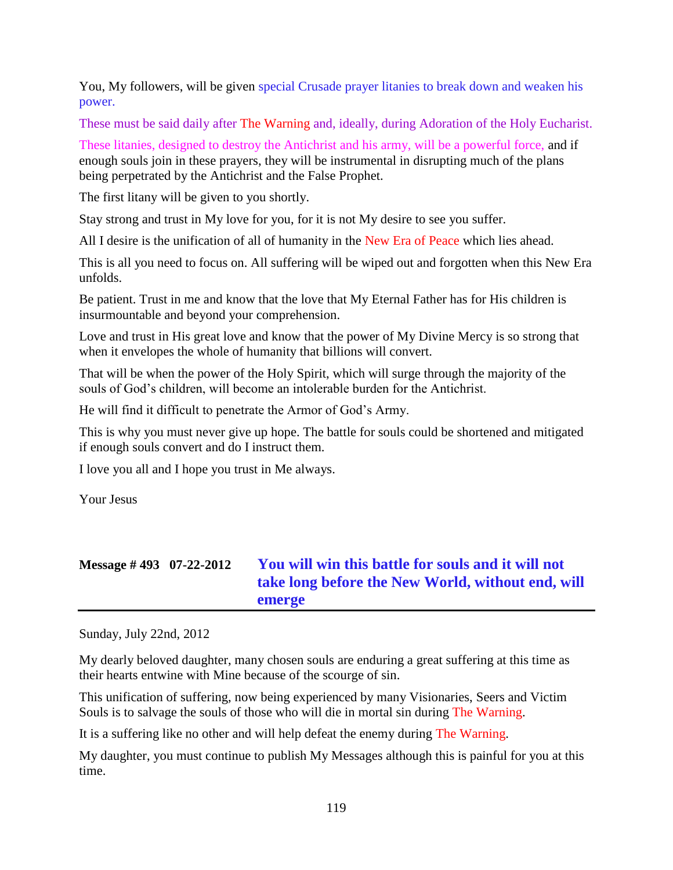You, My followers, will be given special Crusade prayer litanies to break down and weaken his power.

These must be said daily after The Warning and, ideally, during Adoration of the Holy Eucharist.

These litanies, designed to destroy the Antichrist and his army, will be a powerful force, and if enough souls join in these prayers, they will be instrumental in disrupting much of the plans being perpetrated by the Antichrist and the False Prophet.

The first litany will be given to you shortly.

Stay strong and trust in My love for you, for it is not My desire to see you suffer.

All I desire is the unification of all of humanity in the New Era of Peace which lies ahead.

This is all you need to focus on. All suffering will be wiped out and forgotten when this New Era unfolds.

Be patient. Trust in me and know that the love that My Eternal Father has for His children is insurmountable and beyond your comprehension.

Love and trust in His great love and know that the power of My Divine Mercy is so strong that when it envelopes the whole of humanity that billions will convert.

That will be when the power of the Holy Spirit, which will surge through the majority of the souls of God's children, will become an intolerable burden for the Antichrist.

He will find it difficult to penetrate the Armor of God's Army.

This is why you must never give up hope. The battle for souls could be shortened and mitigated if enough souls convert and do I instruct them.

I love you all and I hope you trust in Me always.

Your Jesus

# **Message # 493 07-22-2012 [You will win this battle for souls and it will not](http://www.thewarningsecondcoming.com/you-will-win-this-battle-for-souls-and-it-will-not-take-long-before-the-new-world-without-end-will-emerge/)  [take long before the New World, without end, will](http://www.thewarningsecondcoming.com/you-will-win-this-battle-for-souls-and-it-will-not-take-long-before-the-new-world-without-end-will-emerge/)  [emerge](http://www.thewarningsecondcoming.com/you-will-win-this-battle-for-souls-and-it-will-not-take-long-before-the-new-world-without-end-will-emerge/)**

Sunday, July 22nd, 2012

My dearly beloved daughter, many chosen souls are enduring a great suffering at this time as their hearts entwine with Mine because of the scourge of sin.

This unification of suffering, now being experienced by many Visionaries, Seers and Victim Souls is to salvage the souls of those who will die in mortal sin during The Warning.

It is a suffering like no other and will help defeat the enemy during The Warning.

My daughter, you must continue to publish My Messages although this is painful for you at this time.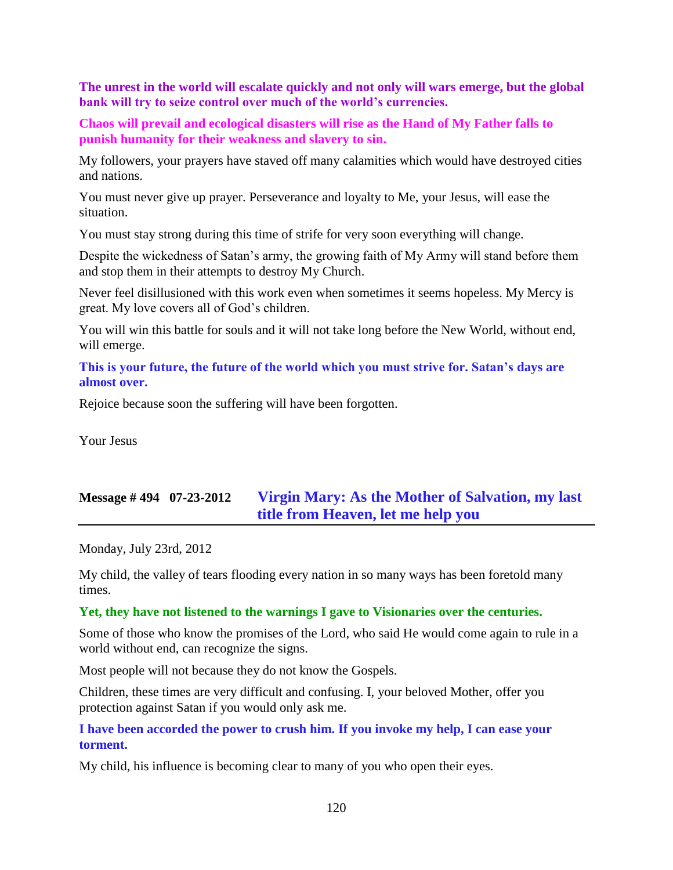**The unrest in the world will escalate quickly and not only will wars emerge, but the global bank will try to seize control over much of the world's currencies.**

**Chaos will prevail and ecological disasters will rise as the Hand of My Father falls to punish humanity for their weakness and slavery to sin.**

My followers, your prayers have staved off many calamities which would have destroyed cities and nations.

You must never give up prayer. Perseverance and loyalty to Me, your Jesus, will ease the situation.

You must stay strong during this time of strife for very soon everything will change.

Despite the wickedness of Satan's army, the growing faith of My Army will stand before them and stop them in their attempts to destroy My Church.

Never feel disillusioned with this work even when sometimes it seems hopeless. My Mercy is great. My love covers all of God's children.

You will win this battle for souls and it will not take long before the New World, without end, will emerge.

**This is your future, the future of the world which you must strive for. Satan's days are almost over.**

Rejoice because soon the suffering will have been forgotten.

Your Jesus

# **Message # 494 07-23-2012 [Virgin Mary: As the Mother of Salvation, my last](http://www.thewarningsecondcoming.com/virgin-mary-as-the-mother-of-salvation-my-last-title-from-heaven-let-me-help-you/)  [title from Heaven, let me help you](http://www.thewarningsecondcoming.com/virgin-mary-as-the-mother-of-salvation-my-last-title-from-heaven-let-me-help-you/)**

Monday, July 23rd, 2012

My child, the valley of tears flooding every nation in so many ways has been foretold many times.

#### **Yet, they have not listened to the warnings I gave to Visionaries over the centuries.**

Some of those who know the promises of the Lord, who said He would come again to rule in a world without end, can recognize the signs.

Most people will not because they do not know the Gospels.

Children, these times are very difficult and confusing. I, your beloved Mother, offer you protection against Satan if you would only ask me.

#### **I have been accorded the power to crush him. If you invoke my help, I can ease your torment.**

My child, his influence is becoming clear to many of you who open their eyes.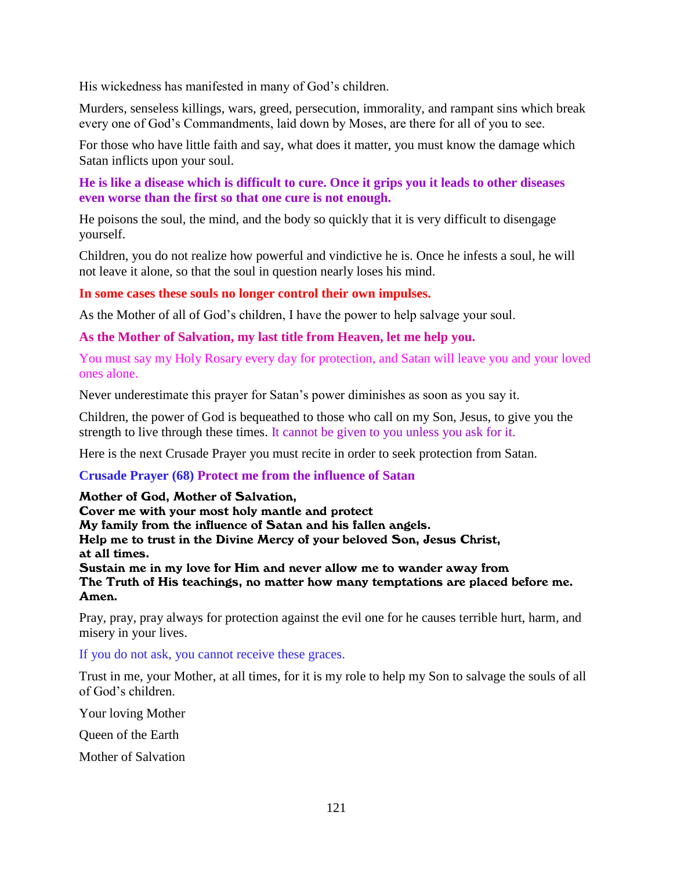His wickedness has manifested in many of God's children.

Murders, senseless killings, wars, greed, persecution, immorality, and rampant sins which break every one of God's Commandments, laid down by Moses, are there for all of you to see.

For those who have little faith and say, what does it matter, you must know the damage which Satan inflicts upon your soul.

#### **He is like a disease which is difficult to cure. Once it grips you it leads to other diseases even worse than the first so that one cure is not enough.**

He poisons the soul, the mind, and the body so quickly that it is very difficult to disengage yourself.

Children, you do not realize how powerful and vindictive he is. Once he infests a soul, he will not leave it alone, so that the soul in question nearly loses his mind.

#### **In some cases these souls no longer control their own impulses.**

As the Mother of all of God's children, I have the power to help salvage your soul.

**As the Mother of Salvation, my last title from Heaven, let me help you.**

You must say my Holy Rosary every day for protection, and Satan will leave you and your loved ones alone.

Never underestimate this prayer for Satan's power diminishes as soon as you say it.

Children, the power of God is bequeathed to those who call on my Son, Jesus, to give you the strength to live through these times. It cannot be given to you unless you ask for it.

Here is the next Crusade Prayer you must recite in order to seek protection from Satan.

#### **Crusade Prayer (68) Protect me from the influence of Satan**

#### Mother of God, Mother of Salvation,

Cover me with your most holy mantle and protect My family from the influence of Satan and his fallen angels. Help me to trust in the Divine Mercy of your beloved Son, Jesus Christ, at all times. Sustain me in my love for Him and never allow me to wander away from The Truth of His teachings, no matter how many temptations are placed before me. Amen.

Pray, pray, pray always for protection against the evil one for he causes terrible hurt, harm, and misery in your lives.

If you do not ask, you cannot receive these graces.

Trust in me, your Mother, at all times, for it is my role to help my Son to salvage the souls of all of God's children.

Your loving Mother

Queen of the Earth

Mother of Salvation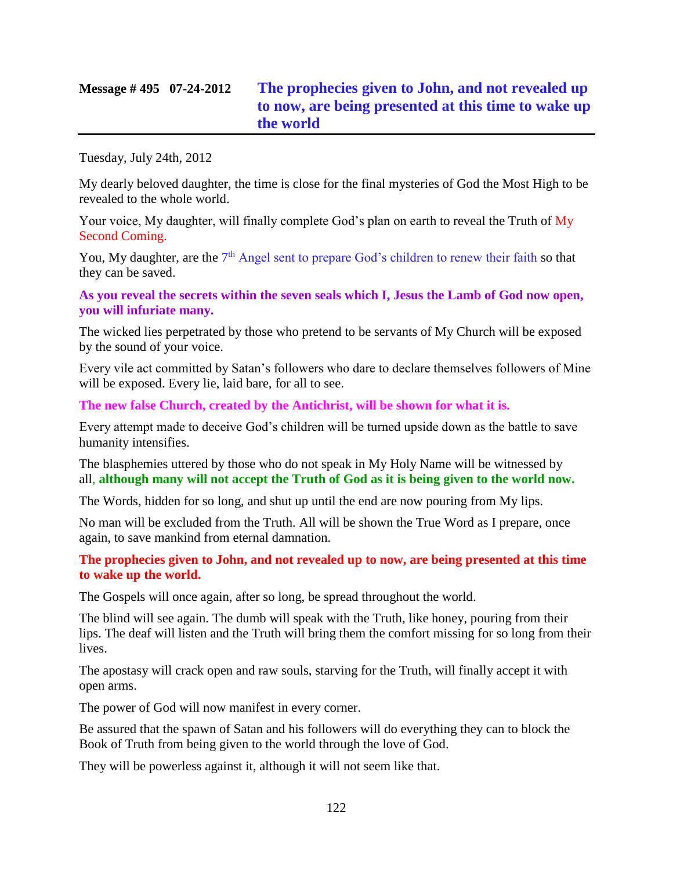# **Message # 495 07-24-2012 [The prophecies given to John, and not revealed up](http://www.thewarningsecondcoming.com/the-prophecies-given-to-john-and-not-revealed-up-to-now-are-being-presented-at-this-time-to-wake-up-the-world/)  [to now, are being presented at this time to wake up](http://www.thewarningsecondcoming.com/the-prophecies-given-to-john-and-not-revealed-up-to-now-are-being-presented-at-this-time-to-wake-up-the-world/)  [the world](http://www.thewarningsecondcoming.com/the-prophecies-given-to-john-and-not-revealed-up-to-now-are-being-presented-at-this-time-to-wake-up-the-world/)**

Tuesday, July 24th, 2012

My dearly beloved daughter, the time is close for the final mysteries of God the Most High to be revealed to the whole world.

Your voice, My daughter, will finally complete God's plan on earth to reveal the Truth of My Second Coming.

You, My daughter, are the 7<sup>th</sup> Angel sent to prepare God's children to renew their faith so that they can be saved.

**As you reveal the secrets within the seven seals which I, Jesus the Lamb of God now open, you will infuriate many.**

The wicked lies perpetrated by those who pretend to be servants of My Church will be exposed by the sound of your voice.

Every vile act committed by Satan's followers who dare to declare themselves followers of Mine will be exposed. Every lie, laid bare, for all to see.

**The new false Church, created by the Antichrist, will be shown for what it is.**

Every attempt made to deceive God's children will be turned upside down as the battle to save humanity intensifies.

The blasphemies uttered by those who do not speak in My Holy Name will be witnessed by all, **although many will not accept the Truth of God as it is being given to the world now.**

The Words, hidden for so long, and shut up until the end are now pouring from My lips.

No man will be excluded from the Truth. All will be shown the True Word as I prepare, once again, to save mankind from eternal damnation.

**The prophecies given to John, and not revealed up to now, are being presented at this time to wake up the world.**

The Gospels will once again, after so long, be spread throughout the world.

The blind will see again. The dumb will speak with the Truth, like honey, pouring from their lips. The deaf will listen and the Truth will bring them the comfort missing for so long from their lives.

The apostasy will crack open and raw souls, starving for the Truth, will finally accept it with open arms.

The power of God will now manifest in every corner.

Be assured that the spawn of Satan and his followers will do everything they can to block the Book of Truth from being given to the world through the love of God.

They will be powerless against it, although it will not seem like that.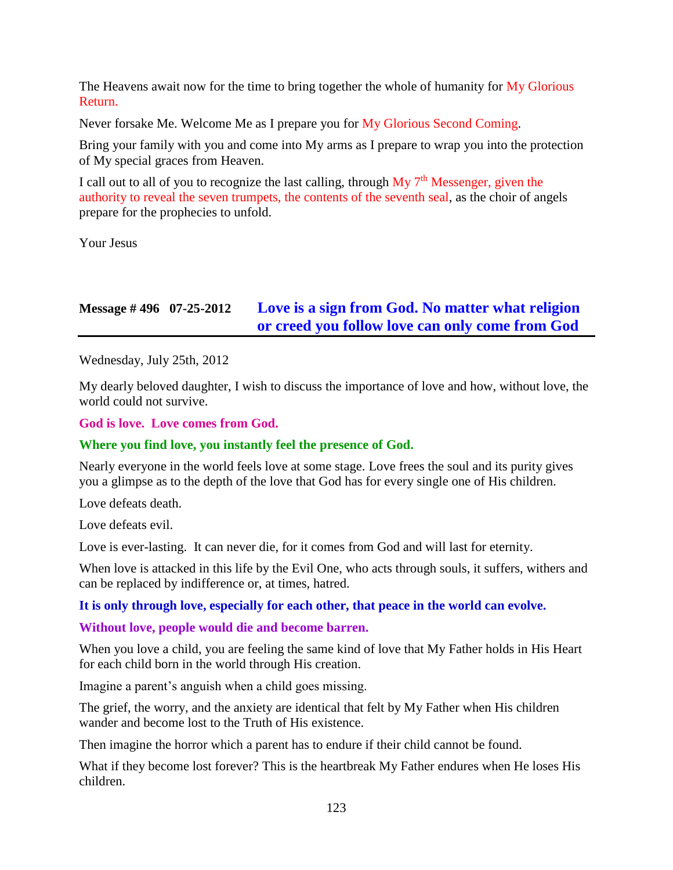The Heavens await now for the time to bring together the whole of humanity for  $\overline{My}$  Glorious Return.

Never forsake Me. Welcome Me as I prepare you for My Glorious Second Coming.

Bring your family with you and come into My arms as I prepare to wrap you into the protection of My special graces from Heaven.

I call out to all of you to recognize the last calling, through  $My 7<sup>th</sup>$  Messenger, given the authority to reveal the seven trumpets, the contents of the seventh seal, as the choir of angels prepare for the prophecies to unfold.

Your Jesus

# **Message # 496 07-25-2012 [Love is a sign from God. No matter what religion](http://www.thewarningsecondcoming.com/love-is-a-sign-from-god-no-matter-what-religion-or-creed-you-follow-love-can-only-come-from-god/)  [or creed you follow love can only come from God](http://www.thewarningsecondcoming.com/love-is-a-sign-from-god-no-matter-what-religion-or-creed-you-follow-love-can-only-come-from-god/)**

Wednesday, July 25th, 2012

My dearly beloved daughter, I wish to discuss the importance of love and how, without love, the world could not survive.

**God is love. Love comes from God.**

#### **Where you find love, you instantly feel the presence of God.**

Nearly everyone in the world feels love at some stage. Love frees the soul and its purity gives you a glimpse as to the depth of the love that God has for every single one of His children.

Love defeats death.

Love defeats evil.

Love is ever-lasting. It can never die, for it comes from God and will last for eternity.

When love is attacked in this life by the Evil One, who acts through souls, it suffers, withers and can be replaced by indifference or, at times, hatred.

#### **It is only through love, especially for each other, that peace in the world can evolve.**

**Without love, people would die and become barren.**

When you love a child, you are feeling the same kind of love that My Father holds in His Heart for each child born in the world through His creation.

Imagine a parent's anguish when a child goes missing.

The grief, the worry, and the anxiety are identical that felt by My Father when His children wander and become lost to the Truth of His existence.

Then imagine the horror which a parent has to endure if their child cannot be found.

What if they become lost forever? This is the heartbreak My Father endures when He loses His children.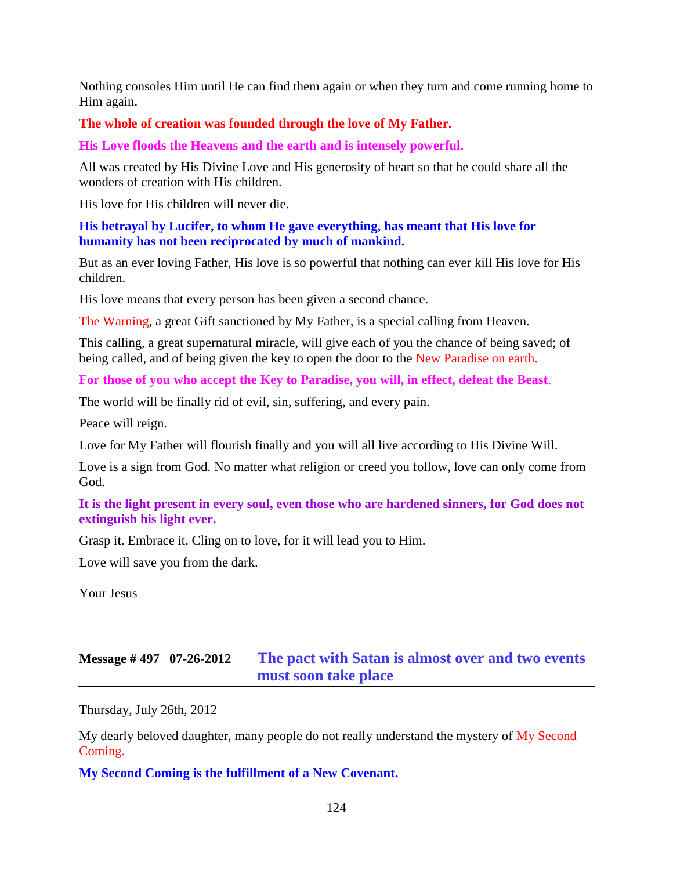Nothing consoles Him until He can find them again or when they turn and come running home to Him again.

#### **The whole of creation was founded through the love of My Father.**

**His Love floods the Heavens and the earth and is intensely powerful.**

All was created by His Divine Love and His generosity of heart so that he could share all the wonders of creation with His children.

His love for His children will never die.

**His betrayal by Lucifer, to whom He gave everything, has meant that His love for humanity has not been reciprocated by much of mankind.**

But as an ever loving Father, His love is so powerful that nothing can ever kill His love for His children.

His love means that every person has been given a second chance.

The Warning, a great Gift sanctioned by My Father, is a special calling from Heaven.

This calling, a great supernatural miracle, will give each of you the chance of being saved; of being called, and of being given the key to open the door to the New Paradise on earth.

**For those of you who accept the Key to Paradise, you will, in effect, defeat the Beast**.

The world will be finally rid of evil, sin, suffering, and every pain.

Peace will reign.

Love for My Father will flourish finally and you will all live according to His Divine Will.

Love is a sign from God. No matter what religion or creed you follow, love can only come from God.

**It is the light present in every soul, even those who are hardened sinners, for God does not extinguish his light ever.**

Grasp it. Embrace it. Cling on to love, for it will lead you to Him.

Love will save you from the dark.

Your Jesus

## **Message # 497 07-26-2012 [The pact with Satan is almost over and two events](http://www.thewarningsecondcoming.com/the-pact-with-satan-is-almost-over-and-two-events-must-soon-take-place-2/)  [must soon take place](http://www.thewarningsecondcoming.com/the-pact-with-satan-is-almost-over-and-two-events-must-soon-take-place-2/)**

Thursday, July 26th, 2012

My dearly beloved daughter, many people do not really understand the mystery of My Second Coming.

**My Second Coming is the fulfillment of a New Covenant.**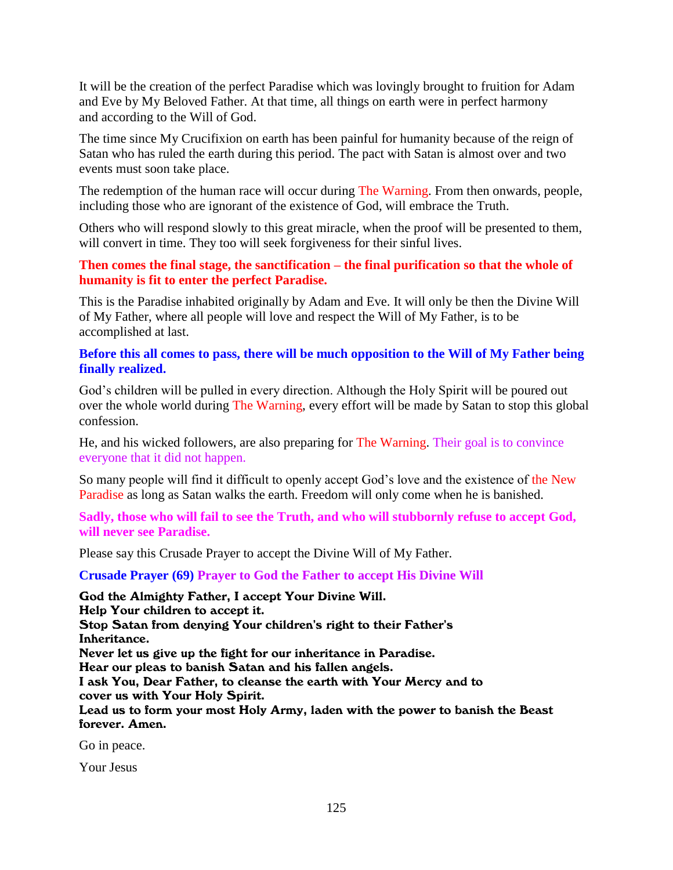It will be the creation of the perfect Paradise which was lovingly brought to fruition for Adam and Eve by My Beloved Father. At that time, all things on earth were in perfect harmony and according to the Will of God.

The time since My Crucifixion on earth has been painful for humanity because of the reign of Satan who has ruled the earth during this period. The pact with Satan is almost over and two events must soon take place.

The redemption of the human race will occur during The Warning. From then onwards, people, including those who are ignorant of the existence of God, will embrace the Truth.

Others who will respond slowly to this great miracle, when the proof will be presented to them, will convert in time. They too will seek forgiveness for their sinful lives.

#### **Then comes the final stage, the sanctification – the final purification so that the whole of humanity is fit to enter the perfect Paradise.**

This is the Paradise inhabited originally by Adam and Eve. It will only be then the Divine Will of My Father, where all people will love and respect the Will of My Father, is to be accomplished at last.

#### **Before this all comes to pass, there will be much opposition to the Will of My Father being finally realized.**

God's children will be pulled in every direction. Although the Holy Spirit will be poured out over the whole world during The Warning, every effort will be made by Satan to stop this global confession.

He, and his wicked followers, are also preparing for The Warning. Their goal is to convince everyone that it did not happen.

So many people will find it difficult to openly accept God's love and the existence of the New Paradise as long as Satan walks the earth. Freedom will only come when he is banished.

**Sadly, those who will fail to see the Truth, and who will stubbornly refuse to accept God, will never see Paradise.**

Please say this Crusade Prayer to accept the Divine Will of My Father.

**Crusade Prayer (69) Prayer to God the Father to accept His Divine Will**

God the Almighty Father, I accept Your Divine Will. Help Your children to accept it. Stop Satan from denying Your children's right to their Father's Inheritance. Never let us give up the fight for our inheritance in Paradise. Hear our pleas to banish Satan and his fallen angels. I ask You, Dear Father, to cleanse the earth with Your Mercy and to cover us with Your Holy Spirit. Lead us to form your most Holy Army, laden with the power to banish the Beast forever. Amen.

Go in peace.

Your Jesus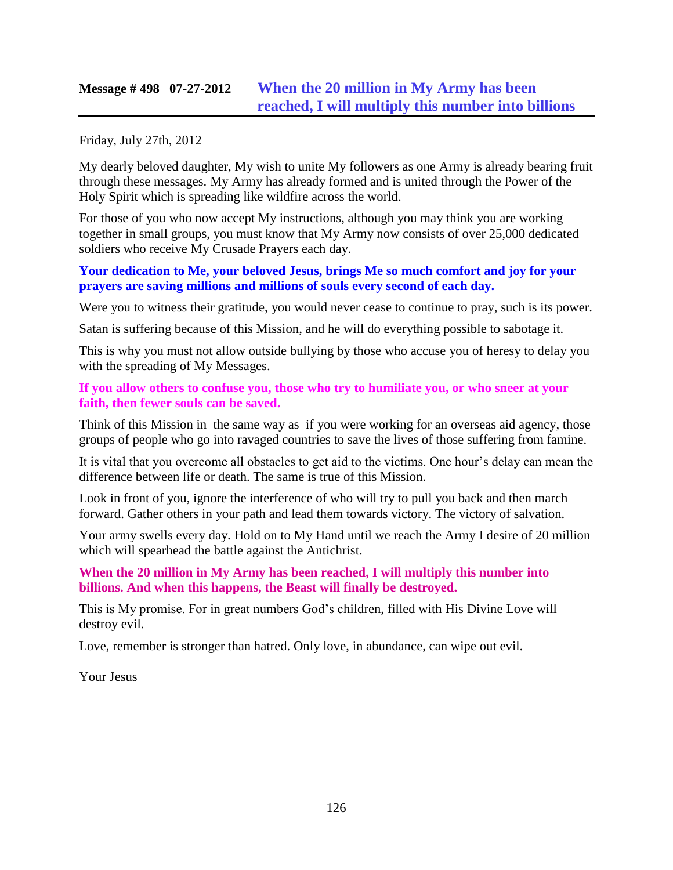## **Message # 498 07-27-2012 [When the 20 million in My Army has been](http://www.thewarningsecondcoming.com/when-the-20-million-in-my-army-has-been-reached-i-will-multiply-this-number-into-billions/)  reached, [I will multiply this number into billions](http://www.thewarningsecondcoming.com/when-the-20-million-in-my-army-has-been-reached-i-will-multiply-this-number-into-billions/)**

Friday, July 27th, 2012

My dearly beloved daughter, My wish to unite My followers as one Army is already bearing fruit through these messages. My Army has already formed and is united through the Power of the Holy Spirit which is spreading like wildfire across the world.

For those of you who now accept My instructions, although you may think you are working together in small groups, you must know that My Army now consists of over 25,000 dedicated soldiers who receive My Crusade Prayers each day.

#### **Your dedication to Me, your beloved Jesus, brings Me so much comfort and joy for your prayers are saving millions and millions of souls every second of each day.**

Were you to witness their gratitude, you would never cease to continue to pray, such is its power.

Satan is suffering because of this Mission, and he will do everything possible to sabotage it.

This is why you must not allow outside bullying by those who accuse you of heresy to delay you with the spreading of My Messages.

#### **If you allow others to confuse you, those who try to humiliate you, or who sneer at your faith, then fewer souls can be saved.**

Think of this Mission in the same way as if you were working for an overseas aid agency, those groups of people who go into ravaged countries to save the lives of those suffering from famine.

It is vital that you overcome all obstacles to get aid to the victims. One hour's delay can mean the difference between life or death. The same is true of this Mission.

Look in front of you, ignore the interference of who will try to pull you back and then march forward. Gather others in your path and lead them towards victory. The victory of salvation.

Your army swells every day. Hold on to My Hand until we reach the Army I desire of 20 million which will spearhead the battle against the Antichrist.

### **When the 20 million in My Army has been reached, I will multiply this number into billions. And when this happens, the Beast will finally be destroyed.**

This is My promise. For in great numbers God's children, filled with His Divine Love will destroy evil.

Love, remember is stronger than hatred. Only love, in abundance, can wipe out evil.

Your Jesus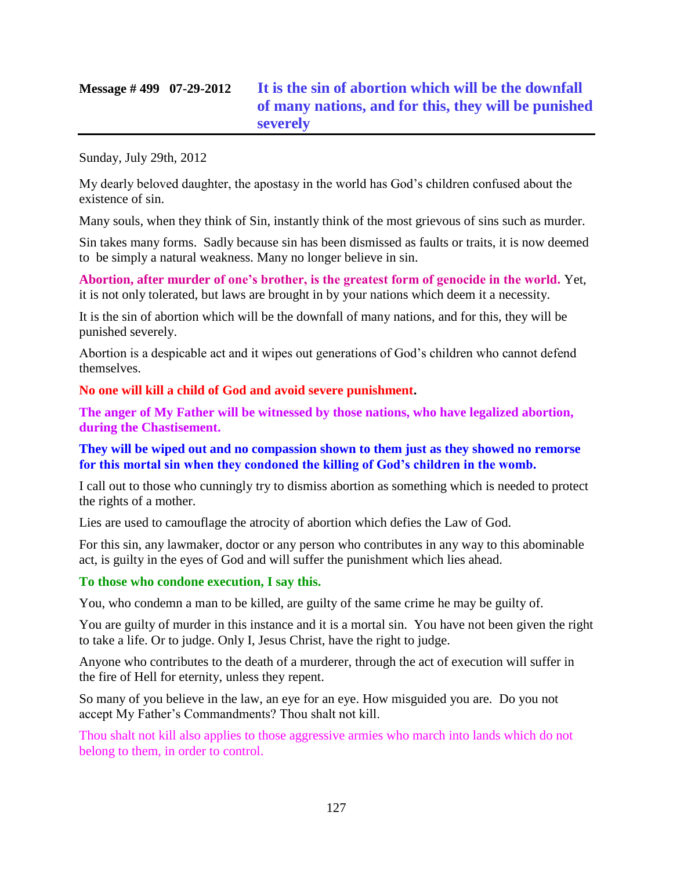# **Message # 499 07-29-2012 [It is the sin of abortion which will be the downfall](http://www.thewarningsecondcoming.com/it-is-the-sin-of-abortion-which-will-be-the-downfall-of-many-nations-and-for-this-they-will-be-punished-severely/)  of many nations, and for this, [they will be punished](http://www.thewarningsecondcoming.com/it-is-the-sin-of-abortion-which-will-be-the-downfall-of-many-nations-and-for-this-they-will-be-punished-severely/)  [severely](http://www.thewarningsecondcoming.com/it-is-the-sin-of-abortion-which-will-be-the-downfall-of-many-nations-and-for-this-they-will-be-punished-severely/)**

Sunday, July 29th, 2012

My dearly beloved daughter, the apostasy in the world has God's children confused about the existence of sin.

Many souls, when they think of Sin, instantly think of the most grievous of sins such as murder.

Sin takes many forms. Sadly because sin has been dismissed as faults or traits, it is now deemed to be simply a natural weakness. Many no longer believe in sin.

**Abortion, after murder of one's brother, is the greatest form of genocide in the world.** Yet, it is not only tolerated, but laws are brought in by your nations which deem it a necessity.

It is the sin of abortion which will be the downfall of many nations, and for this, they will be punished severely.

Abortion is a despicable act and it wipes out generations of God's children who cannot defend themselves.

**No one will kill a child of God and avoid severe punishment.**

**The anger of My Father will be witnessed by those nations, who have legalized abortion, during the Chastisement.**

**They will be wiped out and no compassion shown to them just as they showed no remorse for this mortal sin when they condoned the killing of God's children in the womb.**

I call out to those who cunningly try to dismiss abortion as something which is needed to protect the rights of a mother.

Lies are used to camouflage the atrocity of abortion which defies the Law of God.

For this sin, any lawmaker, doctor or any person who contributes in any way to this abominable act, is guilty in the eyes of God and will suffer the punishment which lies ahead.

### **To those who condone execution, I say this.**

You, who condemn a man to be killed, are guilty of the same crime he may be guilty of.

You are guilty of murder in this instance and it is a mortal sin. You have not been given the right to take a life. Or to judge. Only I, Jesus Christ, have the right to judge.

Anyone who contributes to the death of a murderer, through the act of execution will suffer in the fire of Hell for eternity, unless they repent.

So many of you believe in the law, an eye for an eye. How misguided you are. Do you not accept My Father's Commandments? Thou shalt not kill.

Thou shalt not kill also applies to those aggressive armies who march into lands which do not belong to them, in order to control.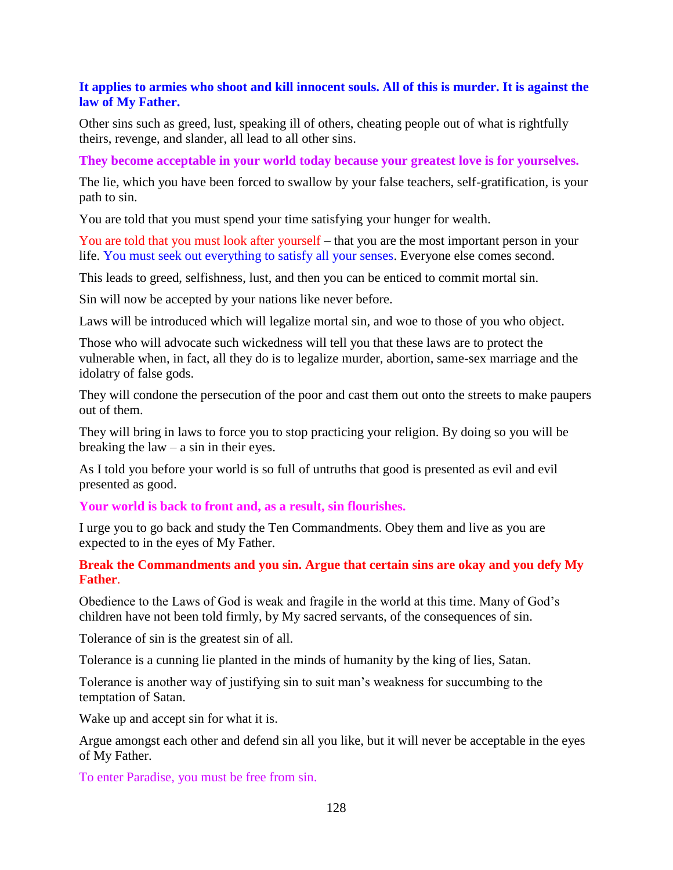#### **It applies to armies who shoot and kill innocent souls. All of this is murder. It is against the law of My Father.**

Other sins such as greed, lust, speaking ill of others, cheating people out of what is rightfully theirs, revenge, and slander, all lead to all other sins.

**They become acceptable in your world today because your greatest love is for yourselves.**

The lie, which you have been forced to swallow by your false teachers, self-gratification, is your path to sin.

You are told that you must spend your time satisfying your hunger for wealth.

You are told that you must look after yourself – that you are the most important person in your life. You must seek out everything to satisfy all your senses. Everyone else comes second.

This leads to greed, selfishness, lust, and then you can be enticed to commit mortal sin.

Sin will now be accepted by your nations like never before.

Laws will be introduced which will legalize mortal sin, and woe to those of you who object.

Those who will advocate such wickedness will tell you that these laws are to protect the vulnerable when, in fact, all they do is to legalize murder, abortion, same-sex marriage and the idolatry of false gods.

They will condone the persecution of the poor and cast them out onto the streets to make paupers out of them.

They will bring in laws to force you to stop practicing your religion. By doing so you will be breaking the  $law - a \sin in$  their eyes.

As I told you before your world is so full of untruths that good is presented as evil and evil presented as good.

**Your world is back to front and, as a result, sin flourishes.**

I urge you to go back and study the Ten Commandments. Obey them and live as you are expected to in the eyes of My Father.

#### **Break the Commandments and you sin. Argue that certain sins are okay and you defy My Father**.

Obedience to the Laws of God is weak and fragile in the world at this time. Many of God's children have not been told firmly, by My sacred servants, of the consequences of sin.

Tolerance of sin is the greatest sin of all.

Tolerance is a cunning lie planted in the minds of humanity by the king of lies, Satan.

Tolerance is another way of justifying sin to suit man's weakness for succumbing to the temptation of Satan.

Wake up and accept sin for what it is.

Argue amongst each other and defend sin all you like, but it will never be acceptable in the eyes of My Father.

To enter Paradise, you must be free from sin.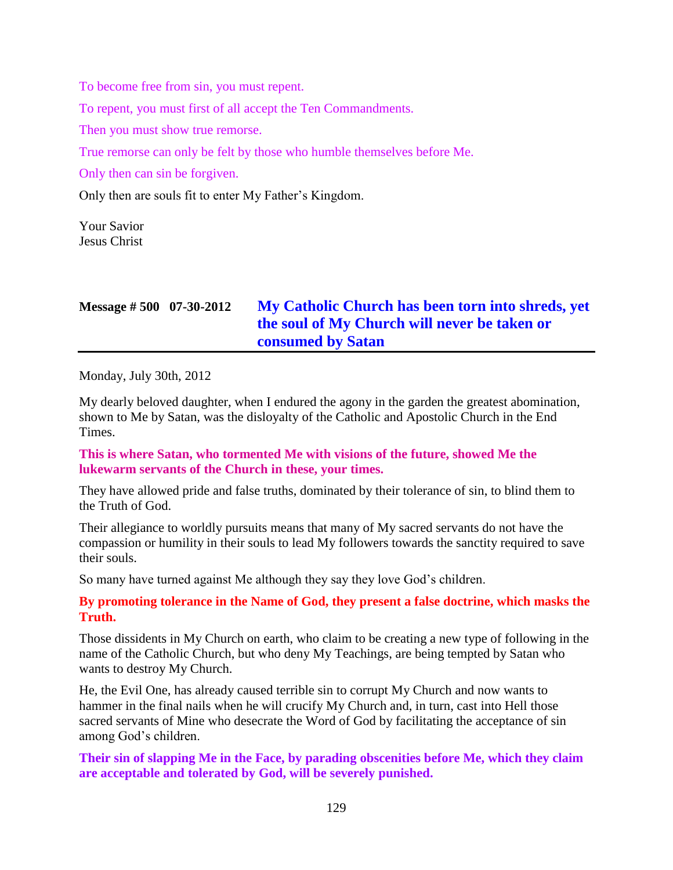To become free from sin, you must repent.

To repent, you must first of all accept the Ten Commandments.

Then you must show true remorse.

True remorse can only be felt by those who humble themselves before Me.

Only then can sin be forgiven.

Only then are souls fit to enter My Father's Kingdom.

Your Savior Jesus Christ

| Message $\# 500$ 07-30-2012 | My Catholic Church has been torn into shreds, yet |
|-----------------------------|---------------------------------------------------|
|                             | the soul of My Church will never be taken or      |
|                             | <b>consumed by Satan</b>                          |

Monday, July 30th, 2012

My dearly beloved daughter, when I endured the agony in the garden the greatest abomination, shown to Me by Satan, was the disloyalty of the Catholic and Apostolic Church in the End Times.

**This is where Satan, who tormented Me with visions of the future, showed Me the lukewarm servants of the Church in these, your times.**

They have allowed pride and false truths, dominated by their tolerance of sin, to blind them to the Truth of God.

Their allegiance to worldly pursuits means that many of My sacred servants do not have the compassion or humility in their souls to lead My followers towards the sanctity required to save their souls.

So many have turned against Me although they say they love God's children.

**By promoting tolerance in the Name of God, they present a false doctrine, which masks the Truth.**

Those dissidents in My Church on earth, who claim to be creating a new type of following in the name of the Catholic Church, but who deny My Teachings, are being tempted by Satan who wants to destroy My Church.

He, the Evil One, has already caused terrible sin to corrupt My Church and now wants to hammer in the final nails when he will crucify My Church and, in turn, cast into Hell those sacred servants of Mine who desecrate the Word of God by facilitating the acceptance of sin among God's children.

**Their sin of slapping Me in the Face, by parading obscenities before Me, which they claim are acceptable and tolerated by God, will be severely punished.**